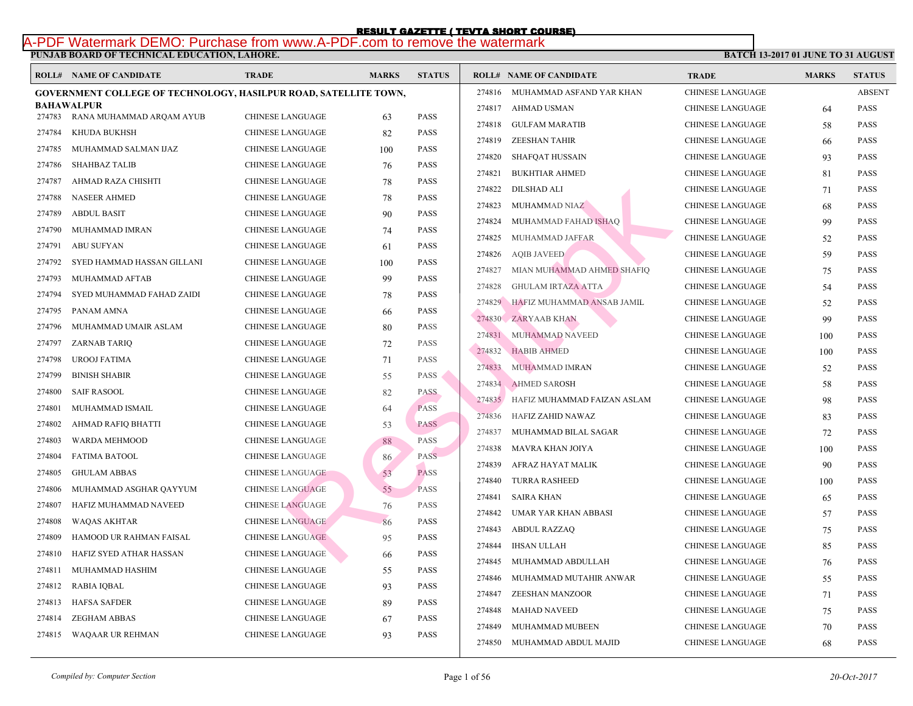## **PUNJAB BOARD OF TECHNICAL EDUCATION, LAHORE.**  RESULT GAZETTE ( TEVTA SHORT COURSE)<br>A-PDF Watermark DEMO: Purchase from www.A-PDF.com to remove the watermark

|        | <b>ROLL# NAME OF CANDIDATE</b>                                          | <b>TRADE</b>            | <b>MARKS</b> | <b>STATUS</b> |        | <b>ROLL# NAME OF CANDIDATE</b>     | <b>TRA</b>  |
|--------|-------------------------------------------------------------------------|-------------------------|--------------|---------------|--------|------------------------------------|-------------|
|        | <b>GOVERNMENT COLLEGE OF TECHNOLOGY, HASILPUR ROAD, SATELLITE TOWN,</b> |                         |              |               | 274816 | MUHAMMAD ASFAND YAR KHAN           | <b>CHIN</b> |
| 274783 | <b>BAHAWALPUR</b><br>RANA MUHAMMAD ARQAM AYUB                           | <b>CHINESE LANGUAGE</b> |              | <b>PASS</b>   | 274817 | AHMAD USMAN                        | <b>CHIN</b> |
| 274784 | KHUDA BUKHSH                                                            | <b>CHINESE LANGUAGE</b> | 63           | <b>PASS</b>   | 274818 | GULFAM MARATIB                     | <b>CHIN</b> |
|        |                                                                         |                         | 82           |               | 274819 | ZEESHAN TAHIR                      | <b>CHIN</b> |
| 274785 | MUHAMMAD SALMAN IJAZ                                                    | CHINESE LANGUAGE        | 100          | <b>PASS</b>   | 274820 | <b>SHAFQAT HUSSAIN</b>             | <b>CHIN</b> |
| 274786 | <b>SHAHBAZ TALIB</b>                                                    | CHINESE LANGUAGE        | 76           | <b>PASS</b>   | 274821 | <b>BUKHTIAR AHMED</b>              | <b>CHIN</b> |
| 274787 | AHMAD RAZA CHISHTI                                                      | CHINESE LANGUAGE        | 78           | <b>PASS</b>   | 274822 | DILSHAD ALI                        | <b>CHIN</b> |
| 274788 | <b>NASEER AHMED</b>                                                     | CHINESE LANGUAGE        | 78           | <b>PASS</b>   | 274823 | MUHAMMAD NIAZ                      | <b>CHIN</b> |
| 274789 | <b>ABDUL BASIT</b>                                                      | <b>CHINESE LANGUAGE</b> | 90           | <b>PASS</b>   | 274824 | MUHAMMAD FAHAD ISHAO               | <b>CHIN</b> |
| 274790 | MUHAMMAD IMRAN                                                          | CHINESE LANGUAGE        | 74           | <b>PASS</b>   | 274825 | MUHAMMAD JAFFAR                    | <b>CHIN</b> |
| 274791 | <b>ABU SUFYAN</b>                                                       | CHINESE LANGUAGE        | 61           | <b>PASS</b>   | 274826 | <b>AQIB JAVEED</b>                 | <b>CHIN</b> |
| 274792 | SYED HAMMAD HASSAN GILLANI                                              | CHINESE LANGUAGE        | 100          | <b>PASS</b>   | 274827 | MIAN MUHAMMAD AHMED SHAFIQ         | <b>CHIN</b> |
| 274793 | MUHAMMAD AFTAB                                                          | CHINESE LANGUAGE        | 99           | <b>PASS</b>   | 274828 | <b>GHULAM IRTAZA ATTA</b>          | <b>CHIN</b> |
| 274794 | SYED MUHAMMAD FAHAD ZAIDI                                               | CHINESE LANGUAGE        | 78           | <b>PASS</b>   |        | 274829 HAFIZ MUHAMMAD ANSAB JAMIL  | <b>CHIN</b> |
| 274795 | PANAM AMNA                                                              | CHINESE LANGUAGE        | 66           | <b>PASS</b>   |        | 274830 ZARYAAB KHAN                | <b>CHIN</b> |
| 274796 | MUHAMMAD UMAIR ASLAM                                                    | CHINESE LANGUAGE        | 80           | <b>PASS</b>   |        | 274831 MUHAMMAD NAVEED             | <b>CHIN</b> |
| 274797 | ZARNAB TARIQ                                                            | CHINESE LANGUAGE        | 72           | <b>PASS</b>   | 274832 | <b>HABIB AHMED</b>                 | <b>CHIN</b> |
| 274798 | UROOJ FATIMA                                                            | CHINESE LANGUAGE        | 71           | <b>PASS</b>   | 274833 | MUHAMMAD IMRAN                     | <b>CHIN</b> |
| 274799 | <b>BINISH SHABIR</b>                                                    | <b>CHINESE LANGUAGE</b> | 55           | <b>PASS</b>   | 274834 | <b>AHMED SAROSH</b>                | <b>CHIN</b> |
| 274800 | <b>SAIF RASOOL</b>                                                      | CHINESE LANGUAGE        | 82           | <b>PASS</b>   |        |                                    | <b>CHIN</b> |
| 274801 | MUHAMMAD ISMAIL                                                         | CHINESE LANGUAGE        | 64           | <b>PASS</b>   |        | 274835 HAFIZ MUHAMMAD FAIZAN ASLAM | <b>CHIN</b> |
| 274802 | AHMAD RAFIQ BHATTI                                                      | CHINESE LANGUAGE        | 53           | <b>PASS</b>   | 274836 | HAFIZ ZAHID NAWAZ                  |             |
| 274803 | <b>WARDA MEHMOOD</b>                                                    | <b>CHINESE LANGUAGE</b> | 88           | <b>PASS</b>   | 274837 | MUHAMMAD BILAL SAGAR               | <b>CHIN</b> |
| 274804 | <b>FATIMA BATOOL</b>                                                    | <b>CHINESE LANGUAGE</b> | 86           | PASS          | 274838 | MAVRA KHAN JOIYA                   | <b>CHIN</b> |
| 274805 | <b>GHULAM ABBAS</b>                                                     | <b>CHINESE LANGUAGE</b> | 53           | <b>PASS</b>   | 274839 | AFRAZ HAYAT MALIK                  | <b>CHIN</b> |
| 274806 | MUHAMMAD ASGHAR QAYYUM                                                  | <b>CHINESE LANGUAGE</b> | 55           | <b>PASS</b>   | 274840 | <b>TURRA RASHEED</b>               | <b>CHIN</b> |
| 274807 | HAFIZ MUHAMMAD NAVEED                                                   | <b>CHINESE LANGUAGE</b> | 76           | PASS          | 274841 | <b>SAIRA KHAN</b>                  | <b>CHIN</b> |
| 274808 | <b>WAQAS AKHTAR</b>                                                     | <b>CHINESE LANGUAGE</b> | 86           | <b>PASS</b>   | 274842 | UMAR YAR KHAN ABBASI               | <b>CHIN</b> |
| 274809 | HAMOOD UR RAHMAN FAISAL                                                 | <b>CHINESE LANGUAGE</b> | 95           | <b>PASS</b>   | 274843 | ABDUL RAZZAQ                       | <b>CHIN</b> |
| 274810 | HAFIZ SYED ATHAR HASSAN                                                 | CHINESE LANGUAGE        | 66           | <b>PASS</b>   | 274844 | <b>IHSAN ULLAH</b>                 | <b>CHIN</b> |
| 274811 | MUHAMMAD HASHIM                                                         | CHINESE LANGUAGE        | 55           | <b>PASS</b>   | 274845 | MUHAMMAD ABDULLAH                  | <b>CHIN</b> |
| 274812 | RABIA IQBAL                                                             | CHINESE LANGUAGE        | 93           | <b>PASS</b>   | 274846 | MUHAMMAD MUTAHIR ANWAR             | <b>CHIN</b> |
| 274813 | <b>HAFSA SAFDER</b>                                                     | CHINESE LANGUAGE        | 89           | <b>PASS</b>   | 274847 | ZEESHAN MANZOOR                    | <b>CHIN</b> |
| 274814 | <b>ZEGHAM ABBAS</b>                                                     | CHINESE LANGUAGE        | 67           | <b>PASS</b>   | 274848 | MAHAD NAVEED                       | <b>CHIN</b> |
|        | 274815 WAQAAR UR REHMAN                                                 | CHINESE LANGUAGE        | 93           | <b>PASS</b>   | 274849 | MUHAMMAD MUBEEN                    | <b>CHIN</b> |
|        |                                                                         |                         |              |               |        | 274850 MUHAMMAD ABDUL MAJID        | CHIN.       |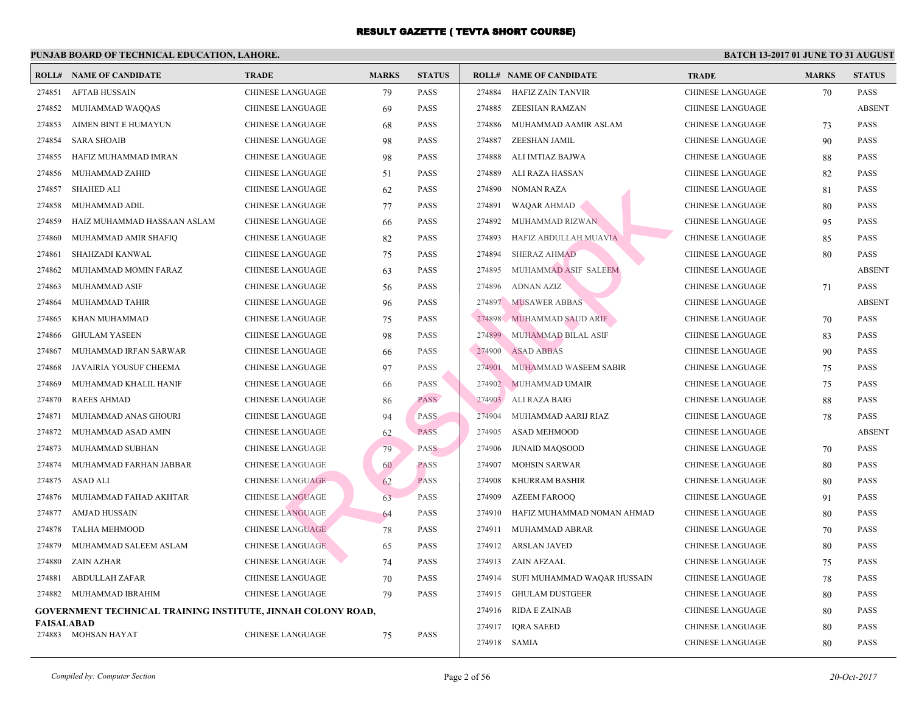|            | <b>ROLL# NAME OF CANDIDATE</b>                               | <b>TRADE</b>            | <b>MARKS</b> | <b>STATUS</b> |        | <b>ROLL# NAME OF CANDIDATE</b> | <b>TRA</b>  |
|------------|--------------------------------------------------------------|-------------------------|--------------|---------------|--------|--------------------------------|-------------|
| 274851     | <b>AFTAB HUSSAIN</b>                                         | <b>CHINESE LANGUAGE</b> | 79           | <b>PASS</b>   | 274884 | <b>HAFIZ ZAIN TANVIR</b>       | <b>CHIN</b> |
| 274852     | MUHAMMAD WAQQAS                                              | <b>CHINESE LANGUAGE</b> | 69           | PASS          | 274885 | ZEESHAN RAMZAN                 | <b>CHIN</b> |
| 274853     | AIMEN BINT E HUMAYUN                                         | <b>CHINESE LANGUAGE</b> | 68           | PASS          | 274886 | MUHAMMAD AAMIR ASLAM           | <b>CHIN</b> |
| 274854     | <b>SARA SHOAIB</b>                                           | <b>CHINESE LANGUAGE</b> | 98           | PASS          | 274887 | ZEESHAN JAMIL                  | <b>CHIN</b> |
| 274855     | HAFIZ MUHAMMAD IMRAN                                         | <b>CHINESE LANGUAGE</b> | 98           | PASS          | 274888 | ALI IMTIAZ BAJWA               | <b>CHIN</b> |
| 274856     | MUHAMMAD ZAHID                                               | <b>CHINESE LANGUAGE</b> | 51           | PASS          | 274889 | ALI RAZA HASSAN                | <b>CHIN</b> |
| 274857     | <b>SHAHED ALI</b>                                            | <b>CHINESE LANGUAGE</b> | 62           | PASS          | 274890 | <b>NOMAN RAZA</b>              | <b>CHIN</b> |
| 274858     | MUHAMMAD ADIL                                                | <b>CHINESE LANGUAGE</b> | 77           | <b>PASS</b>   | 274891 | WAQAR AHMAD                    | <b>CHIN</b> |
| 274859     | HAIZ MUHAMMAD HASSAAN ASLAM                                  | <b>CHINESE LANGUAGE</b> | 66           | PASS          | 274892 | MUHAMMAD RIZWAN                | <b>CHIN</b> |
| 274860     | MUHAMMAD AMIR SHAFIQ                                         | <b>CHINESE LANGUAGE</b> | 82           | PASS          | 274893 | HAFIZ ABDULLAH MUAVIA          | <b>CHIN</b> |
| 274861     | SHAHZADI KANWAL                                              | <b>CHINESE LANGUAGE</b> | 75           | PASS          | 274894 | <b>SHERAZ AHMAD</b>            | <b>CHIN</b> |
| 274862     | MUHAMMAD MOMIN FARAZ                                         | <b>CHINESE LANGUAGE</b> | 63           | PASS          | 274895 | MUHAMMAD ASIF SALEEM           | <b>CHIN</b> |
| 274863     | MUHAMMAD ASIF                                                | <b>CHINESE LANGUAGE</b> | 56           | PASS          | 274896 | ADNAN AZIZ                     | <b>CHIN</b> |
| 274864     | MUHAMMAD TAHIR                                               | <b>CHINESE LANGUAGE</b> | 96           | PASS          | 274897 | <b>MUSAWER ABBAS</b>           | <b>CHIN</b> |
| 274865     | KHAN MUHAMMAD                                                | <b>CHINESE LANGUAGE</b> | 75           | <b>PASS</b>   | 274898 | MUHAMMAD SAUD ARIF             | <b>CHIN</b> |
| 274866     | <b>GHULAM YASEEN</b>                                         | <b>CHINESE LANGUAGE</b> | 98           | PASS          | 274899 | MUHAMMAD BILAL ASIF            | <b>CHIN</b> |
| 274867     | MUHAMMAD IRFAN SARWAR                                        | <b>CHINESE LANGUAGE</b> | 66           | <b>PASS</b>   | 274900 | <b>ASAD ABBAS</b>              | <b>CHIN</b> |
| 274868     | JAVAIRIA YOUSUF CHEEMA                                       | <b>CHINESE LANGUAGE</b> | 97           | PASS          | 274901 | MUHAMMAD WASEEM SABIR          | <b>CHIN</b> |
| 274869     | MUHAMMAD KHALIL HANIF                                        | <b>CHINESE LANGUAGE</b> | 66           | <b>PASS</b>   | 274902 | MUHAMMAD UMAIR                 | <b>CHIN</b> |
| 274870     | <b>RAEES AHMAD</b>                                           | <b>CHINESE LANGUAGE</b> | 86           | <b>PASS</b>   | 274903 | ALI RAZA BAIG                  | <b>CHIN</b> |
| 274871     | MUHAMMAD ANAS GHOURI                                         | <b>CHINESE LANGUAGE</b> | 94           | <b>PASS</b>   | 274904 | MUHAMMAD AARIJ RIAZ            | <b>CHIN</b> |
| 274872     | MUHAMMAD ASAD AMIN                                           | <b>CHINESE LANGUAGE</b> | 62           | <b>PASS</b>   | 274905 | ASAD MEHMOOD                   | <b>CHIN</b> |
| 274873     | MUHAMMAD SUBHAN                                              | <b>CHINESE LANGUAGE</b> | 79           | <b>PASS</b>   | 274906 | <b>JUNAID MAQSOOD</b>          | <b>CHIN</b> |
| 274874     | MUHAMMAD FARHAN JABBAR                                       | <b>CHINESE LANGUAGE</b> | 60           | <b>PASS</b>   | 274907 | <b>MOHSIN SARWAR</b>           | <b>CHIN</b> |
| 274875     | ASAD ALI                                                     | <b>CHINESE LANGUAGE</b> | 62           | <b>PASS</b>   | 274908 | KHURRAM BASHIR                 | <b>CHIN</b> |
| 274876     | MUHAMMAD FAHAD AKHTAR                                        | <b>CHINESE LANGUAGE</b> | 63           | <b>PASS</b>   | 274909 | <b>AZEEM FAROOQ</b>            | <b>CHIN</b> |
| 274877     | AMJAD HUSSAIN                                                | <b>CHINESE LANGUAGE</b> | 64           | <b>PASS</b>   | 274910 | HAFIZ MUHAMMAD NOMAN AHMAD     | <b>CHIN</b> |
| 274878     | <b>TALHA MEHMOOD</b>                                         | <b>CHINESE LANGUAGE</b> | 78           | <b>PASS</b>   | 274911 | MUHAMMAD ABRAR                 | <b>CHIN</b> |
| 274879     | MUHAMMAD SALEEM ASLAM                                        | <b>CHINESE LANGUAGE</b> | 65           | <b>PASS</b>   | 274912 | <b>ARSLAN JAVED</b>            | <b>CHIN</b> |
| 274880     | ZAIN AZHAR                                                   | <b>CHINESE LANGUAGE</b> | 74           | PASS          | 274913 | ZAIN AFZAAL                    | <b>CHIN</b> |
| 274881     | <b>ABDULLAH ZAFAR</b>                                        | <b>CHINESE LANGUAGE</b> | 70           | <b>PASS</b>   | 274914 | SUFI MUHAMMAD WAQAR HUSSAIN    | <b>CHIN</b> |
| 274882     | MUHAMMAD IBRAHIM                                             | <b>CHINESE LANGUAGE</b> | 79           | PASS          | 274915 | <b>GHULAM DUSTGEER</b>         | <b>CHIN</b> |
|            | GOVERNMENT TECHNICAL TRAINING INSTITUTE, JINNAH COLONY ROAD, |                         |              |               | 274916 | RIDA E ZAINAB                  | <b>CHIN</b> |
| FAISALABAD |                                                              | <b>CHINESE LANGUAGE</b> |              | <b>PASS</b>   | 274917 | <b>IQRA SAEED</b>              | <b>CHIN</b> |
|            | 274883 MOHSAN HAYAT                                          |                         | 75           |               |        | 274918 SAMIA                   | CHIN.       |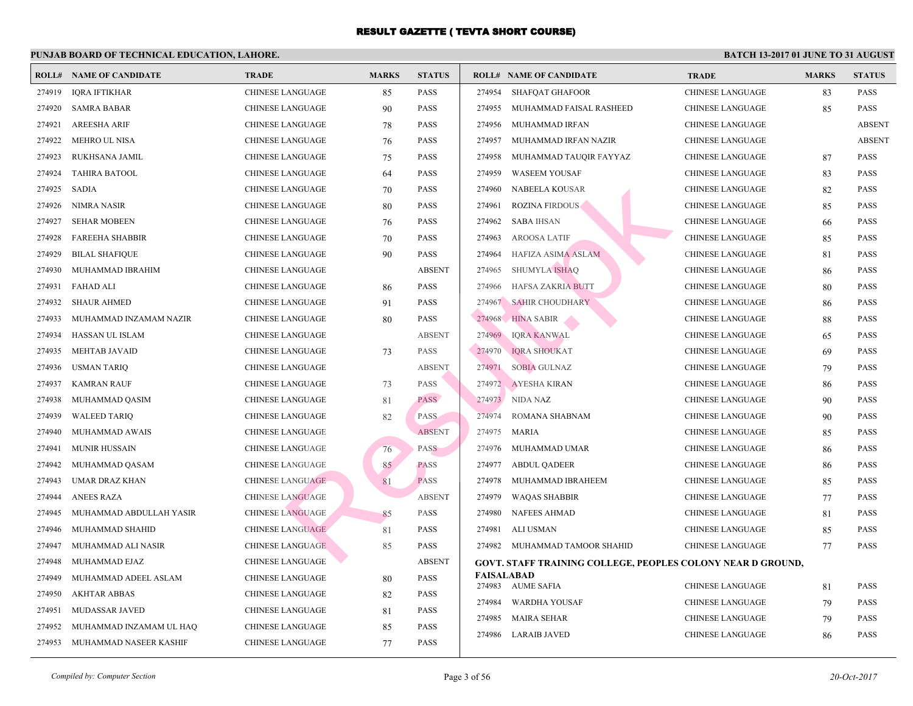|        | <b>ROLL# NAME OF CANDIDATE</b> | <b>TRADE</b>            | <b>MARKS</b> | <b>STATUS</b> |            | <b>ROLL# NAME OF CANDIDATE</b>                    | <b>TRA</b>  |
|--------|--------------------------------|-------------------------|--------------|---------------|------------|---------------------------------------------------|-------------|
| 274919 | <b>IQRA IFTIKHAR</b>           | <b>CHINESE LANGUAGE</b> | 85           | <b>PASS</b>   | 274954     | <b>SHAFQAT GHAFOOR</b>                            | <b>CHIN</b> |
| 274920 | <b>SAMRA BABAR</b>             | <b>CHINESE LANGUAGE</b> | 90           | <b>PASS</b>   | 274955     | MUHAMMAD FAISAL RASHEED                           | CHIN.       |
| 274921 | <b>AREESHA ARIF</b>            | <b>CHINESE LANGUAGE</b> | 78           | <b>PASS</b>   | 274956     | MUHAMMAD IRFAN                                    | <b>CHIN</b> |
| 274922 | <b>MEHRO UL NISA</b>           | <b>CHINESE LANGUAGE</b> | 76           | <b>PASS</b>   | 274957     | MUHAMMAD IRFAN NAZIR                              | CHIN.       |
| 274923 | RUKHSANA JAMIL                 | <b>CHINESE LANGUAGE</b> | 75           | <b>PASS</b>   | 274958     | MUHAMMAD TAUQIR FAYYAZ                            | <b>CHIN</b> |
| 274924 | <b>TAHIRA BATOOL</b>           | <b>CHINESE LANGUAGE</b> | 64           | PASS          | 274959     | <b>WASEEM YOUSAF</b>                              | <b>CHIN</b> |
| 274925 | <b>SADIA</b>                   | <b>CHINESE LANGUAGE</b> | 70           | <b>PASS</b>   | 274960     | NABEELA KOUSAR                                    | <b>CHIN</b> |
| 274926 | NIMRA NASIR                    | <b>CHINESE LANGUAGE</b> | 80           | <b>PASS</b>   | 274961     | <b>ROZINA FIRDOUS</b>                             | <b>CHIN</b> |
| 274927 | <b>SEHAR MOBEEN</b>            | CHINESE LANGUAGE        | 76           | <b>PASS</b>   | 274962     | <b>SABA IHSAN</b>                                 | <b>CHIN</b> |
| 274928 | <b>FAREEHA SHABBIR</b>         | <b>CHINESE LANGUAGE</b> | 70           | <b>PASS</b>   | 274963     | <b>AROOSA LATIF</b>                               | <b>CHIN</b> |
| 274929 | <b>BILAL SHAFIQUE</b>          | CHINESE LANGUAGE        | 90           | <b>PASS</b>   | 274964     | HAFIZA ASIMA ASLAM                                | <b>CHIN</b> |
| 274930 | MUHAMMAD IBRAHIM               | <b>CHINESE LANGUAGE</b> |              | <b>ABSENT</b> | 274965     | <b>SHUMYLA ISHAQ</b>                              | <b>CHIN</b> |
| 274931 | FAHAD ALI                      | CHINESE LANGUAGE        | 86           | <b>PASS</b>   | 274966     | HAFSA ZAKRIA BUTT                                 | <b>CHIN</b> |
| 274932 | <b>SHAUR AHMED</b>             | CHINESE LANGUAGE        | 91           | <b>PASS</b>   |            | 274967 SAHIR CHOUDHARY                            | <b>CHIN</b> |
| 274933 | MUHAMMAD INZAMAM NAZIR         | <b>CHINESE LANGUAGE</b> | 80           | <b>PASS</b>   | 274968     | <b>HINA SABIR</b>                                 | <b>CHIN</b> |
| 274934 | HASSAN UL ISLAM                | CHINESE LANGUAGE        |              | <b>ABSENT</b> | 274969     | <b>IQRA KANWAL</b>                                | <b>CHIN</b> |
| 274935 | <b>MEHTAB JAVAID</b>           | <b>CHINESE LANGUAGE</b> | 73           | <b>PASS</b>   | 274970     | <b>IQRA SHOUKAT</b>                               | CHIN.       |
| 274936 | USMAN TARIQ                    | <b>CHINESE LANGUAGE</b> |              | <b>ABSENT</b> | 274971     | <b>SOBIA GULNAZ</b>                               | CHIN.       |
| 274937 | <b>KAMRAN RAUF</b>             | <b>CHINESE LANGUAGE</b> | 73           | <b>PASS</b>   |            | 274972 AYESHA KIRAN                               | CHIN.       |
| 274938 | MUHAMMAD QASIM                 | <b>CHINESE LANGUAGE</b> | 81           | <b>PASS</b>   |            | 274973 NIDA NAZ                                   | CHIN.       |
| 274939 | <b>WALEED TARIQ</b>            | CHINESE LANGUAGE        | 82           | <b>PASS</b>   | 274974     | ROMANA SHABNAM                                    | <b>CHIN</b> |
| 274940 | MUHAMMAD AWAIS                 | <b>CHINESE LANGUAGE</b> |              | <b>ABSENT</b> | 274975     | <b>MARIA</b>                                      | CHIN.       |
| 274941 | <b>MUNIR HUSSAIN</b>           | <b>CHINESE LANGUAGE</b> | 76           | <b>PASS</b>   | 274976     | MUHAMMAD UMAR                                     | CHIN.       |
| 274942 | MUHAMMAD QASAM                 | <b>CHINESE LANGUAGE</b> | 85           | <b>PASS</b>   | 274977     | <b>ABDUL QADEER</b>                               | <b>CHIN</b> |
| 274943 | UMAR DRAZ KHAN                 | <b>CHINESE LANGUAGE</b> | 81           | <b>PASS</b>   | 274978     | MUHAMMAD IBRAHEEM                                 | CHIN.       |
| 274944 | <b>ANEES RAZA</b>              | <b>CHINESE LANGUAGE</b> |              | <b>ABSENT</b> | 274979     | <b>WAQAS SHABBIR</b>                              | CHIN.       |
| 274945 | MUHAMMAD ABDULLAH YASIR        | <b>CHINESE LANGUAGE</b> | 85           | <b>PASS</b>   | 274980     | <b>NAFEES AHMAD</b>                               | <b>CHIN</b> |
| 274946 | MUHAMMAD SHAHID                | <b>CHINESE LANGUAGE</b> | 81           | <b>PASS</b>   | 274981     | <b>ALI USMAN</b>                                  | <b>CHIN</b> |
| 274947 | MUHAMMAD ALI NASIR             | <b>CHINESE LANGUAGE</b> | 85           | <b>PASS</b>   | 274982     | MUHAMMAD TAMOOR SHAHID                            | <b>CHIN</b> |
| 274948 | MUHAMMAD EJAZ                  | <b>CHINESE LANGUAGE</b> |              | <b>ABSENT</b> |            | <b>GOVT. STAFF TRAINING COLLEGE, PEOPLES COLO</b> |             |
| 274949 | MUHAMMAD ADEEL ASLAM           | <b>CHINESE LANGUAGE</b> | 80           | <b>PASS</b>   | FAISALABAD |                                                   |             |
| 274950 | <b>AKHTAR ABBAS</b>            | <b>CHINESE LANGUAGE</b> | 82           | <b>PASS</b>   |            | 274983 AUME SAFIA                                 | <b>CHIN</b> |
| 274951 | MUDASSAR JAVED                 | <b>CHINESE LANGUAGE</b> | 81           | <b>PASS</b>   | 274984     | <b>WARDHA YOUSAF</b>                              | <b>CHIN</b> |
| 274952 | MUHAMMAD INZAMAM UL HAQ        | <b>CHINESE LANGUAGE</b> | 85           | <b>PASS</b>   | 274985     | <b>MAIRA SEHAR</b>                                | CHIN.       |
| 274953 | MUHAMMAD NASEER KASHIF         | <b>CHINESE LANGUAGE</b> | 77           | <b>PASS</b>   | 274986     | LARAIB JAVED                                      | <b>CHIN</b> |
|        |                                |                         |              |               |            |                                                   |             |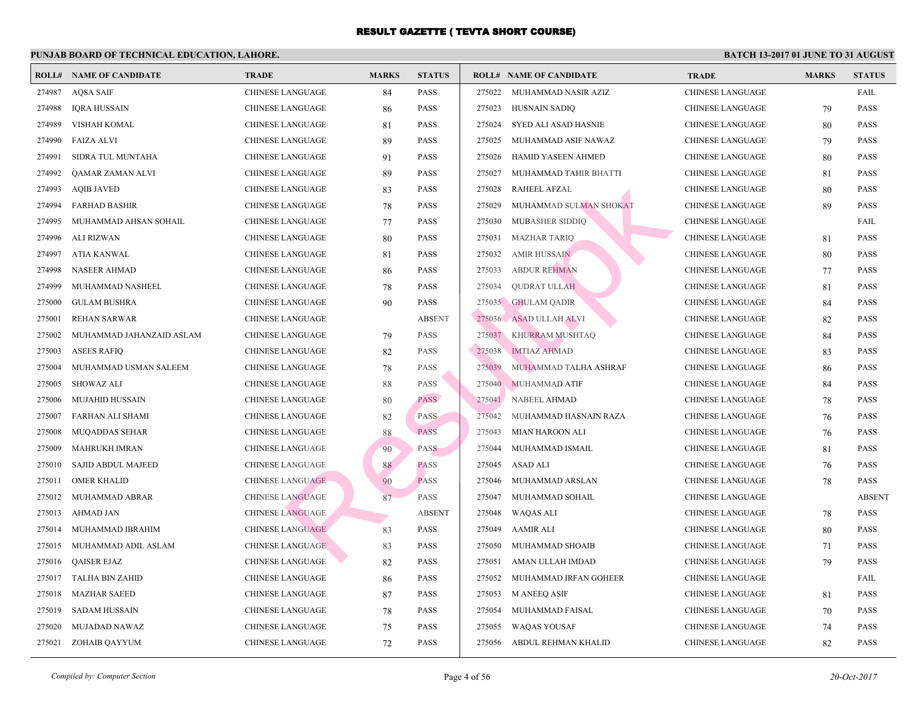|        | <b>ROLL# NAME OF CANDIDATE</b> | <b>TRADE</b>            | <b>MARKS</b> | <b>STATUS</b> |        | <b>ROLL# NAME OF CANDIDATE</b> | <b>TRA</b>  |
|--------|--------------------------------|-------------------------|--------------|---------------|--------|--------------------------------|-------------|
| 274987 | <b>AQSA SAIF</b>               | <b>CHINESE LANGUAGE</b> | 84           | <b>PASS</b>   | 275022 | MUHAMMAD NASIR AZIZ            | <b>CHIN</b> |
| 274988 | <b>IQRA HUSSAIN</b>            | <b>CHINESE LANGUAGE</b> | 86           | PASS          | 275023 | HUSNAIN SADIQ                  | <b>CHIN</b> |
| 274989 | VISHAH KOMAL                   | <b>CHINESE LANGUAGE</b> | 81           | <b>PASS</b>   | 275024 | SYED ALI ASAD HASNIE           | <b>CHIN</b> |
| 274990 | <b>FAIZA ALVI</b>              | <b>CHINESE LANGUAGE</b> | 89           | PASS          | 275025 | MUHAMMAD ASIF NAWAZ            | <b>CHIN</b> |
| 274991 | SIDRA TUL MUNTAHA              | <b>CHINESE LANGUAGE</b> | 91           | <b>PASS</b>   | 275026 | <b>HAMID YASEEN AHMED</b>      | <b>CHIN</b> |
| 274992 | QAMAR ZAMAN ALVI               | CHINESE LANGUAGE        | 89           | PASS          | 275027 | MUHAMMAD TAHIR BHATTI          | <b>CHIN</b> |
| 274993 | <b>AQIB JAVED</b>              | CHINESE LANGUAGE        | 83           | <b>PASS</b>   | 275028 | <b>RAHEEL AFZAL</b>            | <b>CHIN</b> |
| 274994 | <b>FARHAD BASHIR</b>           | <b>CHINESE LANGUAGE</b> | 78           | PASS          | 275029 | MUHAMMAD SULMAN SHOKAT         | <b>CHIN</b> |
| 274995 | MUHAMMAD AHSAN SOHAIL          | <b>CHINESE LANGUAGE</b> | 77           | <b>PASS</b>   | 275030 | <b>MUBASHER SIDDIO</b>         | <b>CHIN</b> |
| 274996 | ALI RIZWAN                     | <b>CHINESE LANGUAGE</b> | 80           | PASS          | 275031 | <b>MAZHAR TARIQ</b>            | <b>CHIN</b> |
| 274997 | <b>ATIA KANWAL</b>             | <b>CHINESE LANGUAGE</b> | 81           | PASS          | 275032 | <b>AMIR HUSSAIN</b>            | <b>CHIN</b> |
| 274998 | <b>NASEER AHMAD</b>            | <b>CHINESE LANGUAGE</b> | 86           | PASS          | 275033 | <b>ABDUR REHMAN</b>            | <b>CHIN</b> |
| 274999 | MUHAMMAD NASHEEL               | <b>CHINESE LANGUAGE</b> | 78           | <b>PASS</b>   | 275034 | <b>QUDRAT ULLAH</b>            | <b>CHIN</b> |
| 275000 | <b>GULAM BUSHRA</b>            | CHINESE LANGUAGE        | 90           | <b>PASS</b>   |        | 275035 GHULAM QADIR            | <b>CHIN</b> |
| 275001 | <b>REHAN SARWAR</b>            | <b>CHINESE LANGUAGE</b> |              | <b>ABSENT</b> |        | 275036 ASAD ULLAH ALVI         | <b>CHIN</b> |
| 275002 | MUHAMMAD JAHANZAID ASLAM       | <b>CHINESE LANGUAGE</b> | 79           | <b>PASS</b>   | 275037 | KHURRAM MUSHTAQ                | <b>CHIN</b> |
| 275003 | <b>ASEES RAFIQ</b>             | <b>CHINESE LANGUAGE</b> | 82           | PASS          | 275038 | <b>IMTIAZ AHMAD</b>            | <b>CHIN</b> |
| 275004 | MUHAMMAD USMAN SALEEM          | CHINESE LANGUAGE        | 78           | PASS          | 275039 | MUHAMMAD TALHA ASHRAF          | <b>CHIN</b> |
| 275005 | <b>SHOWAZ ALI</b>              | <b>CHINESE LANGUAGE</b> | 88           | PASS          | 275040 | MUHAMMAD ATIF                  | <b>CHIN</b> |
| 275006 | <b>MUJAHID HUSSAIN</b>         | <b>CHINESE LANGUAGE</b> | 80           | <b>PASS</b>   | 275041 | <b>NABEEL AHMAD</b>            | <b>CHIN</b> |
| 275007 | FARHAN ALI SHAMI               | <b>CHINESE LANGUAGE</b> | 82           | PASS          | 275042 | MUHAMMAD HASNAIN RAZA          | <b>CHIN</b> |
| 275008 | MUQADDAS SEHAR                 | <b>CHINESE LANGUAGE</b> | 88           | <b>PASS</b>   | 275043 | <b>MIAN HAROON ALI</b>         | <b>CHIN</b> |
| 275009 | <b>MAHRUKH IMRAN</b>           | <b>CHINESE LANGUAGE</b> | 90           | <b>PASS</b>   | 275044 | MUHAMMAD ISMAIL                | <b>CHIN</b> |
| 275010 | SAJID ABDUL MAJEED             | <b>CHINESE LANGUAGE</b> | 88           | <b>PASS</b>   | 275045 | <b>ASAD ALI</b>                | <b>CHIN</b> |
| 275011 | <b>OMER KHALID</b>             | <b>CHINESE LANGUAGE</b> | 90           | <b>PASS</b>   | 275046 | MUHAMMAD ARSLAN                | <b>CHIN</b> |
| 275012 | MUHAMMAD ABRAR                 | <b>CHINESE LANGUAGE</b> | 87           | <b>PASS</b>   | 275047 | MUHAMMAD SOHAIL                | <b>CHIN</b> |
| 275013 | <b>AHMAD JAN</b>               | <b>CHINESE LANGUAGE</b> |              | <b>ABSENT</b> | 275048 | WAQAS ALI                      | <b>CHIN</b> |
| 275014 | MUHAMMAD IBRAHIM               | <b>CHINESE LANGUAGE</b> | 83           | PASS          | 275049 | <b>AAMIR ALI</b>               | <b>CHIN</b> |
| 275015 | MUHAMMAD ADIL ASLAM            | <b>CHINESE LANGUAGE</b> | 83           | PASS          | 275050 | MUHAMMAD SHOAIB                | <b>CHIN</b> |
| 275016 | <b>QAISER EJAZ</b>             | <b>CHINESE LANGUAGE</b> | 82           | <b>PASS</b>   | 275051 | AMAN ULLAH IMDAD               | <b>CHIN</b> |
| 275017 | <b>TALHA BIN ZAHID</b>         | <b>CHINESE LANGUAGE</b> | 86           | PASS          | 275052 | MUHAMMAD IRFAN GOHEER          | <b>CHIN</b> |
| 275018 | <b>MAZHAR SAEED</b>            | <b>CHINESE LANGUAGE</b> | 87           | PASS          | 275053 | <b>M ANEEQ ASIF</b>            | <b>CHIN</b> |
| 275019 | <b>SADAM HUSSAIN</b>           | <b>CHINESE LANGUAGE</b> | 78           | PASS          | 275054 | MUHAMMAD FAISAL                | <b>CHIN</b> |
| 275020 | MUJADAD NAWAZ                  | <b>CHINESE LANGUAGE</b> | 75           | PASS          | 275055 | <b>WAQAS YOUSAF</b>            | <b>CHIN</b> |
| 275021 | ZOHAIB QAYYUM                  | <b>CHINESE LANGUAGE</b> | 72           | PASS          | 275056 | ABDUL REHMAN KHALID            | <b>CHIN</b> |
|        |                                |                         |              |               |        |                                |             |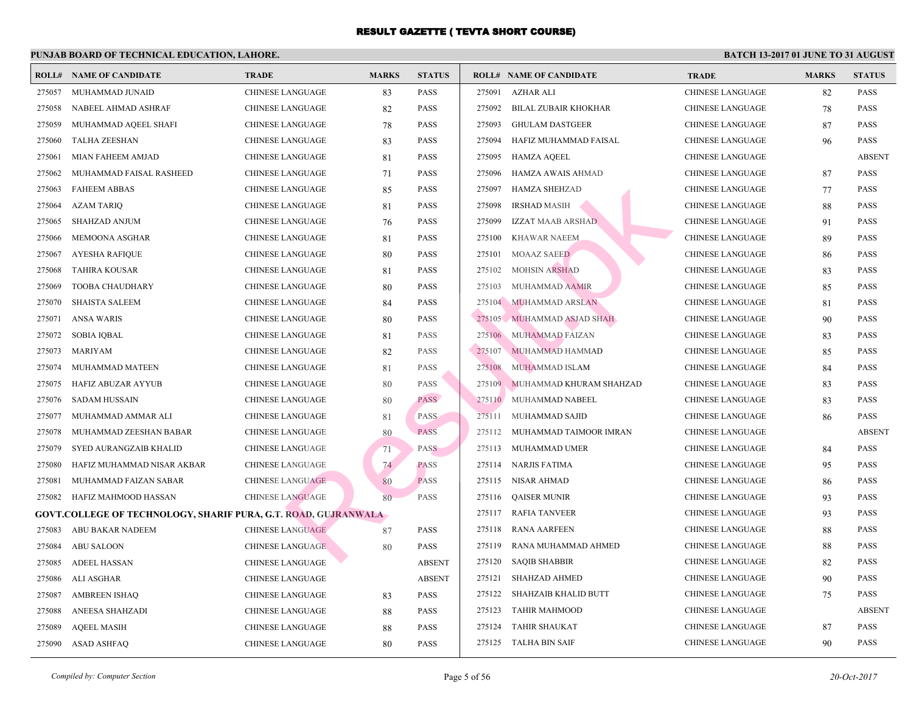|        | <b>ROLL# NAME OF CANDIDATE</b>                                        | <b>TRADE</b>            | <b>MARKS</b> | <b>STATUS</b> |        | <b>ROLL# NAME OF CANDIDATE</b> | <b>TRA</b>  |
|--------|-----------------------------------------------------------------------|-------------------------|--------------|---------------|--------|--------------------------------|-------------|
| 275057 | MUHAMMAD JUNAID                                                       | <b>CHINESE LANGUAGE</b> | 83           | PASS          | 275091 | AZHAR ALI                      | <b>CHIN</b> |
| 275058 | NABEEL AHMAD ASHRAF                                                   | CHINESE LANGUAGE        | 82           | PASS          | 275092 | BILAL ZUBAIR KHOKHAR           | <b>CHIN</b> |
| 275059 | MUHAMMAD AQEEL SHAFI                                                  | <b>CHINESE LANGUAGE</b> | 78           | PASS          | 275093 | <b>GHULAM DASTGEER</b>         | <b>CHIN</b> |
| 275060 | <b>TALHA ZEESHAN</b>                                                  | <b>CHINESE LANGUAGE</b> | 83           | PASS          | 275094 | HAFIZ MUHAMMAD FAISAL          | <b>CHIN</b> |
| 275061 | MIAN FAHEEM AMJAD                                                     | <b>CHINESE LANGUAGE</b> | 81           | PASS          | 275095 | HAMZA AQEEL                    | <b>CHIN</b> |
| 275062 | MUHAMMAD FAISAL RASHEED                                               | <b>CHINESE LANGUAGE</b> | 71           | <b>PASS</b>   | 275096 | HAMZA AWAIS AHMAD              | <b>CHIN</b> |
| 275063 | <b>FAHEEM ABBAS</b>                                                   | <b>CHINESE LANGUAGE</b> | 85           | PASS          | 275097 | <b>HAMZA SHEHZAD</b>           | <b>CHIN</b> |
| 275064 | <b>AZAM TARIQ</b>                                                     | <b>CHINESE LANGUAGE</b> | 81           | PASS          | 275098 | <b>IRSHAD MASIH</b>            | <b>CHIN</b> |
| 275065 | SHAHZAD ANJUM                                                         | <b>CHINESE LANGUAGE</b> | 76           | PASS          | 275099 | IZZAT MAAB ARSHAD              | CHIN.       |
| 275066 | MEMOONA ASGHAR                                                        | <b>CHINESE LANGUAGE</b> | 81           | PASS          | 275100 | <b>KHAWAR NAEEM</b>            | <b>CHIN</b> |
| 275067 | <b>AYESHA RAFIQUE</b>                                                 | <b>CHINESE LANGUAGE</b> | 80           | PASS          | 275101 | <b>MOAAZ SAEED</b>             | <b>CHIN</b> |
| 275068 | <b>TAHIRA KOUSAR</b>                                                  | <b>CHINESE LANGUAGE</b> | 81           | PASS          | 275102 | <b>MOHSIN ARSHAD</b>           | <b>CHIN</b> |
| 275069 | <b>TOOBA CHAUDHARY</b>                                                | <b>CHINESE LANGUAGE</b> | 80           | PASS          | 275103 | MUHAMMAD AAMIR                 | <b>CHIN</b> |
| 275070 | <b>SHAISTA SALEEM</b>                                                 | <b>CHINESE LANGUAGE</b> | 84           | PASS          | 275104 | MUHAMMAD ARSLAN                | <b>CHIN</b> |
| 275071 | ANSA WARIS                                                            | <b>CHINESE LANGUAGE</b> | 80           | PASS          |        | 275105 MUHAMMAD ASJAD SHAH     | <b>CHIN</b> |
| 275072 | <b>SOBIA IQBAL</b>                                                    | <b>CHINESE LANGUAGE</b> | 81           | PASS          | 275106 | MUHAMMAD FÁIZAN                | <b>CHIN</b> |
| 275073 | MARIYAM                                                               | <b>CHINESE LANGUAGE</b> | 82           | PASS          | 275107 | MUHAMMAD HAMMAD                | <b>CHIN</b> |
| 275074 | MUHAMMAD MATEEN                                                       | <b>CHINESE LANGUAGE</b> | 81           | <b>PASS</b>   | 275108 | MUHAMMAD ISLAM                 | <b>CHIN</b> |
| 275075 | HAFIZ ABUZAR AYYUB                                                    | <b>CHINESE LANGUAGE</b> | 80           | PASS          | 275109 | MUHAMMAD KHURAM SHAHZAD        | <b>CHIN</b> |
| 275076 | SADAM HUSSAIN                                                         | <b>CHINESE LANGUAGE</b> | 80           | <b>PASS</b>   | 275110 | MUHAMMAD NABEEL                | <b>CHIN</b> |
| 275077 | MUHAMMAD AMMAR ALI                                                    | <b>CHINESE LANGUAGE</b> | 81           | <b>PASS</b>   | 275111 | MUHAMMAD SAJID                 | <b>CHIN</b> |
| 275078 | MUHAMMAD ZEESHAN BABAR                                                | <b>CHINESE LANGUAGE</b> | 80           | <b>PASS</b>   | 275112 | MUHAMMAD TAIMOOR IMRAN         | <b>CHIN</b> |
| 275079 | SYED AURANGZAIB KHALID                                                | <b>CHINESE LANGUAGE</b> | 71           | <b>PASS</b>   | 275113 | MUHAMMAD UMER                  | <b>CHIN</b> |
| 275080 | HAFIZ MUHAMMAD NISAR AKBAR                                            | <b>CHINESE LANGUAGE</b> | 74           | <b>PASS</b>   | 275114 | <b>NARJIS FATIMA</b>           | <b>CHIN</b> |
| 275081 | MUHAMMAD FAIZAN SABAR                                                 | <b>CHINESE LANGUAGE</b> | 80           | <b>PASS</b>   | 275115 | NISAR AHMAD                    | <b>CHIN</b> |
| 275082 | HAFIZ MAHMOOD HASSAN                                                  | <b>CHINESE LANGUAGE</b> | 80           | <b>PASS</b>   | 275116 | <b>QAISER MUNIR</b>            | <b>CHIN</b> |
|        | <b>GOVT.COLLEGE OF TECHNOLOGY, SHARIF PURA, G.T. ROAD, GUJRANWALA</b> |                         |              |               | 275117 | <b>RAFIA TANVEER</b>           | <b>CHIN</b> |
| 275083 | ABU BAKAR NADEEM                                                      | <b>CHINESE LANGUAGE</b> | 87           | PASS          | 275118 | <b>RANA AARFEEN</b>            | <b>CHIN</b> |
| 275084 | <b>ABU SALOON</b>                                                     | <b>CHINESE LANGUAGE</b> | 80           | PASS          | 275119 | RANA MUHAMMAD AHMED            | <b>CHIN</b> |
| 275085 | <b>ADEEL HASSAN</b>                                                   | <b>CHINESE LANGUAGE</b> |              | <b>ABSENT</b> | 275120 | <b>SAQIB SHABBIR</b>           | <b>CHIN</b> |
| 275086 | ALI ASGHAR                                                            | <b>CHINESE LANGUAGE</b> |              | <b>ABSENT</b> | 275121 | SHAHZAD AHMED                  | <b>CHIN</b> |
| 275087 | <b>AMBREEN ISHAQ</b>                                                  | <b>CHINESE LANGUAGE</b> | 83           | PASS          | 275122 | SHAHZAIB KHALID BUTT           | <b>CHIN</b> |
| 275088 | ANEESA SHAHZADI                                                       | <b>CHINESE LANGUAGE</b> | 88           | PASS          | 275123 | <b>TAHIR MAHMOOD</b>           | <b>CHIN</b> |
| 275089 | <b>AQEEL MASIH</b>                                                    | <b>CHINESE LANGUAGE</b> | 88           | PASS          | 275124 | <b>TAHIR SHAUKAT</b>           | <b>CHIN</b> |
| 275090 | ASAD ASHFAQ                                                           | <b>CHINESE LANGUAGE</b> | 80           | PASS          |        | 275125 TALHA BIN SAIF          | <b>CHIN</b> |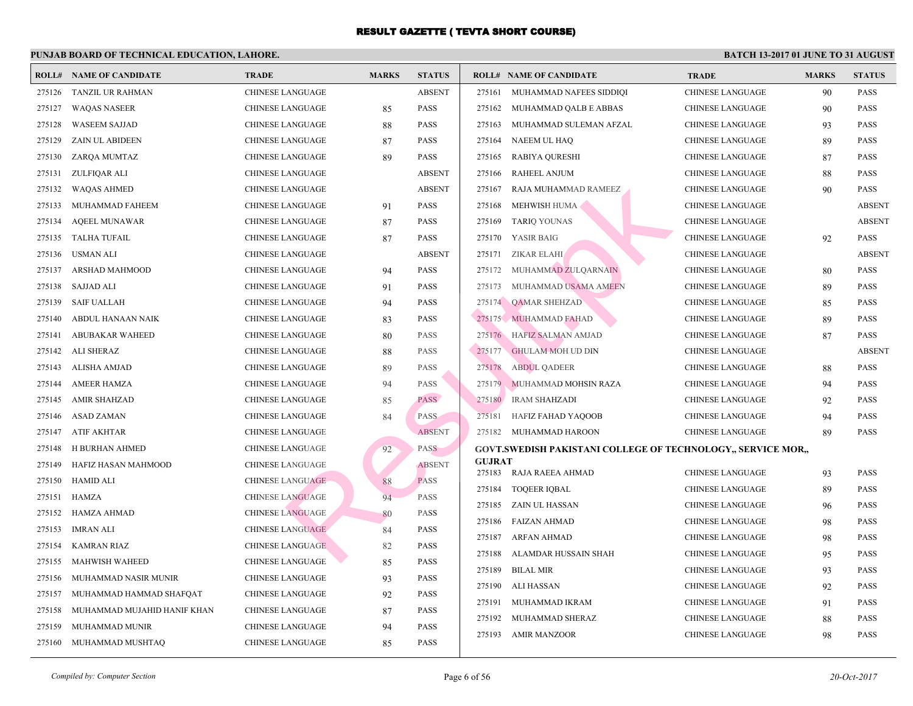|        | <b>ROLL# NAME OF CANDIDATE</b> | <b>TRADE</b>            | <b>MARKS</b> | <b>STATUS</b> |               | <b>ROLL# NAME OF CANDIDATE</b>                  | <b>TRA</b>  |
|--------|--------------------------------|-------------------------|--------------|---------------|---------------|-------------------------------------------------|-------------|
| 275126 | TANZIL UR RAHMAN               | <b>CHINESE LANGUAGE</b> |              | <b>ABSENT</b> | 275161        | MUHAMMAD NAFEES SIDDIQI                         | <b>CHIN</b> |
| 275127 | <b>WAQAS NASEER</b>            | CHINESE LANGUAGE        | 85           | PASS          | 275162        | MUHAMMAD QALB E ABBAS                           | <b>CHIN</b> |
| 275128 | <b>WASEEM SAJJAD</b>           | <b>CHINESE LANGUAGE</b> | 88           | <b>PASS</b>   | 275163        | MUHAMMAD SULEMAN AFZAL                          | CHIN.       |
| 275129 | ZAIN UL ABIDEEN                | CHINESE LANGUAGE        | 87           | PASS          | 275164        | NAEEM UL HAQ                                    | <b>CHIN</b> |
| 275130 | ZARQA MUMTAZ                   | CHINESE LANGUAGE        | 89           | <b>PASS</b>   | 275165        | <b>RABIYA QURESHI</b>                           | <b>CHIN</b> |
| 275131 | ZULFIQAR ALI                   | CHINESE LANGUAGE        |              | <b>ABSENT</b> | 275166        | <b>RAHEEL ANJUM</b>                             | <b>CHIN</b> |
| 275132 | <b>WAQAS AHMED</b>             | <b>CHINESE LANGUAGE</b> |              | <b>ABSENT</b> | 275167        | RAJA MUHAMMAD RAMEEZ                            | CHIN.       |
| 275133 | MUHAMMAD FAHEEM                | CHINESE LANGUAGE        | 91           | <b>PASS</b>   | 275168        | MEHWISH HUMA                                    | <b>CHIN</b> |
| 275134 | <b>AQEEL MUNAWAR</b>           | CHINESE LANGUAGE        | 87           | <b>PASS</b>   | 275169        | <b>TARIQ YOUNAS</b>                             | <b>CHIN</b> |
| 275135 | TALHA TUFAIL                   | CHINESE LANGUAGE        | 87           | <b>PASS</b>   | 275170        | <b>YASIR BAIG</b>                               | CHIN.       |
| 275136 | USMAN ALI                      | CHINESE LANGUAGE        |              | <b>ABSENT</b> | 275171        | <b>ZIKAR ELAHI</b>                              | <b>CHIN</b> |
| 275137 | ARSHAD MAHMOOD                 | <b>CHINESE LANGUAGE</b> | 94           | <b>PASS</b>   | 275172        | MUHAMMAD ZULQARNAIN                             | <b>CHIN</b> |
| 275138 | SAJJAD ALI                     | CHINESE LANGUAGE        | 91           | <b>PASS</b>   | 275173        | MUHAMMAD USAMA AMEEN                            | <b>CHIN</b> |
| 275139 | <b>SAIF UALLAH</b>             | CHINESE LANGUAGE        | 94           | <b>PASS</b>   |               | 275174 QAMAR SHEHZAD                            | <b>CHIN</b> |
| 275140 | ABDUL HANAAN NAIK              | CHINESE LANGUAGE        | 83           | <b>PASS</b>   |               | 275175 MUHAMMAD FAHAD                           | <b>CHIN</b> |
| 275141 | <b>ABUBAKAR WAHEED</b>         | <b>CHINESE LANGUAGE</b> | 80           | <b>PASS</b>   |               | 275176 HAFIZ SALMAN AMJAD                       | CHIN.       |
| 275142 | ALI SHERAZ                     | CHINESE LANGUAGE        | 88           | <b>PASS</b>   | 275177        | <b>GHULAM MOH UD DIN</b>                        | <b>CHIN</b> |
| 275143 | ALISHA AMJAD                   | <b>CHINESE LANGUAGE</b> | 89           | <b>PASS</b>   | 275178        | <b>ABDUL QADEER</b>                             | CHIN.       |
| 275144 | <b>AMEER HAMZA</b>             | <b>CHINESE LANGUAGE</b> | 94           | <b>PASS</b>   |               | 275179 MUHAMMAD MOHSIN RAZA                     | <b>CHIN</b> |
| 275145 | <b>AMIR SHAHZAD</b>            | CHINESE LANGUAGE        | 85           | <b>PASS</b>   | 275180        | <b>IRAM SHAHZADI</b>                            | <b>CHIN</b> |
| 275146 | ASAD ZAMAN                     | CHINESE LANGUAGE        | 84           | <b>PASS</b>   | 275181        | HAFIZ FAHAD YAQOOB                              | <b>CHIN</b> |
| 275147 | ATIF AKHTAR                    | CHINESE LANGUAGE        |              | <b>ABSENT</b> | 275182        | MUHAMMAD HAROON                                 | <b>CHIN</b> |
| 275148 | H BURHAN AHMED                 | <b>CHINESE LANGUAGE</b> | 92           | <b>PASS</b>   |               | <b>GOVT.SWEDISH PAKISTANI COLLEGE OF TECHNO</b> |             |
| 275149 | HAFIZ HASAN MAHMOOD            | <b>CHINESE LANGUAGE</b> |              | <b>ABSENT</b> | <b>GUJRAT</b> |                                                 |             |
| 275150 | <b>HAMID ALI</b>               | <b>CHINESE LANGUAGE</b> | 88           | <b>PASS</b>   | 275183        | RAJA RAEEA AHMAD                                | <b>CHIN</b> |
| 275151 | HAMZA                          | <b>CHINESE LANGUAGE</b> | 94           | <b>PASS</b>   | 275184        | <b>TOQEER IQBAL</b>                             | <b>CHIN</b> |
| 275152 | <b>HAMZA AHMAD</b>             | <b>CHINESE LANGUAGE</b> | 80           | PASS          | 275185        | ZAIN UL HASSAN                                  | CHIN.       |
| 275153 | <b>IMRAN ALI</b>               | <b>CHINESE LANGUAGE</b> | 84           | <b>PASS</b>   | 275186        | FAIZAN AHMAD                                    | <b>CHIN</b> |
| 275154 | <b>KAMRAN RIAZ</b>             | <b>CHINESE LANGUAGE</b> | 82           | PASS          | 275187        | ARFAN AHMAD                                     | <b>CHIN</b> |
| 275155 | <b>MAHWISH WAHEED</b>          | CHINESE LANGUAGE        | 85           | <b>PASS</b>   | 275188        | ALAMDAR HUSSAIN SHAH                            | <b>CHIN</b> |
| 275156 | MUHAMMAD NASIR MUNIR           | CHINESE LANGUAGE        | 93           | <b>PASS</b>   | 275189        | <b>BILAL MIR</b>                                | <b>CHIN</b> |
| 275157 | MUHAMMAD HAMMAD SHAFQAT        | CHINESE LANGUAGE        | 92           | PASS          | 275190        | ALI HASSAN                                      | CHIN.       |
| 275158 | MUHAMMAD MUJAHID HANIF KHAN    | CHINESE LANGUAGE        | 87           | PASS          | 275191        | MUHAMMAD IKRAM                                  | <b>CHIN</b> |
| 275159 | MUHAMMAD MUNIR                 | <b>CHINESE LANGUAGE</b> | 94           | <b>PASS</b>   | 275192        | MUHAMMAD SHERAZ                                 | CHIN.       |
| 275160 | MUHAMMAD MUSHTAQ               | CHINESE LANGUAGE        | 85           | <b>PASS</b>   | 275193        | AMIR MANZOOR                                    | <b>CHIN</b> |
|        |                                |                         |              |               |               |                                                 |             |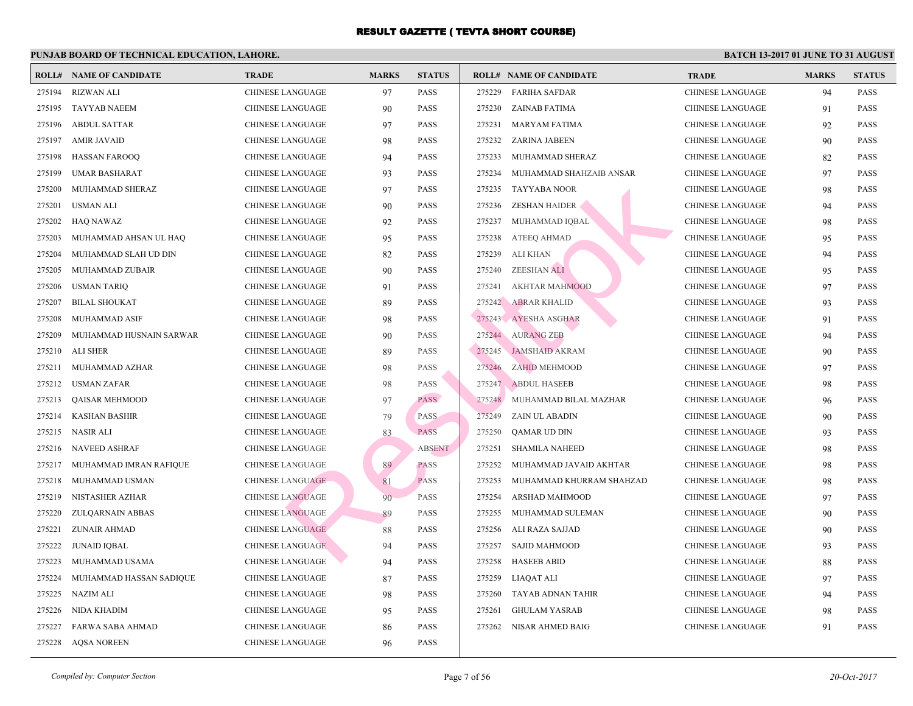|        | <b>ROLL# NAME OF CANDIDATE</b> | <b>TRADE</b>            | <b>MARKS</b> | <b>STATUS</b> |        | <b>ROLL# NAME OF CANDIDATE</b> | <b>TRA</b>  |
|--------|--------------------------------|-------------------------|--------------|---------------|--------|--------------------------------|-------------|
| 275194 | <b>RIZWAN ALI</b>              | <b>CHINESE LANGUAGE</b> | 97           | <b>PASS</b>   | 275229 | FARIHA SAFDAR                  | <b>CHIN</b> |
| 275195 | <b>TAYYAB NAEEM</b>            | <b>CHINESE LANGUAGE</b> | 90           | <b>PASS</b>   |        | 275230 ZAINAB FATIMA           | <b>CHIN</b> |
| 275196 | <b>ABDUL SATTAR</b>            | <b>CHINESE LANGUAGE</b> | 97           | <b>PASS</b>   | 275231 | MARYAM FATIMA                  | <b>CHIN</b> |
| 275197 | <b>AMIR JAVAID</b>             | <b>CHINESE LANGUAGE</b> | 98           | <b>PASS</b>   | 275232 | ZARINA JABEEN                  | <b>CHIN</b> |
| 275198 | <b>HASSAN FAROOQ</b>           | <b>CHINESE LANGUAGE</b> | 94           | <b>PASS</b>   | 275233 | MUHAMMAD SHERAZ                | <b>CHIN</b> |
| 275199 | UMAR BASHARAT                  | CHINESE LANGUAGE        | 93           | <b>PASS</b>   | 275234 | MUHAMMAD SHAHZAIB ANSAR        | <b>CHIN</b> |
| 275200 | MUHAMMAD SHERAZ                | CHINESE LANGUAGE        | 97           | <b>PASS</b>   | 275235 | TAYYABA NOOR                   | <b>CHIN</b> |
| 275201 | USMAN ALI                      | <b>CHINESE LANGUAGE</b> | 90           | <b>PASS</b>   | 275236 | ZESHAN HAIDER                  | <b>CHIN</b> |
| 275202 | HAQ NAWAZ                      | <b>CHINESE LANGUAGE</b> | 92           | <b>PASS</b>   |        | 275237 MUHAMMAD IQBAL          | <b>CHIN</b> |
| 275203 | MUHAMMAD AHSAN UL HAQ          | <b>CHINESE LANGUAGE</b> | 95           | <b>PASS</b>   | 275238 | ATEEQ AHMAD                    | <b>CHIN</b> |
| 275204 | MUHAMMAD SLAH UD DIN           | <b>CHINESE LANGUAGE</b> | 82           | <b>PASS</b>   | 275239 | ALI KHAN                       | CHIN.       |
| 275205 | MUHAMMAD ZUBAIR                | <b>CHINESE LANGUAGE</b> | 90           | <b>PASS</b>   | 275240 | ZEESHAN ALI                    | <b>CHIN</b> |
| 275206 | <b>USMAN TARIQ</b>             | <b>CHINESE LANGUAGE</b> | 91           | <b>PASS</b>   | 275241 | <b>AKHTAR MAHMOOD</b>          | <b>CHIN</b> |
| 275207 | <b>BILAL SHOUKAT</b>           | <b>CHINESE LANGUAGE</b> | 89           | <b>PASS</b>   | 275242 | <b>ABRAR KHALID</b>            | <b>CHIN</b> |
| 275208 | <b>MUHAMMAD ASIF</b>           | <b>CHINESE LANGUAGE</b> | 98           | <b>PASS</b>   |        | 275243 AYESHA ASGHAR           | <b>CHIN</b> |
| 275209 | MUHAMMAD HUSNAIN SARWAR        | <b>CHINESE LANGUAGE</b> | 90           | <b>PASS</b>   |        | 275244 AURANG ZEB              | <b>CHIN</b> |
| 275210 | <b>ALI SHER</b>                | CHINESE LANGUAGE        | 89           | <b>PASS</b>   |        | 275245 JAMSHAID AKRAM          | <b>CHIN</b> |
| 275211 | MUHAMMAD AZHAR                 | <b>CHINESE LANGUAGE</b> | 98           | <b>PASS</b>   | 275246 | ZAHID MEHMOOD                  | <b>CHIN</b> |
| 275212 | <b>USMAN ZAFAR</b>             | <b>CHINESE LANGUAGE</b> | 98           | <b>PASS</b>   | 275247 | ABDUL HASEEB                   | <b>CHIN</b> |
| 275213 | <b>QAISAR MEHMOOD</b>          | <b>CHINESE LANGUAGE</b> | 97           | <b>PASS</b>   | 275248 | MUHAMMAD BILAL MAZHAR          | <b>CHIN</b> |
| 275214 | <b>KASHAN BASHIR</b>           | <b>CHINESE LANGUAGE</b> | 79           | <b>PASS</b>   | 275249 | ZAIN UL ABADIN                 | <b>CHIN</b> |
| 275215 | NASIR ALI                      | <b>CHINESE LANGUAGE</b> | 83           | <b>PASS</b>   | 275250 | <b>QAMAR UD DIN</b>            | <b>CHIN</b> |
| 275216 | <b>NAVEED ASHRAF</b>           | <b>CHINESE LANGUAGE</b> |              | <b>ABSENT</b> | 275251 | <b>SHAMILA NAHEED</b>          | <b>CHIN</b> |
| 275217 | MUHAMMAD IMRAN RAFIQUE         | <b>CHINESE LANGUAGE</b> | 89           | <b>PASS</b>   | 275252 | MUHAMMAD JAVAID AKHTAR         | <b>CHIN</b> |
| 275218 | MUHAMMAD USMAN                 | <b>CHINESE LANGUAGE</b> | 81           | <b>PASS</b>   | 275253 | MUHAMMAD KHURRAM SHAHZAD       | <b>CHIN</b> |
| 275219 | NISTASHER AZHAR                | <b>CHINESE LANGUAGE</b> | 90           | <b>PASS</b>   | 275254 | ARSHAD MAHMOOD                 | <b>CHIN</b> |
| 275220 | ZULQARNAIN ABBAS               | <b>CHINESE LANGUAGE</b> | 89           | PASS          | 275255 | MUHAMMAD SULEMAN               | <b>CHIN</b> |
| 275221 | ZUNAIR AHMAD                   | <b>CHINESE LANGUAGE</b> | 88           | <b>PASS</b>   | 275256 | ALI RAZA SAJJAD                | <b>CHIN</b> |
| 275222 | <b>JUNAID IQBAL</b>            | <b>CHINESE LANGUAGE</b> | 94           | <b>PASS</b>   | 275257 | <b>SAJID MAHMOOD</b>           | <b>CHIN</b> |
| 275223 | MUHAMMAD USAMA                 | CHINESE LANGUAGE        | 94           | <b>PASS</b>   | 275258 | <b>HASEEB ABID</b>             | <b>CHIN</b> |
| 275224 | MUHAMMAD HASSAN SADIQUE        | <b>CHINESE LANGUAGE</b> | 87           | <b>PASS</b>   | 275259 | LIAQAT ALI                     | <b>CHIN</b> |
| 275225 | <b>NAZIM ALI</b>               | <b>CHINESE LANGUAGE</b> | 98           | <b>PASS</b>   | 275260 | TAYAB ADNAN TAHIR              | <b>CHIN</b> |
| 275226 | NIDA KHADIM                    | <b>CHINESE LANGUAGE</b> | 95           | <b>PASS</b>   | 275261 | <b>GHULAM YASRAB</b>           | <b>CHIN</b> |
| 275227 | FARWA SABA AHMAD               | <b>CHINESE LANGUAGE</b> | 86           | <b>PASS</b>   | 275262 | NISAR AHMED BAIG               | <b>CHIN</b> |
| 275228 | <b>AQSA NOREEN</b>             | <b>CHINESE LANGUAGE</b> | 96           | <b>PASS</b>   |        |                                |             |
|        |                                |                         |              |               |        |                                |             |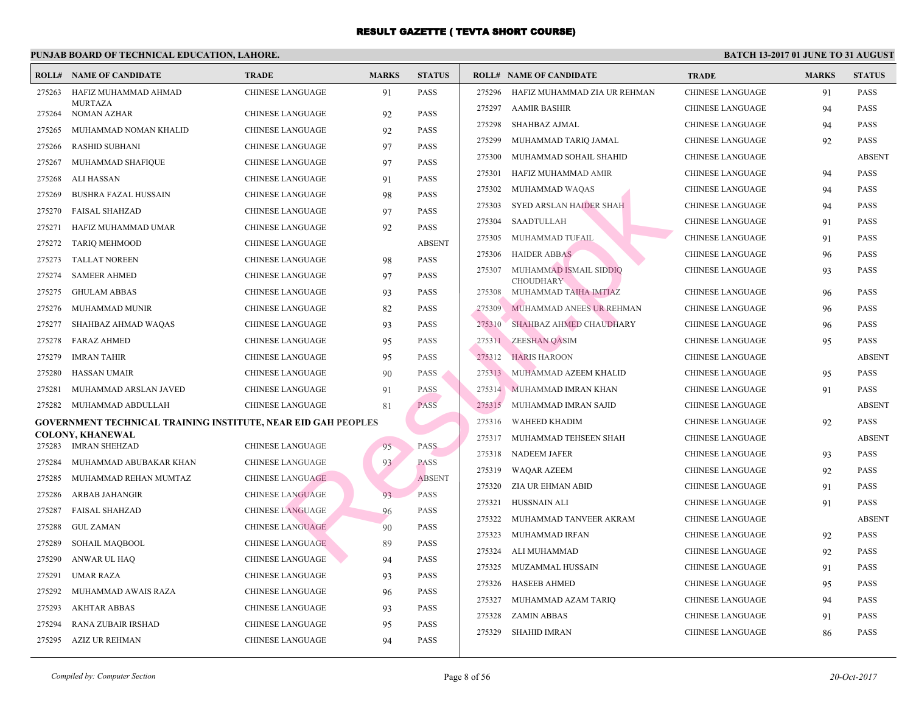|        | <b>ROLL# NAME OF CANDIDATE</b>                                | <b>TRADE</b>            | <b>MARKS</b> | <b>STATUS</b> |        | <b>ROLL# NAME OF CANDIDATE</b>            | <b>TRA</b>  |
|--------|---------------------------------------------------------------|-------------------------|--------------|---------------|--------|-------------------------------------------|-------------|
| 275263 | HAFIZ MUHAMMAD AHMAD                                          | <b>CHINESE LANGUAGE</b> | 91           | <b>PASS</b>   | 275296 | HAFIZ MUHAMMAD ZIA UR REHMAN              | <b>CHIN</b> |
| 275264 | <b>MURTAZA</b><br><b>NOMAN AZHAR</b>                          | <b>CHINESE LANGUAGE</b> | 92           | <b>PASS</b>   | 275297 | <b>AAMIR BASHIR</b>                       | <b>CHIN</b> |
| 275265 | MUHAMMAD NOMAN KHALID                                         | <b>CHINESE LANGUAGE</b> | 92           | <b>PASS</b>   | 275298 | SHAHBAZ AJMAL                             | <b>CHIN</b> |
| 275266 | <b>RASHID SUBHANI</b>                                         | <b>CHINESE LANGUAGE</b> | 97           | <b>PASS</b>   | 275299 | MUHAMMAD TARIQ JAMAL                      | <b>CHIN</b> |
| 275267 | MUHAMMAD SHAFIQUE                                             | <b>CHINESE LANGUAGE</b> | 97           | <b>PASS</b>   | 275300 | MUHAMMAD SOHAIL SHAHID                    | <b>CHIN</b> |
| 275268 | ALI HASSAN                                                    | <b>CHINESE LANGUAGE</b> | 91           | <b>PASS</b>   | 275301 | HAFIZ MUHAMMAD AMIR                       | <b>CHIN</b> |
| 275269 | <b>BUSHRA FAZAL HUSSAIN</b>                                   | CHINESE LANGUAGE        | 98           | <b>PASS</b>   | 275302 | MUHAMMAD WAQAS                            | <b>CHIN</b> |
| 275270 | <b>FAISAL SHAHZAD</b>                                         | <b>CHINESE LANGUAGE</b> | 97           | <b>PASS</b>   | 275303 | SYED ARSLAN HAIDER SHAH                   | <b>CHIN</b> |
| 275271 | HAFIZ MUHAMMAD UMAR                                           | <b>CHINESE LANGUAGE</b> | 92           | <b>PASS</b>   | 275304 | SAADTULLAH                                | <b>CHIN</b> |
| 275272 | <b>TARIQ MEHMOOD</b>                                          | <b>CHINESE LANGUAGE</b> |              | <b>ABSENT</b> | 275305 | MUHAMMAD TUFAIL                           | <b>CHIN</b> |
| 275273 | <b>TALLAT NOREEN</b>                                          | <b>CHINESE LANGUAGE</b> | 98           | <b>PASS</b>   | 275306 | <b>HAIDER ABBAS</b>                       | <b>CHIN</b> |
| 275274 | <b>SAMEER AHMED</b>                                           | <b>CHINESE LANGUAGE</b> | 97           | <b>PASS</b>   | 275307 | MUHAMMAD ISMAIL SIDDIQ                    | <b>CHIN</b> |
| 275275 | <b>GHULAM ABBAS</b>                                           | CHINESE LANGUAGE        | 93           | <b>PASS</b>   | 275308 | <b>CHOUDHARY</b><br>MUHAMMAD TAIHA IMTIAZ | <b>CHIN</b> |
| 275276 | MUHAMMAD MUNIR                                                | <b>CHINESE LANGUAGE</b> | 82           | <b>PASS</b>   | 275309 | MUHAMMAD ANEES UR REHMAN                  | <b>CHIN</b> |
| 275277 | SHAHBAZ AHMAD WAQAS                                           | <b>CHINESE LANGUAGE</b> | 93           | <b>PASS</b>   | 275310 | <b>SHAHBAZ AHMED CHAUDHARY</b>            | <b>CHIN</b> |
| 275278 | <b>FARAZ AHMED</b>                                            | <b>CHINESE LANGUAGE</b> | 95           | <b>PASS</b>   | 275311 | ZEESHAN QASIM                             | <b>CHIN</b> |
| 275279 | <b>IMRAN TAHIR</b>                                            | <b>CHINESE LANGUAGE</b> | 95           | <b>PASS</b>   | 275312 | <b>HARIS HAROON</b>                       | <b>CHIN</b> |
| 275280 | <b>HASSAN UMAIR</b>                                           | <b>CHINESE LANGUAGE</b> | 90           | <b>PASS</b>   | 275313 | MUHAMMAD AZEEM KHALID                     | <b>CHIN</b> |
| 275281 | MUHAMMAD ARSLAN JAVED                                         | <b>CHINESE LANGUAGE</b> | 91           | <b>PASS</b>   |        | 275314 MUHAMMAD IMRAN KHAN                | <b>CHIN</b> |
| 275282 | MUHAMMAD ABDULLAH                                             | CHINESE LANGUAGE        | 81           | <b>PASS</b>   | 275315 | MUHAMMAD IMRAN SAJID                      | <b>CHIN</b> |
|        | GOVERNMENT TECHNICAL TRAINING INSTITUTE, NEAR EID GAH PEOPLES |                         |              |               | 275316 | <b>WAHEED KHADIM</b>                      | <b>CHIN</b> |
|        | <b>COLONY, KHANEWAL</b>                                       |                         |              |               | 275317 | MUHAMMAD TEHSEEN SHAH                     | <b>CHIN</b> |
| 275283 | <b>IMRAN SHEHZAD</b>                                          | <b>CHINESE LANGUAGE</b> | 95           | <b>PASS</b>   | 275318 | <b>NADEEM JAFER</b>                       | <b>CHIN</b> |
| 275284 | MUHAMMAD ABUBAKAR KHAN                                        | <b>CHINESE LANGUAGE</b> | 93           | <b>PASS</b>   | 275319 | <b>WAQAR AZEEM</b>                        | <b>CHIN</b> |
| 275285 | MUHAMMAD REHAN MUMTAZ                                         | <b>CHINESE LANGUAGE</b> |              | <b>ABSENT</b> | 275320 | ZIA UR EHMAN ABID                         | <b>CHIN</b> |
| 275286 | <b>ARBAB JAHANGIR</b>                                         | <b>CHINESE LANGUAGE</b> | 93           | <b>PASS</b>   | 275321 | HUSSNAIN ALI                              | <b>CHIN</b> |
| 275287 | <b>FAISAL SHAHZAD</b>                                         | <b>CHINESE LANGUAGE</b> | 96           | <b>PASS</b>   | 275322 | MUHAMMAD TANVEER AKRAM                    | <b>CHIN</b> |
| 275288 | <b>GUL ZAMAN</b>                                              | <b>CHINESE LANGUAGE</b> | 90           | <b>PASS</b>   | 275323 | MUHAMMAD IRFAN                            | <b>CHIN</b> |
| 275289 | SOHAIL MAQBOOL                                                | <b>CHINESE LANGUAGE</b> | 89           | <b>PASS</b>   | 275324 | ALI MUHAMMAD                              | CHIN.       |
| 275290 | ANWAR UL HAQ                                                  | <b>CHINESE LANGUAGE</b> | 94           | <b>PASS</b>   | 275325 | MUZAMMAL HUSSAIN                          | <b>CHIN</b> |
| 275291 | <b>UMAR RAZA</b>                                              | <b>CHINESE LANGUAGE</b> | 93           | <b>PASS</b>   | 275326 | <b>HASEEB AHMED</b>                       | <b>CHIN</b> |
| 275292 | MUHAMMAD AWAIS RAZA                                           | <b>CHINESE LANGUAGE</b> | 96           | <b>PASS</b>   | 275327 | MUHAMMAD AZAM TARIQ                       | <b>CHIN</b> |
| 275293 | <b>AKHTAR ABBAS</b>                                           | <b>CHINESE LANGUAGE</b> | 93           | <b>PASS</b>   | 275328 | <b>ZAMIN ABBAS</b>                        | <b>CHIN</b> |
| 275294 | RANA ZUBAIR IRSHAD                                            | <b>CHINESE LANGUAGE</b> | 95           | <b>PASS</b>   | 275329 | SHAHID IMRAN                              | <b>CHIN</b> |
|        | 275295 AZIZ UR REHMAN                                         | <b>CHINESE LANGUAGE</b> | 94           | <b>PASS</b>   |        |                                           |             |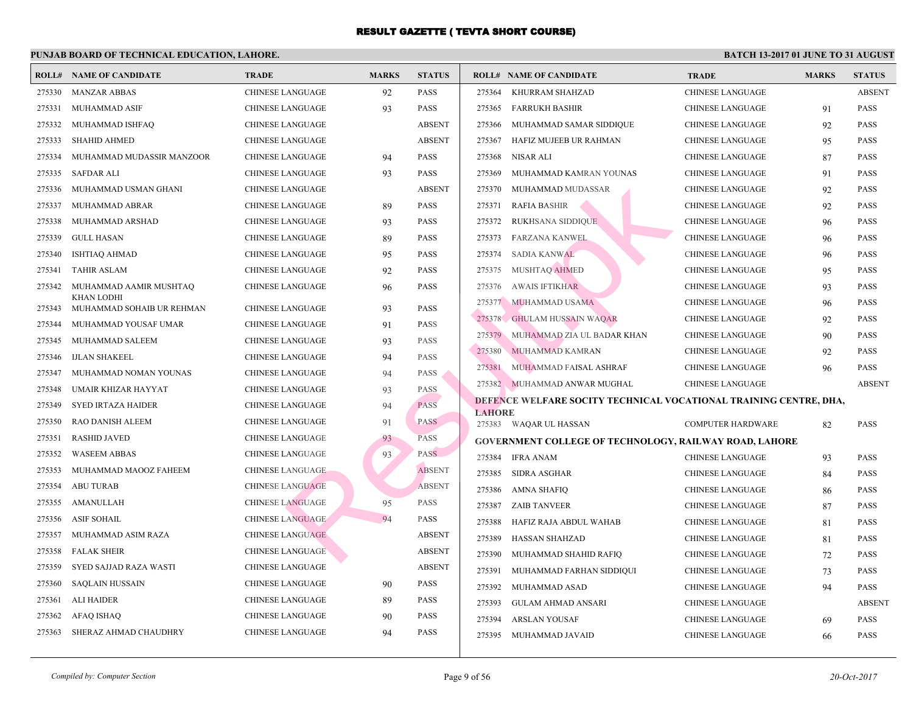|        | <b>ROLL# NAME OF CANDIDATE</b>                 | <b>TRADE</b>            | <b>MARKS</b> | <b>STATUS</b> |               | <b>ROLL# NAME OF CANDIDATE</b>                 | <b>TRA</b>  |
|--------|------------------------------------------------|-------------------------|--------------|---------------|---------------|------------------------------------------------|-------------|
| 275330 | <b>MANZAR ABBAS</b>                            | CHINESE LANGUAGE        | 92           | <b>PASS</b>   | 275364        | KHURRAM SHAHZAD                                | CHIN.       |
| 275331 | MUHAMMAD ASIF                                  | CHINESE LANGUAGE        | 93           | <b>PASS</b>   | 275365        | <b>FARRUKH BASHIR</b>                          | CHIN.       |
| 275332 | MUHAMMAD ISHFAQ                                | <b>CHINESE LANGUAGE</b> |              | <b>ABSENT</b> | 275366        | MUHAMMAD SAMAR SIDDIQUE                        | <b>CHIN</b> |
| 275333 | <b>SHAHID AHMED</b>                            | <b>CHINESE LANGUAGE</b> |              | <b>ABSENT</b> | 275367        | HAFIZ MUJEEB UR RAHMAN                         | <b>CHIN</b> |
| 275334 | MUHAMMAD MUDASSIR MANZOOR                      | CHINESE LANGUAGE        | 94           | <b>PASS</b>   | 275368        | NISAR ALI                                      | <b>CHIN</b> |
| 275335 | <b>SAFDAR ALI</b>                              | CHINESE LANGUAGE        | 93           | <b>PASS</b>   | 275369        | MUHAMMAD KAMRAN YOUNAS                         | CHIN.       |
| 275336 | MUHAMMAD USMAN GHANI                           | CHINESE LANGUAGE        |              | <b>ABSENT</b> | 275370        | MUHAMMAD MUDASSAR                              | <b>CHIN</b> |
| 275337 | MUHAMMAD ABRAR                                 | CHINESE LANGUAGE        | 89           | <b>PASS</b>   | 275371        | <b>RAFIA BASHIR</b>                            | <b>CHIN</b> |
| 275338 | MUHAMMAD ARSHAD                                | <b>CHINESE LANGUAGE</b> | 93           | <b>PASS</b>   | 275372        | <b>RUKHSANA SIDDIQUE</b>                       | <b>CHIN</b> |
| 275339 | <b>GULL HASAN</b>                              | <b>CHINESE LANGUAGE</b> | 89           | <b>PASS</b>   | 275373        | FARZANA KANWEL                                 | <b>CHIN</b> |
| 275340 | <b>ISHTIAQ AHMAD</b>                           | CHINESE LANGUAGE        | 95           | PASS          | 275374        | <b>SADIA KANWAL</b>                            | <b>CHIN</b> |
| 275341 | <b>TAHIR ASLAM</b>                             | CHINESE LANGUAGE        | 92           | PASS          | 275375        | MUSHTAQ AHMED                                  | CHIN.       |
| 275342 | MUHAMMAD AAMIR MUSHTAQ                         | CHINESE LANGUAGE        | 96           | <b>PASS</b>   | 275376        | <b>AWAIS IFTIKHAR</b>                          | CHIN.       |
| 275343 | <b>KHAN LODHI</b><br>MUHAMMAD SOHAIB UR REHMAN | CHINESE LANGUAGE        | 93           | PASS          | 275377        | MUHAMMAD USAMA                                 | CHIN.       |
| 275344 | MUHAMMAD YOUSAF UMAR                           | CHINESE LANGUAGE        | 91           | <b>PASS</b>   |               | 275378 GHULAM HUSSAIN WAQAR                    | <b>CHIN</b> |
| 275345 | MUHAMMAD SALEEM                                | CHINESE LANGUAGE        | 93           | <b>PASS</b>   | 275379        | MUHAMMAD ZIA UL BADAR KHAN                     | <b>CHIN</b> |
| 275346 | <b>IJLAN SHAKEEL</b>                           | CHINESE LANGUAGE        | 94           | <b>PASS</b>   | 275380        | MUHAMMAD KAMRAN                                | <b>CHIN</b> |
| 275347 | MUHAMMAD NOMAN YOUNAS                          | <b>CHINESE LANGUAGE</b> | 94           | <b>PASS</b>   | 275381        | MUHAMMAD FAISAL ASHRAF                         | <b>CHIN</b> |
| 275348 | UMAIR KHIZAR HAYYAT                            | <b>CHINESE LANGUAGE</b> | 93           | <b>PASS</b>   |               | 275382 MUHAMMAD ANWAR MUGHAL                   | <b>CHIN</b> |
| 275349 | <b>SYED IRTAZA HAIDER</b>                      | <b>CHINESE LANGUAGE</b> | 94           | <b>PASS</b>   |               | DEFENCE WELFARE SOCITY TECHNICAL VOCATIO       |             |
| 275350 | RAO DANISH ALEEM                               | CHINESE LANGUAGE        | 91           | <b>PASS</b>   | <b>LAHORE</b> | 275383 WAQAR UL HASSAN                         | <b>COME</b> |
| 275351 | <b>RASHID JAVED</b>                            | <b>CHINESE LANGUAGE</b> | 93           | <b>PASS</b>   |               | <b>GOVERNMENT COLLEGE OF TECHNOLOGY, RAILV</b> |             |
| 275352 | <b>WASEEM ABBAS</b>                            | <b>CHINESE LANGUAGE</b> | 93           | PASS          | 275384        | IFRA ANAM                                      | CHIN.       |
| 275353 | MUHAMMAD MAOOZ FAHEEM                          | <b>CHINESE LANGUAGE</b> |              | <b>ABSENT</b> | 275385        | SIDRA ASGHAR                                   | CHIN.       |
| 275354 | <b>ABU TURAB</b>                               | <b>CHINESE LANGUAGE</b> |              | <b>ABSENT</b> | 275386        | AMNA SHAFIQ                                    | CHIN.       |
| 275355 | AMANULLAH                                      | <b>CHINESE LANGUAGE</b> | 95           | <b>PASS</b>   | 275387        | <b>ZAIB TANVEER</b>                            | <b>CHIN</b> |
| 275356 | <b>ASIF SOHAIL</b>                             | <b>CHINESE LANGUAGE</b> | 94           | PASS          | 275388        | HAFIZ RAJA ABDUL WAHAB                         | <b>CHIN</b> |
| 275357 | MUHAMMAD ASIM RAZA                             | <b>CHINESE LANGUAGE</b> |              | <b>ABSENT</b> | 275389        | HASSAN SHAHZAD                                 | <b>CHIN</b> |
| 275358 | <b>FALAK SHEIR</b>                             | <b>CHINESE LANGUAGE</b> |              | <b>ABSENT</b> | 275390        | MUHAMMAD SHAHID RAFIQ                          | CHIN.       |
| 275359 | SYED SAJJAD RAZA WASTI                         | <b>CHINESE LANGUAGE</b> |              | <b>ABSENT</b> | 275391        | MUHAMMAD FARHAN SIDDIQUI                       | <b>CHIN</b> |
| 275360 | <b>SAQLAIN HUSSAIN</b>                         | <b>CHINESE LANGUAGE</b> | 90           | <b>PASS</b>   | 275392        | MUHAMMAD ASAD                                  | CHIN.       |
| 275361 | ALI HAIDER                                     | <b>CHINESE LANGUAGE</b> | 89           | <b>PASS</b>   | 275393        | GULAM AHMAD ANSARI                             | <b>CHIN</b> |
| 275362 | AFAQ ISHAQ                                     | CHINESE LANGUAGE        | 90           | <b>PASS</b>   | 275394        | ARSLAN YOUSAF                                  | <b>CHIN</b> |
| 275363 | SHERAZ AHMAD CHAUDHRY                          | CHINESE LANGUAGE        | 94           | <b>PASS</b>   | 275395        | MUHAMMAD JAVAID                                | <b>CHIN</b> |
|        |                                                |                         |              |               |               |                                                |             |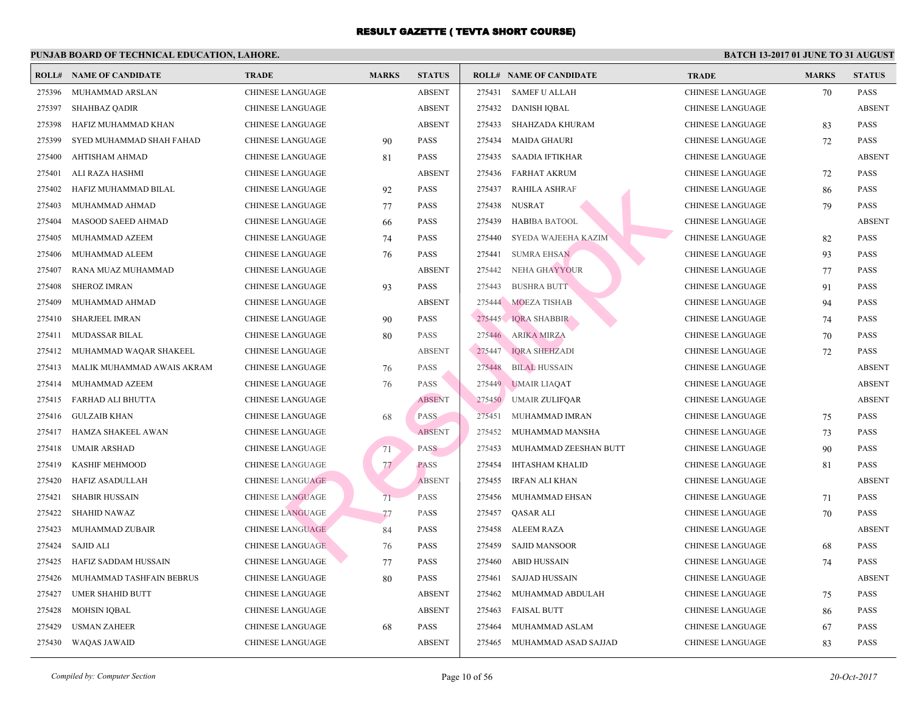| ROLL#  | <b>NAME OF CANDIDATE</b>   | <b>TRADE</b>            | <b>MARKS</b> | <b>STATUS</b> |        | <b>ROLL# NAME OF CANDIDATE</b> | <b>TRA</b>  |
|--------|----------------------------|-------------------------|--------------|---------------|--------|--------------------------------|-------------|
| 275396 | MUHAMMAD ARSLAN            | <b>CHINESE LANGUAGE</b> |              | <b>ABSENT</b> | 275431 | <b>SAMEF U ALLAH</b>           | CHIN.       |
| 275397 | <b>SHAHBAZ QADIR</b>       | <b>CHINESE LANGUAGE</b> |              | <b>ABSENT</b> | 275432 | DANISH IQBAL                   | <b>CHIN</b> |
| 275398 | HAFIZ MUHAMMAD KHAN        | <b>CHINESE LANGUAGE</b> |              | <b>ABSENT</b> | 275433 | <b>SHAHZADA KHURAM</b>         | CHIN.       |
| 275399 | SYED MUHAMMAD SHAH FAHAD   | CHINESE LANGUAGE        | 90           | <b>PASS</b>   | 275434 | <b>MAIDA GHAURI</b>            | <b>CHIN</b> |
| 275400 | AHTISHAM AHMAD             | <b>CHINESE LANGUAGE</b> | 81           | <b>PASS</b>   | 275435 | <b>SAADIA IFTIKHAR</b>         | CHIN.       |
| 275401 | ALI RAZA HASHMI            | CHINESE LANGUAGE        |              | <b>ABSENT</b> | 275436 | FARHAT AKRUM                   | <b>CHIN</b> |
| 275402 | HAFIZ MUHAMMAD BILAL       | CHINESE LANGUAGE        | 92           | <b>PASS</b>   | 275437 | <b>RAHILA ASHRAF</b>           | CHIN.       |
| 275403 | MUHAMMAD AHMAD             | CHINESE LANGUAGE        | 77           | <b>PASS</b>   | 275438 | NUSRAT                         | <b>CHIN</b> |
| 275404 | <b>MASOOD SAEED AHMAD</b>  | CHINESE LANGUAGE        | 66           | <b>PASS</b>   | 275439 | <b>HABIBA BATOOL</b>           | CHIN.       |
| 275405 | MUHAMMAD AZEEM             | CHINESE LANGUAGE        | 74           | <b>PASS</b>   | 275440 | SYEDA WAJEEHA KAZIM            | <b>CHIN</b> |
| 275406 | MUHAMMAD ALEEM             | CHINESE LANGUAGE        | 76           | <b>PASS</b>   | 275441 | <b>SUMRA EHSAN</b>             | <b>CHIN</b> |
| 275407 | RANA MUAZ MUHAMMAD         | CHINESE LANGUAGE        |              | <b>ABSENT</b> | 275442 | NEHA GHAYYOUR                  | <b>CHIN</b> |
| 275408 | <b>SHEROZ IMRAN</b>        | <b>CHINESE LANGUAGE</b> | 93           | <b>PASS</b>   | 275443 | <b>BUSHRA BUTT</b>             | <b>CHIN</b> |
| 275409 | MUHAMMAD AHMAD             | CHINESE LANGUAGE        |              | <b>ABSENT</b> | 275444 | MOEZA TISHAB                   | <b>CHIN</b> |
| 275410 | SHARJEEL IMRAN             | <b>CHINESE LANGUAGE</b> | 90           | <b>PASS</b>   | 275445 | <b>IQRA SHABBIR</b>            | <b>CHIN</b> |
| 275411 | <b>MUDASSAR BILAL</b>      | <b>CHINESE LANGUAGE</b> | 80           | <b>PASS</b>   | 275446 | <b>ARIKA MIRZA</b>             | <b>CHIN</b> |
| 275412 | MUHAMMAD WAQAR SHAKEEL     | <b>CHINESE LANGUAGE</b> |              | <b>ABSENT</b> | 275447 | <b>IQRA SHEHZADI</b>           | CHIN.       |
| 275413 | MALIK MUHAMMAD AWAIS AKRAM | CHINESE LANGUAGE        | 76           | <b>PASS</b>   | 275448 | <b>BILAL HUSSAIN</b>           | CHIN.       |
| 275414 | MUHAMMAD AZEEM             | <b>CHINESE LANGUAGE</b> | 76           | <b>PASS</b>   | 275449 | <b>UMAIR LIAQAT</b>            | CHIN.       |
| 275415 | FARHAD ALI BHUTTA          | CHINESE LANGUAGE        |              | <b>ABSENT</b> | 275450 | <b>UMAIR ZULIFQAR</b>          | CHIN.       |
| 275416 | <b>GULZAIB KHAN</b>        | <b>CHINESE LANGUAGE</b> | 68           | PASS          | 275451 | MUHAMMAD IMRAN                 | <b>CHIN</b> |
| 275417 | HAMZA SHAKEEL AWAN         | <b>CHINESE LANGUAGE</b> |              | <b>ABSENT</b> | 275452 | MUHAMMAD MANSHA                | CHIN.       |
| 275418 | <b>UMAIR ARSHAD</b>        | CHINESE LANGUAGE        | 71           | <b>PASS</b>   | 275453 | MUHAMMAD ZEESHAN BUTT          | <b>CHIN</b> |
| 275419 | <b>KASHIF MEHMOOD</b>      | <b>CHINESE LANGUAGE</b> | 77           | <b>PASS</b>   | 275454 | <b>IHTASHAM KHALID</b>         | CHIN.       |
| 275420 | <b>HAFIZ ASADULLAH</b>     | <b>CHINESE LANGUAGE</b> |              | <b>ABSENT</b> | 275455 | <b>IRFAN ALI KHAN</b>          | <b>CHIN</b> |
| 275421 | <b>SHABIR HUSSAIN</b>      | <b>CHINESE LANGUAGE</b> | 71           | <b>PASS</b>   | 275456 | MUHAMMAD EHSAN                 | CHIN.       |
| 275422 | <b>SHAHID NAWAZ</b>        | <b>CHINESE LANGUAGE</b> | 77           | PASS          | 275457 | QASAR ALI                      | CHIN.       |
| 275423 | MUHAMMAD ZUBAIR            | <b>CHINESE LANGUAGE</b> | 84           | <b>PASS</b>   | 275458 | <b>ALEEM RAZA</b>              | CHIN.       |
| 275424 | SAJID ALI                  | <b>CHINESE LANGUAGE</b> | 76           | <b>PASS</b>   | 275459 | <b>SAJID MANSOOR</b>           | <b>CHIN</b> |
| 275425 | HAFIZ SADDAM HUSSAIN       | <b>CHINESE LANGUAGE</b> | 77           | <b>PASS</b>   | 275460 | <b>ABID HUSSAIN</b>            | CHIN.       |
| 275426 | MUHAMMAD TASHFAIN BEBRUS   | <b>CHINESE LANGUAGE</b> | 80           | <b>PASS</b>   | 275461 | SAJJAD HUSSAIN                 | <b>CHIN</b> |
| 275427 | <b>UMER SHAHID BUTT</b>    | <b>CHINESE LANGUAGE</b> |              | <b>ABSENT</b> | 275462 | MUHAMMAD ABDULAH               | <b>CHIN</b> |
| 275428 | <b>MOHSIN IQBAL</b>        | <b>CHINESE LANGUAGE</b> |              | <b>ABSENT</b> | 275463 | <b>FAISAL BUTT</b>             | <b>CHIN</b> |
| 275429 | <b>USMAN ZAHEER</b>        | <b>CHINESE LANGUAGE</b> | 68           | <b>PASS</b>   | 275464 | MUHAMMAD ASLAM                 | <b>CHIN</b> |
| 275430 | <b>WAQAS JAWAID</b>        | <b>CHINESE LANGUAGE</b> |              | <b>ABSENT</b> | 275465 | MUHAMMAD ASAD SAJJAD           | <b>CHIN</b> |
|        |                            |                         |              |               |        |                                |             |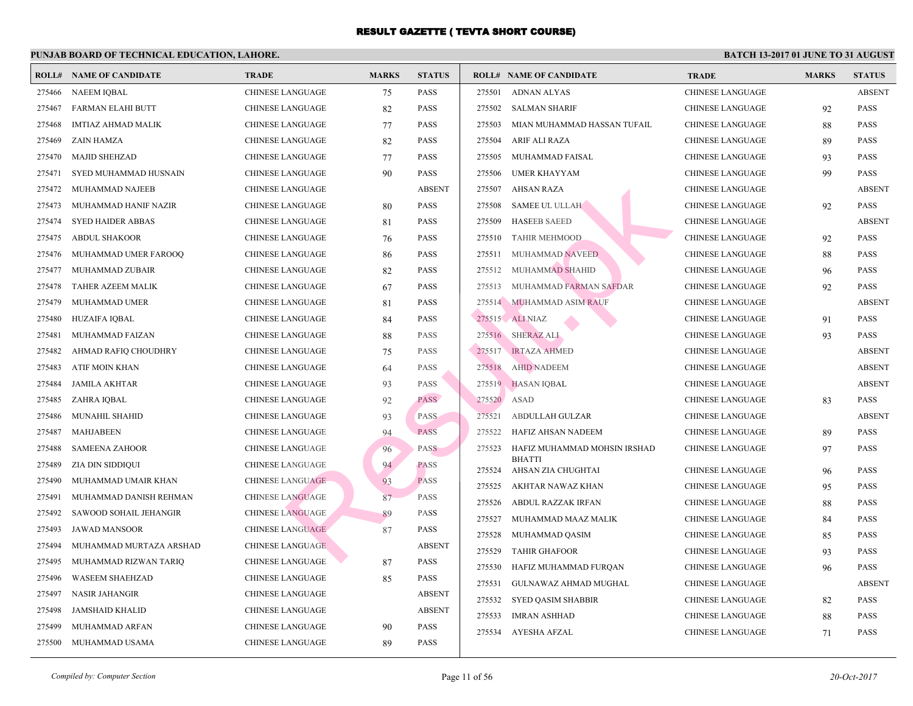|        | <b>ROLL# NAME OF CANDIDATE</b> | <b>TRADE</b>            | <b>MARKS</b> | <b>STATUS</b> |        | <b>ROLL# NAME OF CANDIDATE</b>      | <b>TRA</b>  |
|--------|--------------------------------|-------------------------|--------------|---------------|--------|-------------------------------------|-------------|
| 275466 | <b>NAEEM IQBAL</b>             | CHINESE LANGUAGE        | 75           | <b>PASS</b>   | 275501 | <b>ADNAN ALYAS</b>                  | CHIN.       |
| 275467 | FARMAN ELAHI BUTT              | CHINESE LANGUAGE        | 82           | <b>PASS</b>   | 275502 | <b>SALMAN SHARIF</b>                | CHIN.       |
| 275468 | <b>IMTIAZ AHMAD MALIK</b>      | CHINESE LANGUAGE        | 77           | <b>PASS</b>   | 275503 | MIAN MUHAMMAD HASSAN TUFAIL         | <b>CHIN</b> |
| 275469 | ZAIN HAMZA                     | CHINESE LANGUAGE        | 82           | <b>PASS</b>   | 275504 | ARIF ALI RAZA                       | CHIN.       |
| 275470 | <b>MAJID SHEHZAD</b>           | CHINESE LANGUAGE        | 77           | <b>PASS</b>   | 275505 | MUHAMMAD FAISAL                     | <b>CHIN</b> |
| 275471 | SYED MUHAMMAD HUSNAIN          | CHINESE LANGUAGE        | 90           | <b>PASS</b>   | 275506 | <b>UMER KHAYYAM</b>                 | <b>CHIN</b> |
| 275472 | MUHAMMAD NAJEEB                | CHINESE LANGUAGE        |              | <b>ABSENT</b> | 275507 | <b>AHSAN RAZA</b>                   | <b>CHIN</b> |
| 275473 | MUHAMMAD HANIF NAZIR           | <b>CHINESE LANGUAGE</b> | 80           | <b>PASS</b>   | 275508 | <b>SAMEE UL ULLAH</b>               | <b>CHIN</b> |
| 275474 | <b>SYED HAIDER ABBAS</b>       | CHINESE LANGUAGE        | 81           | <b>PASS</b>   | 275509 | <b>HASEEB SAEED</b>                 | <b>CHIN</b> |
| 275475 | <b>ABDUL SHAKOOR</b>           | <b>CHINESE LANGUAGE</b> | 76           | <b>PASS</b>   | 275510 | <b>TAHIR MEHMOOD</b>                | <b>CHIN</b> |
| 275476 | MUHAMMAD UMER FAROOQ           | CHINESE LANGUAGE        | 86           | <b>PASS</b>   | 275511 | MUHAMMAD NAVEED                     | <b>CHIN</b> |
| 275477 | MUHAMMAD ZUBAIR                | CHINESE LANGUAGE        | 82           | <b>PASS</b>   | 275512 | MUHAMMAD SHAHID                     | CHIN.       |
| 275478 | TAHER AZEEM MALIK              | CHINESE LANGUAGE        | 67           | <b>PASS</b>   | 275513 | MUHAMMAD FARMAN SAFDAR              | CHIN.       |
| 275479 | MUHAMMAD UMER                  | CHINESE LANGUAGE        | 81           | <b>PASS</b>   |        | 275514 MUHAMMAD ASIM RAUF           | <b>CHIN</b> |
| 275480 | HUZAIFA IQBAL                  | CHINESE LANGUAGE        | 84           | <b>PASS</b>   |        | 275515 ALI NIAZ                     | <b>CHIN</b> |
| 275481 | MUHAMMAD FAIZAN                | CHINESE LANGUAGE        | 88           | <b>PASS</b>   |        | 275516 SHERAZ ALI                   | <b>CHIN</b> |
| 275482 | AHMAD RAFIQ CHOUDHRY           | <b>CHINESE LANGUAGE</b> | 75           | <b>PASS</b>   | 275517 | <b>IRTAZA AHMED</b>                 | <b>CHIN</b> |
| 275483 | ATIF MOIN KHAN                 | <b>CHINESE LANGUAGE</b> | 64           | <b>PASS</b>   | 275518 | <b>AHID NADEEM</b>                  | <b>CHIN</b> |
| 275484 | <b>JAMILA AKHTAR</b>           | CHINESE LANGUAGE        | 93           | <b>PASS</b>   |        | 275519 HASAN IQBAL                  | <b>CHIN</b> |
| 275485 | ZAHRA IQBAL                    | <b>CHINESE LANGUAGE</b> | 92           | <b>PASS</b>   | 275520 | ASAD                                | CHIN.       |
| 275486 | MUNAHIL SHAHID                 | CHINESE LANGUAGE        | 93           | <b>PASS</b>   | 275521 | ABDULLAH GULZAR                     | CHIN.       |
| 275487 | <b>MAHJABEEN</b>               | CHINESE LANGUAGE        | 94           | <b>PASS</b>   | 275522 | HAFIZ AHSAN NADEEM                  | <b>CHIN</b> |
| 275488 | <b>SAMEENA ZAHOOR</b>          | <b>CHINESE LANGUAGE</b> | 96           | <b>PASS</b>   | 275523 | HAFIZ MUHAMMAD MOHSIN IRSHAD        | <b>CHIN</b> |
| 275489 | ZIA DIN SIDDIQUI               | <b>CHINESE LANGUAGE</b> | 94           | <b>PASS</b>   | 275524 | <b>BHATTI</b><br>AHSAN ZIA CHUGHTAI | CHIN.       |
| 275490 | MUHAMMAD UMAIR KHAN            | <b>CHINESE LANGUAGE</b> | 93           | <b>PASS</b>   | 275525 | AKHTAR NAWAZ KHAN                   | <b>CHIN</b> |
| 275491 | MUHAMMAD DANISH REHMAN         | <b>CHINESE LANGUAGE</b> | 87           | PASS          | 275526 | ABDUL RAZZAK IRFAN                  | CHIN.       |
| 275492 | SAWOOD SOHAIL JEHANGIR         | <b>CHINESE LANGUAGE</b> | 89           | <b>PASS</b>   | 275527 | MUHAMMAD MAAZ MALIK                 | CHIN.       |
| 275493 | <b>JAWAD MANSOOR</b>           | <b>CHINESE LANGUAGE</b> | 87           | <b>PASS</b>   | 275528 | MUHAMMAD QASIM                      | <b>CHIN</b> |
| 275494 | MUHAMMAD MURTAZA ARSHAD        | <b>CHINESE LANGUAGE</b> |              | <b>ABSENT</b> | 275529 | <b>TAHIR GHAFOOR</b>                | CHIN.       |
| 275495 | MUHAMMAD RIZWAN TARIQ          | CHINESE LANGUAGE        | 87           | <b>PASS</b>   | 275530 | HAFIZ MUHAMMAD FURQAN               | <b>CHIN</b> |
| 275496 | <b>WASEEM SHAEHZAD</b>         | <b>CHINESE LANGUAGE</b> | 85           | <b>PASS</b>   | 275531 | GULNAWAZ AHMAD MUGHAL               | CHIN.       |
| 275497 | <b>NASIR JAHANGIR</b>          | CHINESE LANGUAGE        |              | <b>ABSENT</b> | 275532 | <b>SYED QASIM SHABBIR</b>           | CHIN.       |
| 275498 | <b>JAMSHAID KHALID</b>         | CHINESE LANGUAGE        |              | <b>ABSENT</b> | 275533 | <b>IMRAN ASHHAD</b>                 | <b>CHIN</b> |
| 275499 | MUHAMMAD ARFAN                 | CHINESE LANGUAGE        | 90           | <b>PASS</b>   | 275534 | <b>AYESHA AFZAL</b>                 | <b>CHIN</b> |
| 275500 | MUHAMMAD USAMA                 | CHINESE LANGUAGE        | 89           | <b>PASS</b>   |        |                                     |             |
|        |                                |                         |              |               |        |                                     |             |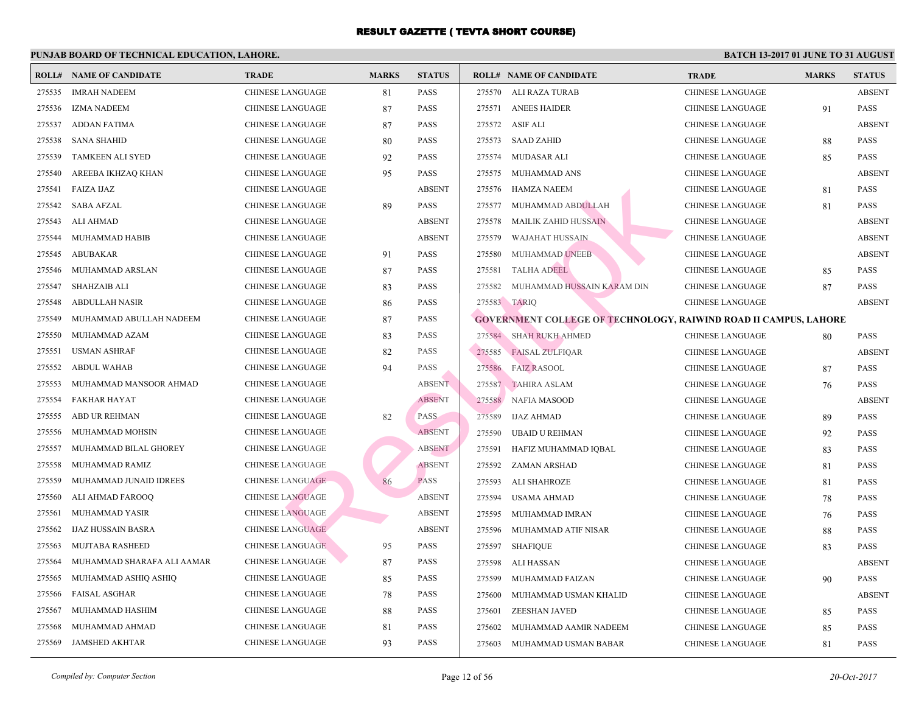| <b>ROLL#</b> | <b>NAME OF CANDIDATE</b>   | <b>TRADE</b>            | <b>MARKS</b> | <b>STATUS</b> |        | <b>ROLL# NAME OF CANDIDATE</b>                | <b>TRA</b>  |
|--------------|----------------------------|-------------------------|--------------|---------------|--------|-----------------------------------------------|-------------|
| 275535       | <b>IMRAH NADEEM</b>        | <b>CHINESE LANGUAGE</b> | 81           | <b>PASS</b>   | 275570 | ALI RAZA TURAB                                | <b>CHIN</b> |
| 275536       | <b>IZMA NADEEM</b>         | <b>CHINESE LANGUAGE</b> | 87           | <b>PASS</b>   | 275571 | <b>ANEES HAIDER</b>                           | <b>CHIN</b> |
| 275537       | <b>ADDAN FATIMA</b>        | <b>CHINESE LANGUAGE</b> | 87           | <b>PASS</b>   | 275572 | ASIF ALI                                      | <b>CHIN</b> |
| 275538       | <b>SANA SHAHID</b>         | CHINESE LANGUAGE        | 80           | <b>PASS</b>   | 275573 | <b>SAAD ZAHID</b>                             | <b>CHIN</b> |
| 275539       | <b>TAMKEEN ALI SYED</b>    | <b>CHINESE LANGUAGE</b> | 92           | <b>PASS</b>   | 275574 | MUDASAR ALI                                   | <b>CHIN</b> |
| 275540       | AREEBA IKHZAQ KHAN         | <b>CHINESE LANGUAGE</b> | 95           | <b>PASS</b>   | 275575 | MUHAMMAD ANS                                  | <b>CHIN</b> |
| 275541       | FAIZA IJAZ                 | <b>CHINESE LANGUAGE</b> |              | <b>ABSENT</b> | 275576 | HAMZA NAEEM                                   | <b>CHIN</b> |
| 275542       | <b>SABA AFZAL</b>          | CHINESE LANGUAGE        | 89           | <b>PASS</b>   | 275577 | MUHAMMAD ABDULLAH                             | <b>CHIN</b> |
| 275543       | ALI AHMAD                  | <b>CHINESE LANGUAGE</b> |              | <b>ABSENT</b> | 275578 | MAILIK ZAHID HUSSAIN                          | <b>CHIN</b> |
| 275544       | MUHAMMAD HABIB             | <b>CHINESE LANGUAGE</b> |              | <b>ABSENT</b> | 275579 | WAJAHAT HUSSAIN                               | <b>CHIN</b> |
| 275545       | <b>ABUBAKAR</b>            | CHINESE LANGUAGE        | 91           | <b>PASS</b>   | 275580 | MUHAMMAD UNEEB                                | <b>CHIN</b> |
| 275546       | MUHAMMAD ARSLAN            | <b>CHINESE LANGUAGE</b> | 87           | <b>PASS</b>   | 275581 | <b>TALHA ADEEL</b>                            | <b>CHIN</b> |
| 275547       | <b>SHAHZAIB ALI</b>        | <b>CHINESE LANGUAGE</b> | 83           | <b>PASS</b>   | 275582 | MUHAMMAD HUSSAIN KARAM DIN                    | <b>CHIN</b> |
| 275548       | <b>ABDULLAH NASIR</b>      | <b>CHINESE LANGUAGE</b> | 86           | <b>PASS</b>   |        | 275583 TARIQ                                  | <b>CHIN</b> |
| 275549       | MUHAMMAD ABULLAH NADEEM    | <b>CHINESE LANGUAGE</b> | 87           | <b>PASS</b>   |        | <b>GOVERNMENT COLLEGE OF TECHNOLOGY, RAIW</b> |             |
| 275550       | MUHAMMAD AZAM              | <b>CHINESE LANGUAGE</b> | 83           | <b>PASS</b>   |        | 275584 SHAH RUKH AHMED                        | <b>CHIN</b> |
| 275551       | <b>USMAN ASHRAF</b>        | <b>CHINESE LANGUAGE</b> | 82           | <b>PASS</b>   | 275585 | <b>FAISAL ZULFIQAR</b>                        | <b>CHIN</b> |
| 275552       | <b>ABDUL WAHAB</b>         | <b>CHINESE LANGUAGE</b> | 94           | <b>PASS</b>   | 275586 | <b>FAIZ RASOOL</b>                            | <b>CHIN</b> |
| 275553       | MUHAMMAD MANSOOR AHMAD     | <b>CHINESE LANGUAGE</b> |              | <b>ABSENT</b> | 275587 | <b>TAHIRA ASLAM</b>                           | <b>CHIN</b> |
| 275554       | <b>FAKHAR HAYAT</b>        | <b>CHINESE LANGUAGE</b> |              | <b>ABSENT</b> | 275588 | NAFIA MASOOD                                  | <b>CHIN</b> |
| 275555       | ABD UR REHMAN              | CHINESE LANGUAGE        | 82           | <b>PASS</b>   | 275589 | <b>IJAZ AHMAD</b>                             | <b>CHIN</b> |
| 275556       | MUHAMMAD MOHSIN            | <b>CHINESE LANGUAGE</b> |              | <b>ABSENT</b> | 275590 | <b>UBAID U REHMAN</b>                         | <b>CHIN</b> |
| 275557       | MUHAMMAD BILAL GHOREY      | <b>CHINESE LANGUAGE</b> |              | <b>ABSENT</b> | 275591 | HAFIZ MUHAMMAD IQBAL                          | <b>CHIN</b> |
| 275558       | MUHAMMAD RAMIZ             | <b>CHINESE LANGUAGE</b> |              | <b>ABSENT</b> | 275592 | ZAMAN ARSHAD                                  | <b>CHIN</b> |
| 275559       | MUHAMMAD JUNAID IDREES     | <b>CHINESE LANGUAGE</b> | 86           | <b>PASS</b>   | 275593 | <b>ALI SHAHROZE</b>                           | <b>CHIN</b> |
| 275560       | ALI AHMAD FAROOO           | <b>CHINESE LANGUAGE</b> |              | <b>ABSENT</b> | 275594 | USAMA AHMAD                                   | <b>CHIN</b> |
| 275561       | MUHAMMAD YASIR             | <b>CHINESE LANGUAGE</b> |              | <b>ABSENT</b> | 275595 | MUHAMMAD IMRAN                                | <b>CHIN</b> |
| 275562       | <b>IJAZ HUSSAIN BASRA</b>  | <b>CHINESE LANGUAGE</b> |              | <b>ABSENT</b> | 275596 | MUHAMMAD ATIF NISAR                           | <b>CHIN</b> |
| 275563       | <b>MUJTABA RASHEED</b>     | <b>CHINESE LANGUAGE</b> | 95           | <b>PASS</b>   | 275597 | <b>SHAFIQUE</b>                               | <b>CHIN</b> |
| 275564       | MUHAMMAD SHARAFA ALI AAMAR | <b>CHINESE LANGUAGE</b> | 87           | PASS          | 275598 | ALI HASSAN                                    | <b>CHIN</b> |
| 275565       | MUHAMMAD ASHIQ ASHIQ       | <b>CHINESE LANGUAGE</b> | 85           | <b>PASS</b>   | 275599 | MUHAMMAD FAIZAN                               | <b>CHIN</b> |
| 275566       | <b>FAISAL ASGHAR</b>       | CHINESE LANGUAGE        | 78           | <b>PASS</b>   | 275600 | MUHAMMAD USMAN KHALID                         | <b>CHIN</b> |
| 275567       | MUHAMMAD HASHIM            | <b>CHINESE LANGUAGE</b> | 88           | <b>PASS</b>   | 275601 | ZEESHAN JAVED                                 | <b>CHIN</b> |
| 275568       | MUHAMMAD AHMAD             | <b>CHINESE LANGUAGE</b> | 81           | PASS          | 275602 | MUHAMMAD AAMIR NADEEM                         | <b>CHIN</b> |
| 275569       | JAMSHED AKHTAR             | <b>CHINESE LANGUAGE</b> | 93           | <b>PASS</b>   | 275603 | MUHAMMAD USMAN BABAR                          | <b>CHIN</b> |
|              |                            |                         |              |               |        |                                               |             |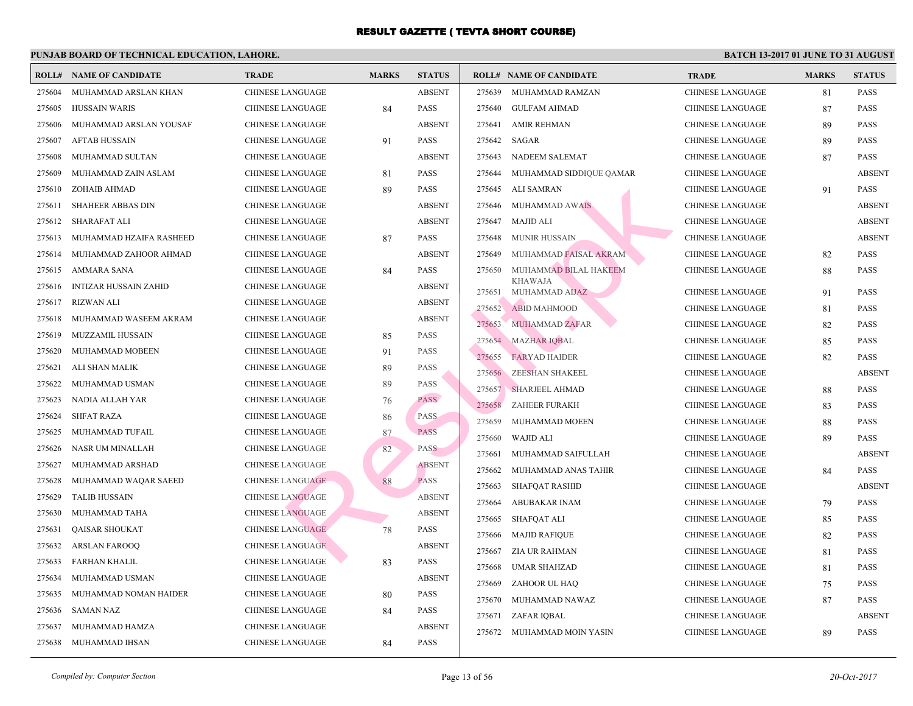| ROLL#  | <b>NAME OF CANDIDATE</b>     | <b>TRADE</b>            | <b>MARKS</b> | <b>STATUS</b> |        | <b>ROLL# NAME OF CANDIDATE</b>   | <b>TRA</b>  |
|--------|------------------------------|-------------------------|--------------|---------------|--------|----------------------------------|-------------|
| 275604 | MUHAMMAD ARSLAN KHAN         | <b>CHINESE LANGUAGE</b> |              | <b>ABSENT</b> | 275639 | MUHAMMAD RAMZAN                  | CHIN.       |
| 275605 | <b>HUSSAIN WARIS</b>         | <b>CHINESE LANGUAGE</b> | 84           | <b>PASS</b>   | 275640 | <b>GULFAM AHMAD</b>              | <b>CHIN</b> |
| 275606 | MUHAMMAD ARSLAN YOUSAF       | <b>CHINESE LANGUAGE</b> |              | <b>ABSENT</b> | 275641 | <b>AMIR REHMAN</b>               | CHIN.       |
| 275607 | <b>AFTAB HUSSAIN</b>         | <b>CHINESE LANGUAGE</b> | 91           | <b>PASS</b>   | 275642 | SAGAR                            | <b>CHIN</b> |
| 275608 | MUHAMMAD SULTAN              | <b>CHINESE LANGUAGE</b> |              | <b>ABSENT</b> | 275643 | NADEEM SALEMAT                   | <b>CHIN</b> |
| 275609 | MUHAMMAD ZAIN ASLAM          | <b>CHINESE LANGUAGE</b> | 81           | <b>PASS</b>   | 275644 | MUHAMMAD SIDDIQUE QAMAR          | <b>CHIN</b> |
| 275610 | ZOHAIB AHMAD                 | <b>CHINESE LANGUAGE</b> | 89           | <b>PASS</b>   | 275645 | ALI SAMRAN                       | <b>CHIN</b> |
| 275611 | <b>SHAHEER ABBAS DIN</b>     | <b>CHINESE LANGUAGE</b> |              | <b>ABSENT</b> | 275646 | <b>MUHAMMAD AWAIS</b>            | CHIN.       |
| 275612 | SHARAFAT ALI                 | CHINESE LANGUAGE        |              | <b>ABSENT</b> | 275647 | MAJID ALI                        | <b>CHIN</b> |
| 275613 | MUHAMMAD HZAIFA RASHEED      | <b>CHINESE LANGUAGE</b> | 87           | <b>PASS</b>   | 275648 | <b>MUNIR HUSSAIN</b>             | <b>CHIN</b> |
| 275614 | MUHAMMAD ZAHOOR AHMAD        | <b>CHINESE LANGUAGE</b> |              | <b>ABSENT</b> | 275649 | MUHAMMAD FAISAL AKRAM            | <b>CHIN</b> |
| 275615 | AMMARA SANA                  | <b>CHINESE LANGUAGE</b> | 84           | <b>PASS</b>   | 275650 | MUHAMMAD BILAL HAKEEM            | <b>CHIN</b> |
| 275616 | <b>INTIZAR HUSSAIN ZAHID</b> | <b>CHINESE LANGUAGE</b> |              | <b>ABSENT</b> | 275651 | <b>KHAWAJA</b><br>MUHAMMAD AIJAZ | <b>CHIN</b> |
| 275617 | <b>RIZWAN ALI</b>            | CHINESE LANGUAGE        |              | <b>ABSENT</b> | 275652 | <b>ABID MAHMOOD</b>              | CHIN.       |
| 275618 | MUHAMMAD WASEEM AKRAM        | CHINESE LANGUAGE        |              | <b>ABSENT</b> | 275653 | MUHAMMAD ZAFAR                   | CHIN.       |
| 275619 | <b>MUZZAMIL HUSSAIN</b>      | CHINESE LANGUAGE        | 85           | PASS          | 275654 | <b>MAZHAR IQBAL</b>              | <b>CHIN</b> |
| 275620 | MUHAMMAD MOBEEN              | CHINESE LANGUAGE        | 91           | <b>PASS</b>   | 275655 | <b>FARYAD HAIDER</b>             | <b>CHIN</b> |
| 275621 | ALI SHAN MALIK               | <b>CHINESE LANGUAGE</b> | 89           | <b>PASS</b>   | 275656 | <b>ZEESHAN SHAKEEL</b>           | <b>CHIN</b> |
| 275622 | MUHAMMAD USMAN               | CHINESE LANGUAGE        | 89           | <b>PASS</b>   | 275657 | <b>SHARJEEL AHMAD</b>            | <b>CHIN</b> |
| 275623 | NADIA ALLAH YAR              | <b>CHINESE LANGUAGE</b> | 76           | <b>PASS</b>   | 275658 | ZAHEER FURAKH                    | <b>CHIN</b> |
| 275624 | <b>SHFAT RAZA</b>            | <b>CHINESE LANGUAGE</b> | 86           | <b>PASS</b>   | 275659 | MUHAMMAD MOEEN                   | CHIN.       |
| 275625 | MUHAMMAD TUFAIL              | <b>CHINESE LANGUAGE</b> | 87           | <b>PASS</b>   | 275660 | <b>WAJID ALI</b>                 | <b>CHIN</b> |
| 275626 | NASR UM MINALLAH             | <b>CHINESE LANGUAGE</b> | 82           | <b>PASS</b>   | 275661 | MUHAMMAD SAIFULLAH               | CHIN.       |
| 275627 | MUHAMMAD ARSHAD              | <b>CHINESE LANGUAGE</b> |              | <b>ABSENT</b> | 275662 | MUHAMMAD ANAS TAHIR              | <b>CHIN</b> |
| 275628 | MUHAMMAD WAQAR SAEED         | <b>CHINESE LANGUAGE</b> | 88           | <b>PASS</b>   | 275663 | <b>SHAFQAT RASHID</b>            | <b>CHIN</b> |
| 275629 | <b>TALIB HUSSAIN</b>         | <b>CHINESE LANGUAGE</b> |              | <b>ABSENT</b> | 275664 | <b>ABUBAKAR INAM</b>             | <b>CHIN</b> |
| 275630 | MUHAMMAD TAHA                | <b>CHINESE LANGUAGE</b> |              | <b>ABSENT</b> | 275665 | <b>SHAFQAT ALI</b>               | <b>CHIN</b> |
| 275631 | <b>QAISAR SHOUKAT</b>        | <b>CHINESE LANGUAGE</b> | 78           | <b>PASS</b>   | 275666 | <b>MAJID RAFIOUE</b>             | CHIN.       |
| 275632 | <b>ARSLAN FAROOQ</b>         | <b>CHINESE LANGUAGE</b> |              | <b>ABSENT</b> | 275667 | <b>ZIA UR RAHMAN</b>             | <b>CHIN</b> |
| 275633 | FARHAN KHALIL                | CHINESE LANGUAGE        | 83           | <b>PASS</b>   | 275668 | <b>UMAR SHAHZAD</b>              | CHIN.       |
| 275634 | MUHAMMAD USMAN               | CHINESE LANGUAGE        |              | <b>ABSENT</b> | 275669 | ZAHOOR UL HAQ                    | <b>CHIN</b> |
| 275635 | MUHAMMAD NOMAN HAIDER        | <b>CHINESE LANGUAGE</b> | 80           | <b>PASS</b>   | 275670 | MUHAMMAD NAWAZ                   | <b>CHIN</b> |
| 275636 | <b>SAMAN NAZ</b>             | CHINESE LANGUAGE        | 84           | <b>PASS</b>   | 275671 | ZAFAR IQBAL                      | <b>CHIN</b> |
| 275637 | MUHAMMAD HAMZA               | <b>CHINESE LANGUAGE</b> |              | <b>ABSENT</b> | 275672 | MUHAMMAD MOIN YASIN              | <b>CHIN</b> |
| 275638 | MUHAMMAD IHSAN               | <b>CHINESE LANGUAGE</b> | 84           | <b>PASS</b>   |        |                                  |             |
|        |                              |                         |              |               |        |                                  |             |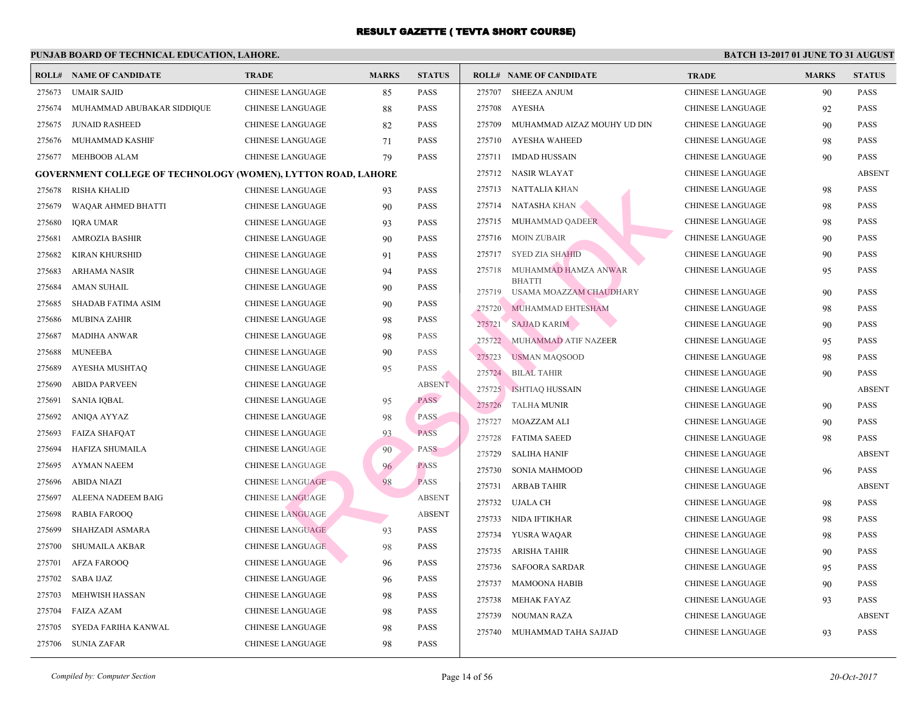|        | <b>ROLL# NAME OF CANDIDATE</b>                                       | <b>TRADE</b>            | <b>MARKS</b> | <b>STATUS</b> |        | <b>ROLL# NAME OF CANDIDATE</b>           | <b>TRA</b>  |
|--------|----------------------------------------------------------------------|-------------------------|--------------|---------------|--------|------------------------------------------|-------------|
| 275673 | <b>UMAIR SAJID</b>                                                   | CHINESE LANGUAGE        | 85           | <b>PASS</b>   | 275707 | SHEEZA ANJUM                             | <b>CHIN</b> |
| 275674 | MUHAMMAD ABUBAKAR SIDDIQUE                                           | CHINESE LANGUAGE        | 88           | <b>PASS</b>   | 275708 | AYESHA                                   | <b>CHIN</b> |
| 275675 | <b>JUNAID RASHEED</b>                                                | CHINESE LANGUAGE        | 82           | <b>PASS</b>   | 275709 | MUHAMMAD AIZAZ MOUHY UD DIN              | <b>CHIN</b> |
| 275676 | MUHAMMAD KASHIF                                                      | CHINESE LANGUAGE        | 71           | <b>PASS</b>   | 275710 | AYESHA WAHEED                            | <b>CHIN</b> |
| 275677 | MEHBOOB ALAM                                                         | CHINESE LANGUAGE        | 79           | <b>PASS</b>   |        | 275711 IMDAD HUSSAIN                     | <b>CHIN</b> |
|        | <b>GOVERNMENT COLLEGE OF TECHNOLOGY (WOMEN), LYTTON ROAD, LAHORE</b> |                         |              |               |        | 275712 NASIR WLAYAT                      | <b>CHIN</b> |
| 275678 | <b>RISHA KHALID</b>                                                  | <b>CHINESE LANGUAGE</b> | 93           | <b>PASS</b>   |        | 275713 NATTALIA KHAN                     | <b>CHIN</b> |
| 275679 | WAQAR AHMED BHATTI                                                   | CHINESE LANGUAGE        | 90           | <b>PASS</b>   |        | 275714 NATASHA KHAN                      | <b>CHIN</b> |
| 275680 | <b>IQRA UMAR</b>                                                     | CHINESE LANGUAGE        | 93           | <b>PASS</b>   | 275715 | MUHAMMAD QADEER                          | <b>CHIN</b> |
| 275681 | <b>AMROZIA BASHIR</b>                                                | CHINESE LANGUAGE        | 90           | <b>PASS</b>   | 275716 | MOIN ZUBAIR                              | <b>CHIN</b> |
| 275682 | <b>KIRAN KHURSHID</b>                                                | CHINESE LANGUAGE        | 91           | <b>PASS</b>   |        | 275717 SYED ZIA SHAHID                   | <b>CHIN</b> |
| 275683 | <b>ARHAMA NASIR</b>                                                  | CHINESE LANGUAGE        | 94           | <b>PASS</b>   | 275718 | MUHAMMAD HAMZA ANWAR                     | <b>CHIN</b> |
| 275684 | <b>AMAN SUHAIL</b>                                                   | CHINESE LANGUAGE        | 90           | <b>PASS</b>   | 275719 | <b>BHATTI</b><br>USAMA MOAZZAM CHAUDHARY | <b>CHIN</b> |
| 275685 | <b>SHADAB FATIMA ASIM</b>                                            | CHINESE LANGUAGE        | 90           | <b>PASS</b>   | 275720 | MUHAMMAD EHTESHAM                        | <b>CHIN</b> |
| 275686 | <b>MUBINA ZAHIR</b>                                                  | CHINESE LANGUAGE        | 98           | <b>PASS</b>   | 275721 | <b>SAJJAD KARIM</b>                      | <b>CHIN</b> |
| 275687 | <b>MADIHA ANWAR</b>                                                  | CHINESE LANGUAGE        | 98           | <b>PASS</b>   | 275722 | MUHAMMAD ATIF NAZEER                     | <b>CHIN</b> |
| 275688 | <b>MUNEEBA</b>                                                       | <b>CHINESE LANGUAGE</b> | 90           | <b>PASS</b>   | 275723 | <b>USMAN MAQSOOD</b>                     | <b>CHIN</b> |
| 275689 | AYESHA MUSHTAQ                                                       | CHINESE LANGUAGE        | 95           | <b>PASS</b>   |        | 275724 BILAL TAHIR                       | <b>CHIN</b> |
| 275690 | <b>ABIDA PARVEEN</b>                                                 | CHINESE LANGUAGE        |              | <b>ABSENT</b> |        | 275725   ISHTIAQ HUSSAIN                 | <b>CHIN</b> |
| 275691 | <b>SANIA IQBAL</b>                                                   | CHINESE LANGUAGE        | 95           | <b>PASS</b>   | 275726 | <b>TALHA MUNIR</b>                       | <b>CHIN</b> |
| 275692 | ANIQA AYYAZ                                                          | CHINESE LANGUAGE        | 98           | <b>PASS</b>   | 275727 | MOAZZAM ALI                              | <b>CHIN</b> |
| 275693 | <b>FAIZA SHAFQAT</b>                                                 | <b>CHINESE LANGUAGE</b> | 93           | <b>PASS</b>   |        | 275728 FATIMA SAEED                      | <b>CHIN</b> |
| 275694 | HAFIZA SHUMAILA                                                      | <b>CHINESE LANGUAGE</b> | 90           | <b>PASS</b>   | 275729 | <b>SALIHA HANIF</b>                      | <b>CHIN</b> |
| 275695 | AYMAN NAEEM                                                          | <b>CHINESE LANGUAGE</b> | 96           | <b>PASS</b>   | 275730 | SONIA MAHMOOD                            | <b>CHIN</b> |
| 275696 | ABIDA NIAZI                                                          | <b>CHINESE LANGUAGE</b> | 98           | <b>PASS</b>   | 275731 | ARBAB TAHIR                              | <b>CHIN</b> |
| 275697 | ALEENA NADEEM BAIG                                                   | <b>CHINESE LANGUAGE</b> |              | <b>ABSENT</b> | 275732 | UJALA CH                                 | <b>CHIN</b> |
| 275698 | <b>RABIA FAROOQ</b>                                                  | <b>CHINESE LANGUAGE</b> |              | <b>ABSENT</b> | 275733 | NIDA IFTIKHAR                            | <b>CHIN</b> |
| 275699 | SHAHZADI ASMARA                                                      | <b>CHINESE LANGUAGE</b> | 93           | <b>PASS</b>   |        | 275734 YUSRA WAQAR                       | <b>CHIN</b> |
| 275700 | SHUMAILA AKBAR                                                       | <b>CHINESE LANGUAGE</b> | 98           | <b>PASS</b>   | 275735 | ARISHA TAHIR                             | <b>CHIN</b> |
| 275701 | <b>AFZA FAROOQ</b>                                                   | <b>CHINESE LANGUAGE</b> | 96           | <b>PASS</b>   | 275736 | SAFOORA SARDAR                           | <b>CHIN</b> |
| 275702 | <b>SABA IJAZ</b>                                                     | <b>CHINESE LANGUAGE</b> | 96           | <b>PASS</b>   | 275737 | <b>MAMOONA HABIB</b>                     | <b>CHIN</b> |
| 275703 | MEHWISH HASSAN                                                       | CHINESE LANGUAGE        | 98           | <b>PASS</b>   | 275738 | MEHAK FAYAZ                              | <b>CHIN</b> |
| 275704 | FAIZA AZAM                                                           | CHINESE LANGUAGE        | 98           | <b>PASS</b>   | 275739 | NOUMAN RAZA                              | <b>CHIN</b> |
| 275705 | SYEDA FARIHA KANWAL                                                  | CHINESE LANGUAGE        | 98           | <b>PASS</b>   | 275740 | MUHAMMAD TAHA SAJJAD                     | <b>CHIN</b> |
| 275706 | SUNIA ZAFAR                                                          | CHINESE LANGUAGE        | 98           | <b>PASS</b>   |        |                                          |             |
|        |                                                                      |                         |              |               |        |                                          |             |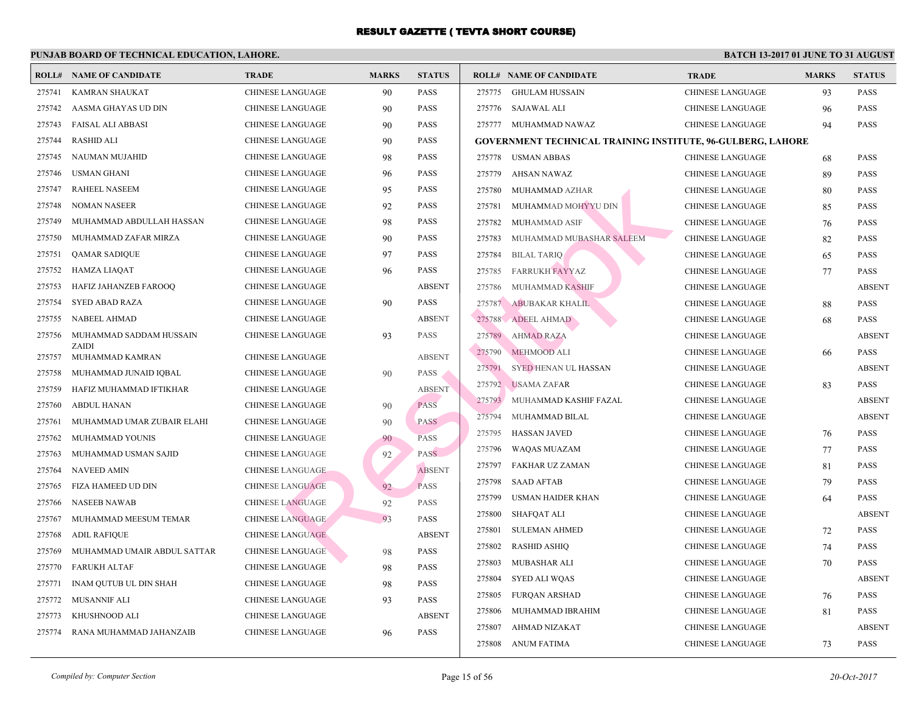|        | <b>ROLL# NAME OF CANDIDATE</b> | <b>TRADE</b>            | <b>MARKS</b> | <b>STATUS</b> |        | <b>ROLL# NAME OF CANDIDATE</b>           | <b>TRA</b>  |
|--------|--------------------------------|-------------------------|--------------|---------------|--------|------------------------------------------|-------------|
| 275741 | <b>KAMRAN SHAUKAT</b>          | <b>CHINESE LANGUAGE</b> | 90           | <b>PASS</b>   | 275775 | GHULAM HUSSAIN                           | <b>CHIN</b> |
| 275742 | AASMA GHAYAS UD DIN            | <b>CHINESE LANGUAGE</b> | 90           | <b>PASS</b>   |        | 275776 SAJAWAL ALI                       | <b>CHIN</b> |
| 275743 | <b>FAISAL ALI ABBASI</b>       | <b>CHINESE LANGUAGE</b> | 90           | <b>PASS</b>   |        | 275777 MUHAMMAD NAWAZ                    | <b>CHIN</b> |
| 275744 | <b>RASHID ALI</b>              | <b>CHINESE LANGUAGE</b> | 90           | <b>PASS</b>   |        | GOVERNMENT TECHNICAL TRAINING INSTITUTE, |             |
| 275745 | NAUMAN MUJAHID                 | <b>CHINESE LANGUAGE</b> | 98           | PASS          |        | 275778 USMAN ABBAS                       | <b>CHIN</b> |
| 275746 | <b>USMAN GHANI</b>             | <b>CHINESE LANGUAGE</b> | 96           | <b>PASS</b>   | 275779 | AHSAN NAWAZ                              | <b>CHIN</b> |
| 275747 | RAHEEL NASEEM                  | <b>CHINESE LANGUAGE</b> | 95           | <b>PASS</b>   | 275780 | MUHAMMAD AZHAR                           | <b>CHIN</b> |
| 275748 | <b>NOMAN NASEER</b>            | <b>CHINESE LANGUAGE</b> | 92           | <b>PASS</b>   | 275781 | MUHAMMAD MOHYYU DIN                      | <b>CHIN</b> |
| 275749 | MUHAMMAD ABDULLAH HASSAN       | <b>CHINESE LANGUAGE</b> | 98           | <b>PASS</b>   | 275782 | MUHAMMAD ASIF                            | <b>CHIN</b> |
| 275750 | MUHAMMAD ZAFAR MIRZA           | <b>CHINESE LANGUAGE</b> | 90           | <b>PASS</b>   | 275783 | MUHAMMAD MUBASHAR SALEEM                 | <b>CHIN</b> |
| 275751 | <b>QAMAR SADIQUE</b>           | <b>CHINESE LANGUAGE</b> | 97           | PASS          | 275784 | <b>BILAL TARIO</b>                       | <b>CHIN</b> |
| 275752 | <b>HAMZA LIAQAT</b>            | <b>CHINESE LANGUAGE</b> | 96           | <b>PASS</b>   | 275785 | <b>FARRUKH FAYYAZ</b>                    | <b>CHIN</b> |
| 275753 | HAFIZ JAHANZEB FAROOQ          | <b>CHINESE LANGUAGE</b> |              | <b>ABSENT</b> | 275786 | MUHAMMAD KASHIF                          | <b>CHIN</b> |
| 275754 | <b>SYED ABAD RAZA</b>          | <b>CHINESE LANGUAGE</b> | 90           | <b>PASS</b>   | 275787 | ABUBAKAR KHALIL                          | <b>CHIN</b> |
| 275755 | NABEEL AHMAD                   | <b>CHINESE LANGUAGE</b> |              | <b>ABSENT</b> | 275788 | ADEEL AHMAD                              | <b>CHIN</b> |
| 275756 | MUHAMMAD SADDAM HUSSAIN        | <b>CHINESE LANGUAGE</b> | 93           | <b>PASS</b>   | 275789 | <b>AHMAD RAZA</b>                        | <b>CHIN</b> |
| 275757 | ZAIDI<br>MUHAMMAD KAMRAN       | <b>CHINESE LANGUAGE</b> |              | <b>ABSENT</b> | 275790 | MEHMOOD ALI                              | <b>CHIN</b> |
| 275758 | MUHAMMAD JUNAID IQBAL          | <b>CHINESE LANGUAGE</b> | 90           | <b>PASS</b>   | 275791 | SYED HENAN UL HASSAN                     | <b>CHIN</b> |
| 275759 | HAFIZ MUHAMMAD IFTIKHAR        | <b>CHINESE LANGUAGE</b> |              | <b>ABSENT</b> | 275792 | <b>USAMA ZAFAR</b>                       | <b>CHIN</b> |
| 275760 | <b>ABDUL HANAN</b>             | <b>CHINESE LANGUAGE</b> | 90           | <b>PASS</b>   | 275793 | MUHAMMAD KASHIF FAZAL                    | <b>CHIN</b> |
| 275761 | MUHAMMAD UMAR ZUBAIR ELAHI     | <b>CHINESE LANGUAGE</b> | 90           | <b>PASS</b>   | 275794 | MUHAMMAD BILAL                           | <b>CHIN</b> |
| 275762 | MUHAMMAD YOUNIS                | <b>CHINESE LANGUAGE</b> | 90           | <b>PASS</b>   | 275795 | <b>HASSAN JAVED</b>                      | <b>CHIN</b> |
| 275763 | MUHAMMAD USMAN SAJID           | <b>CHINESE LANGUAGE</b> | 92           | PASS.         | 275796 | WAQAS MUAZAM                             | <b>CHIN</b> |
| 275764 | <b>NAVEED AMIN</b>             | <b>CHINESE LANGUAGE</b> |              | <b>ABSENT</b> | 275797 | FAKHAR UZ ZAMAN                          | <b>CHIN</b> |
| 275765 | FIZA HAMEED UD DIN             | <b>CHINESE LANGUAGE</b> | 92           | <b>PASS</b>   | 275798 | <b>SAAD AFTAB</b>                        | <b>CHIN</b> |
| 275766 | <b>NASEEB NAWAB</b>            | <b>CHINESE LANGUAGE</b> | 92           | <b>PASS</b>   | 275799 | USMAN HAIDER KHAN                        | <b>CHIN</b> |
| 275767 | MUHAMMAD MEESUM TEMAR          | <b>CHINESE LANGUAGE</b> | 93           | <b>PASS</b>   | 275800 | <b>SHAFQAT ALI</b>                       | <b>CHIN</b> |
| 275768 | <b>ADIL RAFIQUE</b>            | <b>CHINESE LANGUAGE</b> |              | <b>ABSENT</b> | 275801 | <b>SULEMAN AHMED</b>                     | <b>CHIN</b> |
| 275769 | MUHAMMAD UMAIR ABDUL SATTAR    | CHINESE LANGUAGE        | 98           | <b>PASS</b>   | 275802 | <b>RASHID ASHIQ</b>                      | <b>CHIN</b> |
| 275770 | <b>FARUKH ALTAF</b>            | <b>CHINESE LANGUAGE</b> | 98           | <b>PASS</b>   | 275803 | MUBASHAR ALI                             | <b>CHIN</b> |
| 275771 | INAM QUTUB UL DIN SHAH         | <b>CHINESE LANGUAGE</b> | 98           | <b>PASS</b>   | 275804 | <b>SYED ALI WOAS</b>                     | <b>CHIN</b> |
| 275772 | <b>MUSANNIF ALI</b>            | <b>CHINESE LANGUAGE</b> | 93           | <b>PASS</b>   | 275805 | <b>FURQAN ARSHAD</b>                     | <b>CHIN</b> |
| 275773 | KHUSHNOOD ALI                  | <b>CHINESE LANGUAGE</b> |              | <b>ABSENT</b> | 275806 | MUHAMMAD IBRAHIM                         | <b>CHIN</b> |
| 275774 | RANA MUHAMMAD JAHANZAIB        | <b>CHINESE LANGUAGE</b> | 96           | <b>PASS</b>   | 275807 | AHMAD NIZAKAT                            | <b>CHIN</b> |
|        |                                |                         |              |               |        | 275808 ANUM FATIMA                       | <b>CHIN</b> |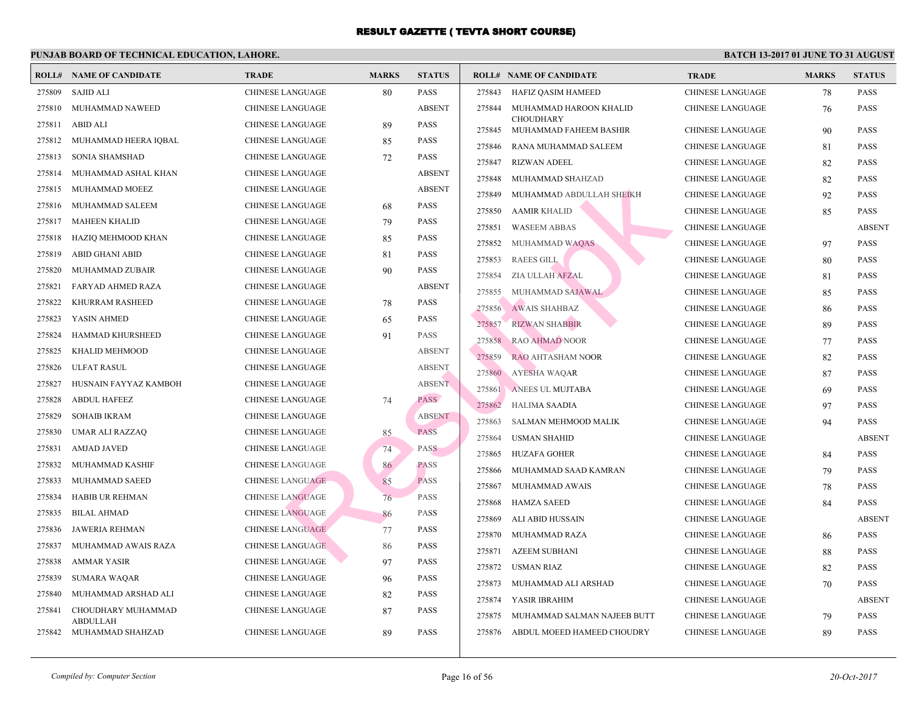|        | <b>ROLL# NAME OF CANDIDATE</b>      | <b>TRADE</b>            | <b>MARKS</b> | <b>STATUS</b> |         | <b>ROLL# NAME OF CANDIDATE</b>             | <b>TRA</b>  |
|--------|-------------------------------------|-------------------------|--------------|---------------|---------|--------------------------------------------|-------------|
| 275809 | <b>SAJID ALI</b>                    | <b>CHINESE LANGUAGE</b> | 80           | <b>PASS</b>   | 275843  | HAFIZ OASIM HAMEED                         | CHIN.       |
| 275810 | MUHAMMAD NAWEED                     | <b>CHINESE LANGUAGE</b> |              | <b>ABSENT</b> | 275844  | MUHAMMAD HAROON KHALID                     | <b>CHIN</b> |
| 275811 | ABID ALI                            | CHINESE LANGUAGE        | 89           | <b>PASS</b>   | 275845  | <b>CHOUDHARY</b><br>MUHAMMAD FAHEEM BASHIR | <b>CHIN</b> |
| 275812 | MUHAMMAD HEERA IQBAL                | CHINESE LANGUAGE        | 85           | <b>PASS</b>   | 275846  | RANA MUHAMMAD SALEEM                       | <b>CHIN</b> |
| 275813 | SONIA SHAMSHAD                      | CHINESE LANGUAGE        | 72           | <b>PASS</b>   | 275847  | <b>RIZWAN ADEEL</b>                        | <b>CHIN</b> |
| 275814 | MUHAMMAD ASHAL KHAN                 | CHINESE LANGUAGE        |              | <b>ABSENT</b> | 275848  | MUHAMMAD SHAHZAD                           | <b>CHIN</b> |
| 275815 | MUHAMMAD MOEEZ                      | <b>CHINESE LANGUAGE</b> |              | <b>ABSENT</b> | 275849  | MUHAMMAD ABDULLAH SHEIKH                   | <b>CHIN</b> |
| 275816 | MUHAMMAD SALEEM                     | CHINESE LANGUAGE        | 68           | <b>PASS</b>   | 275850  | <b>AAMIR KHALID</b>                        | <b>CHIN</b> |
| 275817 | <b>MAHEEN KHALID</b>                | CHINESE LANGUAGE        | 79           | <b>PASS</b>   | 275851  | <b>WASEEM ABBAS</b>                        | <b>CHIN</b> |
| 275818 | HAZIQ MEHMOOD KHAN                  | <b>CHINESE LANGUAGE</b> | 85           | <b>PASS</b>   | 275852  | MUHAMMAD WAQAS                             | <b>CHIN</b> |
| 275819 | <b>ABID GHANI ABID</b>              | CHINESE LANGUAGE        | 81           | <b>PASS</b>   | 275853  | <b>RAEES GILL</b>                          | <b>CHIN</b> |
| 275820 | MUHAMMAD ZUBAIR                     | CHINESE LANGUAGE        | 90           | <b>PASS</b>   | 275854  | ZIA ULLAH AFZAL                            | <b>CHIN</b> |
| 275821 | FARYAD AHMED RAZA                   | CHINESE LANGUAGE        |              | <b>ABSENT</b> | 275855. | MUHAMMAD SAJAWAL                           | <b>CHIN</b> |
| 275822 | KHURRAM RASHEED                     | CHINESE LANGUAGE        | 78           | <b>PASS</b>   | 275856  | <b>AWAIS SHAHBAZ</b>                       | <b>CHIN</b> |
| 275823 | YASIN AHMED                         | CHINESE LANGUAGE        | 65           | <b>PASS</b>   | 275857  | <b>RIZWAN SHABBIR</b>                      | <b>CHIN</b> |
| 275824 | HAMMAD KHURSHEED                    | CHINESE LANGUAGE        | 91           | <b>PASS</b>   | 275858  | <b>RAO AHMAD NOOR</b>                      | <b>CHIN</b> |
| 275825 | KHALID MEHMOOD                      | <b>CHINESE LANGUAGE</b> |              | <b>ABSENT</b> | 275859  | RAO AHTASHAM NOOR                          | <b>CHIN</b> |
| 275826 | ULFAT RASUL                         | <b>CHINESE LANGUAGE</b> |              | <b>ABSENT</b> | 275860  | <b>AYESHA WAQAR</b>                        | <b>CHIN</b> |
| 275827 | HUSNAIN FAYYAZ KAMBOH               | <b>CHINESE LANGUAGE</b> |              | <b>ABSENT</b> | 275861  | ANEES UL MUJTABA                           | <b>CHIN</b> |
| 275828 | <b>ABDUL HAFEEZ</b>                 | <b>CHINESE LANGUAGE</b> | 74           | <b>PASS</b>   | 275862  | HALIMA SAADIA                              | <b>CHIN</b> |
| 275829 | <b>SOHAIB IKRAM</b>                 | CHINESE LANGUAGE        |              | <b>ABSENT</b> | 275863  | SALMAN MEHMOOD MALIK                       | <b>CHIN</b> |
| 275830 | UMAR ALI RAZZAQ                     | <b>CHINESE LANGUAGE</b> | 85           | <b>PASS</b>   | 275864  | <b>USMAN SHAHID</b>                        | <b>CHIN</b> |
| 275831 | <b>AMJAD JAVED</b>                  | <b>CHINESE LANGUAGE</b> | 74           | <b>PASS</b>   | 275865  | <b>HUZAFA GOHER</b>                        | <b>CHIN</b> |
| 275832 | MUHAMMAD KASHIF                     | <b>CHINESE LANGUAGE</b> | 86           | <b>PASS</b>   | 275866  | MUHAMMAD SAAD KAMRAN                       | <b>CHIN</b> |
| 275833 | MUHAMMAD SAEED                      | <b>CHINESE LANGUAGE</b> | 85           | <b>PASS</b>   | 275867  | MUHAMMAD AWAIS                             | <b>CHIN</b> |
| 275834 | <b>HABIB UR REHMAN</b>              | <b>CHINESE LANGUAGE</b> | 76           | <b>PASS</b>   | 275868  | <b>HAMZA SAEED</b>                         | <b>CHIN</b> |
| 275835 | <b>BILAL AHMAD</b>                  | <b>CHINESE LANGUAGE</b> | 86           | PASS          | 275869  | ALI ABID HUSSAIN                           | <b>CHIN</b> |
| 275836 | JAWERIA REHMAN                      | <b>CHINESE LANGUAGE</b> | 77           | <b>PASS</b>   | 275870  | MUHAMMAD RAZA                              | <b>CHIN</b> |
| 275837 | MUHAMMAD AWAIS RAZA                 | <b>CHINESE LANGUAGE</b> | 86           | <b>PASS</b>   | 275871  | <b>AZEEM SUBHANI</b>                       | <b>CHIN</b> |
| 275838 | <b>AMMAR YASIR</b>                  | CHINESE LANGUAGE        | 97           | <b>PASS</b>   | 275872  | USMAN RIAZ                                 | <b>CHIN</b> |
| 275839 | <b>SUMARA WAQAR</b>                 | <b>CHINESE LANGUAGE</b> | 96           | <b>PASS</b>   | 275873  | MUHAMMAD ALI ARSHAD                        | <b>CHIN</b> |
| 275840 | MUHAMMAD ARSHAD ALI                 | <b>CHINESE LANGUAGE</b> | 82           | <b>PASS</b>   | 275874  | YASIR IBRAHIM                              | <b>CHIN</b> |
| 275841 | CHOUDHARY MUHAMMAD                  | <b>CHINESE LANGUAGE</b> | 87           | <b>PASS</b>   | 275875  | MUHAMMAD SALMAN NAJEEB BUTT                | <b>CHIN</b> |
| 275842 | <b>ABDULLAH</b><br>MUHAMMAD SHAHZAD | <b>CHINESE LANGUAGE</b> | 89           | <b>PASS</b>   | 275876  | ABDUL MOEED HAMEED CHOUDRY                 | <b>CHIN</b> |
|        |                                     |                         |              |               |         |                                            |             |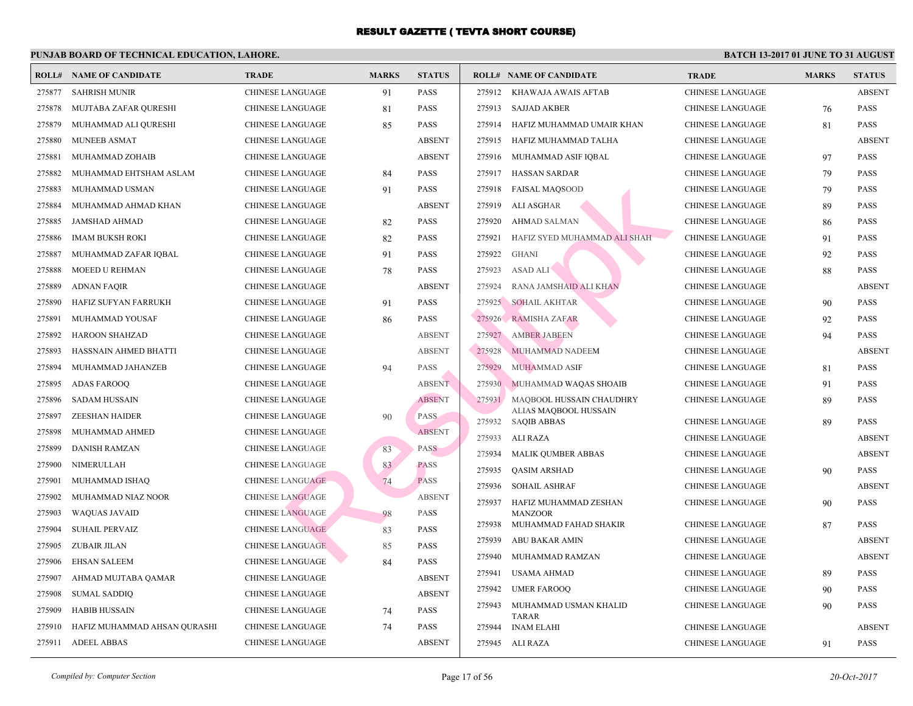|        | <b>ROLL# NAME OF CANDIDATE</b> | <b>TRADE</b>            | <b>MARKS</b> | <b>STATUS</b> |        | <b>ROLL# NAME OF CANDIDATE</b>              | <b>TRA</b>  |
|--------|--------------------------------|-------------------------|--------------|---------------|--------|---------------------------------------------|-------------|
| 275877 | <b>SAHRISH MUNIR</b>           | <b>CHINESE LANGUAGE</b> | 91           | <b>PASS</b>   | 275912 | KHAWAJA AWAIS AFTAB                         | CHIN.       |
| 275878 | MUJTABA ZAFAR QURESHI          | CHINESE LANGUAGE        | 81           | PASS          | 275913 | <b>SAJJAD AKBER</b>                         | CHIN.       |
| 275879 | MUHAMMAD ALI QURESHI           | <b>CHINESE LANGUAGE</b> | 85           | <b>PASS</b>   | 275914 | HAFIZ MUHAMMAD UMAIR KHAN                   | <b>CHIN</b> |
| 275880 | MUNEEB ASMAT                   | CHINESE LANGUAGE        |              | <b>ABSENT</b> | 275915 | HAFIZ MUHAMMAD TALHA                        | <b>CHIN</b> |
| 275881 | MUHAMMAD ZOHAIB                | CHINESE LANGUAGE        |              | <b>ABSENT</b> | 275916 | MUHAMMAD ASIF IQBAL                         | <b>CHIN</b> |
| 275882 | MUHAMMAD EHTSHAM ASLAM         | CHINESE LANGUAGE        | 84           | <b>PASS</b>   | 275917 | HASSAN SARDAR                               | CHIN.       |
| 275883 | MUHAMMAD USMAN                 | <b>CHINESE LANGUAGE</b> | 91           | <b>PASS</b>   | 275918 | FAISAL MAOSOOD                              | <b>CHIN</b> |
| 275884 | MUHAMMAD AHMAD KHAN            | CHINESE LANGUAGE        |              | <b>ABSENT</b> | 275919 | ALI ASGHAR                                  | <b>CHIN</b> |
| 275885 | JAMSHAD AHMAD                  | CHINESE LANGUAGE        | 82           | <b>PASS</b>   | 275920 | <b>AHMAD SALMAN</b>                         | CHIN.       |
| 275886 | <b>IMAM BUKSH ROKI</b>         | CHINESE LANGUAGE        | 82           | <b>PASS</b>   | 275921 | HAFIZ SYED MUHAMMAD ALI SHAH                | <b>CHIN</b> |
| 275887 | MUHAMMAD ZAFAR IQBAL           | CHINESE LANGUAGE        | 91           | <b>PASS</b>   | 275922 | <b>GHANI</b>                                | CHIN.       |
| 275888 | MOEED U REHMAN                 | CHINESE LANGUAGE        | 78           | <b>PASS</b>   | 275923 | <b>ASAD ALI</b>                             | <b>CHIN</b> |
| 275889 | <b>ADNAN FAQIR</b>             | CHINESE LANGUAGE        |              | <b>ABSENT</b> | 275924 | RANA JAMSHAID ALI KHAN                      | <b>CHIN</b> |
| 275890 | HAFIZ SUFYAN FARRUKH           | CHINESE LANGUAGE        | 91           | PASS          | 275925 | <b>SOHAIL AKHTAR</b>                        | <b>CHIN</b> |
| 275891 | MUHAMMAD YOUSAF                | <b>CHINESE LANGUAGE</b> | 86           | <b>PASS</b>   | 275926 | RAMISHA ZAFAR                               | <b>CHIN</b> |
| 275892 | HAROON SHAHZAD                 | CHINESE LANGUAGE        |              | <b>ABSENT</b> | 275927 | <b>AMBER JABEEN</b>                         | CHIN.       |
| 275893 | HASSNAIN AHMED BHATTI          | <b>CHINESE LANGUAGE</b> |              | <b>ABSENT</b> | 275928 | MUHAMMAD NADEEM                             | CHIN.       |
| 275894 | MUHAMMAD JAHANZEB              | CHINESE LANGUAGE        | 94           | <b>PASS</b>   | 275929 | <b>MUHAMMAD ASIF</b>                        | CHIN.       |
| 275895 | ADAS FAROOQ                    | <b>CHINESE LANGUAGE</b> |              | <b>ABSENT</b> | 275930 | MUHAMMAD WAQAS SHOAIB                       | <b>CHIN</b> |
| 275896 | <b>SADAM HUSSAIN</b>           | <b>CHINESE LANGUAGE</b> |              | <b>ABSENT</b> | 275931 | MAQBOOL HUSSAIN CHAUDHRY                    | <b>CHIN</b> |
| 275897 | <b>ZEESHAN HAIDER</b>          | <b>CHINESE LANGUAGE</b> | 90           | <b>PASS</b>   | 275932 | ALIAS MAQBOOL HUSSAIN<br><b>SAQIB ABBAS</b> | CHIN.       |
| 275898 | MUHAMMAD AHMED                 | CHINESE LANGUAGE        |              | <b>ABSENT</b> | 275933 | ALI RAZA                                    | <b>CHIN</b> |
| 275899 | <b>DANISH RAMZAN</b>           | <b>CHINESE LANGUAGE</b> | 83           | <b>PASS</b>   | 275934 | <b>MALIK QUMBER ABBAS</b>                   | CHIN.       |
| 275900 | NIMERULLAH                     | <b>CHINESE LANGUAGE</b> | 83           | <b>PASS</b>   | 275935 | <b>QASIM ARSHAD</b>                         | <b>CHIN</b> |
| 275901 | MUHAMMAD ISHAQ                 | <b>CHINESE LANGUAGE</b> | 74           | <b>PASS</b>   | 275936 | <b>SOHAIL ASHRAF</b>                        | CHIN.       |
| 275902 | MUHAMMAD NIAZ NOOR             | <b>CHINESE LANGUAGE</b> |              | <b>ABSENT</b> | 275937 | HAFIZ MUHAMMAD ZESHAN                       | <b>CHIN</b> |
| 275903 | WAQUAS JAVAID                  | <b>CHINESE LANGUAGE</b> | 98           | PASS          |        | <b>MANZOOR</b>                              |             |
| 275904 | <b>SUHAIL PERVAIZ</b>          | <b>CHINESE LANGUAGE</b> | 83           | <b>PASS</b>   | 275938 | MUHAMMAD FAHAD SHAKIR                       | <b>CHIN</b> |
| 275905 | ZUBAIR JILAN                   | <b>CHINESE LANGUAGE</b> | 85           | <b>PASS</b>   | 275939 | ABU BAKAR AMIN                              | CHIN.       |
| 275906 | <b>EHSAN SALEEM</b>            | CHINESE LANGUAGE        | 84           | <b>PASS</b>   | 275940 | MUHAMMAD RAMZAN                             | CHIN.       |
| 275907 | AHMAD MUJTABA QAMAR            | <b>CHINESE LANGUAGE</b> |              | <b>ABSENT</b> | 275941 | <b>USAMA AHMAD</b>                          | CHIN.       |
| 275908 | <b>SUMAL SADDIQ</b>            | CHINESE LANGUAGE        |              | <b>ABSENT</b> | 275942 | <b>UMER FAROOQ</b>                          | <b>CHIN</b> |
| 275909 | <b>HABIB HUSSAIN</b>           | CHINESE LANGUAGE        | 74           | <b>PASS</b>   | 275943 | MUHAMMAD USMAN KHALID<br><b>TARAR</b>       | CHIN.       |
| 275910 | HAFIZ MUHAMMAD AHSAN QURASHI   | CHINESE LANGUAGE        | 74           | <b>PASS</b>   | 275944 | <b>INAM ELAHI</b>                           | CHIN.       |
| 275911 | <b>ADEEL ABBAS</b>             | CHINESE LANGUAGE        |              | <b>ABSENT</b> | 275945 | ALI RAZA                                    | CHIN.       |
|        |                                |                         |              |               |        |                                             |             |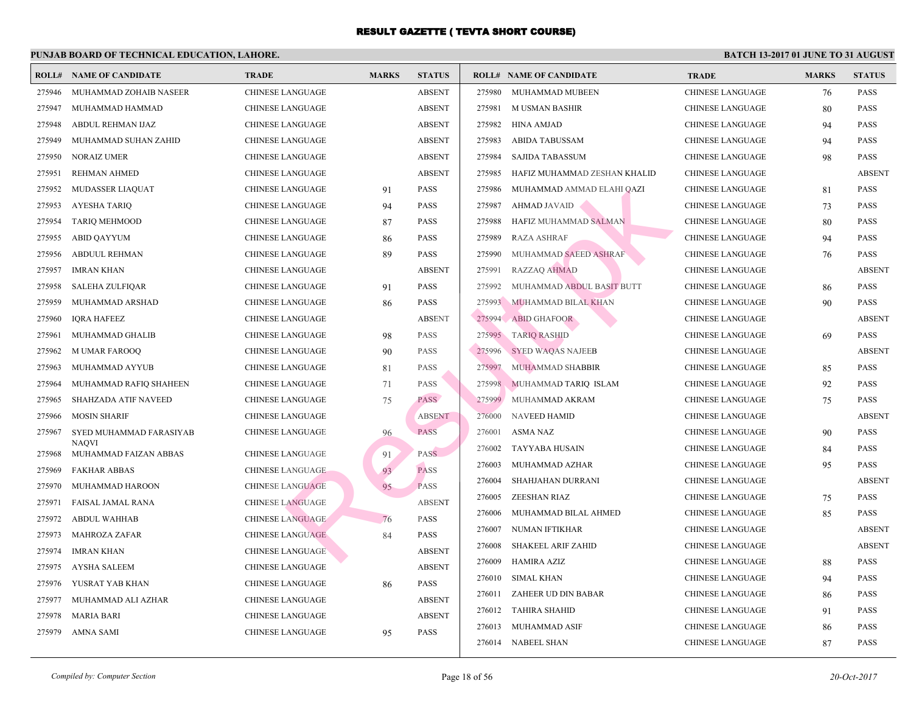|                  | <b>ROLL# NAME OF CANDIDATE</b>        | <b>TRADE</b>                                       | <b>MARKS</b> | <b>STATUS</b> |        | <b>ROLL# NAME OF CANDIDATE</b> | <b>TRA</b>  |
|------------------|---------------------------------------|----------------------------------------------------|--------------|---------------|--------|--------------------------------|-------------|
| 275946           | MUHAMMAD ZOHAIB NASEER                | <b>CHINESE LANGUAGE</b>                            |              | <b>ABSENT</b> | 275980 | MUHAMMAD MUBEEN                | <b>CHIN</b> |
| 275947           | MUHAMMAD HAMMAD                       | <b>CHINESE LANGUAGE</b>                            |              | <b>ABSENT</b> | 275981 | M USMAN BASHIR                 | <b>CHIN</b> |
| 275948           | ABDUL REHMAN IJAZ                     | <b>CHINESE LANGUAGE</b>                            |              | <b>ABSENT</b> | 275982 | HINA AMJAD                     | <b>CHIN</b> |
| 275949           | MUHAMMAD SUHAN ZAHID                  | CHINESE LANGUAGE                                   |              | <b>ABSENT</b> | 275983 | <b>ABIDA TABUSSAM</b>          | <b>CHIN</b> |
| 275950           | <b>NORAIZ UMER</b>                    | <b>CHINESE LANGUAGE</b>                            |              | <b>ABSENT</b> | 275984 | <b>SAJIDA TABASSUM</b>         | <b>CHIN</b> |
| 275951           | REHMAN AHMED                          | CHINESE LANGUAGE                                   |              | <b>ABSENT</b> | 275985 | HAFIZ MUHAMMAD ZESHAN KHALID   | <b>CHIN</b> |
| 275952           | <b>MUDASSER LIAQUAT</b>               | <b>CHINESE LANGUAGE</b>                            | 91           | PASS          | 275986 | MUHAMMAD AMMAD ELAHI QAZI      | <b>CHIN</b> |
| 275953           | <b>AYESHA TARIQ</b>                   | <b>CHINESE LANGUAGE</b>                            | 94           | PASS          | 275987 | AHMAD JAVAID                   | <b>CHIN</b> |
| 275954           | <b>TARIQ MEHMOOD</b>                  | <b>CHINESE LANGUAGE</b>                            | 87           | PASS          | 275988 | HAFIZ MUHAMMAD SALMAN          | <b>CHIN</b> |
| 275955           | <b>ABID QAYYUM</b>                    | <b>CHINESE LANGUAGE</b>                            | 86           | PASS          | 275989 | <b>RAZA ASHRAF</b>             | <b>CHIN</b> |
| 275956           | ABDUUL REHMAN                         | <b>CHINESE LANGUAGE</b>                            | 89           | PASS          | 275990 | MUHAMMAD SAEED ASHRAF          | <b>CHIN</b> |
| 275957           | <b>IMRAN KHAN</b>                     | <b>CHINESE LANGUAGE</b>                            |              | <b>ABSENT</b> | 275991 | <b>RAZZAQ AHMAD</b>            | <b>CHIN</b> |
| 275958           | <b>SALEHA ZULFIQAR</b>                | <b>CHINESE LANGUAGE</b>                            | 91           | <b>PASS</b>   | 275992 | MUHAMMAD ABDUL BASIT BUTT      | <b>CHIN</b> |
| 275959           | MUHAMMAD ARSHAD                       | <b>CHINESE LANGUAGE</b>                            | 86           | <b>PASS</b>   | 275993 | MUHAMMAD BILAL KHAN            | <b>CHIN</b> |
| 275960           | <b>IQRA HAFEEZ</b>                    | <b>CHINESE LANGUAGE</b>                            |              | <b>ABSENT</b> | 275994 | ABID GHAFOOR                   | <b>CHIN</b> |
| 275961           | MUHAMMAD GHALIB                       | <b>CHINESE LANGUAGE</b>                            | 98           | <b>PASS</b>   | 275995 | <b>TARIQ RASHID</b>            | <b>CHIN</b> |
| 275962           | <b>MUMAR FAROOQ</b>                   | <b>CHINESE LANGUAGE</b>                            | 90           | PASS          | 275996 | <b>SYED WAQAS NAJEEB</b>       | <b>CHIN</b> |
| 275963           | MUHAMMAD AYYUB                        | <b>CHINESE LANGUAGE</b>                            | 81           | PASS          | 275997 | MUHAMMAD SHABBIR               | <b>CHIN</b> |
| 275964           | MUHAMMAD RAFIQ SHAHEEN                | <b>CHINESE LANGUAGE</b>                            | 71           | PASS          | 275998 | MUHAMMAD TARIQ ISLAM           | <b>CHIN</b> |
| 275965           | SHAHZADA ATIF NAVEED                  | CHINESE LANGUAGE                                   | 75           | <b>PASS</b>   | 275999 | MUHAMMAD AKRAM                 | <b>CHIN</b> |
| 275966           | <b>MOSIN SHARIF</b>                   | <b>CHINESE LANGUAGE</b>                            |              | <b>ABSENT</b> | 276000 | <b>NAVEED HAMID</b>            | <b>CHIN</b> |
| 275967           | SYED MUHAMMAD FARASIYAB               | CHINESE LANGUAGE                                   | 96           | <b>PASS</b>   | 276001 | ASMA NAZ                       | <b>CHIN</b> |
| 275968           | <b>NAOVI</b><br>MUHAMMAD FAIZAN ABBAS | <b>CHINESE LANGUAGE</b>                            | 91           | PASS          | 276002 | TAYYABA HUSAIN                 | <b>CHIN</b> |
| 275969           | <b>FAKHAR ABBAS</b>                   | <b>CHINESE LANGUAGE</b>                            | 93           | <b>PASS</b>   | 276003 | MUHAMMAD AZHAR                 | <b>CHIN</b> |
| 275970           | MUHAMMAD HAROON                       | <b>CHINESE LANGUAGE</b>                            | 95           | <b>PASS</b>   | 276004 | SHAHJAHAN DURRANI              | <b>CHIN</b> |
| 275971           | FAISAL JAMAL RANA                     | <b>CHINESE LANGUAGE</b>                            |              | <b>ABSENT</b> | 276005 | ZEESHAN RIAZ                   | <b>CHIN</b> |
| 275972           | <b>ABDUL WAHHAB</b>                   | <b>CHINESE LANGUAGE</b>                            | 76           | PASS          | 276006 | MUHAMMAD BILAL AHMED           | <b>CHIN</b> |
| 275973           | <b>MAHROZA ZAFAR</b>                  | <b>CHINESE LANGUAGE</b>                            | 84           | <b>PASS</b>   | 276007 | NUMAN IFTIKHAR                 | <b>CHIN</b> |
| 275974           | <b>IMRAN KHAN</b>                     | <b>CHINESE LANGUAGE</b>                            |              | <b>ABSENT</b> | 276008 | <b>SHAKEEL ARIF ZAHID</b>      | <b>CHIN</b> |
| 275975           | <b>AYSHA SALEEM</b>                   | <b>CHINESE LANGUAGE</b>                            |              | <b>ABSENT</b> | 276009 | HAMIRA AZIZ                    | <b>CHIN</b> |
| 275976           | YUSRAT YAB KHAN                       | <b>CHINESE LANGUAGE</b>                            |              | <b>PASS</b>   | 276010 | <b>SIMAL KHAN</b>              | <b>CHIN</b> |
| 275977           | MUHAMMAD ALI AZHAR                    | <b>CHINESE LANGUAGE</b>                            | 86           | <b>ABSENT</b> | 276011 | ZAHEER UD DIN BABAR            | <b>CHIN</b> |
|                  |                                       |                                                    |              | <b>ABSENT</b> | 276012 | <b>TAHIRA SHAHID</b>           | <b>CHIN</b> |
| 275978<br>275979 | <b>MARIA BARI</b><br>AMNA SAMI        | <b>CHINESE LANGUAGE</b><br><b>CHINESE LANGUAGE</b> |              | <b>PASS</b>   | 276013 | MUHAMMAD ASIF                  | <b>CHIN</b> |
|                  |                                       |                                                    | 95           |               |        | 276014 NABEEL SHAN             | <b>CHIN</b> |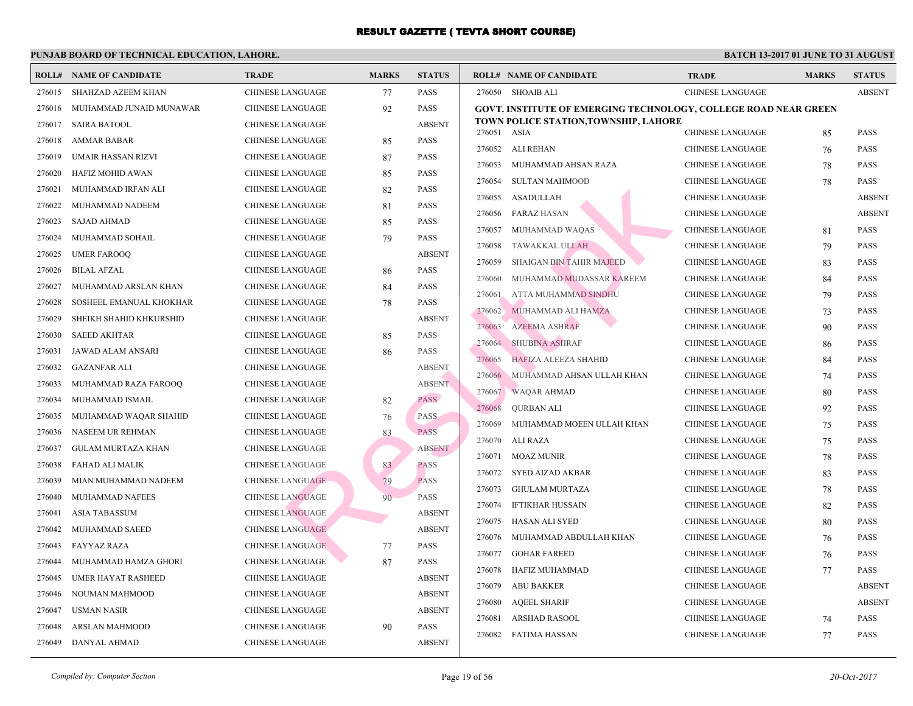|        | <b>ROLL# NAME OF CANDIDATE</b> | <b>TRADE</b>            | <b>MARKS</b> | <b>STATUS</b> |        | <b>ROLL# NAME OF CANDIDATE</b>                   | <b>TRA</b>  |
|--------|--------------------------------|-------------------------|--------------|---------------|--------|--------------------------------------------------|-------------|
| 276015 | SHAHZAD AZEEM KHAN             | CHINESE LANGUAGE        | 77           | <b>PASS</b>   |        | 276050 SHOAIB ALI                                | <b>CHIN</b> |
| 276016 | MUHAMMAD JUNAID MUNAWAR        | CHINESE LANGUAGE        | 92           | PASS          |        | <b>GOVT. INSTITUTE OF EMERGING TECHNOLOGY, C</b> |             |
| 276017 | <b>SAIRA BATOOL</b>            | CHINESE LANGUAGE        |              | <b>ABSENT</b> |        | TOWN POLICE STATION, TOWNSHIP, LAHORE            |             |
| 276018 | <b>AMMAR BABAR</b>             | <b>CHINESE LANGUAGE</b> | 85           | <b>PASS</b>   | 276051 | ASIA                                             | <b>CHIN</b> |
| 276019 | UMAIR HASSAN RIZVI             | CHINESE LANGUAGE        | 87           | PASS          | 276052 | ALI REHAN                                        | <b>CHIN</b> |
| 276020 | HAFIZ MOHID AWAN               | CHINESE LANGUAGE        | 85           | <b>PASS</b>   | 276053 | MUHAMMAD AHSAN RAZA                              | <b>CHIN</b> |
| 276021 | MUHAMMAD IRFAN ALI             | CHINESE LANGUAGE        | 82           | <b>PASS</b>   | 276054 | <b>SULTAN MAHMOOD</b>                            | <b>CHIN</b> |
| 276022 | MUHAMMAD NADEEM                | <b>CHINESE LANGUAGE</b> | 81           | <b>PASS</b>   | 276055 | <b>ASADULLAH</b>                                 | CHIN.       |
| 276023 | <b>SAJAD AHMAD</b>             | <b>CHINESE LANGUAGE</b> | 85           | <b>PASS</b>   | 276056 | <b>FARAZ HASAN</b>                               | CHIN.       |
| 276024 | MUHAMMAD SOHAIL                | CHINESE LANGUAGE        | 79           | <b>PASS</b>   | 276057 | MUHAMMAD WAQAS                                   | CHIN.       |
| 276025 | <b>UMER FAROOQ</b>             | <b>CHINESE LANGUAGE</b> |              | <b>ABSENT</b> | 276058 | TAWAKKAL ULLAH                                   | CHIN.       |
| 276026 | <b>BILAL AFZAL</b>             | <b>CHINESE LANGUAGE</b> | 86           | <b>PASS</b>   | 276059 | <b>SHAIGAN BIN TAHIR MAJEED</b>                  | <b>CHIN</b> |
| 276027 | MUHAMMAD ARSLAN KHAN           | <b>CHINESE LANGUAGE</b> | 84           | <b>PASS</b>   | 276060 | MUHAMMAD MUDASSAR KAREEM                         | <b>CHIN</b> |
| 276028 | SOSHEEL EMANUAL KHOKHAR        | CHINESE LANGUAGE        | 78           | <b>PASS</b>   | 276061 | ATTA MUHAMMAD SINDHU                             | <b>CHIN</b> |
| 276029 | SHEIKH SHAHID KHKURSHID        | CHINESE LANGUAGE        |              | <b>ABSENT</b> | 276062 | MUHAMMAD ALI HAMZA                               | <b>CHIN</b> |
| 276030 | <b>SAEED AKHTAR</b>            | <b>CHINESE LANGUAGE</b> | 85           | <b>PASS</b>   | 276063 | <b>AZEEMA ASHRAF</b>                             | <b>CHIN</b> |
| 276031 | JAWAD ALAM ANSARI              | <b>CHINESE LANGUAGE</b> | 86           | <b>PASS</b>   | 276064 | <b>SHUBINA ASHRAF</b>                            | <b>CHIN</b> |
| 276032 | <b>GAZANFAR ALI</b>            | <b>CHINESE LANGUAGE</b> |              | <b>ABSENT</b> | 276065 | <b>HAFIZA ALEEZA SHAHID</b>                      | <b>CHIN</b> |
| 276033 | MUHAMMAD RAZA FAROOQ           | CHINESE LANGUAGE        |              | <b>ABSENT</b> | 276066 | MUHAMMAD AHSAN ULLAH KHAN                        | <b>CHIN</b> |
| 276034 | MUHAMMAD ISMAIL                | CHINESE LANGUAGE        | 82           | <b>PASS</b>   | 276067 | <b>WAQAR AHMAD</b>                               | CHIN.       |
| 276035 | MUHAMMAD WAQAR SHAHID          | <b>CHINESE LANGUAGE</b> | 76           | <b>PASS</b>   | 276068 | <b>QURBAN ALI</b>                                | CHIN.       |
| 276036 | NASEEM UR REHMAN               | CHINESE LANGUAGE        | 83           | <b>PASS</b>   | 276069 | MUHAMMAD MOEEN ULLAH KHAN                        | <b>CHIN</b> |
| 276037 | <b>GULAM MURTAZA KHAN</b>      | <b>CHINESE LANGUAGE</b> |              | <b>ABSENT</b> | 276070 | ALI RAZA                                         | <b>CHIN</b> |
| 276038 | FAHAD ALI MALIK                | <b>CHINESE LANGUAGE</b> | 83           | <b>PASS</b>   | 276071 | MOAZ MUNIR                                       | <b>CHIN</b> |
| 276039 | MIAN MUHAMMAD NADEEM           | <b>CHINESE LANGUAGE</b> | 79           | <b>PASS</b>   | 276072 | SYED AIZAD AKBAR                                 | <b>CHIN</b> |
| 276040 | <b>MUHAMMAD NAFEES</b>         | <b>CHINESE LANGUAGE</b> | 90           | <b>PASS</b>   | 276073 | <b>GHULAM MURTAZA</b>                            | <b>CHIN</b> |
| 276041 | ASIA TABASSUM                  | <b>CHINESE LANGUAGE</b> |              | <b>ABSENT</b> | 276074 | <b>IFTIKHAR HUSSAIN</b>                          | <b>CHIN</b> |
| 276042 | MUHAMMAD SAEED                 | <b>CHINESE LANGUAGE</b> |              | <b>ABSENT</b> | 276075 | HASAN ALI SYED                                   | <b>CHIN</b> |
| 276043 | FAYYAZ RAZA                    | <b>CHINESE LANGUAGE</b> | 77           | <b>PASS</b>   | 276076 | MUHAMMAD ABDULLAH KHAN                           | CHIN.       |
| 276044 | MUHAMMAD HAMZA GHORI           | CHINESE LANGUAGE        | 87           | <b>PASS</b>   | 276077 | <b>GOHAR FAREED</b>                              | <b>CHIN</b> |
| 276045 | <b>UMER HAYAT RASHEED</b>      | CHINESE LANGUAGE        |              | <b>ABSENT</b> | 276078 | HAFIZ MUHAMMAD                                   | <b>CHIN</b> |
| 276046 | NOUMAN MAHMOOD                 | <b>CHINESE LANGUAGE</b> |              | <b>ABSENT</b> | 276079 | <b>ABU BAKKER</b>                                | <b>CHIN</b> |
| 276047 | <b>USMAN NASIR</b>             | CHINESE LANGUAGE        |              | <b>ABSENT</b> | 276080 | <b>AQEEL SHARIF</b>                              | <b>CHIN</b> |
| 276048 | <b>ARSLAN MAHMOOD</b>          | <b>CHINESE LANGUAGE</b> | 90           | <b>PASS</b>   | 276081 | <b>ARSHAD RASOOL</b>                             | <b>CHIN</b> |
| 276049 | DANYAL AHMAD                   | <b>CHINESE LANGUAGE</b> |              | <b>ABSENT</b> | 276082 | FATIMA HASSAN                                    | <b>CHIN</b> |
|        |                                |                         |              |               |        |                                                  |             |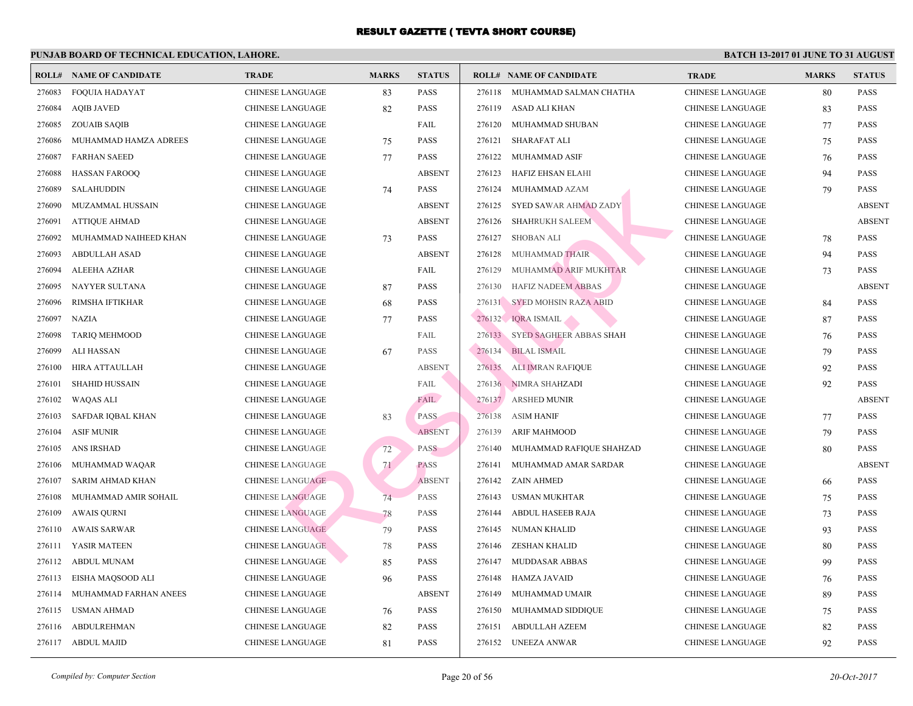| ROLL#  | <b>NAME OF CANDIDATE</b> | <b>TRADE</b>            | <b>MARKS</b> | <b>STATUS</b> |        | <b>ROLL# NAME OF CANDIDATE</b> | <b>TRA</b>  |
|--------|--------------------------|-------------------------|--------------|---------------|--------|--------------------------------|-------------|
| 276083 | <b>FOQUIA HADAYAT</b>    | CHINESE LANGUAGE        | 83           | <b>PASS</b>   | 276118 | MUHAMMAD SALMAN CHATHA         | <b>CHIN</b> |
| 276084 | <b>AQIB JAVED</b>        | CHINESE LANGUAGE        | 82           | <b>PASS</b>   | 276119 | ASAD ALI KHAN                  | <b>CHIN</b> |
| 276085 | <b>ZOUAIB SAQIB</b>      | <b>CHINESE LANGUAGE</b> |              | FAIL          | 276120 | MUHAMMAD SHUBAN                | CHIN.       |
| 276086 | MUHAMMAD HAMZA ADREES    | <b>CHINESE LANGUAGE</b> | 75           | <b>PASS</b>   | 276121 | <b>SHARAFAT ALI</b>            | CHIN.       |
| 276087 | <b>FARHAN SAEED</b>      | <b>CHINESE LANGUAGE</b> | 77           | <b>PASS</b>   | 276122 | MUHAMMAD ASIF                  | <b>CHIN</b> |
| 276088 | <b>HASSAN FAROOQ</b>     | <b>CHINESE LANGUAGE</b> |              | <b>ABSENT</b> | 276123 | HAFIZ EHSAN ELAHI              | CHIN.       |
| 276089 | <b>SALAHUDDIN</b>        | CHINESE LANGUAGE        | 74           | <b>PASS</b>   | 276124 | MUHAMMAD AZAM                  | <b>CHIN</b> |
| 276090 | MUZAMMAL HUSSAIN         | CHINESE LANGUAGE        |              | <b>ABSENT</b> | 276125 | SYED SAWAR AHMAD ZADY          | CHIN.       |
| 276091 | <b>ATTIQUE AHMAD</b>     | CHINESE LANGUAGE        |              | <b>ABSENT</b> | 276126 | SHAHRUKH SALEEM                | CHIN.       |
| 276092 | MUHAMMAD NAIHEED KHAN    | CHINESE LANGUAGE        | 73           | <b>PASS</b>   | 276127 | <b>SHOBAN ALI</b>              | <b>CHIN</b> |
| 276093 | <b>ABDULLAH ASAD</b>     | <b>CHINESE LANGUAGE</b> |              | <b>ABSENT</b> | 276128 | MUHAMMAD THAIR                 | CHIN.       |
| 276094 | ALEEHA AZHAR             | <b>CHINESE LANGUAGE</b> |              | FAIL          | 276129 | MUHAMMAD ARIF MUKHTAR          | <b>CHIN</b> |
| 276095 | NAYYER SULTANA           | <b>CHINESE LANGUAGE</b> | 87           | <b>PASS</b>   | 276130 | <b>HAFIZ NADEEM ABBAS</b>      | <b>CHIN</b> |
| 276096 | RIMSHA IFTIKHAR          | CHINESE LANGUAGE        | 68           | <b>PASS</b>   |        | 276131 SYED MOHSIN RAZA ABID   | <b>CHIN</b> |
| 276097 | <b>NAZIA</b>             | <b>CHINESE LANGUAGE</b> | 77           | <b>PASS</b>   |        | 276132 IQRA ISMAIL             | <b>CHIN</b> |
| 276098 | <b>TARIQ MEHMOOD</b>     | CHINESE LANGUAGE        |              | FAIL          |        | 276133 SYED SAGHEER ABBAS SHAH | <b>CHIN</b> |
| 276099 | <b>ALI HASSAN</b>        | <b>CHINESE LANGUAGE</b> | 67           | <b>PASS</b>   | 276134 | <b>BILAL ISMAIL</b>            | <b>CHIN</b> |
| 276100 | HIRA ATTAULLAH           | <b>CHINESE LANGUAGE</b> |              | <b>ABSENT</b> | 276135 | <b>ALI IMRAN RAFIQUE</b>       | CHIN.       |
| 276101 | <b>SHAHID HUSSAIN</b>    | <b>CHINESE LANGUAGE</b> |              | FAIL          |        | 276136 NIMRA SHAHZADI          | CHIN.       |
| 276102 | <b>WAQAS ALI</b>         | <b>CHINESE LANGUAGE</b> |              | FAIL          | 276137 | <b>ARSHED MUNIR</b>            | CHIN.       |
| 276103 | SAFDAR IQBAL KHAN        | <b>CHINESE LANGUAGE</b> | 83           | PASS          | 276138 | <b>ASIM HANIF</b>              | <b>CHIN</b> |
| 276104 | <b>ASIF MUNIR</b>        | <b>CHINESE LANGUAGE</b> |              | <b>ABSENT</b> | 276139 | <b>ARIF MAHMOOD</b>            | <b>CHIN</b> |
| 276105 | ANS IRSHAD               | <b>CHINESE LANGUAGE</b> | 72           | <b>PASS</b>   | 276140 | MUHAMMAD RAFIQUE SHAHZAD       | <b>CHIN</b> |
| 276106 | MUHAMMAD WAQAR           | <b>CHINESE LANGUAGE</b> | 71           | <b>PASS</b>   | 276141 | MUHAMMAD AMAR SARDAR           | <b>CHIN</b> |
| 276107 | SARIM AHMAD KHAN         | <b>CHINESE LANGUAGE</b> |              | <b>ABSENT</b> | 276142 | ZAIN AHMED                     | CHIN.       |
| 276108 | MUHAMMAD AMIR SOHAIL     | <b>CHINESE LANGUAGE</b> | 74           | <b>PASS</b>   | 276143 | <b>USMAN MUKHTAR</b>           | <b>CHIN</b> |
| 276109 | <b>AWAIS QURNI</b>       | <b>CHINESE LANGUAGE</b> | 78           | PASS          | 276144 | <b>ABDUL HASEEB RAJA</b>       | CHIN.       |
| 276110 | AWAIS SARWAR             | <b>CHINESE LANGUAGE</b> | 79           | <b>PASS</b>   | 276145 | NUMAN KHALID                   | <b>CHIN</b> |
| 276111 | YASIR MATEEN             | <b>CHINESE LANGUAGE</b> | 78           | <b>PASS</b>   | 276146 | ZESHAN KHALID                  | CHIN.       |
| 276112 | <b>ABDUL MUNAM</b>       | CHINESE LANGUAGE        | 85           | <b>PASS</b>   | 276147 | MUDDASAR ABBAS                 | <b>CHIN</b> |
| 276113 | EISHA MAQSOOD ALI        | <b>CHINESE LANGUAGE</b> | 96           | <b>PASS</b>   | 276148 | HAMZA JAVAID                   | <b>CHIN</b> |
| 276114 | MUHAMMAD FARHAN ANEES    | CHINESE LANGUAGE        |              | <b>ABSENT</b> | 276149 | MUHAMMAD UMAIR                 | CHIN.       |
| 276115 | <b>USMAN AHMAD</b>       | <b>CHINESE LANGUAGE</b> | 76           | <b>PASS</b>   | 276150 | MUHAMMAD SIDDIQUE              | <b>CHIN</b> |
| 276116 | ABDULREHMAN              | <b>CHINESE LANGUAGE</b> | 82           | <b>PASS</b>   | 276151 | <b>ABDULLAH AZEEM</b>          | CHIN.       |
|        | 276117 ABDUL MAJID       | <b>CHINESE LANGUAGE</b> | 81           | <b>PASS</b>   |        | 276152 UNEEZA ANWAR            | <b>CHIN</b> |
|        |                          |                         |              |               |        |                                |             |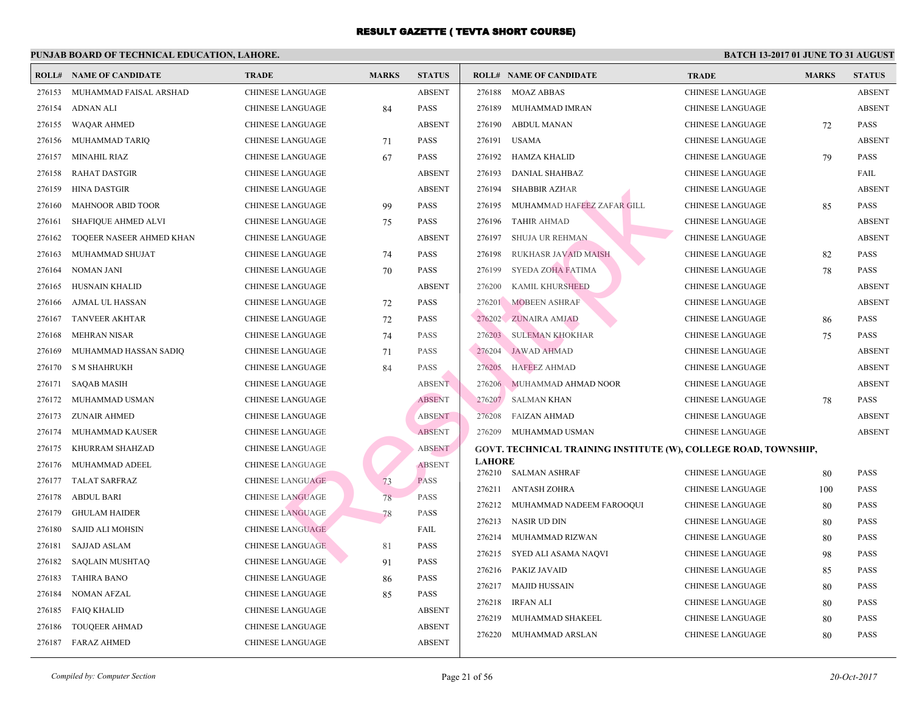|        | <b>ROLL# NAME OF CANDIDATE</b> | <b>TRADE</b>            | <b>MARKS</b> | <b>STATUS</b> |               | <b>ROLL# NAME OF CANDIDATE</b>              | <b>TRA</b>  |
|--------|--------------------------------|-------------------------|--------------|---------------|---------------|---------------------------------------------|-------------|
| 276153 | MUHAMMAD FAISAL ARSHAD         | <b>CHINESE LANGUAGE</b> |              | <b>ABSENT</b> | 276188        | MOAZ ABBAS                                  | CHIN.       |
| 276154 | ADNAN ALI                      | <b>CHINESE LANGUAGE</b> | 84           | <b>PASS</b>   | 276189        | MUHAMMAD IMRAN                              | <b>CHIN</b> |
| 276155 | <b>WAQAR AHMED</b>             | <b>CHINESE LANGUAGE</b> |              | <b>ABSENT</b> | 276190        | <b>ABDUL MANAN</b>                          | CHIN.       |
| 276156 | MUHAMMAD TARIQ                 | CHINESE LANGUAGE        | 71           | <b>PASS</b>   | 276191        | <b>USAMA</b>                                | <b>CHIN</b> |
| 276157 | <b>MINAHIL RIAZ</b>            | CHINESE LANGUAGE        | 67           | <b>PASS</b>   | 276192        | HAMZA KHALID                                | CHIN.       |
| 276158 | RAHAT DASTGIR                  | CHINESE LANGUAGE        |              | <b>ABSENT</b> | 276193        | DANIAL SHAHBAZ                              | <b>CHIN</b> |
| 276159 | <b>HINA DASTGIR</b>            | <b>CHINESE LANGUAGE</b> |              | <b>ABSENT</b> | 276194        | <b>SHABBIR AZHAR</b>                        | CHIN.       |
| 276160 | <b>MAHNOOR ABID TOOR</b>       | CHINESE LANGUAGE        | 99           | <b>PASS</b>   | 276195        | MUHAMMAD HAFEEZ ZAFAR GILL                  | <b>CHIN</b> |
| 276161 | SHAFIQUE AHMED ALVI            | <b>CHINESE LANGUAGE</b> | 75           | <b>PASS</b>   | 276196        | <b>TAHIR AHMAD</b>                          | CHIN.       |
| 276162 | TOQEER NASEER AHMED KHAN       | <b>CHINESE LANGUAGE</b> |              | <b>ABSENT</b> | 276197        | <b>SHUJA UR REHMAN</b>                      | <b>CHIN</b> |
| 276163 | MUHAMMAD SHUJAT                | CHINESE LANGUAGE        | 74           | <b>PASS</b>   | 276198        | RUKHASR JAVAID MAISH                        | <b>CHIN</b> |
| 276164 | <b>NOMAN JANI</b>              | <b>CHINESE LANGUAGE</b> | 70           | <b>PASS</b>   | 276199        | SYEDA ZOHA FATIMA                           | <b>CHIN</b> |
| 276165 | HUSNAIN KHALID                 | CHINESE LANGUAGE        |              | <b>ABSENT</b> | 276200        | KAMIL KHURSHEED                             | <b>CHIN</b> |
| 276166 | AJMAL UL HASSAN                | <b>CHINESE LANGUAGE</b> | 72           | <b>PASS</b>   | 276201        | <b>MOBEEN ASHRAF</b>                        | <b>CHIN</b> |
| 276167 | <b>TANVEER AKHTAR</b>          | CHINESE LANGUAGE        | 72           | <b>PASS</b>   | 276202        | <b>ZUNAIRA AMJAD</b>                        | <b>CHIN</b> |
| 276168 | <b>MEHRAN NISAR</b>            | <b>CHINESE LANGUAGE</b> | 74           | <b>PASS</b>   | 276203        | <b>SULEMAN KHOKHAR</b>                      | CHIN.       |
| 276169 | MUHAMMAD HASSAN SADIQ          | <b>CHINESE LANGUAGE</b> | 71           | <b>PASS</b>   | 276204        | <b>JAWAD AHMAD</b>                          | CHIN.       |
| 276170 | <b>S M SHAHRUKH</b>            | <b>CHINESE LANGUAGE</b> | 84           | <b>PASS</b>   | 276205        | <b>HAFEEZ AHMAD</b>                         | <b>CHIN</b> |
| 276171 | <b>SAQAB MASIH</b>             | <b>CHINESE LANGUAGE</b> |              | <b>ABSENT</b> | 276206        | MUHAMMAD AHMAD NOOR                         | CHIN.       |
| 276172 | MUHAMMAD USMAN                 | <b>CHINESE LANGUAGE</b> |              | <b>ABSENT</b> |               | 276207 SALMAN KHAN                          | <b>CHIN</b> |
| 276173 | <b>ZUNAIR AHMED</b>            | <b>CHINESE LANGUAGE</b> |              | <b>ABSENT</b> | 276208        | FAIZAN AHMAD                                | <b>CHIN</b> |
| 276174 | MUHAMMAD KAUSER                | <b>CHINESE LANGUAGE</b> |              | <b>ABSENT</b> | 276209        | MUHAMMAD USMAN                              | <b>CHIN</b> |
| 276175 | KHURRAM SHAHZAD                | <b>CHINESE LANGUAGE</b> |              | <b>ABSENT</b> |               | GOVT. TECHNICAL TRAINING INSTITUTE (W), COL |             |
| 276176 | MUHAMMAD ADEEL                 | <b>CHINESE LANGUAGE</b> |              | <b>ABSENT</b> | <b>LAHORE</b> |                                             |             |
| 276177 | <b>TALAT SARFRAZ</b>           | CHINESE LANGUAGE        | 73           | <b>PASS</b>   |               | 276210 SALMAN ASHRAF                        | <b>CHIN</b> |
| 276178 | <b>ABDUL BARI</b>              | <b>CHINESE LANGUAGE</b> | 78           | <b>PASS</b>   | 276211        | ANTASH ZOHRA                                | <b>CHIN</b> |
| 276179 | <b>GHULAM HAIDER</b>           | <b>CHINESE LANGUAGE</b> | 78           | PASS          | 276212        | MUHAMMAD NADEEM FAROOQUI                    | CHIN.       |
| 276180 | <b>SAJID ALI MOHSIN</b>        | <b>CHINESE LANGUAGE</b> |              | FAIL          | 276213        | NASIR UD DIN                                | <b>CHIN</b> |
| 276181 | <b>SAJJAD ASLAM</b>            | <b>CHINESE LANGUAGE</b> | 81           | <b>PASS</b>   | 276214        | MUHAMMAD RIZWAN                             | <b>CHIN</b> |
| 276182 | <b>SAQLAIN MUSHTAQ</b>         | CHINESE LANGUAGE        | 91           | <b>PASS</b>   | 276215        | SYED ALI ASAMA NAQVI                        | CHIN.       |
| 276183 | <b>TAHIRA BANO</b>             | <b>CHINESE LANGUAGE</b> | 86           | <b>PASS</b>   | 276216        | PAKIZ JAVAID                                | <b>CHIN</b> |
| 276184 | <b>NOMAN AFZAL</b>             | <b>CHINESE LANGUAGE</b> | 85           | <b>PASS</b>   | 276217        | <b>MAJID HUSSAIN</b>                        | <b>CHIN</b> |
| 276185 | <b>FAIQ KHALID</b>             | <b>CHINESE LANGUAGE</b> |              | <b>ABSENT</b> | 276218        | <b>IRFAN ALI</b>                            | <b>CHIN</b> |
| 276186 | <b>TOUQEER AHMAD</b>           | <b>CHINESE LANGUAGE</b> |              | <b>ABSENT</b> | 276219        | MUHAMMAD SHAKEEL                            | <b>CHIN</b> |
| 276187 | FARAZ AHMED                    | CHINESE LANGUAGE        |              | <b>ABSENT</b> | 276220        | MUHAMMAD ARSLAN                             | CHIN.       |
|        |                                |                         |              |               |               |                                             |             |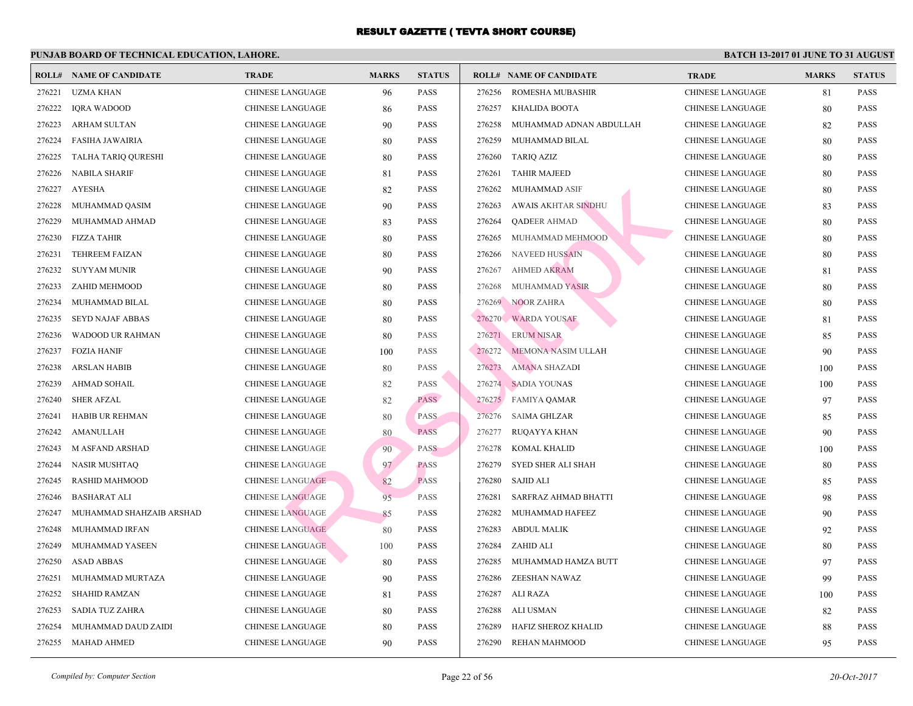|        | <b>ROLL# NAME OF CANDIDATE</b> | <b>TRADE</b>            | <b>MARKS</b> | <b>STATUS</b> |        | <b>ROLL# NAME OF CANDIDATE</b> | <b>TRA</b>  |
|--------|--------------------------------|-------------------------|--------------|---------------|--------|--------------------------------|-------------|
| 276221 | UZMA KHAN                      | <b>CHINESE LANGUAGE</b> | 96           | <b>PASS</b>   | 276256 | ROMESHA MUBASHIR               | CHIN.       |
| 276222 | <b>IQRA WADOOD</b>             | <b>CHINESE LANGUAGE</b> | 86           | <b>PASS</b>   | 276257 | KHALIDA BOOTA                  | <b>CHIN</b> |
| 276223 | ARHAM SULTAN                   | <b>CHINESE LANGUAGE</b> | 90           | <b>PASS</b>   | 276258 | MUHAMMAD ADNAN ABDULLAH        | <b>CHIN</b> |
| 276224 | <b>FASIHA JAWAIRIA</b>         | <b>CHINESE LANGUAGE</b> | 80           | <b>PASS</b>   | 276259 | MUHAMMAD BILAL                 | <b>CHIN</b> |
| 276225 | TALHA TARIQ QURESHI            | <b>CHINESE LANGUAGE</b> | 80           | <b>PASS</b>   | 276260 | <b>TARIQ AZIZ</b>              | <b>CHIN</b> |
| 276226 | <b>NABILA SHARIF</b>           | <b>CHINESE LANGUAGE</b> | 81           | <b>PASS</b>   | 276261 | <b>TAHIR MAJEED</b>            | <b>CHIN</b> |
| 276227 | <b>AYESHA</b>                  | <b>CHINESE LANGUAGE</b> | 82           | <b>PASS</b>   | 276262 | MUHAMMAD ASIF                  | CHIN.       |
| 276228 | MUHAMMAD QASIM                 | <b>CHINESE LANGUAGE</b> | 90           | <b>PASS</b>   | 276263 | <b>AWAIS AKHTAR SINDHU</b>     | <b>CHIN</b> |
| 276229 | MUHAMMAD AHMAD                 | CHINESE LANGUAGE        | 83           | <b>PASS</b>   | 276264 | <b>QADEER AHMAD</b>            | <b>CHIN</b> |
| 276230 | <b>FIZZA TAHIR</b>             | <b>CHINESE LANGUAGE</b> | 80           | <b>PASS</b>   | 276265 | MUHAMMAD MEHMOOD               | <b>CHIN</b> |
| 276231 | TEHREEM FAIZAN                 | CHINESE LANGUAGE        | 80           | <b>PASS</b>   | 276266 | <b>NAVEED HUSSAIN</b>          | <b>CHIN</b> |
| 276232 | <b>SUYYAM MUNIR</b>            | <b>CHINESE LANGUAGE</b> | 90           | <b>PASS</b>   | 276267 | <b>AHMED AKRAM</b>             | <b>CHIN</b> |
| 276233 | ZAHID MEHMOOD                  | CHINESE LANGUAGE        | 80           | <b>PASS</b>   | 276268 | MUHAMMAD YASIR                 | <b>CHIN</b> |
| 276234 | MUHAMMAD BILAL                 | <b>CHINESE LANGUAGE</b> | 80           | <b>PASS</b>   |        | 276269 NOOR ZAHRA              | <b>CHIN</b> |
| 276235 | SEYD NAJAF ABBAS               | CHINESE LANGUAGE        | 80           | <b>PASS</b>   |        | 276270 WARDA YOUSAF            | CHIN.       |
| 276236 | WADOOD UR RAHMAN               | CHINESE LANGUAGE        | 80           | <b>PASS</b>   |        | 276271 ERUM NISAR              | <b>CHIN</b> |
| 276237 | <b>FOZIA HANIF</b>             | <b>CHINESE LANGUAGE</b> | 100          | <b>PASS</b>   | 276272 | MEMONA NASIM ULLAH             | <b>CHIN</b> |
| 276238 | <b>ARSLAN HABIB</b>            | <b>CHINESE LANGUAGE</b> | 80           | <b>PASS</b>   | 276273 | <b>AMANA SHAZADI</b>           | CHIN.       |
| 276239 | <b>AHMAD SOHAIL</b>            | <b>CHINESE LANGUAGE</b> | 82           | <b>PASS</b>   | 276274 | <b>SADIA YOUNAS</b>            | <b>CHIN</b> |
| 276240 | <b>SHER AFZAL</b>              | <b>CHINESE LANGUAGE</b> | 82           | <b>PASS</b>   |        | 276275 FAMIYA QAMAR            | <b>CHIN</b> |
| 276241 | HABIB UR REHMAN                | CHINESE LANGUAGE        | 80           | <b>PASS</b>   | 276276 | SAIMA GHLZAR                   | <b>CHIN</b> |
| 276242 | AMANULLAH                      | <b>CHINESE LANGUAGE</b> | 80           | <b>PASS</b>   | 276277 | <b>RUQAYYA KHAN</b>            | <b>CHIN</b> |
| 276243 | <b>M ASFAND ARSHAD</b>         | <b>CHINESE LANGUAGE</b> | 90           | <b>PASS</b>   | 276278 | KOMAL KHALID                   | <b>CHIN</b> |
| 276244 | <b>NASIR MUSHTAQ</b>           | <b>CHINESE LANGUAGE</b> | 97           | <b>PASS</b>   | 276279 | <b>SYED SHER ALI SHAH</b>      | <b>CHIN</b> |
| 276245 | RASHID MAHMOOD                 | <b>CHINESE LANGUAGE</b> | 82           | <b>PASS</b>   | 276280 | <b>SAJID ALI</b>               | <b>CHIN</b> |
| 276246 | <b>BASHARAT ALI</b>            | <b>CHINESE LANGUAGE</b> | 95           | <b>PASS</b>   | 276281 | SARFRAZ AHMAD BHATTI           | CHIN.       |
| 276247 | MUHAMMAD SHAHZAIB ARSHAD       | <b>CHINESE LANGUAGE</b> | 85           | PASS          | 276282 | MUHAMMAD HAFEEZ                | <b>CHIN</b> |
| 276248 | MUHAMMAD IRFAN                 | <b>CHINESE LANGUAGE</b> | 80           | <b>PASS</b>   | 276283 | <b>ABDUL MALIK</b>             | <b>CHIN</b> |
| 276249 | MUHAMMAD YASEEN                | <b>CHINESE LANGUAGE</b> | 100          | <b>PASS</b>   | 276284 | ZAHID ALI                      | <b>CHIN</b> |
| 276250 | <b>ASAD ABBAS</b>              | <b>CHINESE LANGUAGE</b> | 80           | <b>PASS</b>   | 276285 | MUHAMMAD HAMZA BUTT            | <b>CHIN</b> |
| 276251 | MUHAMMAD MURTAZA               | <b>CHINESE LANGUAGE</b> | 90           | <b>PASS</b>   | 276286 | ZEESHAN NAWAZ                  | <b>CHIN</b> |
| 276252 | <b>SHAHID RAMZAN</b>           | <b>CHINESE LANGUAGE</b> | 81           | <b>PASS</b>   | 276287 | ALI RAZA                       | <b>CHIN</b> |
| 276253 | SADIA TUZ ZAHRA                | <b>CHINESE LANGUAGE</b> | 80           | <b>PASS</b>   | 276288 | ALI USMAN                      | <b>CHIN</b> |
| 276254 | MUHAMMAD DAUD ZAIDI            | <b>CHINESE LANGUAGE</b> | 80           | <b>PASS</b>   | 276289 | HAFIZ SHEROZ KHALID            | <b>CHIN</b> |
| 276255 | MAHAD AHMED                    | <b>CHINESE LANGUAGE</b> | 90           | <b>PASS</b>   | 276290 | <b>REHAN MAHMOOD</b>           | <b>CHIN</b> |
|        |                                |                         |              |               |        |                                |             |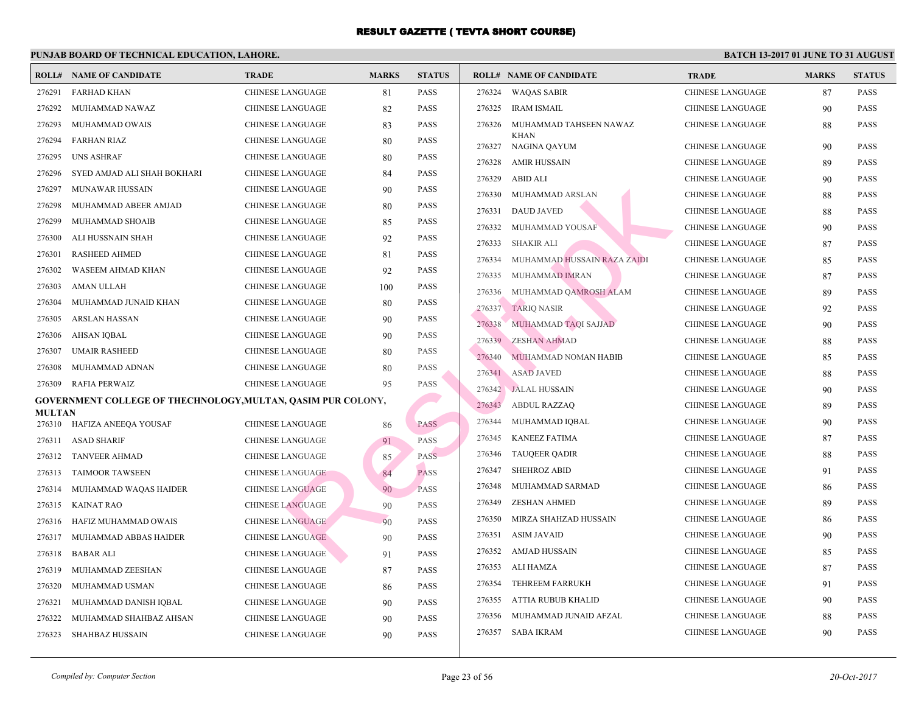|               | <b>ROLL# NAME OF CANDIDATE</b>                               | <b>TRADE</b>            | <b>MARKS</b> | <b>STATUS</b> |        | <b>ROLL# NAME OF CANDIDATE</b> | <b>TRA</b>  |
|---------------|--------------------------------------------------------------|-------------------------|--------------|---------------|--------|--------------------------------|-------------|
| 276291        | FARHAD KHAN                                                  | <b>CHINESE LANGUAGE</b> | 81           | <b>PASS</b>   | 276324 | <b>WAQAS SABIR</b>             | <b>CHIN</b> |
| 276292        | MUHAMMAD NAWAZ                                               | <b>CHINESE LANGUAGE</b> | 82           | <b>PASS</b>   |        | 276325 IRAM ISMAIL             | <b>CHIN</b> |
| 276293        | MUHAMMAD OWAIS                                               | CHINESE LANGUAGE        | 83           | <b>PASS</b>   | 276326 | MUHAMMAD TAHSEEN NAWAZ         | <b>CHIN</b> |
| 276294        | <b>FARHAN RIAZ</b>                                           | CHINESE LANGUAGE        | 80           | <b>PASS</b>   | 276327 | <b>KHAN</b><br>NAGINA QAYUM    | <b>CHIN</b> |
| 276295        | <b>UNS ASHRAF</b>                                            | CHINESE LANGUAGE        | 80           | <b>PASS</b>   | 276328 | AMIR HUSSAIN                   | <b>CHIN</b> |
| 276296        | SYED AMJAD ALI SHAH BOKHARI                                  | CHINESE LANGUAGE        | 84           | <b>PASS</b>   | 276329 | ABID ALI                       | <b>CHIN</b> |
| 276297        | MUNAWAR HUSSAIN                                              | CHINESE LANGUAGE        | 90           | <b>PASS</b>   | 276330 | MUHAMMAD ARSLAN                | <b>CHIN</b> |
| 276298        | MUHAMMAD ABEER AMJAD                                         | <b>CHINESE LANGUAGE</b> | 80           | <b>PASS</b>   | 276331 | <b>DAUD JAVED</b>              | <b>CHIN</b> |
| 276299        | MUHAMMAD SHOAIB                                              | <b>CHINESE LANGUAGE</b> | 85           | <b>PASS</b>   |        | 276332 MUHAMMAD YOUSAF         | <b>CHIN</b> |
| 276300        | ALI HUSSNAIN SHAH                                            | <b>CHINESE LANGUAGE</b> | 92           | <b>PASS</b>   | 276333 | <b>SHAKIR ALI</b>              | <b>CHIN</b> |
| 276301        | <b>RASHEED AHMED</b>                                         | CHINESE LANGUAGE        | 81           | <b>PASS</b>   | 276334 | MUHAMMAD HUSSAIN RAZA ZAIDI    | <b>CHIN</b> |
| 276302        | WASEEM AHMAD KHAN                                            | CHINESE LANGUAGE        | 92           | <b>PASS</b>   | 276335 | MUHAMMAD IMRAN                 | <b>CHIN</b> |
| 276303        | AMAN ULLAH                                                   | CHINESE LANGUAGE        | 100          | <b>PASS</b>   | 276336 | MUHAMMAD QAMROSH ALAM          | <b>CHIN</b> |
| 276304        | MUHAMMAD JUNAID KHAN                                         | <b>CHINESE LANGUAGE</b> | 80           | <b>PASS</b>   |        | 276337 TARIO NASIR             | <b>CHIN</b> |
| 276305        | ARSLAN HASSAN                                                | CHINESE LANGUAGE        | 90           | <b>PASS</b>   | 276338 | MUHAMMAD TAQI SAJJAD           | <b>CHIN</b> |
| 276306        | AHSAN IQBAL                                                  | <b>CHINESE LANGUAGE</b> | 90           | <b>PASS</b>   |        | 276339 ZESHAN AHMAD            | <b>CHIN</b> |
| 276307        | <b>UMAIR RASHEED</b>                                         | <b>CHINESE LANGUAGE</b> | 80           | <b>PASS</b>   | 276340 | MUHAMMAD NOMAN HABIB           | <b>CHIN</b> |
| 276308        | MUHAMMAD ADNAN                                               | CHINESE LANGUAGE        | 80           | <b>PASS</b>   |        | 276341 ASAD JAVED              | <b>CHIN</b> |
| 276309        | RAFIA PERWAIZ                                                | CHINESE LANGUAGE        | 95           | <b>PASS</b>   |        | 276342 JALAL HUSSAIN           | <b>CHIN</b> |
|               | GOVERNMENT COLLEGE OF THECHNOLOGY, MULTAN, QASIM PUR COLONY, |                         |              |               | 276343 | <b>ABDUL RAZZAQ</b>            | <b>CHIN</b> |
| <b>MULTAN</b> | 276310 HAFIZA ANEEQA YOUSAF                                  | <b>CHINESE LANGUAGE</b> | 86           | <b>PASS</b>   | 276344 | MUHAMMAD IQBAL                 | <b>CHIN</b> |
| 276311        | ASAD SHARIF                                                  | <b>CHINESE LANGUAGE</b> | 91           | PASS          | 276345 | <b>KANEEZ FATIMA</b>           | <b>CHIN</b> |
| 276312        | TANVEER AHMAD                                                | <b>CHINESE LANGUAGE</b> | 85           | <b>PASS</b>   | 276346 | <b>TAUQEER QADIR</b>           | <b>CHIN</b> |
| 276313        | <b>TAIMOOR TAWSEEN</b>                                       | <b>CHINESE LANGUAGE</b> | 84           | <b>PASS</b>   | 276347 | <b>SHEHROZ ABID</b>            | <b>CHIN</b> |
| 276314        | MUHAMMAD WAQAS HAIDER                                        | <b>CHINESE LANGUAGE</b> | 90           | <b>PASS</b>   | 276348 | MUHAMMAD SARMAD                | <b>CHIN</b> |
| 276315        | KAINAT RAO                                                   | <b>CHINESE LANGUAGE</b> | 90           | <b>PASS</b>   | 276349 | <b>ZESHAN AHMED</b>            | <b>CHIN</b> |
| 276316        | HAFIZ MUHAMMAD OWAIS                                         | <b>CHINESE LANGUAGE</b> | 90           | <b>PASS</b>   | 276350 | MIRZA SHAHZAD HUSSAIN          | <b>CHIN</b> |
| 276317        | MUHAMMAD ABBAS HAIDER                                        | <b>CHINESE LANGUAGE</b> | 90           | <b>PASS</b>   | 276351 | <b>ASIM JAVAID</b>             | <b>CHIN</b> |
| 276318        | BABAR ALI                                                    | <b>CHINESE LANGUAGE</b> | 91           | PASS          | 276352 | AMJAD HUSSAIN                  | <b>CHIN</b> |
| 276319        | MUHAMMAD ZEESHAN                                             | CHINESE LANGUAGE        | 87           | <b>PASS</b>   |        | 276353 ALI HAMZA               | <b>CHIN</b> |
| 276320        | MUHAMMAD USMAN                                               | <b>CHINESE LANGUAGE</b> | 86           | <b>PASS</b>   | 276354 | <b>TEHREEM FARRUKH</b>         | <b>CHIN</b> |
| 276321        | MUHAMMAD DANISH IQBAL                                        | CHINESE LANGUAGE        | 90           | <b>PASS</b>   | 276355 | ATTIA RUBUB KHALID             | <b>CHIN</b> |
| 276322        | MUHAMMAD SHAHBAZ AHSAN                                       | CHINESE LANGUAGE        | 90           | <b>PASS</b>   | 276356 | MUHAMMAD JUNAID AFZAL          | <b>CHIN</b> |
| 276323        | SHAHBAZ HUSSAIN                                              | <b>CHINESE LANGUAGE</b> | 90           | <b>PASS</b>   | 276357 | <b>SABA IKRAM</b>              | <b>CHIN</b> |
|               |                                                              |                         |              |               |        |                                |             |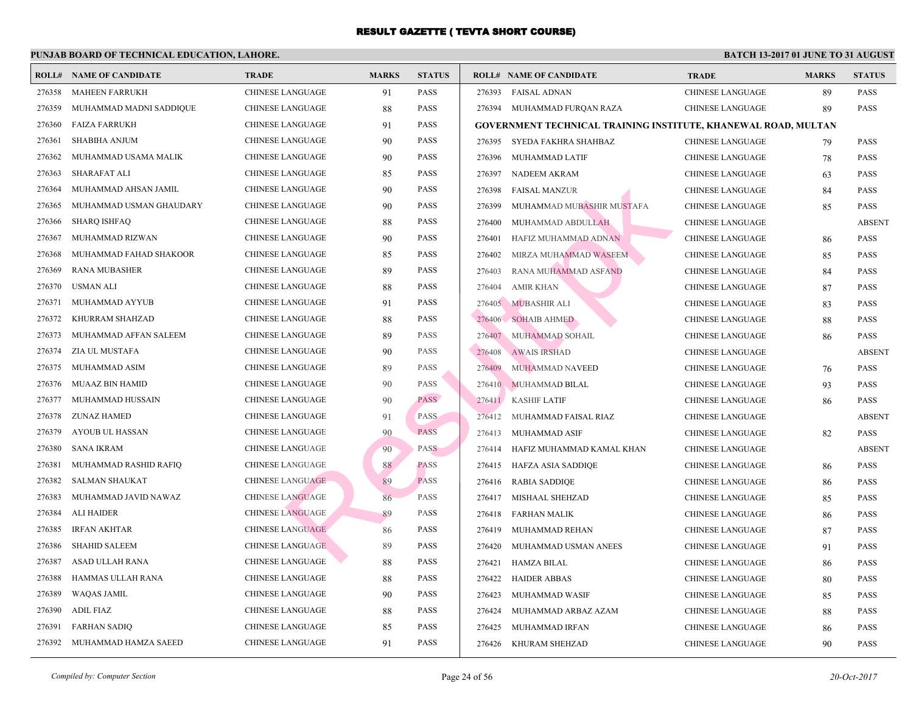|        | <b>ROLL# NAME OF CANDIDATE</b> | <b>TRADE</b>            | <b>MARKS</b> | <b>STATUS</b> |        | <b>ROLL# NAME OF CANDIDATE</b>                  | <b>TRA</b>  |
|--------|--------------------------------|-------------------------|--------------|---------------|--------|-------------------------------------------------|-------------|
| 276358 | MAHEEN FARRUKH                 | <b>CHINESE LANGUAGE</b> | 91           | <b>PASS</b>   | 276393 | <b>FAISAL ADNAN</b>                             | <b>CHIN</b> |
| 276359 | MUHAMMAD MADNI SADDIQUE        | <b>CHINESE LANGUAGE</b> | 88           | <b>PASS</b>   | 276394 | MUHAMMAD FURQAN RAZA                            | <b>CHIN</b> |
| 276360 | <b>FAIZA FARRUKH</b>           | <b>CHINESE LANGUAGE</b> | 91           | <b>PASS</b>   |        | <b>GOVERNMENT TECHNICAL TRAINING INSTITUTE,</b> |             |
| 276361 | <b>SHABIHA ANJUM</b>           | <b>CHINESE LANGUAGE</b> | 90           | PASS          | 276395 | SYEDA FAKHRA SHAHBAZ                            | <b>CHIN</b> |
| 276362 | MUHAMMAD USAMA MALIK           | <b>CHINESE LANGUAGE</b> | 90           | <b>PASS</b>   | 276396 | MUHAMMAD LATIF                                  | <b>CHIN</b> |
| 276363 | <b>SHARAFAT ALI</b>            | <b>CHINESE LANGUAGE</b> | 85           | <b>PASS</b>   | 276397 | NADEEM AKRAM                                    | <b>CHIN</b> |
| 276364 | MUHAMMAD AHSAN JAMIL           | <b>CHINESE LANGUAGE</b> | 90           | <b>PASS</b>   | 276398 | <b>FAISAL MANZUR</b>                            | <b>CHIN</b> |
| 276365 | MUHAMMAD USMAN GHAUDARY        | CHINESE LANGUAGE        | 90           | <b>PASS</b>   | 276399 | MUHAMMAD MUBASHIR MUSTAFA                       | <b>CHIN</b> |
| 276366 | <b>SHARQ ISHFAQ</b>            | <b>CHINESE LANGUAGE</b> | 88           | PASS          | 276400 | MUHAMMAD ABDULLAH                               | <b>CHIN</b> |
| 276367 | MUHAMMAD RIZWAN                | <b>CHINESE LANGUAGE</b> | 90           | <b>PASS</b>   | 276401 | HAFIZ MUHAMMAD ADNAN                            | <b>CHIN</b> |
| 276368 | MUHAMMAD FAHAD SHAKOOR         | <b>CHINESE LANGUAGE</b> | 85           | <b>PASS</b>   | 276402 | MIRZA MUHAMMAD WASEEM                           | <b>CHIN</b> |
| 276369 | <b>RANA MUBASHER</b>           | <b>CHINESE LANGUAGE</b> | 89           | <b>PASS</b>   | 276403 | RANA MUHAMMAD ASFAND                            | <b>CHIN</b> |
| 276370 | <b>USMAN ALI</b>               | <b>CHINESE LANGUAGE</b> | 88           | <b>PASS</b>   | 276404 | <b>AMIR KHAN</b>                                | <b>CHIN</b> |
| 276371 | MUHAMMAD AYYUB                 | <b>CHINESE LANGUAGE</b> | 91           | <b>PASS</b>   |        | 276405 MUBASHIR ALI                             | <b>CHIN</b> |
| 276372 | KHURRAM SHAHZAD                | <b>CHINESE LANGUAGE</b> | 88           | <b>PASS</b>   |        | 276406 SOHAIB AHMED                             | <b>CHIN</b> |
| 276373 | MUHAMMAD AFFAN SALEEM          | <b>CHINESE LANGUAGE</b> | 89           | <b>PASS</b>   | 276407 | MUHAMMAD SOHAIL                                 | <b>CHIN</b> |
| 276374 | ZIA UL MUSTAFA                 | <b>CHINESE LANGUAGE</b> | 90           | <b>PASS</b>   | 276408 | <b>AWAIS IRSHAD</b>                             | <b>CHIN</b> |
| 276375 | MUHAMMAD ASIM                  | CHINESE LANGUAGE        | 89           | <b>PASS</b>   | 276409 | MUHAMMAD NAVEED                                 | <b>CHIN</b> |
| 276376 | <b>MUAAZ BIN HAMID</b>         | CHINESE LANGUAGE        | 90           | <b>PASS</b>   |        | 276410 MUHAMMAD BILAL                           | <b>CHIN</b> |
| 276377 | MUHAMMAD HUSSAIN               | <b>CHINESE LANGUAGE</b> | 90           | <b>PASS</b>   |        | 276411 KASHIF LATIF                             | <b>CHIN</b> |
| 276378 | <b>ZUNAZ HAMED</b>             | <b>CHINESE LANGUAGE</b> | 91           | PASS          | 276412 | MUHAMMAD FAISAL RIAZ                            | <b>CHIN</b> |
| 276379 | <b>AYOUB UL HASSAN</b>         | <b>CHINESE LANGUAGE</b> | 90           | <b>PASS</b>   | 276413 | MUHAMMAD ASIF                                   | <b>CHIN</b> |
| 276380 | <b>SANA IKRAM</b>              | <b>CHINESE LANGUAGE</b> | 90           | <b>PASS</b>   | 276414 | HAFIZ MUHAMMAD KAMAL KHAN                       | <b>CHIN</b> |
| 276381 | MUHAMMAD RASHID RAFIQ          | <b>CHINESE LANGUAGE</b> | 88           | <b>PASS</b>   | 276415 | HAFZA ASIA SADDIQE                              | <b>CHIN</b> |
| 276382 | <b>SALMAN SHAUKAT</b>          | <b>CHINESE LANGUAGE</b> | 89           | <b>PASS</b>   | 276416 | <b>RABIA SADDIQE</b>                            | <b>CHIN</b> |
| 276383 | MUHAMMAD JAVID NAWAZ           | <b>CHINESE LANGUAGE</b> | 86           | <b>PASS</b>   |        | 276417 MISHAAL SHEHZAD                          | <b>CHIN</b> |
| 276384 | ALI HAIDER                     | <b>CHINESE LANGUAGE</b> | 89           | <b>PASS</b>   | 276418 | FARHAN MALIK                                    | <b>CHIN</b> |
| 276385 | IRFAN AKHTAR                   | <b>CHINESE LANGUAGE</b> | 86           | <b>PASS</b>   | 276419 | MUHAMMAD REHAN                                  | <b>CHIN</b> |
| 276386 | <b>SHAHID SALEEM</b>           | <b>CHINESE LANGUAGE</b> | 89           | <b>PASS</b>   | 276420 | MUHAMMAD USMAN ANEES                            | <b>CHIN</b> |
| 276387 | ASAD ULLAH RANA                | <b>CHINESE LANGUAGE</b> | 88           | <b>PASS</b>   | 276421 | <b>HAMZA BILAL</b>                              | <b>CHIN</b> |
| 276388 | HAMMAS ULLAH RANA              | <b>CHINESE LANGUAGE</b> | 88           | <b>PASS</b>   | 276422 | <b>HAIDER ABBAS</b>                             | <b>CHIN</b> |
| 276389 | <b>WAQAS JAMIL</b>             | <b>CHINESE LANGUAGE</b> | 90           | PASS          | 276423 | MUHAMMAD WASIF                                  | <b>CHIN</b> |
| 276390 | <b>ADIL FIAZ</b>               | <b>CHINESE LANGUAGE</b> | 88           | <b>PASS</b>   | 276424 | MUHAMMAD ARBAZ AZAM                             | <b>CHIN</b> |
| 276391 | <b>FARHAN SADIQ</b>            | <b>CHINESE LANGUAGE</b> | 85           | PASS          | 276425 | MUHAMMAD IRFAN                                  | <b>CHIN</b> |
| 276392 | MUHAMMAD HAMZA SAEED           | <b>CHINESE LANGUAGE</b> | 91           | <b>PASS</b>   | 276426 | KHURAM SHEHZAD                                  | <b>CHIN</b> |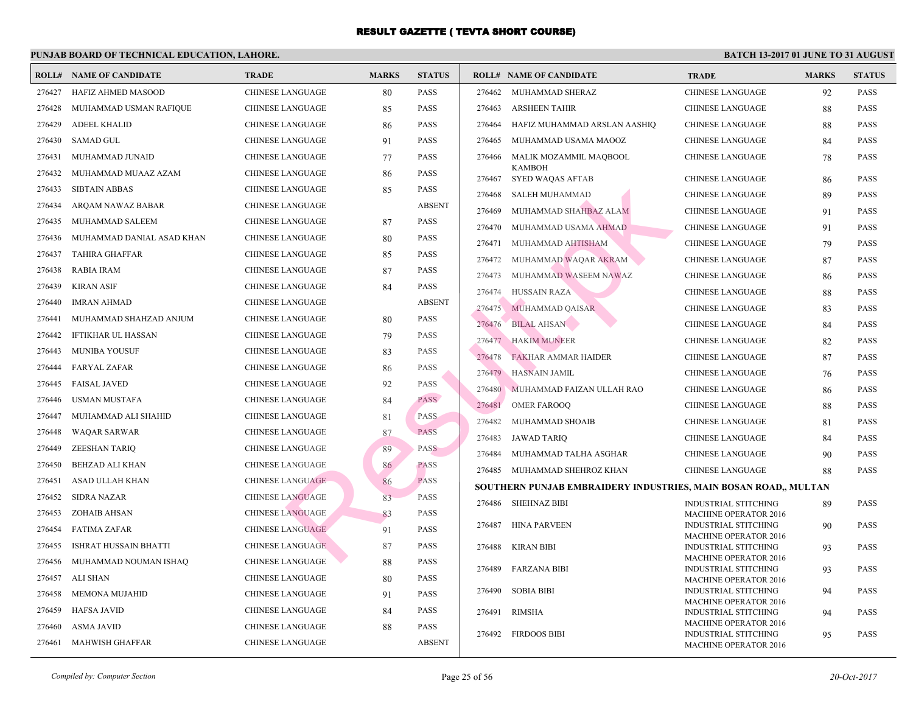| ROLL#  | <b>NAME OF CANDIDATE</b>     | <b>TRADE</b>            | <b>MARKS</b> | <b>STATUS</b> |        | <b>ROLL# NAME OF CANDIDATE</b>                   | <b>TRA</b>                 |
|--------|------------------------------|-------------------------|--------------|---------------|--------|--------------------------------------------------|----------------------------|
| 276427 | HAFIZ AHMED MASOOD           | CHINESE LANGUAGE        | 80           | <b>PASS</b>   | 276462 | MUHAMMAD SHERAZ                                  | <b>CHIN</b>                |
| 276428 | MUHAMMAD USMAN RAFIQUE       | <b>CHINESE LANGUAGE</b> | 85           | <b>PASS</b>   | 276463 | <b>ARSHEEN TAHIR</b>                             | <b>CHIN</b>                |
| 276429 | <b>ADEEL KHALID</b>          | <b>CHINESE LANGUAGE</b> | 86           | <b>PASS</b>   | 276464 | HAFIZ MUHAMMAD ARSLAN AASHIQ                     | <b>CHIN</b>                |
| 276430 | <b>SAMAD GUL</b>             | <b>CHINESE LANGUAGE</b> | 91           | <b>PASS</b>   | 276465 | MUHAMMAD USAMA MAOOZ                             | <b>CHIN</b>                |
| 276431 | MUHAMMAD JUNAID              | <b>CHINESE LANGUAGE</b> | 77           | <b>PASS</b>   | 276466 | MALIK MOZAMMIL MAQBOOL                           | <b>CHIN</b>                |
| 276432 | MUHAMMAD MUAAZ AZAM          | <b>CHINESE LANGUAGE</b> | 86           | <b>PASS</b>   | 276467 | <b>KAMBOH</b><br>SYED WAQAS AFTAB                | <b>CHIN</b>                |
| 276433 | <b>SIBTAIN ABBAS</b>         | <b>CHINESE LANGUAGE</b> | 85           | <b>PASS</b>   | 276468 | SALEH MUHAMMAD                                   | <b>CHIN</b>                |
| 276434 | ARQAM NAWAZ BABAR            | CHINESE LANGUAGE        |              | <b>ABSENT</b> | 276469 | MUHAMMAD SHAHBAZ ALAM                            | <b>CHIN</b>                |
| 276435 | MUHAMMAD SALEEM              | CHINESE LANGUAGE        | 87           | <b>PASS</b>   | 276470 | MUHAMMAD USAMA AHMAD                             | <b>CHIN</b>                |
| 276436 | MUHAMMAD DANIAL ASAD KHAN    | <b>CHINESE LANGUAGE</b> | 80           | <b>PASS</b>   | 276471 | MUHAMMAD AHTISHAM                                | <b>CHIN</b>                |
| 276437 | TAHIRA GHAFFAR               | <b>CHINESE LANGUAGE</b> | 85           | <b>PASS</b>   | 276472 | MUHAMMAD WAQAR AKRAM                             | <b>CHIN</b>                |
| 276438 | <b>RABIA IRAM</b>            | <b>CHINESE LANGUAGE</b> | 87           | <b>PASS</b>   | 276473 | MUHAMMAD WASEEM NAWAZ                            | <b>CHIN</b>                |
| 276439 | <b>KIRAN ASIF</b>            | <b>CHINESE LANGUAGE</b> | 84           | <b>PASS</b>   | 276474 | <b>HUSSAIN RAZA</b>                              | <b>CHIN</b>                |
| 276440 | <b>IMRAN AHMAD</b>           | <b>CHINESE LANGUAGE</b> |              | <b>ABSENT</b> | 276475 | MUHAMMAD QAISAR                                  | <b>CHIN</b>                |
| 276441 | MUHAMMAD SHAHZAD ANJUM       | <b>CHINESE LANGUAGE</b> | 80           | <b>PASS</b>   | 276476 | <b>BILAL AHSAN</b>                               | <b>CHIN</b>                |
| 276442 | <b>IFTIKHAR UL HASSAN</b>    | <b>CHINESE LANGUAGE</b> | 79           | <b>PASS</b>   | 276477 | <b>HAKIM MUNEER</b>                              | <b>CHIN</b>                |
| 276443 | <b>MUNIBA YOUSUF</b>         | <b>CHINESE LANGUAGE</b> | 83           | <b>PASS</b>   | 276478 | <b>FAKHAR AMMAR HAIDER</b>                       | <b>CHIN</b>                |
| 276444 | <b>FARYAL ZAFAR</b>          | <b>CHINESE LANGUAGE</b> | 86           | <b>PASS</b>   | 276479 | <b>HASNAIN JAMIL</b>                             | <b>CHIN</b>                |
| 276445 | <b>FAISAL JAVED</b>          | <b>CHINESE LANGUAGE</b> | 92           | <b>PASS</b>   | 276480 |                                                  | <b>CHIN</b>                |
| 276446 | USMAN MUSTAFA                | <b>CHINESE LANGUAGE</b> | 84           | <b>PASS</b>   | 276481 | MUHAMMAD FAIZAN ULLAH RAO<br><b>OMER FAROOQ</b>  | <b>CHIN</b>                |
| 276447 | MUHAMMAD ALI SHAHID          | <b>CHINESE LANGUAGE</b> | 81           | <b>PASS</b>   | 276482 | MUHAMMAD SHOAIB                                  | <b>CHIN</b>                |
| 276448 | <b>WAQAR SARWAR</b>          | <b>CHINESE LANGUAGE</b> | 87           | <b>PASS</b>   | 276483 | JAWAD TARIQ                                      | <b>CHIN</b>                |
| 276449 | <b>ZEESHAN TARIQ</b>         | <b>CHINESE LANGUAGE</b> | 89           | <b>PASS</b>   | 276484 | MUHAMMAD TALHA ASGHAR                            | <b>CHIN</b>                |
| 276450 | <b>BEHZAD ALI KHAN</b>       | <b>CHINESE LANGUAGE</b> | 86           | <b>PASS</b>   |        | 276485 MUHAMMAD SHEHROZ KHAN                     | <b>CHIN</b>                |
| 276451 | ASAD ULLAH KHAN              | <b>CHINESE LANGUAGE</b> | 86           | <b>PASS</b>   |        |                                                  |                            |
| 276452 | <b>SIDRA NAZAR</b>           | <b>CHINESE LANGUAGE</b> | 83           | <b>PASS</b>   |        | <b>SOUTHERN PUNJAB EMBRAIDERY INDUSTRIES, MA</b> |                            |
| 276453 | <b>ZOHAIB AHSAN</b>          | <b>CHINESE LANGUAGE</b> | 83           | <b>PASS</b>   |        | 276486 SHEHNAZ BIBI                              | <b>INDU</b><br><b>MACI</b> |
| 276454 | FATIMA ZAFAR                 | <b>CHINESE LANGUAGE</b> | 91           | <b>PASS</b>   | 276487 | HINA PARVEEN                                     | <b>INDU</b>                |
| 276455 | <b>ISHRAT HUSSAIN BHATTI</b> | <b>CHINESE LANGUAGE</b> | 87           | <b>PASS</b>   |        | 276488 KIRAN BIBI                                | <b>MACI</b><br><b>INDU</b> |
| 276456 | MUHAMMAD NOUMAN ISHAQ        | <b>CHINESE LANGUAGE</b> | 88           | <b>PASS</b>   |        |                                                  | <b>MAC</b>                 |
| 276457 | ALI SHAN                     | <b>CHINESE LANGUAGE</b> | 80           | <b>PASS</b>   | 276489 | <b>FARZANA BIBI</b>                              | <b>INDU</b><br><b>MACI</b> |
| 276458 | MEMONA MUJAHID               | CHINESE LANGUAGE        | 91           | <b>PASS</b>   | 276490 | <b>SOBIA BIBI</b>                                | <b>INDU</b>                |
| 276459 | <b>HAFSA JAVID</b>           | <b>CHINESE LANGUAGE</b> | 84           | <b>PASS</b>   | 276491 | <b>RIMSHA</b>                                    | <b>MAC</b><br><b>INDU</b>  |
| 276460 | <b>ASMA JAVID</b>            | <b>CHINESE LANGUAGE</b> | 88           | <b>PASS</b>   |        |                                                  | <b>MAC</b>                 |
| 276461 | <b>MAHWISH GHAFFAR</b>       | <b>CHINESE LANGUAGE</b> |              | <b>ABSENT</b> |        | 276492 FIRDOOS BIBI                              | <b>INDU</b><br>MACI        |
|        |                              |                         |              |               |        |                                                  |                            |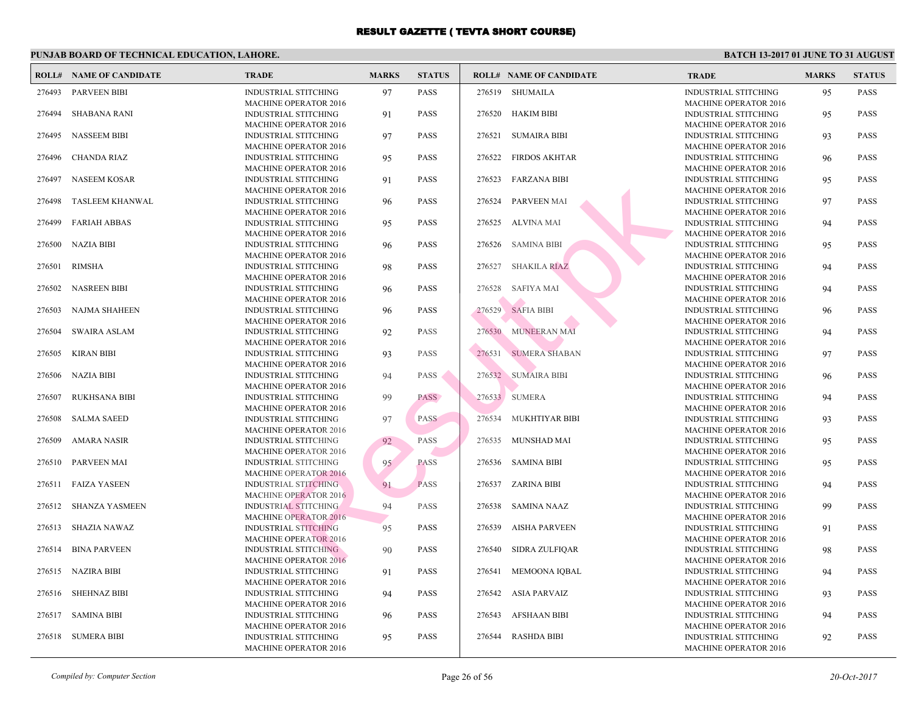|        | <b>ROLL# NAME OF CANDIDATE</b> | <b>TRADE</b>                                                | <b>MARKS</b> | <b>STATUS</b> |        | <b>ROLL# NAME OF CANDIDATE</b> | <b>TRA</b>                 |
|--------|--------------------------------|-------------------------------------------------------------|--------------|---------------|--------|--------------------------------|----------------------------|
| 276493 | <b>PARVEEN BIBI</b>            | <b>INDUSTRIAL STITCHING</b><br><b>MACHINE OPERATOR 2016</b> | 97           | <b>PASS</b>   |        | 276519 SHUMAILA                | <b>INDU</b><br><b>MAC</b>  |
| 276494 | <b>SHABANA RANI</b>            | <b>INDUSTRIAL STITCHING</b>                                 | 91           | <b>PASS</b>   | 276520 | HAKIM BIBI                     | <b>INDU</b>                |
| 276495 | <b>NASSEEM BIBI</b>            | <b>MACHINE OPERATOR 2016</b><br><b>INDUSTRIAL STITCHING</b> | 97           | <b>PASS</b>   | 276521 | SUMAIRA BIBI                   | <b>MAC</b><br><b>INDU</b>  |
| 276496 | <b>CHANDA RIAZ</b>             | <b>MACHINE OPERATOR 2016</b><br>INDUSTRIAL STITCHING        | 95           | <b>PASS</b>   | 276522 | <b>FIRDOS AKHTAR</b>           | <b>MAC</b><br><b>INDU</b>  |
| 276497 | <b>NASEEM KOSAR</b>            | <b>MACHINE OPERATOR 2016</b><br><b>INDUSTRIAL STITCHING</b> | 91           | <b>PASS</b>   | 276523 | <b>FARZANA BIBI</b>            | <b>MAC</b><br><b>INDU</b>  |
| 276498 | <b>TASLEEM KHANWAL</b>         | <b>MACHINE OPERATOR 2016</b><br><b>INDUSTRIAL STITCHING</b> | 96           | <b>PASS</b>   | 276524 | PARVEEN MAI                    | <b>MAC</b><br><b>INDU</b>  |
| 276499 | <b>FARIAH ABBAS</b>            | <b>MACHINE OPERATOR 2016</b><br><b>INDUSTRIAL STITCHING</b> | 95           | <b>PASS</b>   | 276525 | ALVINA MAI                     | <b>MAC</b><br><b>INDU</b>  |
|        |                                | <b>MACHINE OPERATOR 2016</b>                                |              |               |        |                                | <b>MAC</b>                 |
| 276500 | <b>NAZIA BIBI</b>              | <b>INDUSTRIAL STITCHING</b><br><b>MACHINE OPERATOR 2016</b> | 96           | <b>PASS</b>   | 276526 | <b>SAMINA BIBI</b>             | <b>INDU</b><br><b>MAC</b>  |
| 276501 | <b>RIMSHA</b>                  | <b>INDUSTRIAL STITCHING</b>                                 | 98           | <b>PASS</b>   | 276527 | <b>SHAKILA RIAZ</b>            | <b>INDU</b>                |
|        |                                | <b>MACHINE OPERATOR 2016</b>                                |              |               |        |                                | <b>MAC</b>                 |
| 276502 | <b>NASREEN BIBI</b>            | <b>INDUSTRIAL STITCHING</b><br><b>MACHINE OPERATOR 2016</b> | 96           | <b>PASS</b>   | 276528 | <b>SAFIYA MAI</b>              | <b>INDU</b><br><b>MAC</b>  |
| 276503 | <b>NAJMA SHAHEEN</b>           | <b>INDUSTRIAL STITCHING</b><br><b>MACHINE OPERATOR 2016</b> | 96           | <b>PASS</b>   | 276529 | <b>SAFIA BIBI</b>              | <b>INDU</b><br><b>MAC</b>  |
| 276504 | <b>SWAIRA ASLAM</b>            | INDUSTRIAL STITCHING                                        | 92           | <b>PASS</b>   |        | 276530 MUNEERAN MAI            | <b>INDU</b>                |
| 276505 | <b>KIRAN BIBI</b>              | <b>MACHINE OPERATOR 2016</b><br>INDUSTRIAL STITCHING        | 93           | <b>PASS</b>   | 276531 | <b>SUMERA SHABAN</b>           | <b>MAC</b><br><b>INDU</b>  |
| 276506 | NAZIA BIBI                     | <b>MACHINE OPERATOR 2016</b><br>INDUSTRIAL STITCHING        | 94           | <b>PASS</b>   |        | 276532 SUMAIRA BIBI            | <b>MAC</b><br><b>INDU</b>  |
| 276507 | <b>RUKHSANA BIBI</b>           | <b>MACHINE OPERATOR 2016</b><br>INDUSTRIAL STITCHING        | 99           | <b>PASS</b>   |        | 276533 SUMERA                  | <b>MAC</b><br><b>INDU</b>  |
| 276508 | <b>SALMA SAEED</b>             | <b>MACHINE OPERATOR 2016</b><br>INDUSTRIAL STITCHING        | 97           | <b>PASS</b>   | 276534 | MUKHTIYAR BIBI                 | <b>MAC</b><br><b>INDU</b>  |
|        |                                | <b>MACHINE OPERATOR 2016</b>                                |              |               |        |                                | <b>MAC</b>                 |
| 276509 | <b>AMARA NASIR</b>             | <b>INDUSTRIAL STITCHING</b><br><b>MACHINE OPERATOR 2016</b> | 92           | PASS          | 276535 | MUNSHAD MAI                    | <b>INDU</b><br><b>MACI</b> |
| 276510 | PARVEEN MAI                    | <b>INDUSTRIAL STITCHING</b>                                 | 95           | <b>PASS</b>   | 276536 | <b>SAMINA BIBI</b>             | <b>INDU</b>                |
|        |                                | <b>MACHINE OPERATOR 2016</b>                                |              |               |        |                                | <b>MAC</b>                 |
| 276511 | <b>FAIZA YASEEN</b>            | <b>INDUSTRIAL STITCHING</b><br><b>MACHINE OPERATOR 2016</b> | 91           | <b>PASS</b>   |        | 276537 ZARINA BIBI             | <b>INDU</b><br><b>MAC</b>  |
| 276512 | <b>SHANZA YASMEEN</b>          | <b>INDUSTRIAL STITCHING</b>                                 | 94           | PASS          | 276538 | <b>SAMINA NAAZ</b>             | <b>INDU</b>                |
| 276513 | <b>SHAZIA NAWAZ</b>            | <b>MACHINE OPERATOR 2016</b><br><b>INDUSTRIAL STITCHING</b> | 95           | <b>PASS</b>   | 276539 | <b>AISHA PARVEEN</b>           | <b>MAC</b><br><b>INDU</b>  |
|        |                                | <b>MACHINE OPERATOR 2016</b>                                |              |               |        |                                | <b>MAC</b>                 |
| 276514 | <b>BINA PARVEEN</b>            | <b>INDUSTRIAL STITCHING</b>                                 | 90           | <b>PASS</b>   | 276540 | <b>SIDRA ZULFIQAR</b>          | <b>INDU</b>                |
| 276515 | NAZIRA BIBI                    | <b>MACHINE OPERATOR 2016</b><br><b>INDUSTRIAL STITCHING</b> | 91           | <b>PASS</b>   | 276541 | <b>MEMOONA IQBAL</b>           | <b>MAC</b><br><b>INDU</b>  |
|        |                                | <b>MACHINE OPERATOR 2016</b>                                |              |               |        |                                | <b>MAC</b>                 |
| 276516 | <b>SHEHNAZ BIBI</b>            | INDUSTRIAL STITCHING                                        | 94           | <b>PASS</b>   |        | 276542 ASIA PARVAIZ            | <b>INDU</b>                |
| 276517 | <b>SAMINA BIBI</b>             | <b>MACHINE OPERATOR 2016</b><br>INDUSTRIAL STITCHING        | 96           | <b>PASS</b>   | 276543 | AFSHAAN BIBI                   | <b>MAC</b><br><b>INDU</b>  |
|        |                                | <b>MACHINE OPERATOR 2016</b>                                |              |               |        |                                | <b>MAC</b>                 |
| 276518 | <b>SUMERA BIBI</b>             | INDUSTRIAL STITCHING                                        | 95           | <b>PASS</b>   | 276544 | <b>RASHDA BIBI</b>             | <b>INDU</b>                |
|        |                                | <b>MACHINE OPERATOR 2016</b>                                |              |               |        |                                | <b>MACI</b>                |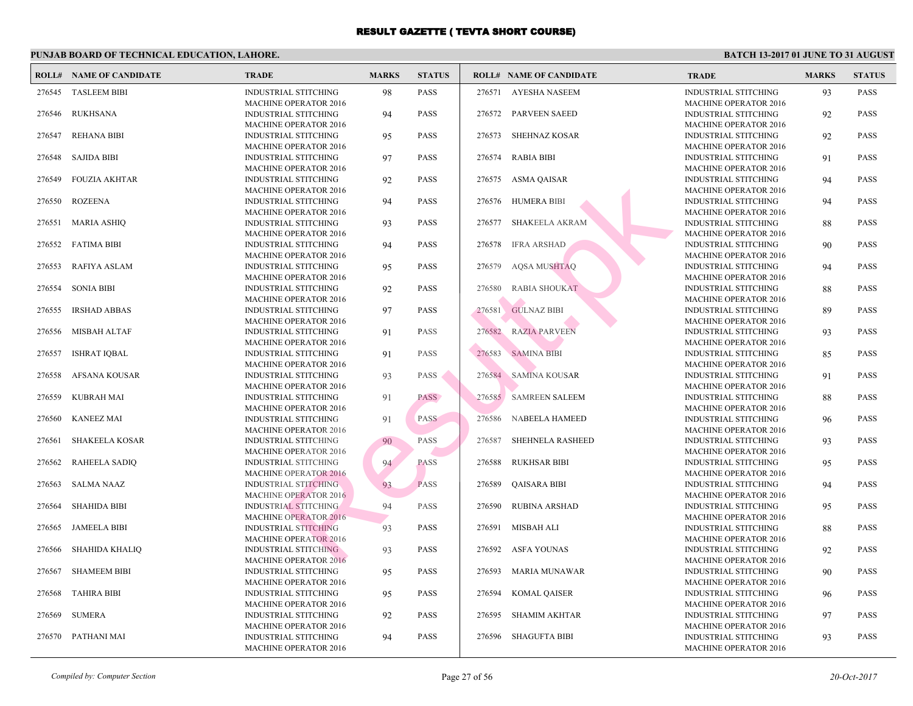|        | <b>ROLL# NAME OF CANDIDATE</b> | <b>TRADE</b>                                                                                | <b>MARKS</b> | <b>STATUS</b> |        | <b>ROLL# NAME OF CANDIDATE</b> | <b>TRA</b>                               |
|--------|--------------------------------|---------------------------------------------------------------------------------------------|--------------|---------------|--------|--------------------------------|------------------------------------------|
| 276545 | <b>TASLEEM BIBI</b>            | <b>INDUSTRIAL STITCHING</b><br><b>MACHINE OPERATOR 2016</b>                                 | 98           | <b>PASS</b>   | 276571 | <b>AYESHA NASEEM</b>           | <b>INDU</b><br><b>MACI</b>               |
| 276546 | <b>RUKHSANA</b>                | <b>INDUSTRIAL STITCHING</b><br><b>MACHINE OPERATOR 2016</b>                                 | 94           | <b>PASS</b>   | 276572 | <b>PARVEEN SAEED</b>           | <b>INDU</b><br><b>MACI</b>               |
| 276547 | <b>REHANA BIBI</b>             | <b>INDUSTRIAL STITCHING</b><br><b>MACHINE OPERATOR 2016</b>                                 | 95           | <b>PASS</b>   | 276573 | <b>SHEHNAZ KOSAR</b>           | <b>INDU</b><br><b>MACI</b>               |
| 276548 | <b>SAJIDA BIBI</b>             | <b>INDUSTRIAL STITCHING</b><br><b>MACHINE OPERATOR 2016</b>                                 | 97           | <b>PASS</b>   | 276574 | <b>RABIA BIBI</b>              | <b>INDU</b><br><b>MACI</b>               |
| 276549 | <b>FOUZIA AKHTAR</b>           | <b>INDUSTRIAL STITCHING</b><br><b>MACHINE OPERATOR 2016</b>                                 | 92           | <b>PASS</b>   | 276575 | ASMA QAISAR                    | <b>INDU</b><br><b>MAC</b>                |
| 276550 | <b>ROZEENA</b>                 | <b>INDUSTRIAL STITCHING</b><br><b>MACHINE OPERATOR 2016</b>                                 | 94           | <b>PASS</b>   | 276576 | <b>HUMERA BIBI</b>             | <b>INDU</b><br><b>MACI</b>               |
| 276551 | <b>MARIA ASHIQ</b>             | <b>INDUSTRIAL STITCHING</b><br><b>MACHINE OPERATOR 2016</b>                                 | 93           | <b>PASS</b>   | 276577 | <b>SHAKEELA AKRAM</b>          | <b>INDU</b><br><b>MAC</b>                |
| 276552 | <b>FATIMA BIBI</b>             | <b>INDUSTRIAL STITCHING</b><br><b>MACHINE OPERATOR 2016</b>                                 | 94           | <b>PASS</b>   | 276578 | <b>IFRA ARSHAD</b>             | <b>INDU</b><br>MACI                      |
| 276553 | <b>RAFIYA ASLAM</b>            | <b>INDUSTRIAL STITCHING</b><br><b>MACHINE OPERATOR 2016</b>                                 | 95           | <b>PASS</b>   | 276579 | AQSA MUSHTAQ                   | <b>INDU</b><br><b>MAC</b>                |
| 276554 | <b>SONIA BIBI</b>              | <b>INDUSTRIAL STITCHING</b><br><b>MACHINE OPERATOR 2016</b>                                 | 92           | <b>PASS</b>   | 276580 | <b>RABIA SHOUKAT</b>           | <b>INDU</b><br>MACI                      |
| 276555 | <b>IRSHAD ABBAS</b>            | <b>INDUSTRIAL STITCHING</b><br><b>MACHINE OPERATOR 2016</b>                                 | 97           | <b>PASS</b>   | 276581 | <b>GULNAZ BIBI</b>             | <b>INDU</b><br><b>MAC</b>                |
| 276556 | <b>MISBAH ALTAF</b>            | <b>INDUSTRIAL STITCHING</b><br><b>MACHINE OPERATOR 2016</b>                                 | 91           | <b>PASS</b>   | 276582 | <b>RAZIA PARVEEN</b>           | <b>INDU</b><br><b>MACI</b>               |
| 276557 | <b>ISHRAT IQBAL</b>            | <b>INDUSTRIAL STITCHING</b><br><b>MACHINE OPERATOR 2016</b>                                 | 91           | <b>PASS</b>   | 276583 | <b>SAMINA BIBI</b>             | <b>INDU</b><br><b>MACI</b>               |
| 276558 | <b>AFSANA KOUSAR</b>           | <b>INDUSTRIAL STITCHING</b><br><b>MACHINE OPERATOR 2016</b>                                 | 93           | <b>PASS</b>   | 276584 | <b>SAMINA KOUSAR</b>           | <b>INDU</b><br><b>MACI</b>               |
| 276559 | <b>KUBRAH MAI</b>              | <b>INDUSTRIAL STITCHING</b><br><b>MACHINE OPERATOR 2016</b>                                 | 91           | PASS          | 276585 | <b>SAMREEN SALEEM</b>          | <b>INDU</b><br><b>MACI</b>               |
| 276560 | <b>KANEEZ MAI</b>              | <b>INDUSTRIAL STITCHING</b><br><b>MACHINE OPERATOR 2016</b>                                 | 91           | <b>PASS</b>   | 276586 | NABEELA HAMEED                 | <b>INDU</b><br><b>MACI</b>               |
| 276561 | <b>SHAKEELA KOSAR</b>          | <b>INDUSTRIAL STITCHING</b><br><b>MACHINE OPERATOR 2016</b>                                 | 90           | <b>PASS</b>   | 276587 | SHEHNELA RASHEED               | <b>INDU</b><br><b>MACI</b>               |
| 276562 | <b>RAHEELA SADIQ</b>           | <b>INDUSTRIAL STITCHING</b><br><b>MACHINE OPERATOR 2016</b>                                 | 94           | <b>PASS</b>   | 276588 | <b>RUKHSAR BIBI</b>            | <b>INDU</b><br><b>MACI</b>               |
| 276563 | <b>SALMA NAAZ</b>              | <b>INDUSTRIAL STITCHING</b><br><b>MACHINE OPERATOR 2016</b>                                 | 93           | <b>PASS</b>   | 276589 | <b>QAISARA BIBI</b>            | <b>INDU</b><br><b>MACI</b>               |
| 276564 | <b>SHAHIDA BIBI</b>            | <b>INDUSTRIAL STITCHING</b><br><b>MACHINE OPERATOR 2016</b>                                 | 94           | PASS          | 276590 | <b>RUBINA ARSHAD</b>           | <b>INDU</b><br><b>MAC</b>                |
| 276565 | <b>JAMEELA BIBI</b>            | <b>INDUSTRIAL STITCHING</b><br><b>MACHINE OPERATOR 2016</b>                                 | 93           | <b>PASS</b>   | 276591 | <b>MISBAH ALI</b>              | <b>INDU</b><br><b>MACI</b>               |
| 276566 | <b>SHAHIDA KHALIQ</b>          | <b>INDUSTRIAL STITCHING</b>                                                                 | 93           | <b>PASS</b>   | 276592 | ASFA YOUNAS                    | <b>INDU</b>                              |
| 276567 | <b>SHAMEEM BIBI</b>            | <b>MACHINE OPERATOR 2016</b><br><b>INDUSTRIAL STITCHING</b>                                 | 95           | <b>PASS</b>   | 276593 | <b>MARIA MUNAWAR</b>           | <b>MACI</b><br><b>INDU</b>               |
| 276568 | <b>TAHIRA BIBI</b>             | <b>MACHINE OPERATOR 2016</b><br><b>INDUSTRIAL STITCHING</b>                                 | 95           | <b>PASS</b>   | 276594 | <b>KOMAL QAISER</b>            | <b>MACI</b><br><b>INDU</b>               |
| 276569 | <b>SUMERA</b>                  | <b>MACHINE OPERATOR 2016</b><br><b>INDUSTRIAL STITCHING</b>                                 | 92           | <b>PASS</b>   | 276595 | <b>SHAMIM AKHTAR</b>           | <b>MAC</b><br><b>INDU</b>                |
| 276570 | PATHANI MAI                    | <b>MACHINE OPERATOR 2016</b><br><b>INDUSTRIAL STITCHING</b><br><b>MACHINE OPERATOR 2016</b> | 94           | <b>PASS</b>   | 276596 | <b>SHAGUFTA BIBI</b>           | <b>MAC</b><br><b>INDU</b><br><b>MACI</b> |
|        |                                |                                                                                             |              |               |        |                                |                                          |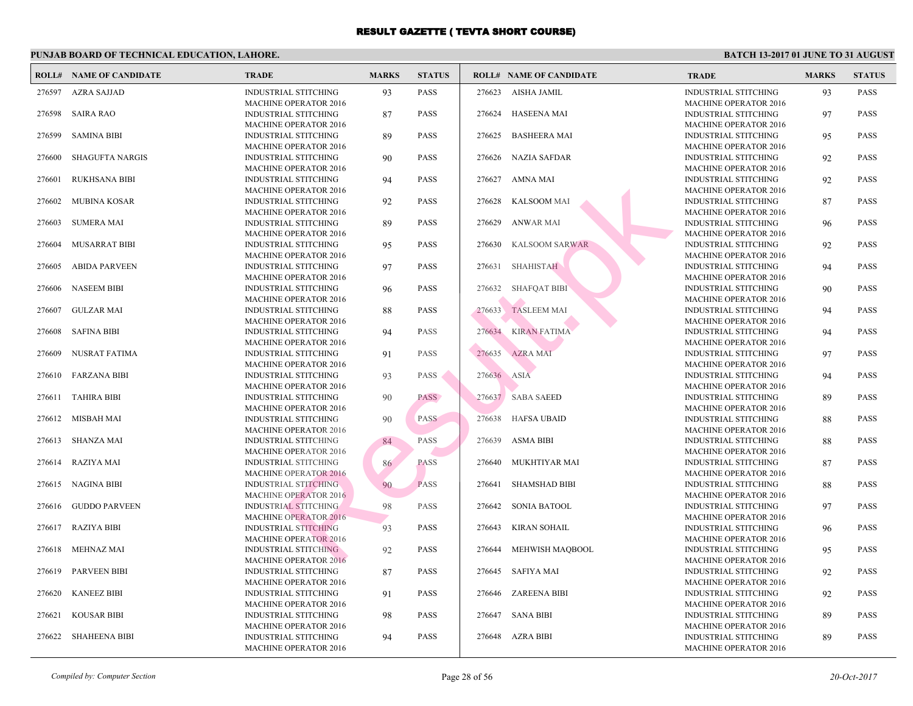|        | <b>ROLL# NAME OF CANDIDATE</b> | <b>TRADE</b>                                                | <b>MARKS</b> | <b>STATUS</b> |             | <b>ROLL# NAME OF CANDIDATE</b> | <b>TRA</b>                 |
|--------|--------------------------------|-------------------------------------------------------------|--------------|---------------|-------------|--------------------------------|----------------------------|
| 276597 | AZRA SAJJAD                    | <b>INDUSTRIAL STITCHING</b><br><b>MACHINE OPERATOR 2016</b> | 93           | <b>PASS</b>   | 276623      | AISHA JAMIL                    | <b>INDU</b><br><b>MACI</b> |
| 276598 | <b>SAIRA RAO</b>               | <b>INDUSTRIAL STITCHING</b>                                 | 87           | <b>PASS</b>   |             | 276624 HASEENA MAI             | <b>INDU</b>                |
| 276599 | <b>SAMINA BIBI</b>             | <b>MACHINE OPERATOR 2016</b><br><b>INDUSTRIAL STITCHING</b> | 89           | <b>PASS</b>   | 276625      | <b>BASHEERA MAI</b>            | <b>MACI</b><br><b>INDU</b> |
| 276600 | <b>SHAGUFTA NARGIS</b>         | <b>MACHINE OPERATOR 2016</b><br><b>INDUSTRIAL STITCHING</b> | 90           | <b>PASS</b>   |             | 276626 NAZIA SAFDAR            | <b>MACI</b><br><b>INDU</b> |
| 276601 | <b>RUKHSANA BIBI</b>           | <b>MACHINE OPERATOR 2016</b><br><b>INDUSTRIAL STITCHING</b> | 94           | <b>PASS</b>   |             | 276627 AMNA MAI                | <b>MACI</b><br><b>INDU</b> |
| 276602 | MUBINA KOSAR                   | <b>MACHINE OPERATOR 2016</b><br><b>INDUSTRIAL STITCHING</b> | 92           | <b>PASS</b>   | 276628      | <b>KALSOOM MAI</b>             | <b>MACI</b><br><b>INDU</b> |
| 276603 | <b>SUMERA MAI</b>              | <b>MACHINE OPERATOR 2016</b><br><b>INDUSTRIAL STITCHING</b> | 89           | <b>PASS</b>   | 276629      | <b>ANWAR MAI</b>               | <b>MACI</b><br><b>INDU</b> |
| 276604 | MUSARRAT BIBI                  | <b>MACHINE OPERATOR 2016</b><br><b>INDUSTRIAL STITCHING</b> | 95           | <b>PASS</b>   | 276630      | <b>KALSOOM SARWAR</b>          | <b>MACI</b><br><b>INDU</b> |
| 276605 | <b>ABIDA PARVEEN</b>           | <b>MACHINE OPERATOR 2016</b><br><b>INDUSTRIAL STITCHING</b> | 97           | <b>PASS</b>   |             | 276631 SHAHISTAH               | <b>MACI</b><br><b>INDU</b> |
| 276606 | <b>NASEEM BIBI</b>             | <b>MACHINE OPERATOR 2016</b><br><b>INDUSTRIAL STITCHING</b> | 96           | <b>PASS</b>   | 276632      | <b>SHAFQAT BIBI</b>            | <b>MACI</b><br><b>INDU</b> |
| 276607 | <b>GULZAR MAI</b>              | <b>MACHINE OPERATOR 2016</b><br><b>INDUSTRIAL STITCHING</b> | 88           | <b>PASS</b>   | 276633      | <b>TASLEEM MAI</b>             | <b>MACI</b><br><b>INDU</b> |
| 276608 | <b>SAFINA BIBI</b>             | <b>MACHINE OPERATOR 2016</b><br><b>INDUSTRIAL STITCHING</b> | 94           | <b>PASS</b>   | 276634      | <b>KIRAN FATIMA</b>            | <b>MACI</b><br><b>INDU</b> |
| 276609 | <b>NUSRAT FATIMA</b>           | <b>MACHINE OPERATOR 2016</b><br><b>INDUSTRIAL STITCHING</b> | 91           | <b>PASS</b>   | 276635      | <b>AZRA MAI</b>                | <b>MACI</b><br><b>INDU</b> |
| 276610 | <b>FARZANA BIBI</b>            | <b>MACHINE OPERATOR 2016</b><br><b>INDUSTRIAL STITCHING</b> | 93           | <b>PASS</b>   | 276636 ASIA |                                | <b>MACI</b><br><b>INDU</b> |
| 276611 | <b>TAHIRA BIBI</b>             | <b>MACHINE OPERATOR 2016</b><br><b>INDUSTRIAL STITCHING</b> | 90           | <b>PASS</b>   |             | 276637 SABA SAEED              | <b>MACI</b><br><b>INDU</b> |
| 276612 | MISBAH MAI                     | <b>MACHINE OPERATOR 2016</b><br><b>INDUSTRIAL STITCHING</b> | 90           | <b>PASS</b>   | 276638      | HAFSA UBAID                    | <b>MACI</b><br><b>INDU</b> |
| 276613 | <b>SHANZA MAI</b>              | <b>MACHINE OPERATOR 2016</b><br><b>INDUSTRIAL STITCHING</b> | 84           | PASS          | 276639      | ASMA BIBI                      | <b>MACI</b><br><b>INDU</b> |
| 276614 | <b>RAZIYA MAI</b>              | <b>MACHINE OPERATOR 2016</b><br><b>INDUSTRIAL STITCHING</b> | 86           | <b>PASS</b>   | 276640      | MUKHTIYAR MAI                  | <b>MACI</b><br><b>INDU</b> |
| 276615 | NAGINA BIBI                    | <b>MACHINE OPERATOR 2016</b><br><b>INDUSTRIAL STITCHING</b> | 90           | <b>PASS</b>   | 276641      | <b>SHAMSHAD BIBI</b>           | <b>MACI</b><br><b>INDU</b> |
| 276616 | <b>GUDDO PARVEEN</b>           | <b>MACHINE OPERATOR 2016</b><br><b>INDUSTRIAL STITCHING</b> | 98           | <b>PASS</b>   | 276642      | <b>SONIA BATOOL</b>            | <b>MACI</b><br><b>INDU</b> |
| 276617 | RAZIYA BIBI                    | <b>MACHINE OPERATOR 2016</b><br><b>INDUSTRIAL STITCHING</b> | 93           | <b>PASS</b>   | 276643      | <b>KIRAN SOHAIL</b>            | <b>MACI</b><br><b>INDU</b> |
| 276618 | <b>MEHNAZ MAI</b>              | <b>MACHINE OPERATOR 2016</b><br><b>INDUSTRIAL STITCHING</b> | 92           | <b>PASS</b>   |             | 276644 MEHWISH MAQBOOL         | <b>MACI</b><br><b>INDU</b> |
| 276619 | <b>PARVEEN BIBI</b>            | <b>MACHINE OPERATOR 2016</b><br>INDUSTRIAL STITCHING        | 87           | <b>PASS</b>   | 276645      | SAFIYA MAI                     | MACI<br><b>INDU</b>        |
| 276620 | <b>KANEEZ BIBI</b>             | <b>MACHINE OPERATOR 2016</b><br><b>INDUSTRIAL STITCHING</b> | 91           | <b>PASS</b>   |             | 276646 ZAREENA BIBI            | MACI<br><b>INDU</b>        |
| 276621 | <b>KOUSAR BIBI</b>             | <b>MACHINE OPERATOR 2016</b><br><b>INDUSTRIAL STITCHING</b> | 98           | <b>PASS</b>   | 276647      | <b>SANA BIBI</b>               | MACI<br><b>INDU</b>        |
| 276622 | <b>SHAHEENA BIBI</b>           | MACHINE OPERATOR 2016<br><b>INDUSTRIAL STITCHING</b>        | 94           | <b>PASS</b>   |             | 276648 AZRA BIBI               | <b>MACI</b><br><b>INDU</b> |
|        |                                | MACHINE OPERATOR 2016                                       |              |               |             |                                | <b>MACI</b>                |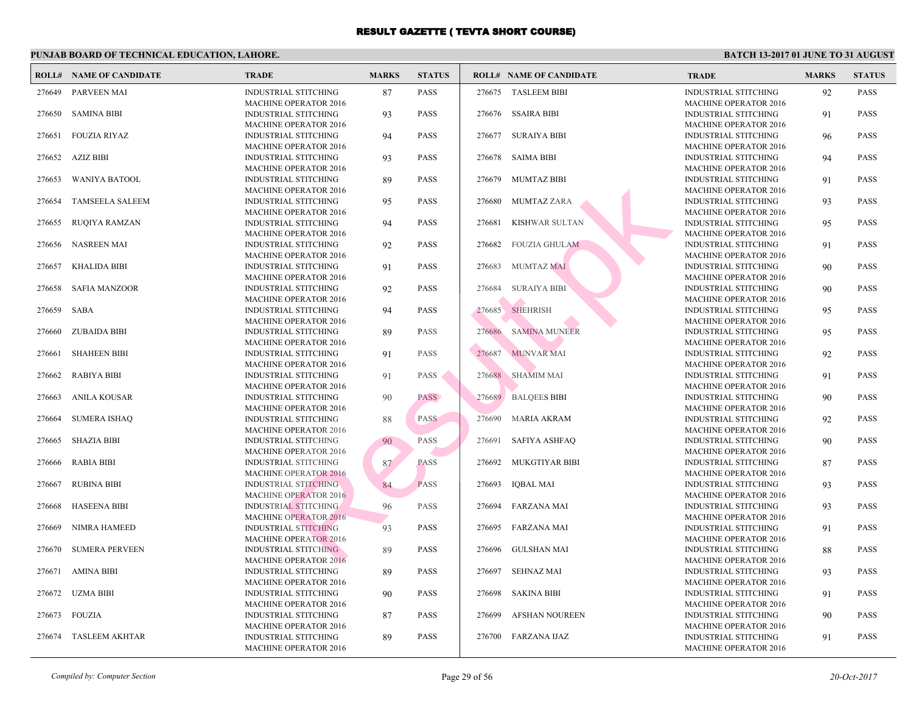|        | <b>ROLL# NAME OF CANDIDATE</b> | <b>TRADE</b>                                                | <b>MARKS</b> | <b>STATUS</b> |        | <b>ROLL# NAME OF CANDIDATE</b> | <b>TRA</b>                 |
|--------|--------------------------------|-------------------------------------------------------------|--------------|---------------|--------|--------------------------------|----------------------------|
| 276649 | PARVEEN MAI                    | <b>INDUSTRIAL STITCHING</b><br><b>MACHINE OPERATOR 2016</b> | 87           | <b>PASS</b>   |        | 276675 TASLEEM BIBI            | <b>INDU</b><br><b>MAC</b>  |
| 276650 | <b>SAMINA BIBI</b>             | <b>INDUSTRIAL STITCHING</b>                                 | 93           | <b>PASS</b>   |        | 276676 SSAIRA BIBI             | <b>INDU</b>                |
| 276651 | <b>FOUZIA RIYAZ</b>            | <b>MACHINE OPERATOR 2016</b><br>INDUSTRIAL STITCHING        | 94           | <b>PASS</b>   | 276677 | <b>SURAIYA BIBI</b>            | <b>MAC</b><br><b>INDU</b>  |
| 276652 | <b>AZIZ BIBI</b>               | <b>MACHINE OPERATOR 2016</b><br>INDUSTRIAL STITCHING        | 93           | <b>PASS</b>   | 276678 | <b>SAIMA BIBI</b>              | <b>MAC</b><br><b>INDU</b>  |
| 276653 | <b>WANIYA BATOOL</b>           | <b>MACHINE OPERATOR 2016</b><br><b>INDUSTRIAL STITCHING</b> | 89           | <b>PASS</b>   | 276679 | <b>MUMTAZ BIBI</b>             | <b>MAC</b><br><b>INDU</b>  |
| 276654 | <b>TAMSEELA SALEEM</b>         | <b>MACHINE OPERATOR 2016</b><br><b>INDUSTRIAL STITCHING</b> | 95           | <b>PASS</b>   | 276680 | <b>MUMTAZ ZARA</b>             | <b>MAC</b><br><b>INDU</b>  |
| 276655 | <b>RUQIYA RAMZAN</b>           | <b>MACHINE OPERATOR 2016</b><br><b>INDUSTRIAL STITCHING</b> | 94           | <b>PASS</b>   | 276681 | <b>KISHWAR SULTAN</b>          | <b>MAC</b><br><b>INDU</b>  |
|        |                                | <b>MACHINE OPERATOR 2016</b>                                |              |               |        |                                | <b>MAC</b>                 |
| 276656 | <b>NASREEN MAI</b>             | <b>INDUSTRIAL STITCHING</b><br><b>MACHINE OPERATOR 2016</b> | 92           | <b>PASS</b>   | 276682 | <b>FOUZIA GHULAM</b>           | <b>INDU</b><br><b>MAC</b>  |
| 276657 | <b>KHALIDA BIBI</b>            | <b>INDUSTRIAL STITCHING</b><br><b>MACHINE OPERATOR 2016</b> | 91           | <b>PASS</b>   | 276683 | <b>MUMTAZ MAI</b>              | <b>INDU</b><br><b>MAC</b>  |
| 276658 | <b>SAFIA MANZOOR</b>           | <b>INDUSTRIAL STITCHING</b>                                 | 92           | <b>PASS</b>   | 276684 | <b>SURAIYA BIBI</b>            | <b>INDU</b>                |
| 276659 | <b>SABA</b>                    | <b>MACHINE OPERATOR 2016</b><br><b>INDUSTRIAL STITCHING</b> | 94           | <b>PASS</b>   | 276685 | SHEHRISH                       | <b>MAC</b><br><b>INDU</b>  |
| 276660 | <b>ZUBAIDA BIBI</b>            | <b>MACHINE OPERATOR 2016</b><br>INDUSTRIAL STITCHING        | 89           | <b>PASS</b>   | 276686 | <b>SAMINA MUNEER</b>           | <b>MAC</b><br><b>INDU</b>  |
| 276661 | <b>SHAHEEN BIBI</b>            | <b>MACHINE OPERATOR 2016</b><br>INDUSTRIAL STITCHING        | 91           | <b>PASS</b>   | 276687 | <b>MUNVAR MAI</b>              | <b>MAC</b><br><b>INDU</b>  |
| 276662 | <b>RABIYA BIBI</b>             | <b>MACHINE OPERATOR 2016</b><br>INDUSTRIAL STITCHING        | 91           | <b>PASS</b>   |        | 276688 SHAMIM MAI              | <b>MAC</b><br><b>INDU</b>  |
|        |                                | <b>MACHINE OPERATOR 2016</b>                                |              |               |        |                                | <b>MAC</b>                 |
| 276663 | <b>ANILA KOUSAR</b>            | INDUSTRIAL STITCHING<br><b>MACHINE OPERATOR 2016</b>        | 90           | <b>PASS</b>   |        | 276689 BALQEES BIBI            | <b>INDU</b><br><b>MAC</b>  |
| 276664 | <b>SUMERA ISHAQ</b>            | <b>INDUSTRIAL STITCHING</b><br><b>MACHINE OPERATOR 2016</b> | 88           | <b>PASS</b>   | 276690 | MARIA AKRAM                    | <b>INDU</b><br><b>MAC</b>  |
| 276665 | <b>SHAZIA BIBI</b>             | <b>INDUSTRIAL STITCHING</b>                                 | 90           | <b>PASS</b>   | 276691 | <b>SAFIYA ASHFAQ</b>           | <b>INDU</b>                |
| 276666 | <b>RABIA BIBI</b>              | <b>MACHINE OPERATOR 2016</b><br><b>INDUSTRIAL STITCHING</b> | 87           | <b>PASS</b>   | 276692 | MUKGTIYAR BIBI                 | <b>MACI</b><br><b>INDU</b> |
|        |                                | <b>MACHINE OPERATOR 2016</b>                                |              |               |        |                                | <b>MAC</b>                 |
| 276667 | <b>RUBINA BIBI</b>             | <b>INDUSTRIAL STITCHING</b><br><b>MACHINE OPERATOR 2016</b> | 84           | <b>PASS</b>   | 276693 | <b>IQBAL MAI</b>               | <b>INDU</b><br><b>MAC</b>  |
| 276668 | <b>HASEENA BIBI</b>            | <b>INDUSTRIAL STITCHING</b><br><b>MACHINE OPERATOR 2016</b> | 96           | <b>PASS</b>   | 276694 | <b>FARZANA MAI</b>             | <b>INDU</b><br><b>MAC</b>  |
| 276669 | NIMRA HAMEED                   | <b>INDUSTRIAL STITCHING</b>                                 | 93           | <b>PASS</b>   | 276695 | FARZANA MAI                    | <b>INDU</b>                |
| 276670 | <b>SUMERA PERVEEN</b>          | <b>MACHINE OPERATOR 2016</b><br>INDUSTRIAL STITCHING        | 89           | <b>PASS</b>   | 276696 | <b>GULSHAN MAI</b>             | <b>MAC</b><br><b>INDU</b>  |
| 276671 | <b>AMINA BIBI</b>              | <b>MACHINE OPERATOR 2016</b><br>INDUSTRIAL STITCHING        | 89           | <b>PASS</b>   | 276697 | <b>SEHNAZ MAI</b>              | <b>MAC</b><br><b>INDU</b>  |
|        |                                | <b>MACHINE OPERATOR 2016</b>                                |              |               |        |                                | <b>MAC</b>                 |
| 276672 | UZMA BIBI                      | INDUSTRIAL STITCHING<br><b>MACHINE OPERATOR 2016</b>        | 90           | <b>PASS</b>   |        | 276698 SAKINA BIBI             | <b>INDU</b><br><b>MAC</b>  |
| 276673 | <b>FOUZIA</b>                  | INDUSTRIAL STITCHING<br><b>MACHINE OPERATOR 2016</b>        | 87           | <b>PASS</b>   | 276699 | <b>AFSHAN NOUREEN</b>          | <b>INDU</b><br><b>MAC</b>  |
| 276674 | <b>TASLEEM AKHTAR</b>          | INDUSTRIAL STITCHING                                        | 89           | <b>PASS</b>   |        | 276700 FARZANA IJAZ            | <b>INDU</b><br><b>MACI</b> |
|        |                                | <b>MACHINE OPERATOR 2016</b>                                |              |               |        |                                |                            |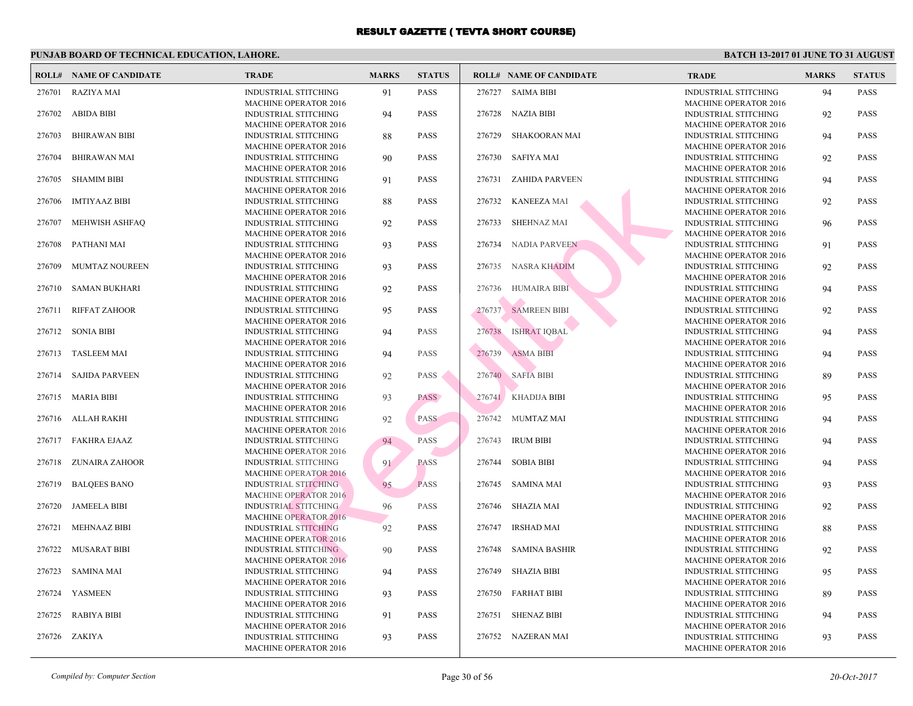|        | <b>ROLL# NAME OF CANDIDATE</b> | <b>TRADE</b>                                                | <b>MARKS</b> | <b>STATUS</b> |        | <b>ROLL# NAME OF CANDIDATE</b> | <b>TRA</b>                 |
|--------|--------------------------------|-------------------------------------------------------------|--------------|---------------|--------|--------------------------------|----------------------------|
|        | 276701 RAZIYA MAI              | <b>INDUSTRIAL STITCHING</b><br><b>MACHINE OPERATOR 2016</b> | 91           | <b>PASS</b>   |        | 276727 SAIMA BIBI              | <b>INDU</b><br><b>MAC</b>  |
| 276702 | <b>ABIDA BIBI</b>              | <b>INDUSTRIAL STITCHING</b>                                 | 94           | <b>PASS</b>   |        | 276728 NAZIA BIBI              | <b>INDU</b>                |
| 276703 | <b>BHIRAWAN BIBI</b>           | <b>MACHINE OPERATOR 2016</b><br><b>INDUSTRIAL STITCHING</b> | 88           | <b>PASS</b>   | 276729 | <b>SHAKOORAN MAI</b>           | <b>MACI</b><br><b>INDU</b> |
| 276704 | <b>BHIRAWAN MAI</b>            | <b>MACHINE OPERATOR 2016</b><br>INDUSTRIAL STITCHING        | 90           | <b>PASS</b>   | 276730 | SAFIYA MAI                     | <b>MAC</b><br><b>INDU</b>  |
| 276705 | <b>SHAMIM BIBI</b>             | <b>MACHINE OPERATOR 2016</b><br><b>INDUSTRIAL STITCHING</b> | 91           | <b>PASS</b>   | 276731 | ZAHIDA PARVEEN                 | <b>MAC</b><br><b>INDU</b>  |
| 276706 | <b>IMTIYAAZ BIBI</b>           | <b>MACHINE OPERATOR 2016</b><br>INDUSTRIAL STITCHING        | 88           | <b>PASS</b>   | 276732 | <b>KANEEZA MAI</b>             | <b>MAC</b><br><b>INDU</b>  |
| 276707 | MEHWISH ASHFAQ                 | <b>MACHINE OPERATOR 2016</b><br>INDUSTRIAL STITCHING        | 92           | <b>PASS</b>   | 276733 | <b>SHEHNAZ MAI</b>             | <b>MAC</b><br><b>INDU</b>  |
| 276708 | PATHANI MAI                    | <b>MACHINE OPERATOR 2016</b><br>INDUSTRIAL STITCHING        | 93           | <b>PASS</b>   | 276734 | NADIA PARVEEN                  | MAC<br><b>INDU</b>         |
|        |                                | <b>MACHINE OPERATOR 2016</b>                                |              |               |        |                                | <b>MAC</b>                 |
| 276709 | MUMTAZ NOUREEN                 | <b>INDUSTRIAL STITCHING</b><br><b>MACHINE OPERATOR 2016</b> | 93           | <b>PASS</b>   | 276735 | NASRA KHADIM                   | <b>INDU</b><br><b>MAC</b>  |
| 276710 | <b>SAMAN BUKHARI</b>           | INDUSTRIAL STITCHING<br><b>MACHINE OPERATOR 2016</b>        | 92           | <b>PASS</b>   | 276736 | HUMAIRA BIBI                   | <b>INDU</b><br><b>MAC</b>  |
| 276711 | <b>RIFFAT ZAHOOR</b>           | INDUSTRIAL STITCHING<br><b>MACHINE OPERATOR 2016</b>        | 95           | <b>PASS</b>   | 276737 | <b>SAMREEN BIBI</b>            | <b>INDU</b><br><b>MAC</b>  |
| 276712 | <b>SONIA BIBI</b>              | INDUSTRIAL STITCHING                                        | 94           | <b>PASS</b>   | 276738 | <b>ISHRAT IQBAL</b>            | <b>INDU</b>                |
| 276713 | <b>TASLEEM MAI</b>             | <b>MACHINE OPERATOR 2016</b><br>INDUSTRIAL STITCHING        | 94           | <b>PASS</b>   | 276739 | <b>ASMA BIBI</b>               | <b>MAC</b><br><b>INDU</b>  |
| 276714 | <b>SAJIDA PARVEEN</b>          | <b>MACHINE OPERATOR 2016</b><br>INDUSTRIAL STITCHING        | 92           | <b>PASS</b>   |        | 276740 SAFIA BIBI              | <b>MAC</b><br><b>INDU</b>  |
| 276715 | <b>MARIA BIBI</b>              | <b>MACHINE OPERATOR 2016</b><br>INDUSTRIAL STITCHING        | 93           | <b>PASS</b>   |        | 276741 KHADIJA BIBI            | <b>MAC</b><br><b>INDU</b>  |
| 276716 | ALLAH RAKHI                    | <b>MACHINE OPERATOR 2016</b><br><b>INDUSTRIAL STITCHING</b> | 92           | <b>PASS</b>   |        | 276742 MUMTAZ MAI              | <b>MAC</b><br><b>INDU</b>  |
|        |                                | <b>MACHINE OPERATOR 2016</b>                                |              |               |        |                                | <b>MAC</b>                 |
| 276717 | <b>FAKHRA EJAAZ</b>            | <b>INDUSTRIAL STITCHING</b><br><b>MACHINE OPERATOR 2016</b> | 94           | PASS          | 276743 | <b>IRUM BIBI</b>               | <b>INDU</b><br><b>MAC</b>  |
| 276718 | <b>ZUNAIRA ZAHOOR</b>          | <b>INDUSTRIAL STITCHING</b><br><b>MACHINE OPERATOR 2016</b> | 91           | <b>PASS</b>   | 276744 | <b>SOBIA BIBI</b>              | <b>INDU</b><br><b>MAC</b>  |
| 276719 | <b>BALQEES BANO</b>            | <b>INDUSTRIAL STITCHING</b><br><b>MACHINE OPERATOR 2016</b> | 95           | <b>PASS</b>   |        | 276745 SAMINA MAI              | <b>INDU</b><br>MAC.        |
| 276720 | <b>JAMEELA BIBI</b>            | <b>INDUSTRIAL STITCHING</b>                                 | 96           | PASS          | 276746 | SHAZIA MAI                     | <b>INDU</b>                |
| 276721 | <b>MEHNAAZ BIBI</b>            | <b>MACHINE OPERATOR 2016</b><br><b>INDUSTRIAL STITCHING</b> | 92           | <b>PASS</b>   | 276747 | <b>IRSHAD MAI</b>              | <b>MAC</b><br><b>INDU</b>  |
| 276722 | <b>MUSARAT BIBI</b>            | <b>MACHINE OPERATOR 2016</b><br>INDUSTRIAL STITCHING        | 90           | <b>PASS</b>   | 276748 | <b>SAMINA BASHIR</b>           | <b>MAC</b><br><b>INDU</b>  |
| 276723 | SAMINA MAI                     | <b>MACHINE OPERATOR 2016</b><br><b>INDUSTRIAL STITCHING</b> | 94           | <b>PASS</b>   | 276749 | <b>SHAZIA BIBI</b>             | <b>MAC</b><br><b>INDU</b>  |
| 276724 | YASMEEN                        | <b>MACHINE OPERATOR 2016</b><br><b>INDUSTRIAL STITCHING</b> | 93           | <b>PASS</b>   |        | 276750 FARHAT BIBI             | <b>MAC</b><br><b>INDU</b>  |
|        |                                | <b>MACHINE OPERATOR 2016</b>                                |              |               |        |                                | <b>MAC</b>                 |
| 276725 | <b>RABIYA BIBI</b>             | <b>INDUSTRIAL STITCHING</b><br><b>MACHINE OPERATOR 2016</b> | 91           | <b>PASS</b>   | 276751 | <b>SHENAZ BIBI</b>             | <b>INDU</b><br>MAC         |
|        | 276726 ZAKIYA                  | <b>INDUSTRIAL STITCHING</b><br><b>MACHINE OPERATOR 2016</b> | 93           | <b>PASS</b>   |        | 276752 NAZERAN MAI             | <b>INDU</b><br><b>MACI</b> |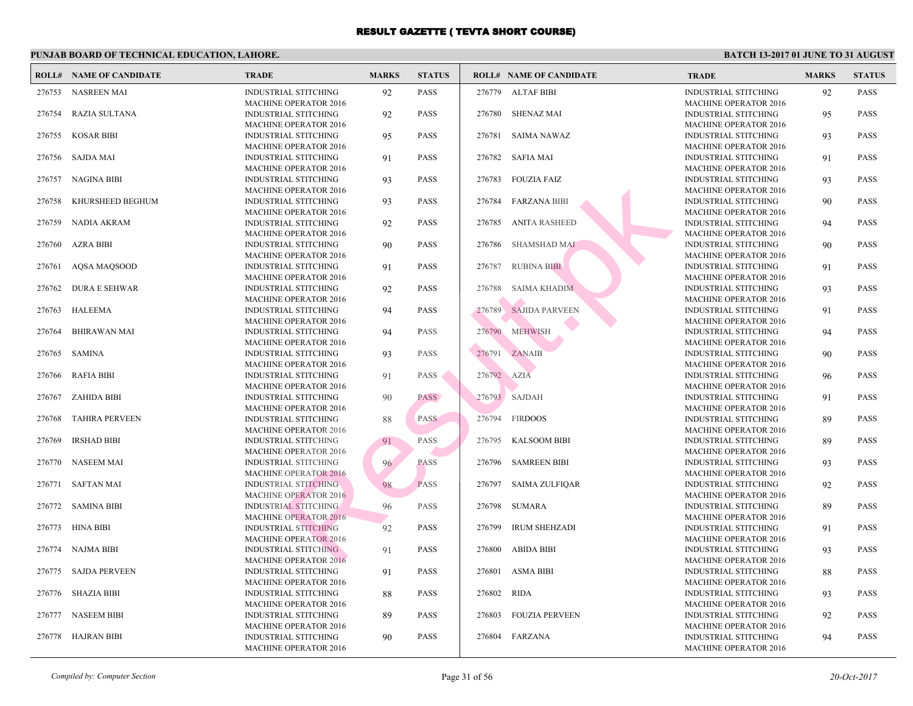|        | <b>ROLL# NAME OF CANDIDATE</b> | <b>TRADE</b>                                                | <b>MARKS</b> | <b>STATUS</b> |             | <b>ROLL# NAME OF CANDIDATE</b> | <b>TRA</b>                 |
|--------|--------------------------------|-------------------------------------------------------------|--------------|---------------|-------------|--------------------------------|----------------------------|
| 276753 | NASREEN MAI                    | <b>INDUSTRIAL STITCHING</b>                                 | 92           | <b>PASS</b>   |             | 276779 ALTAF BIBI              | <b>INDU</b>                |
| 276754 | <b>RAZIA SULTANA</b>           | <b>MACHINE OPERATOR 2016</b><br><b>INDUSTRIAL STITCHING</b> | 92           | <b>PASS</b>   | 276780      | SHENAZ MAI                     | MACI<br><b>INDU</b>        |
| 276755 | <b>KOSAR BIBI</b>              | <b>MACHINE OPERATOR 2016</b><br><b>INDUSTRIAL STITCHING</b> | 95           | <b>PASS</b>   | 276781      | SAIMA NAWAZ                    | <b>MACI</b><br><b>INDU</b> |
| 276756 | <b>SAJDA MAI</b>               | <b>MACHINE OPERATOR 2016</b><br><b>INDUSTRIAL STITCHING</b> | 91           | <b>PASS</b>   |             | 276782 SAFIA MAI               | <b>MAC</b><br><b>INDU</b>  |
| 276757 | <b>NAGINA BIBI</b>             | <b>MACHINE OPERATOR 2016</b><br><b>INDUSTRIAL STITCHING</b> | 93           | <b>PASS</b>   | 276783      | FOUZIA FAIZ                    | <b>MACI</b><br><b>INDU</b> |
| 276758 | KHURSHEED BEGHUM               | <b>MACHINE OPERATOR 2016</b><br><b>INDUSTRIAL STITCHING</b> | 93           | <b>PASS</b>   | 276784      | <b>FARZANA BIBI</b>            | <b>MAC</b><br><b>INDU</b>  |
| 276759 | NADIA AKRAM                    | <b>MACHINE OPERATOR 2016</b><br><b>INDUSTRIAL STITCHING</b> | 92           | <b>PASS</b>   | 276785      | <b>ANITA RASHEED</b>           | <b>MAC</b><br><b>INDU</b>  |
| 276760 | AZRA BIBI                      | <b>MACHINE OPERATOR 2016</b><br>INDUSTRIAL STITCHING        | 90           | <b>PASS</b>   | 276786      | SHAMSHAD MAI                   | <b>MAC</b><br><b>INDU</b>  |
|        |                                | <b>MACHINE OPERATOR 2016</b>                                |              |               |             |                                | MAC                        |
| 276761 | AQSA MAQSOOD                   | INDUSTRIAL STITCHING<br><b>MACHINE OPERATOR 2016</b>        | 91           | <b>PASS</b>   | 276787      | <b>RUBINA BIBI</b>             | <b>INDU</b><br><b>MAC</b>  |
| 276762 | <b>DURA E SEHWAR</b>           | INDUSTRIAL STITCHING<br><b>MACHINE OPERATOR 2016</b>        | 92           | <b>PASS</b>   | 276788      | SAIMA KHADIM                   | <b>INDU</b><br><b>MAC</b>  |
| 276763 | HALEEMA                        | INDUSTRIAL STITCHING<br><b>MACHINE OPERATOR 2016</b>        | 94           | <b>PASS</b>   | 276789      | <b>SAJIDA PARVEEN</b>          | <b>INDU</b><br><b>MAC</b>  |
| 276764 | <b>BHIRAWAN MAI</b>            | INDUSTRIAL STITCHING<br><b>MACHINE OPERATOR 2016</b>        | 94           | <b>PASS</b>   | 276790      | <b>MEHWISH</b>                 | <b>INDU</b><br><b>MAC</b>  |
| 276765 | <b>SAMINA</b>                  | <b>INDUSTRIAL STITCHING</b>                                 | 93           | <b>PASS</b>   | 276791      | ZANAIB                         | <b>INDU</b>                |
| 276766 | <b>RAFIA BIBI</b>              | <b>MACHINE OPERATOR 2016</b><br><b>INDUSTRIAL STITCHING</b> | 91           | <b>PASS</b>   | 276792 AZIA |                                | <b>MAC</b><br><b>INDU</b>  |
| 276767 | <b>ZAHIDA BIBI</b>             | <b>MACHINE OPERATOR 2016</b><br><b>INDUSTRIAL STITCHING</b> | 90           | <b>PASS</b>   |             | 276793 SAJDAH                  | <b>MAC</b><br><b>INDU</b>  |
| 276768 | <b>TAHIRA PERVEEN</b>          | <b>MACHINE OPERATOR 2016</b><br><b>INDUSTRIAL STITCHING</b> | 88           | <b>PASS</b>   | 276794      | FIRDOOS                        | <b>MAC</b><br><b>INDU</b>  |
| 276769 | <b>IRSHAD BIBI</b>             | <b>MACHINE OPERATOR 2016</b><br><b>INDUSTRIAL STITCHING</b> | 91           | PASS          | 276795      | <b>KALSOOM BIBI</b>            | <b>MAC</b><br><b>INDU</b>  |
| 276770 | <b>NASEEM MAI</b>              | <b>MACHINE OPERATOR 2016</b><br><b>INDUSTRIAL STITCHING</b> | 96           | <b>PASS</b>   | 276796      | <b>SAMREEN BIBI</b>            | <b>MAC</b><br><b>INDU</b>  |
|        |                                | <b>MACHINE OPERATOR 2016</b>                                |              |               |             |                                | <b>MAC</b>                 |
|        | 276771 SAFTAN MAI              | <b>INDUSTRIAL STITCHING</b><br><b>MACHINE OPERATOR 2016</b> | 98           | <b>PASS</b>   |             | 276797 SAIMA ZULFIQAR          | <b>INDU</b><br><b>MAC</b>  |
| 276772 | <b>SAMINA BIBI</b>             | <b>INDUSTRIAL STITCHING</b><br><b>MACHINE OPERATOR 2016</b> | 96           | <b>PASS</b>   | 276798      | SUMARA                         | <b>INDU</b><br><b>MAC</b>  |
| 276773 | HINA BIBI                      | <b>INDUSTRIAL STITCHING</b><br><b>MACHINE OPERATOR 2016</b> | 92           | <b>PASS</b>   | 276799      | <b>IRUM SHEHZADI</b>           | <b>INDU</b><br><b>MAC</b>  |
| 276774 | NAJMA BIBI                     | INDUSTRIAL STITCHING<br><b>MACHINE OPERATOR 2016</b>        | 91           | <b>PASS</b>   | 276800      | <b>ABIDA BIBI</b>              | <b>INDU</b><br><b>MAC</b>  |
| 276775 | <b>SAJDA PERVEEN</b>           | <b>INDUSTRIAL STITCHING</b>                                 | 91           | <b>PASS</b>   | 276801      | <b>ASMA BIBI</b>               | <b>INDU</b>                |
| 276776 | <b>SHAZIA BIBI</b>             | <b>MACHINE OPERATOR 2016</b><br><b>INDUSTRIAL STITCHING</b> | 88           | <b>PASS</b>   | 276802      | <b>RIDA</b>                    | <b>MAC</b><br><b>INDU</b>  |
| 276777 | <b>NASEEM BIBI</b>             | <b>MACHINE OPERATOR 2016</b><br><b>INDUSTRIAL STITCHING</b> | 89           | <b>PASS</b>   | 276803      | <b>FOUZIA PERVEEN</b>          | <b>MACI</b><br><b>INDU</b> |
| 276778 | HAJRAN BIBI                    | <b>MACHINE OPERATOR 2016</b><br><b>INDUSTRIAL STITCHING</b> | 90           | <b>PASS</b>   |             | 276804 FARZANA                 | MAC<br><b>INDU</b>         |
|        |                                | <b>MACHINE OPERATOR 2016</b>                                |              |               |             |                                | <b>MACI</b>                |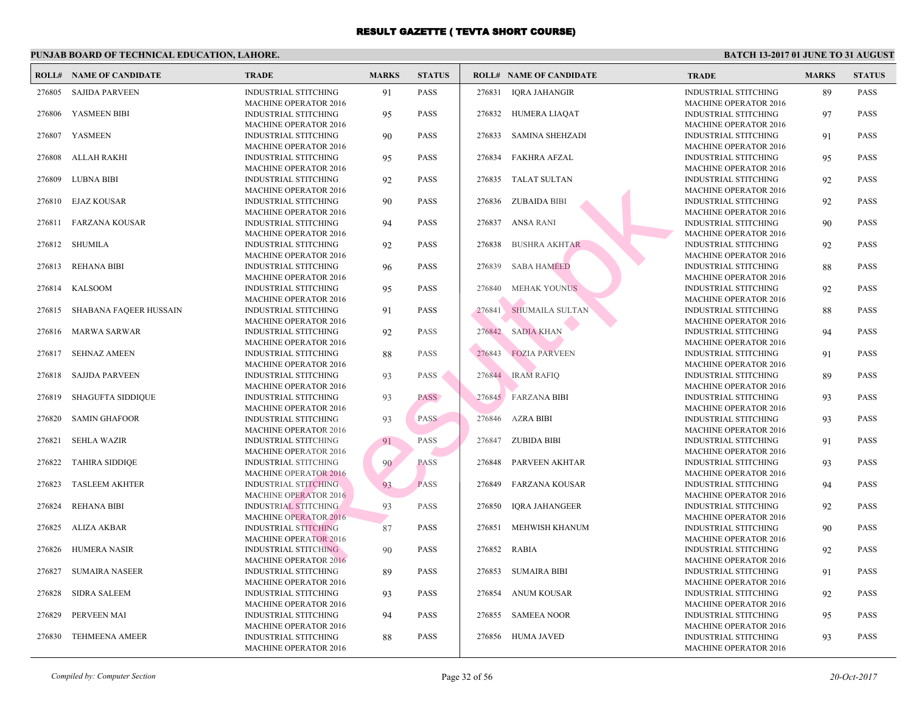|        | <b>ROLL# NAME OF CANDIDATE</b> | <b>TRADE</b>                                                | <b>MARKS</b> | <b>STATUS</b> |        | <b>ROLL# NAME OF CANDIDATE</b> | <b>TRA</b>                 |
|--------|--------------------------------|-------------------------------------------------------------|--------------|---------------|--------|--------------------------------|----------------------------|
| 276805 | <b>SAJIDA PARVEEN</b>          | <b>INDUSTRIAL STITCHING</b><br><b>MACHINE OPERATOR 2016</b> | 91           | <b>PASS</b>   | 276831 | <b>IQRA JAHANGIR</b>           | <b>INDU</b><br><b>MAC</b>  |
| 276806 | YASMEEN BIBI                   | <b>INDUSTRIAL STITCHING</b><br><b>MACHINE OPERATOR 2016</b> | 95           | <b>PASS</b>   | 276832 | HUMERA LIAQAT                  | <b>INDU</b><br><b>MAC</b>  |
| 276807 | YASMEEN                        | <b>INDUSTRIAL STITCHING</b>                                 | 90           | <b>PASS</b>   | 276833 | SAMINA SHEHZADI                | <b>INDU</b>                |
| 276808 | ALLAH RAKHI                    | <b>MACHINE OPERATOR 2016</b><br><b>INDUSTRIAL STITCHING</b> | 95           | <b>PASS</b>   | 276834 | <b>FAKHRA AFZAL</b>            | <b>MAC</b><br><b>INDU</b>  |
| 276809 | <b>LUBNA BIBI</b>              | <b>MACHINE OPERATOR 2016</b><br><b>INDUSTRIAL STITCHING</b> | 92           | <b>PASS</b>   | 276835 | <b>TALAT SULTAN</b>            | <b>MACI</b><br><b>INDU</b> |
| 276810 | EJAZ KOUSAR                    | <b>MACHINE OPERATOR 2016</b><br>INDUSTRIAL STITCHING        | 90           | <b>PASS</b>   | 276836 | ZUBAIDA BIBI                   | <b>MAC</b><br><b>INDU</b>  |
| 276811 | FARZANA KOUSAR                 | <b>MACHINE OPERATOR 2016</b><br>INDUSTRIAL STITCHING        | 94           | <b>PASS</b>   | 276837 | <b>ANSA RANI</b>               | <b>MAC</b><br><b>INDU</b>  |
| 276812 | <b>SHUMILA</b>                 | <b>MACHINE OPERATOR 2016</b><br>INDUSTRIAL STITCHING        | 92           | <b>PASS</b>   | 276838 | <b>BUSHRA AKHTAR</b>           | MAC<br><b>INDU</b>         |
| 276813 | <b>REHANA BIBI</b>             | <b>MACHINE OPERATOR 2016</b><br>INDUSTRIAL STITCHING        | 96           | <b>PASS</b>   | 276839 | <b>SABA HAMEED</b>             | MAC<br><b>INDU</b>         |
| 276814 | KALSOOM                        | <b>MACHINE OPERATOR 2016</b><br>INDUSTRIAL STITCHING        | 95           | <b>PASS</b>   | 276840 | <b>MEHAK YOUNUS</b>            | <b>MAC</b><br><b>INDU</b>  |
| 276815 | SHABANA FAQEER HUSSAIN         | <b>MACHINE OPERATOR 2016</b><br>INDUSTRIAL STITCHING        | 91           | <b>PASS</b>   | 276841 | SHUMAILA SULTAN                | <b>MAC</b><br><b>INDU</b>  |
| 276816 | <b>MARWA SARWAR</b>            | <b>MACHINE OPERATOR 2016</b><br><b>INDUSTRIAL STITCHING</b> | 92           | <b>PASS</b>   | 276842 | <b>SADIA KHAN</b>              | <b>MAC</b><br><b>INDU</b>  |
| 276817 | <b>SEHNAZ AMEEN</b>            | <b>MACHINE OPERATOR 2016</b><br>INDUSTRIAL STITCHING        | 88           | <b>PASS</b>   | 276843 | <b>FOZIA PARVEEN</b>           | <b>MAC</b><br><b>INDU</b>  |
| 276818 | <b>SAJJDA PARVEEN</b>          | <b>MACHINE OPERATOR 2016</b><br><b>INDUSTRIAL STITCHING</b> | 93           | <b>PASS</b>   |        | 276844 IRAM RAFIQ              | <b>MAC</b><br><b>INDU</b>  |
| 276819 | <b>SHAGUFTA SIDDIQUE</b>       | <b>MACHINE OPERATOR 2016</b><br><b>INDUSTRIAL STITCHING</b> | 93           | <b>PASS</b>   |        | 276845 FARZANA BIBI            | <b>MAC</b><br><b>INDU</b>  |
| 276820 | <b>SAMIN GHAFOOR</b>           | <b>MACHINE OPERATOR 2016</b><br>INDUSTRIAL STITCHING        | 93           | <b>PASS</b>   | 276846 | AZRA BIBI                      | <b>MAC</b><br><b>INDU</b>  |
| 276821 | <b>SEHLA WAZIR</b>             | <b>MACHINE OPERATOR 2016</b><br><b>INDUSTRIAL STITCHING</b> | 91           | PASS          | 276847 | <b>ZUBIDA BIBI</b>             | <b>MAC</b><br><b>INDU</b>  |
| 276822 | <b>TAHIRA SIDDIQE</b>          | <b>MACHINE OPERATOR 2016</b><br><b>INDUSTRIAL STITCHING</b> | 90           | <b>PASS</b>   | 276848 | PARVEEN AKHTAR                 | <b>MAC</b><br><b>INDU</b>  |
| 276823 | <b>TASLEEM AKHTER</b>          | <b>MACHINE OPERATOR 2016</b><br><b>INDUSTRIAL STITCHING</b> | 93           | <b>PASS</b>   | 276849 | FARZANA KOUSAR                 | <b>MAC</b><br><b>INDU</b>  |
| 276824 | <b>REHANA BIBI</b>             | <b>MACHINE OPERATOR 2016</b><br><b>INDUSTRIAL STITCHING</b> | 93           | <b>PASS</b>   | 276850 | <b>IQRA JAHANGEER</b>          | MAC<br><b>INDU</b>         |
| 276825 | ALIZA AKBAR                    | <b>MACHINE OPERATOR 2016</b><br><b>INDUSTRIAL STITCHING</b> | 87           | <b>PASS</b>   | 276851 | MEHWISH KHANUM                 | <b>MAC</b><br><b>INDU</b>  |
|        |                                | <b>MACHINE OPERATOR 2016</b>                                |              |               |        |                                | <b>MAC</b>                 |
| 276826 | <b>HUMERA NASIR</b>            | INDUSTRIAL STITCHING<br><b>MACHINE OPERATOR 2016</b>        | 90           | <b>PASS</b>   | 276852 | <b>RABIA</b>                   | <b>INDU</b><br><b>MAC</b>  |
| 276827 | <b>SUMAIRA NASEER</b>          | <b>INDUSTRIAL STITCHING</b><br><b>MACHINE OPERATOR 2016</b> | 89           | <b>PASS</b>   | 276853 | <b>SUMAIRA BIBI</b>            | <b>INDU</b><br><b>MAC</b>  |
| 276828 | <b>SIDRA SALEEM</b>            | <b>INDUSTRIAL STITCHING</b><br><b>MACHINE OPERATOR 2016</b> | 93           | <b>PASS</b>   |        | 276854 ANUM KOUSAR             | <b>INDU</b><br><b>MACI</b> |
| 276829 | PERVEEN MAI                    | <b>INDUSTRIAL STITCHING</b><br><b>MACHINE OPERATOR 2016</b> | 94           | <b>PASS</b>   | 276855 | <b>SAMEEA NOOR</b>             | <b>INDU</b><br><b>MAC</b>  |
| 276830 | <b>TEHMEENA AMEER</b>          | <b>INDUSTRIAL STITCHING</b><br><b>MACHINE OPERATOR 2016</b> | 88           | <b>PASS</b>   |        | 276856 HUMA JAVED              | <b>INDU</b><br><b>MACI</b> |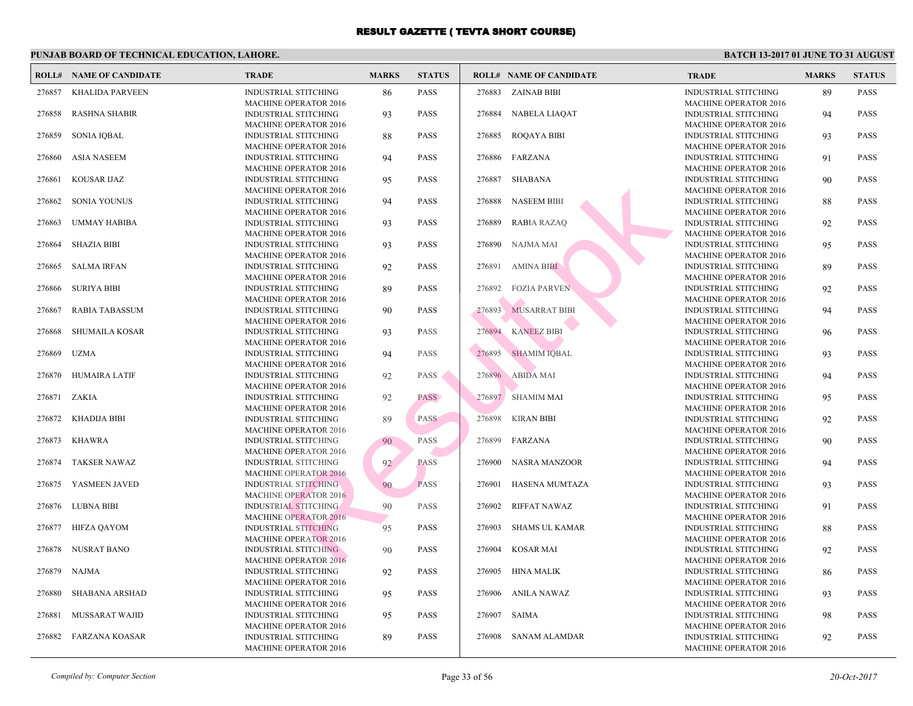|        | <b>ROLL# NAME OF CANDIDATE</b> | <b>TRADE</b>                                                | <b>MARKS</b> | <b>STATUS</b> |        | <b>ROLL# NAME OF CANDIDATE</b> | <b>TRA</b>                 |
|--------|--------------------------------|-------------------------------------------------------------|--------------|---------------|--------|--------------------------------|----------------------------|
| 276857 | <b>KHALIDA PARVEEN</b>         | <b>INDUSTRIAL STITCHING</b><br><b>MACHINE OPERATOR 2016</b> | 86           | <b>PASS</b>   | 276883 | ZAINAB BIBI                    | <b>INDU</b><br><b>MAC</b>  |
| 276858 | <b>RASHNA SHABIR</b>           | <b>INDUSTRIAL STITCHING</b>                                 | 93           | <b>PASS</b>   |        | 276884 NABELA LIAQAT           | <b>INDU</b>                |
| 276859 | <b>SONIA IQBAL</b>             | <b>MACHINE OPERATOR 2016</b><br>INDUSTRIAL STITCHING        | 88           | <b>PASS</b>   | 276885 | <b>ROQAYA BIBI</b>             | <b>MACI</b><br><b>INDU</b> |
| 276860 | <b>ASIA NASEEM</b>             | <b>MACHINE OPERATOR 2016</b><br>INDUSTRIAL STITCHING        | 94           | <b>PASS</b>   |        | 276886 FARZANA                 | <b>MAC</b><br><b>INDU</b>  |
| 276861 | <b>KOUSAR IJAZ</b>             | <b>MACHINE OPERATOR 2016</b><br>INDUSTRIAL STITCHING        | 95           | <b>PASS</b>   | 276887 | SHABANA                        | <b>MACI</b><br><b>INDU</b> |
| 276862 | <b>SONIA YOUNUS</b>            | <b>MACHINE OPERATOR 2016</b><br>INDUSTRIAL STITCHING        | 94           | <b>PASS</b>   | 276888 | <b>NASEEM BIBI</b>             | <b>MAC</b><br><b>INDU</b>  |
| 276863 | <b>UMMAY HABIBA</b>            | <b>MACHINE OPERATOR 2016</b><br>INDUSTRIAL STITCHING        | 93           | <b>PASS</b>   | 276889 | <b>RABIA RAZAQ</b>             | <b>MAC</b><br><b>INDU</b>  |
| 276864 | <b>SHAZIA BIBI</b>             | <b>MACHINE OPERATOR 2016</b><br><b>INDUSTRIAL STITCHING</b> | 93           | <b>PASS</b>   | 276890 | NAJMA MAI                      | <b>MAC</b><br><b>INDU</b>  |
| 276865 | <b>SALMA IRFAN</b>             | <b>MACHINE OPERATOR 2016</b><br><b>INDUSTRIAL STITCHING</b> | 92           | <b>PASS</b>   | 276891 | <b>AMINA BIBI</b>              | <b>MAC</b><br><b>INDU</b>  |
|        |                                | <b>MACHINE OPERATOR 2016</b>                                |              |               |        |                                | <b>MAC</b>                 |
| 276866 | <b>SURIYA BIBI</b>             | <b>INDUSTRIAL STITCHING</b><br><b>MACHINE OPERATOR 2016</b> | 89           | <b>PASS</b>   | 276892 | <b>FOZIA PARVEN</b>            | <b>INDU</b><br><b>MAC</b>  |
| 276867 | <b>RABIA TABASSUM</b>          | <b>INDUSTRIAL STITCHING</b><br><b>MACHINE OPERATOR 2016</b> | 90           | <b>PASS</b>   | 276893 | <b>MUSARRAT BIBI</b>           | <b>INDU</b><br><b>MAC</b>  |
| 276868 | <b>SHUMAILA KOSAR</b>          | <b>INDUSTRIAL STITCHING</b><br><b>MACHINE OPERATOR 2016</b> | 93           | <b>PASS</b>   | 276894 | <b>KANEEZ BIBI</b>             | <b>INDU</b><br><b>MAC</b>  |
| 276869 | <b>UZMA</b>                    | <b>INDUSTRIAL STITCHING</b><br><b>MACHINE OPERATOR 2016</b> | 94           | <b>PASS</b>   | 276895 | <b>SHAMIM IOBAL</b>            | <b>INDU</b><br><b>MAC</b>  |
| 276870 | <b>HUMAIRA LATIF</b>           | INDUSTRIAL STITCHING                                        | 92           | <b>PASS</b>   |        | 276896 ABIDA MAI               | <b>INDU</b>                |
| 276871 | ZAKIA                          | <b>MACHINE OPERATOR 2016</b><br>INDUSTRIAL STITCHING        | 92           | <b>PASS</b>   |        | 276897 SHAMIM MAI              | <b>MAC</b><br><b>INDU</b>  |
| 276872 | KHADIJA BIBI                   | <b>MACHINE OPERATOR 2016</b><br>INDUSTRIAL STITCHING        | 89           | <b>PASS</b>   |        | 276898 KIRAN BIBI              | <b>MAC</b><br><b>INDU</b>  |
| 276873 | <b>KHAWRA</b>                  | <b>MACHINE OPERATOR 2016</b><br>INDUSTRIAL STITCHING        | 90           | PASS          | 276899 | FARZANA                        | <b>MAC</b><br><b>INDU</b>  |
| 276874 | <b>TAKSER NAWAZ</b>            | <b>MACHINE OPERATOR 2016</b><br><b>INDUSTRIAL STITCHING</b> | 92           | <b>PASS</b>   | 276900 | NASRA MANZOOR                  | <b>MACI</b><br><b>INDU</b> |
| 276875 | YASMEEN JAVED                  | <b>MACHINE OPERATOR 2016</b><br><b>INDUSTRIAL STITCHING</b> | 90           | <b>PASS</b>   |        | 276901 HASENA MUMTAZA          | <b>MAC</b><br><b>INDU</b>  |
|        |                                | <b>MACHINE OPERATOR 2016</b>                                |              |               |        |                                | <b>MACI</b>                |
| 276876 | <b>LUBNA BIBI</b>              | <b>INDUSTRIAL STITCHING</b><br><b>MACHINE OPERATOR 2016</b> | 90           | <b>PASS</b>   | 276902 | <b>RIFFAT NAWAZ</b>            | <b>INDU</b><br><b>MAC</b>  |
| 276877 | <b>HIFZA OAYOM</b>             | <b>INDUSTRIAL STITCHING</b><br>MACHINE OPERATOR 2016        | 95           | <b>PASS</b>   | 276903 | <b>SHAMS UL KAMAR</b>          | <b>INDU</b><br><b>MACI</b> |
| 276878 | NUSRAT BANO                    | <b>INDUSTRIAL STITCHING</b><br><b>MACHINE OPERATOR 2016</b> | 90           | <b>PASS</b>   | 276904 | KOSAR MAI                      | <b>INDU</b><br><b>MACI</b> |
| 276879 | NAJMA                          | <b>INDUSTRIAL STITCHING</b>                                 | 92           | <b>PASS</b>   | 276905 | HINA MALIK                     | <b>INDU</b>                |
| 276880 | SHABANA ARSHAD                 | <b>MACHINE OPERATOR 2016</b><br><b>INDUSTRIAL STITCHING</b> | 95           | <b>PASS</b>   |        | 276906 ANILA NAWAZ             | <b>MAC</b><br><b>INDU</b>  |
| 276881 | MUSSARAT WAJID                 | MACHINE OPERATOR 2016<br>INDUSTRIAL STITCHING               | 95           | <b>PASS</b>   | 276907 | <b>SAIMA</b>                   | <b>MAC</b><br><b>INDU</b>  |
| 276882 | <b>FARZANA KOASAR</b>          | <b>MACHINE OPERATOR 2016</b><br>INDUSTRIAL STITCHING        | 89           | <b>PASS</b>   |        | 276908 SANAM ALAMDAR           | MAC<br><b>INDU</b>         |
|        |                                | <b>MACHINE OPERATOR 2016</b>                                |              |               |        |                                | <b>MAC</b>                 |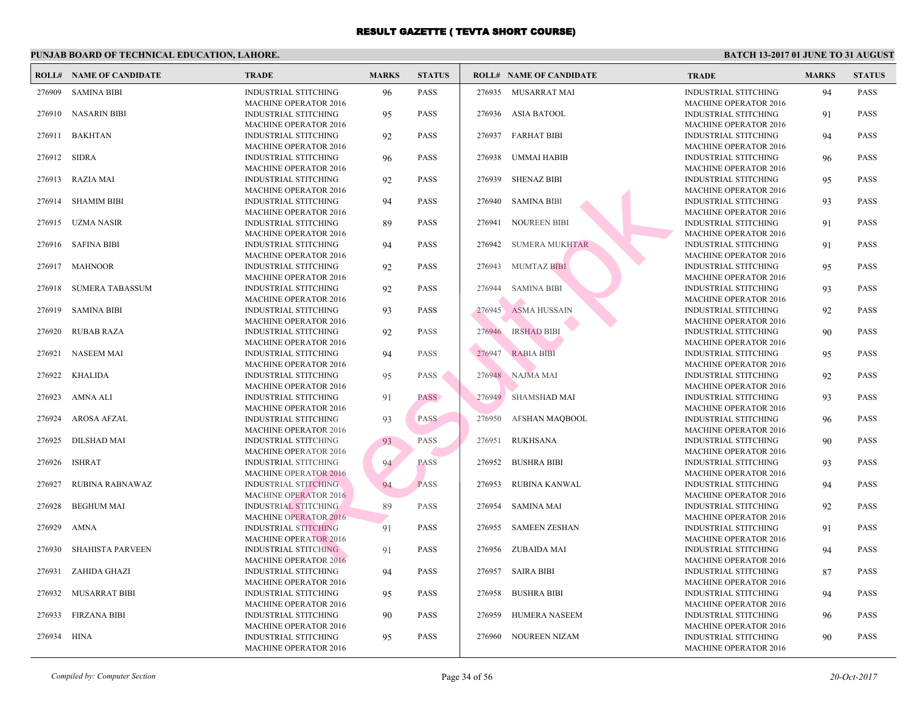|        | <b>ROLL# NAME OF CANDIDATE</b> | <b>TRADE</b>                                                | <b>MARKS</b> | <b>STATUS</b> |        | <b>ROLL# NAME OF CANDIDATE</b> | <b>TRA</b>                 |
|--------|--------------------------------|-------------------------------------------------------------|--------------|---------------|--------|--------------------------------|----------------------------|
| 276909 | <b>SAMINA BIBI</b>             | <b>INDUSTRIAL STITCHING</b>                                 | 96           | <b>PASS</b>   |        | 276935 MUSARRAT MAI            | <b>INDU</b>                |
|        |                                | <b>MACHINE OPERATOR 2016</b>                                |              |               |        |                                | <b>MACI</b>                |
| 276910 | <b>NASARIN BIBI</b>            | INDUSTRIAL STITCHING                                        | 95           | <b>PASS</b>   | 276936 | ASIA BATOOL                    | <b>INDU</b>                |
|        |                                | <b>MACHINE OPERATOR 2016</b>                                |              |               |        |                                | <b>MACI</b>                |
| 276911 | <b>BAKHTAN</b>                 | <b>INDUSTRIAL STITCHING</b>                                 | 92           | <b>PASS</b>   | 276937 | <b>FARHAT BIBI</b>             | <b>INDU</b>                |
| 276912 | <b>SIDRA</b>                   | <b>MACHINE OPERATOR 2016</b><br><b>INDUSTRIAL STITCHING</b> | 96           | <b>PASS</b>   | 276938 | UMMAI HABIB                    | <b>MACI</b><br><b>INDU</b> |
|        |                                | <b>MACHINE OPERATOR 2016</b>                                |              |               |        |                                | <b>MACI</b>                |
| 276913 | RAZIA MAI                      | <b>INDUSTRIAL STITCHING</b>                                 | 92           | <b>PASS</b>   | 276939 | <b>SHENAZ BIBI</b>             | <b>INDU</b>                |
|        |                                | <b>MACHINE OPERATOR 2016</b>                                |              |               |        |                                | <b>MACI</b>                |
| 276914 | <b>SHAMIM BIBI</b>             | <b>INDUSTRIAL STITCHING</b>                                 | 94           | <b>PASS</b>   | 276940 | <b>SAMINA BIBI</b>             | <b>INDU</b>                |
|        |                                | <b>MACHINE OPERATOR 2016</b>                                |              |               |        |                                | <b>MAC</b>                 |
| 276915 | UZMA NASIR                     | <b>INDUSTRIAL STITCHING</b>                                 | 89           | <b>PASS</b>   | 276941 | <b>NOUREEN BIBI</b>            | <b>INDU</b>                |
|        |                                | <b>MACHINE OPERATOR 2016</b>                                |              |               |        |                                | <b>MAC</b>                 |
| 276916 | <b>SAFINA BIBI</b>             | <b>INDUSTRIAL STITCHING</b>                                 | 94           | <b>PASS</b>   | 276942 | SUMERA MUKHTAR                 | <b>INDU</b>                |
|        |                                | <b>MACHINE OPERATOR 2016</b>                                |              |               |        |                                | <b>MAC</b>                 |
| 276917 | MAHNOOR                        | <b>INDUSTRIAL STITCHING</b>                                 | 92           | <b>PASS</b>   |        | 276943 MUMTAZ BIBI             | <b>INDU</b>                |
|        |                                | <b>MACHINE OPERATOR 2016</b>                                |              |               |        |                                | <b>MACI</b>                |
| 276918 | <b>SUMERA TABASSUM</b>         | <b>INDUSTRIAL STITCHING</b>                                 | 92           | <b>PASS</b>   | 276944 | <b>SAMINA BIBI</b>             | <b>INDU</b>                |
|        |                                | <b>MACHINE OPERATOR 2016</b>                                |              |               |        |                                | <b>MACI</b>                |
| 276919 | <b>SAMINA BIBI</b>             | <b>INDUSTRIAL STITCHING</b>                                 | 93           | <b>PASS</b>   | 276945 | <b>ASMA HUSSAIN</b>            | <b>INDU</b><br><b>MACI</b> |
| 276920 | <b>RUBAB RAZA</b>              | <b>MACHINE OPERATOR 2016</b><br><b>INDUSTRIAL STITCHING</b> | 92           | <b>PASS</b>   | 276946 | <b>IRSHAD BIBI</b>             | <b>INDU</b>                |
|        |                                | <b>MACHINE OPERATOR 2016</b>                                |              |               |        |                                | <b>MACI</b>                |
| 276921 | <b>NASEEM MAI</b>              | <b>INDUSTRIAL STITCHING</b>                                 | 94           | <b>PASS</b>   | 276947 | <b>RABIA BIBI</b>              | <b>INDU</b>                |
|        |                                | <b>MACHINE OPERATOR 2016</b>                                |              |               |        |                                | <b>MACI</b>                |
| 276922 | <b>KHALIDA</b>                 | <b>INDUSTRIAL STITCHING</b>                                 | 95           | PASS          |        | 276948 NAJMA MAI               | <b>INDU</b>                |
|        |                                | <b>MACHINE OPERATOR 2016</b>                                |              |               |        |                                | <b>MACI</b>                |
| 276923 | AMNA ALI                       | <b>INDUSTRIAL STITCHING</b>                                 | 91           | <b>PASS</b>   |        | 276949 SHAMSHAD MAI            | <b>INDU</b>                |
|        |                                | <b>MACHINE OPERATOR 2016</b>                                |              |               |        |                                | <b>MACI</b>                |
| 276924 | AROSA AFZAL                    | <b>INDUSTRIAL STITCHING</b>                                 | 93           | <b>PASS</b>   | 276950 | AFSHAN MAQBOOL                 | <b>INDU</b>                |
|        |                                | <b>MACHINE OPERATOR 2016</b>                                |              |               |        |                                | <b>MACI</b>                |
| 276925 | <b>DILSHAD MAI</b>             | <b>INDUSTRIAL STITCHING</b>                                 | 93           | PASS          | 276951 | RUKHSANA                       | <b>INDU</b>                |
|        |                                | <b>MACHINE OPERATOR 2016</b>                                |              |               |        |                                | <b>MACI</b>                |
| 276926 | <b>ISHRAT</b>                  | <b>INDUSTRIAL STITCHING</b>                                 | 94           | <b>PASS</b>   | 276952 | <b>BUSHRA BIBI</b>             | <b>INDU</b>                |
|        |                                | <b>MACHINE OPERATOR 2016</b>                                |              | <b>PASS</b>   |        |                                | <b>MACI</b><br><b>INDU</b> |
| 276927 | RUBINA RABNAWAZ                | <b>INDUSTRIAL STITCHING</b><br><b>MACHINE OPERATOR 2016</b> | 94           |               | 276953 | RUBINA KANWAL                  | <b>MACI</b>                |
| 276928 | <b>BEGHUM MAI</b>              | <b>INDUSTRIAL STITCHING</b>                                 | 89           | <b>PASS</b>   | 276954 | <b>SAMINA MAI</b>              | <b>INDU</b>                |
|        |                                | <b>MACHINE OPERATOR 2016</b>                                |              |               |        |                                | <b>MACI</b>                |
| 276929 | AMNA                           | <b>INDUSTRIAL STITCHING</b>                                 | 91           | <b>PASS</b>   | 276955 | <b>SAMEEN ZESHAN</b>           | <b>INDU</b>                |
|        |                                | <b>MACHINE OPERATOR 2016</b>                                |              |               |        |                                | <b>MACI</b>                |
| 276930 | <b>SHAHISTA PARVEEN</b>        | <b>INDUSTRIAL STITCHING</b>                                 | 91           | <b>PASS</b>   |        | 276956 ZUBAIDA MAI             | <b>INDU</b>                |
|        |                                | <b>MACHINE OPERATOR 2016</b>                                |              |               |        |                                | <b>MACI</b>                |
| 276931 | ZAHIDA GHAZI                   | <b>INDUSTRIAL STITCHING</b>                                 | 94           | <b>PASS</b>   | 276957 | <b>SAIRA BIBI</b>              | <b>INDU</b>                |
|        |                                | <b>MACHINE OPERATOR 2016</b>                                |              |               |        |                                | <b>MACI</b>                |
| 276932 | <b>MUSARRAT BIBI</b>           | <b>INDUSTRIAL STITCHING</b>                                 | 95           | <b>PASS</b>   | 276958 | <b>BUSHRA BIBI</b>             | <b>INDU</b>                |
|        |                                | <b>MACHINE OPERATOR 2016</b>                                |              |               |        |                                | <b>MACI</b>                |
| 276933 | <b>FIRZANA BIBI</b>            | <b>INDUSTRIAL STITCHING</b>                                 | 90           | <b>PASS</b>   | 276959 | HUMERA NASEEM                  | <b>INDU</b>                |
|        |                                | <b>MACHINE OPERATOR 2016</b>                                |              |               |        |                                | <b>MACI</b>                |
| 276934 | HINA                           | <b>INDUSTRIAL STITCHING</b>                                 | 95           | <b>PASS</b>   | 276960 | NOUREEN NIZAM                  | <b>INDU</b>                |
|        |                                | <b>MACHINE OPERATOR 2016</b>                                |              |               |        |                                | <b>MACI</b>                |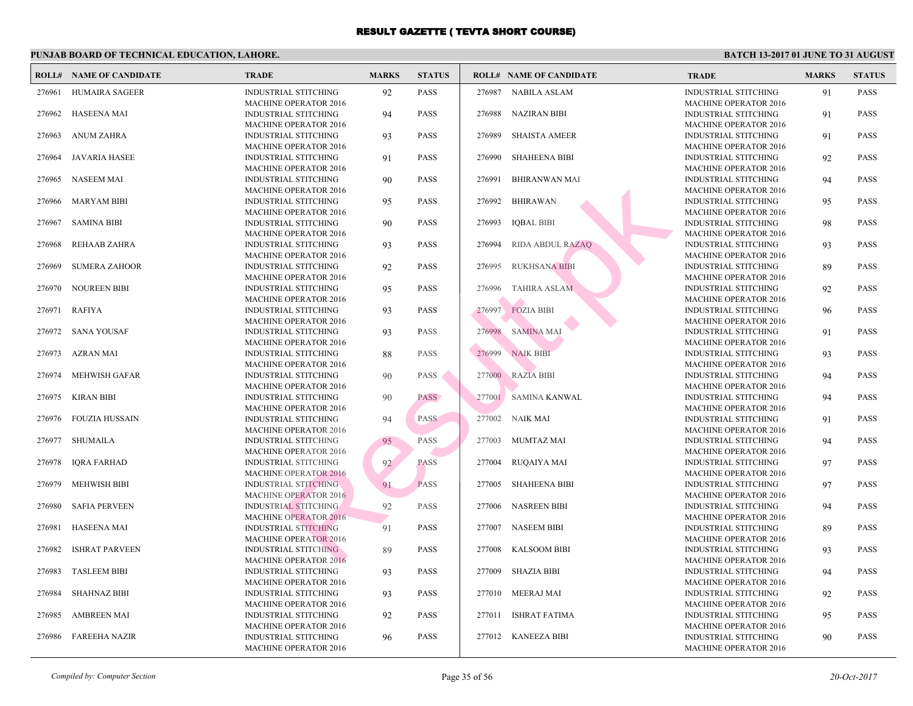|        | <b>ROLL# NAME OF CANDIDATE</b> | <b>TRADE</b>                                                | <b>MARKS</b> | <b>STATUS</b> |        | <b>ROLL# NAME OF CANDIDATE</b> | <b>TRA</b>                 |
|--------|--------------------------------|-------------------------------------------------------------|--------------|---------------|--------|--------------------------------|----------------------------|
| 276961 | <b>HUMAIRA SAGEER</b>          | <b>INDUSTRIAL STITCHING</b><br><b>MACHINE OPERATOR 2016</b> | 92           | <b>PASS</b>   |        | 276987 NABILA ASLAM            | <b>INDU</b><br><b>MAC</b>  |
| 276962 | <b>HASEENA MAI</b>             | <b>INDUSTRIAL STITCHING</b>                                 | 94           | <b>PASS</b>   | 276988 | <b>NAZIRAN BIBI</b>            | <b>INDU</b>                |
| 276963 | <b>ANUM ZAHRA</b>              | <b>MACHINE OPERATOR 2016</b><br><b>INDUSTRIAL STITCHING</b> | 93           | <b>PASS</b>   | 276989 | <b>SHAISTA AMEER</b>           | <b>MACI</b><br><b>INDU</b> |
| 276964 | <b>JAVARIA HASEE</b>           | <b>MACHINE OPERATOR 2016</b><br><b>INDUSTRIAL STITCHING</b> | 91           | <b>PASS</b>   | 276990 | <b>SHAHEENA BIBI</b>           | <b>MAC</b><br><b>INDU</b>  |
| 276965 | <b>NASEEM MAI</b>              | <b>MACHINE OPERATOR 2016</b><br><b>INDUSTRIAL STITCHING</b> | 90           | <b>PASS</b>   | 276991 | <b>BHIRANWAN MAI</b>           | <b>MACI</b><br><b>INDU</b> |
| 276966 | <b>MARYAM BIBI</b>             | <b>MACHINE OPERATOR 2016</b><br><b>INDUSTRIAL STITCHING</b> | 95           | <b>PASS</b>   | 276992 | <b>BHIRAWAN</b>                | <b>MAC</b><br><b>INDU</b>  |
| 276967 | <b>SAMINA BIBI</b>             | MACHINE OPERATOR 2016<br><b>INDUSTRIAL STITCHING</b>        | 90           | <b>PASS</b>   | 276993 | <b>IOBAL BIBI</b>              | <b>MAC</b><br><b>INDU</b>  |
| 276968 | REHAAB ZAHRA                   | <b>MACHINE OPERATOR 2016</b><br><b>INDUSTRIAL STITCHING</b> | 93           | <b>PASS</b>   | 276994 | RIDA ABDUL RAZAO               | <b>MAC</b><br><b>INDU</b>  |
| 276969 | <b>SUMERA ZAHOOR</b>           | <b>MACHINE OPERATOR 2016</b><br><b>INDUSTRIAL STITCHING</b> | 92           | <b>PASS</b>   | 276995 | <b>RUKHSANA BIBI</b>           | <b>MAC</b><br><b>INDU</b>  |
|        |                                | <b>MACHINE OPERATOR 2016</b>                                |              |               |        |                                | <b>MAC</b>                 |
| 276970 | <b>NOUREEN BIBI</b>            | <b>INDUSTRIAL STITCHING</b><br><b>MACHINE OPERATOR 2016</b> | 95           | <b>PASS</b>   | 276996 | <b>TAHIRA ASLAM</b>            | <b>INDU</b><br>MAC         |
| 276971 | <b>RAFIYA</b>                  | INDUSTRIAL STITCHING<br><b>MACHINE OPERATOR 2016</b>        | 93           | <b>PASS</b>   | 276997 | <b>FOZIA BIBI</b>              | <b>INDU</b><br><b>MAC</b>  |
| 276972 | <b>SANA YOUSAF</b>             | <b>INDUSTRIAL STITCHING</b><br><b>MACHINE OPERATOR 2016</b> | 93           | <b>PASS</b>   | 276998 | <b>SAMINA MAI</b>              | <b>INDU</b><br><b>MAC</b>  |
| 276973 | AZRAN MAI                      | INDUSTRIAL STITCHING                                        | 88           | <b>PASS</b>   | 276999 | <b>NAIK BIBI</b>               | <b>INDU</b><br><b>MAC</b>  |
| 276974 | <b>MEHWISH GAFAR</b>           | <b>MACHINE OPERATOR 2016</b><br>INDUSTRIAL STITCHING        | 90           | <b>PASS</b>   |        | 277000 RAZIA BIBI              | <b>INDU</b>                |
| 276975 | <b>KIRAN BIBI</b>              | <b>MACHINE OPERATOR 2016</b><br>INDUSTRIAL STITCHING        | 90           | <b>PASS</b>   |        | 277001 SAMINA KANWAL           | <b>MAC</b><br><b>INDU</b>  |
| 276976 | <b>FOUZIA HUSSAIN</b>          | <b>MACHINE OPERATOR 2016</b><br>INDUSTRIAL STITCHING        | 94           | <b>PASS</b>   |        | 277002 NAIK MAI                | <b>MAC</b><br><b>INDU</b>  |
| 276977 | <b>SHUMAILA</b>                | <b>MACHINE OPERATOR 2016</b><br><b>INDUSTRIAL STITCHING</b> | 95           | PASS          | 277003 | MUMTAZ MAI                     | <b>MAC</b><br><b>INDU</b>  |
| 276978 | <b>IQRA FARHAD</b>             | <b>MACHINE OPERATOR 2016</b><br><b>INDUSTRIAL STITCHING</b> | 92           | <b>PASS</b>   | 277004 | <b>RUQAIYA MAI</b>             | <b>MAC</b><br><b>INDU</b>  |
|        |                                | <b>MACHINE OPERATOR 2016</b>                                |              | <b>PASS</b>   | 277005 |                                | <b>MAC</b><br><b>INDU</b>  |
| 276979 | <b>MEHWISH BIBI</b>            | INDUSTRIAL STITCHING<br><b>MACHINE OPERATOR 2016</b>        | 91           |               |        | SHAHEENA BIBI                  | <b>MAC</b>                 |
| 276980 | <b>SAFIA PERVEEN</b>           | <b>INDUSTRIAL STITCHING</b><br><b>MACHINE OPERATOR 2016</b> | 92           | <b>PASS</b>   | 277006 | <b>NASREEN BIBI</b>            | <b>INDU</b><br><b>MAC</b>  |
| 276981 | <b>HASEENA MAI</b>             | <b>INDUSTRIAL STITCHING</b><br><b>MACHINE OPERATOR 2016</b> | 91           | <b>PASS</b>   | 277007 | NASEEM BIBI                    | <b>INDU</b><br><b>MAC</b>  |
| 276982 | <b>ISHRAT PARVEEN</b>          | INDUSTRIAL STITCHING<br><b>MACHINE OPERATOR 2016</b>        | 89           | <b>PASS</b>   | 277008 | <b>KALSOOM BIBI</b>            | <b>INDU</b><br><b>MAC</b>  |
| 276983 | <b>TASLEEM BIBI</b>            | <b>INDUSTRIAL STITCHING</b>                                 | 93           | <b>PASS</b>   | 277009 | <b>SHAZIA BIBI</b>             | <b>INDU</b>                |
| 276984 | <b>SHAHNAZ BIBI</b>            | <b>MACHINE OPERATOR 2016</b><br>INDUSTRIAL STITCHING        | 93           | <b>PASS</b>   |        | 277010 MEERAJ MAI              | <b>MAC</b><br><b>INDU</b>  |
| 276985 | <b>AMBREEN MAI</b>             | <b>MACHINE OPERATOR 2016</b><br>INDUSTRIAL STITCHING        | 92           | <b>PASS</b>   |        | 277011 ISHRAT FATIMA           | <b>MAC</b><br><b>INDU</b>  |
| 276986 | <b>FAREEHA NAZIR</b>           | <b>MACHINE OPERATOR 2016</b><br>INDUSTRIAL STITCHING        | 96           | <b>PASS</b>   |        | 277012 KANEEZA BIBI            | MAC<br><b>INDU</b>         |
|        |                                | <b>MACHINE OPERATOR 2016</b>                                |              |               |        |                                | <b>MACI</b>                |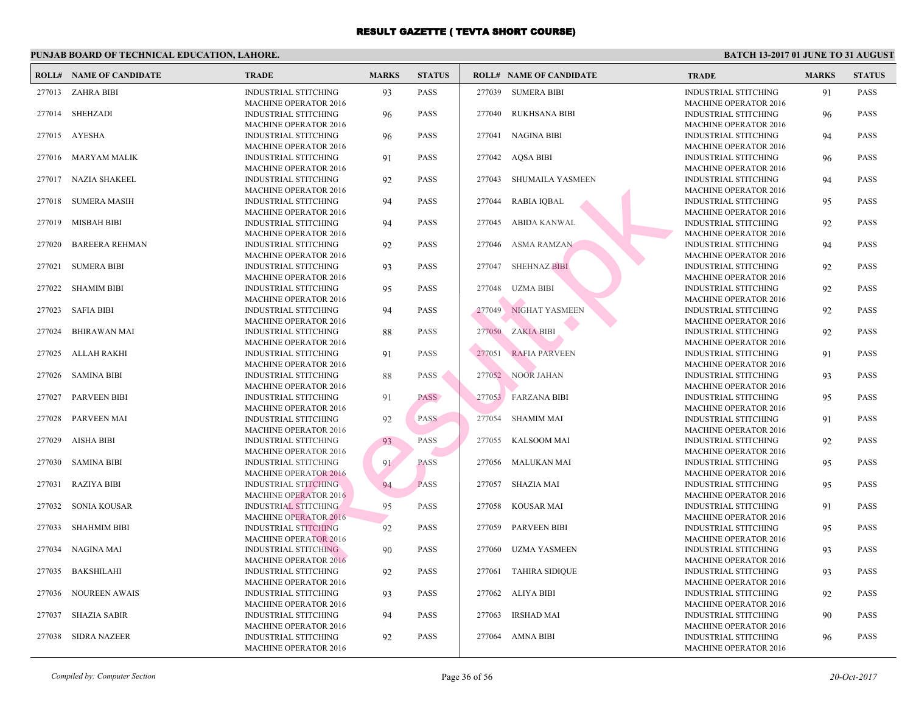|        | <b>ROLL# NAME OF CANDIDATE</b> | <b>TRADE</b>                                                | <b>MARKS</b> | <b>STATUS</b> |        | <b>ROLL# NAME OF CANDIDATE</b> | <b>TRA</b>                 |
|--------|--------------------------------|-------------------------------------------------------------|--------------|---------------|--------|--------------------------------|----------------------------|
|        | 277013 ZAHRA BIBI              | <b>INDUSTRIAL STITCHING</b>                                 | 93           | <b>PASS</b>   |        | 277039 SUMERA BIBI             | <b>INDU</b>                |
|        |                                | <b>MACHINE OPERATOR 2016</b>                                |              |               |        |                                | <b>MAC</b>                 |
| 277014 | SHEHZADI                       | <b>INDUSTRIAL STITCHING</b>                                 | 96           | <b>PASS</b>   | 277040 | RUKHSANA BIBI                  | <b>INDU</b>                |
|        |                                | <b>MACHINE OPERATOR 2016</b>                                |              |               |        |                                | <b>MACI</b>                |
| 277015 | AYESHA                         | <b>INDUSTRIAL STITCHING</b>                                 | 96           | <b>PASS</b>   | 277041 | <b>NAGINA BIBI</b>             | <b>INDU</b>                |
|        |                                | <b>MACHINE OPERATOR 2016</b>                                |              |               |        |                                | <b>MAC</b>                 |
| 277016 | MARYAM MALIK                   | <b>INDUSTRIAL STITCHING</b>                                 | 91           | <b>PASS</b>   |        | 277042 AQSA BIBI               | <b>INDU</b>                |
|        |                                | <b>MACHINE OPERATOR 2016</b>                                |              |               |        |                                | <b>MACI</b>                |
| 277017 | NAZIA SHAKEEL                  | INDUSTRIAL STITCHING                                        | 92           | <b>PASS</b>   | 277043 | <b>SHUMAILA YASMEEN</b>        | <b>INDU</b>                |
|        |                                | <b>MACHINE OPERATOR 2016</b>                                |              |               |        |                                | <b>MAC</b>                 |
| 277018 | <b>SUMERA MASIH</b>            | <b>INDUSTRIAL STITCHING</b>                                 | 94           | <b>PASS</b>   | 277044 | RABIA IQBAL                    | <b>INDU</b>                |
|        |                                | <b>MACHINE OPERATOR 2016</b>                                |              |               |        |                                | <b>MACI</b>                |
| 277019 | <b>MISBAH BIBI</b>             | <b>INDUSTRIAL STITCHING</b>                                 | 94           | <b>PASS</b>   | 277045 | <b>ABIDA KANWAL</b>            | <b>INDU</b>                |
|        |                                | <b>MACHINE OPERATOR 2016</b>                                |              |               |        |                                | <b>MAC</b>                 |
| 277020 | <b>BAREERA REHMAN</b>          | <b>INDUSTRIAL STITCHING</b>                                 | 92           | <b>PASS</b>   | 277046 | ASMA RAMZAN                    | <b>INDU</b>                |
|        |                                | <b>MACHINE OPERATOR 2016</b>                                |              |               |        |                                | <b>MAC</b>                 |
| 277021 | <b>SUMERA BIBI</b>             | <b>INDUSTRIAL STITCHING</b>                                 | 93           | <b>PASS</b>   | 277047 | SHEHNAZ BIBI                   | <b>INDU</b>                |
|        |                                | <b>MACHINE OPERATOR 2016</b>                                |              |               |        |                                | <b>MAC</b>                 |
| 277022 | <b>SHAMIM BIBI</b>             | <b>INDUSTRIAL STITCHING</b>                                 | 95           | <b>PASS</b>   | 277048 | <b>UZMA BIBI</b>               | <b>INDU</b><br><b>MACI</b> |
| 277023 |                                | MACHINE OPERATOR 2016                                       |              | <b>PASS</b>   | 277049 | NIGHAT YASMEEN                 | <b>INDU</b>                |
|        | SAFIA BIBI                     | <b>INDUSTRIAL STITCHING</b><br><b>MACHINE OPERATOR 2016</b> | 94           |               |        |                                | <b>MAC</b>                 |
| 277024 | <b>BHIRAWAN MAI</b>            | <b>INDUSTRIAL STITCHING</b>                                 | 88           | <b>PASS</b>   |        | 277050 ZAKIA BIBI              | <b>INDU</b>                |
|        |                                | <b>MACHINE OPERATOR 2016</b>                                |              |               |        |                                | <b>MACI</b>                |
| 277025 | ALLAH RAKHI                    | INDUSTRIAL STITCHING                                        | 91           | <b>PASS</b>   | 277051 | <b>RAFIA PARVEEN</b>           | <b>INDU</b>                |
|        |                                | <b>MACHINE OPERATOR 2016</b>                                |              |               |        |                                | <b>MAC</b>                 |
| 277026 | <b>SAMINA BIBI</b>             | <b>INDUSTRIAL STITCHING</b>                                 | 88           | <b>PASS</b>   |        | 277052 NOOR JAHAN              | <b>INDU</b>                |
|        |                                | <b>MACHINE OPERATOR 2016</b>                                |              |               |        |                                | <b>MACI</b>                |
| 277027 | <b>PARVEEN BIBI</b>            | <b>INDUSTRIAL STITCHING</b>                                 | 91           | PASS          |        | 277053 FARZANA BIBI            | <b>INDU</b>                |
|        |                                | <b>MACHINE OPERATOR 2016</b>                                |              |               |        |                                | <b>MAC</b>                 |
| 277028 | PARVEEN MAI                    | <b>INDUSTRIAL STITCHING</b>                                 | 92           | <b>PASS</b>   | 277054 | SHAMIM MAI                     | <b>INDU</b>                |
|        |                                | <b>MACHINE OPERATOR 2016</b>                                |              |               |        |                                | <b>MACI</b>                |
| 277029 | AISHA BIBI                     | <b>INDUSTRIAL STITCHING</b>                                 | 93           | PASS          | 277055 | KALSOOM MAI                    | <b>INDU</b>                |
|        |                                | <b>MACHINE OPERATOR 2016</b>                                |              |               |        |                                | <b>MAC</b>                 |
| 277030 | <b>SAMINA BIBI</b>             | <b>INDUSTRIAL STITCHING</b>                                 | 91           | <b>PASS</b>   |        | 277056 MALUKAN MAI             | <b>INDU</b>                |
|        |                                | <b>MACHINE OPERATOR 2016</b>                                |              |               |        |                                | <b>MACI</b>                |
| 277031 | <b>RAZIYA BIBI</b>             | <b>INDUSTRIAL STITCHING</b>                                 | 94           | <b>PASS</b>   | 277057 | SHAZIA MAI                     | <b>INDU</b>                |
|        |                                | <b>MACHINE OPERATOR 2016</b>                                |              |               |        |                                | <b>MAC</b>                 |
| 277032 | <b>SONIA KOUSAR</b>            | <b>INDUSTRIAL STITCHING</b>                                 | 95           | <b>PASS</b>   |        | 277058 KOUSAR MAI              | <b>INDU</b>                |
|        |                                | <b>MACHINE OPERATOR 2016</b>                                |              |               |        |                                | <b>MACI</b>                |
| 277033 | <b>SHAHMIM BIBI</b>            | <b>INDUSTRIAL STITCHING</b>                                 | 92           | <b>PASS</b>   | 277059 | <b>PARVEEN BIBI</b>            | <b>INDU</b>                |
|        |                                | <b>MACHINE OPERATOR 2016</b>                                |              |               |        |                                | <b>MAC</b>                 |
| 277034 | NAGINA MAI                     | <b>INDUSTRIAL STITCHING</b>                                 | 90           | <b>PASS</b>   | 277060 | UZMA YASMEEN                   | <b>INDU</b>                |
|        |                                | <b>MACHINE OPERATOR 2016</b>                                |              |               |        |                                | <b>MACI</b>                |
| 277035 | <b>BAKSHILAHI</b>              | <b>INDUSTRIAL STITCHING</b>                                 | 92           | <b>PASS</b>   |        | 277061 TAHIRA SIDIQUE          | <b>INDU</b>                |
| 277036 |                                | <b>MACHINE OPERATOR 2016</b>                                |              | <b>PASS</b>   |        | 277062 ALIYA BIBI              | <b>MAC</b><br><b>INDU</b>  |
|        | <b>NOUREEN AWAIS</b>           | <b>INDUSTRIAL STITCHING</b><br><b>MACHINE OPERATOR 2016</b> | 93           |               |        |                                | <b>MACI</b>                |
| 277037 | <b>SHAZIA SABIR</b>            | <b>INDUSTRIAL STITCHING</b>                                 | 94           | <b>PASS</b>   | 277063 | IRSHAD MAI                     | <b>INDU</b>                |
|        |                                | <b>MACHINE OPERATOR 2016</b>                                |              |               |        |                                | <b>MACI</b>                |
| 277038 | <b>SIDRA NAZEER</b>            | <b>INDUSTRIAL STITCHING</b>                                 | 92           | <b>PASS</b>   |        | 277064 AMNA BIBI               | <b>INDU</b>                |
|        |                                | <b>MACHINE OPERATOR 2016</b>                                |              |               |        |                                | <b>MACI</b>                |
|        |                                |                                                             |              |               |        |                                |                            |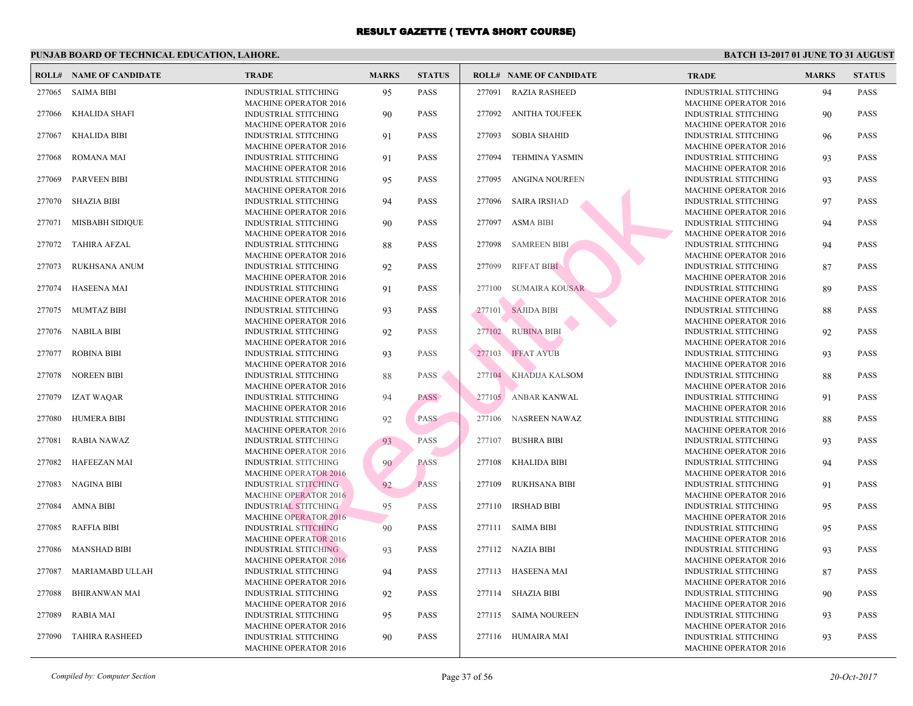| ROLL#  | <b>NAME OF CANDIDATE</b> | <b>TRADE</b>                                                | <b>MARKS</b> | <b>STATUS</b> |        | <b>ROLL# NAME OF CANDIDATE</b> | <b>TRA</b>                 |
|--------|--------------------------|-------------------------------------------------------------|--------------|---------------|--------|--------------------------------|----------------------------|
| 277065 | <b>SAIMA BIBI</b>        | <b>INDUSTRIAL STITCHING</b>                                 | 95           | <b>PASS</b>   | 277091 | <b>RAZIA RASHEED</b>           | <b>INDU</b>                |
| 277066 | <b>KHALIDA SHAFI</b>     | <b>MACHINE OPERATOR 2016</b><br><b>INDUSTRIAL STITCHING</b> | 90           | <b>PASS</b>   | 277092 | ANITHA TOUFEEK                 | <b>MACI</b><br><b>INDU</b> |
| 277067 | KHALIDA BIBI             | <b>MACHINE OPERATOR 2016</b><br><b>INDUSTRIAL STITCHING</b> | 91           | <b>PASS</b>   | 277093 | <b>SOBIA SHAHID</b>            | <b>MACI</b><br><b>INDU</b> |
| 277068 | <b>ROMANA MAI</b>        | <b>MACHINE OPERATOR 2016</b><br><b>INDUSTRIAL STITCHING</b> | 91           | <b>PASS</b>   | 277094 | <b>TEHMINA YASMIN</b>          | <b>MACI</b><br><b>INDU</b> |
| 277069 | <b>PARVEEN BIBI</b>      | <b>MACHINE OPERATOR 2016</b><br><b>INDUSTRIAL STITCHING</b> | 95           | <b>PASS</b>   | 277095 | ANGINA NOUREEN                 | <b>MACI</b><br><b>INDU</b> |
| 277070 | <b>SHAZIA BIBI</b>       | <b>MACHINE OPERATOR 2016</b><br><b>INDUSTRIAL STITCHING</b> | 94           | <b>PASS</b>   |        | 277096 SAIRA IRSHAD            | <b>MACI</b><br><b>INDU</b> |
| 277071 | MISBABH SIDIQUE          | <b>MACHINE OPERATOR 2016</b><br><b>INDUSTRIAL STITCHING</b> | 90           | <b>PASS</b>   | 277097 | ASMA BIBI                      | <b>MACI</b><br><b>INDU</b> |
| 277072 | <b>TAHIRA AFZAL</b>      | <b>MACHINE OPERATOR 2016</b><br><b>INDUSTRIAL STITCHING</b> | 88           | <b>PASS</b>   | 277098 | <b>SAMREEN BIBI</b>            | <b>MAC</b><br><b>INDU</b>  |
| 277073 | RUKHSANA ANUM            | <b>MACHINE OPERATOR 2016</b><br><b>INDUSTRIAL STITCHING</b> | 92           | <b>PASS</b>   | 277099 | <b>RIFFAT BIBI</b>             | <b>MAC</b><br><b>INDU</b>  |
| 277074 | <b>HASEENA MAI</b>       | <b>MACHINE OPERATOR 2016</b><br><b>INDUSTRIAL STITCHING</b> | 91           | <b>PASS</b>   | 277100 | <b>SUMAIRA KOUSAR</b>          | <b>MACI</b><br><b>INDU</b> |
| 277075 | <b>MUMTAZ BIBI</b>       | <b>MACHINE OPERATOR 2016</b><br><b>INDUSTRIAL STITCHING</b> | 93           | <b>PASS</b>   | 277101 | <b>SAJIDA BIBI</b>             | <b>MACI</b><br><b>INDU</b> |
| 277076 | <b>NABILA BIBI</b>       | <b>MACHINE OPERATOR 2016</b><br><b>INDUSTRIAL STITCHING</b> | 92           | <b>PASS</b>   |        | 277102 RUBINA BIBI             | <b>MACI</b><br><b>INDU</b> |
| 277077 | <b>ROBINA BIBI</b>       | <b>MACHINE OPERATOR 2016</b><br><b>INDUSTRIAL STITCHING</b> |              | <b>PASS</b>   | 277103 | <b>IFFAT AYUB</b>              | <b>MACI</b><br><b>INDU</b> |
|        |                          | <b>MACHINE OPERATOR 2016</b>                                | 93           |               |        |                                | <b>MACI</b>                |
| 277078 | <b>NOREEN BIBI</b>       | <b>INDUSTRIAL STITCHING</b><br><b>MACHINE OPERATOR 2016</b> | 88           | <b>PASS</b>   |        | 277104 KHADIJA KALSOM          | <b>INDU</b><br><b>MACI</b> |
| 277079 | <b>IZAT WAQAR</b>        | <b>INDUSTRIAL STITCHING</b><br><b>MACHINE OPERATOR 2016</b> | 94           | <b>PASS</b>   |        | 277105 ANBAR KANWAL            | <b>INDU</b><br><b>MACI</b> |
| 277080 | <b>HUMERA BIBI</b>       | <b>INDUSTRIAL STITCHING</b><br><b>MACHINE OPERATOR 2016</b> | 92           | <b>PASS</b>   | 277106 | NASREEN NAWAZ                  | <b>INDU</b><br><b>MACI</b> |
| 277081 | <b>RABIA NAWAZ</b>       | <b>INDUSTRIAL STITCHING</b><br><b>MACHINE OPERATOR 2016</b> | 93           | <b>PASS</b>   | 277107 | <b>BUSHRA BIBI</b>             | <b>INDU</b><br><b>MACI</b> |
| 277082 | <b>HAFEEZAN MAI</b>      | <b>INDUSTRIAL STITCHING</b><br><b>MACHINE OPERATOR 2016</b> | 90           | <b>PASS</b>   | 277108 | <b>KHALIDA BIBI</b>            | <b>INDU</b><br><b>MACI</b> |
| 277083 | <b>NAGINA BIBI</b>       | <b>INDUSTRIAL STITCHING</b><br><b>MACHINE OPERATOR 2016</b> | 92           | <b>PASS</b>   | 277109 | <b>RUKHSANA BIBI</b>           | <b>INDU</b><br><b>MACI</b> |
| 277084 | AMNA BIBI                | <b>INDUSTRIAL STITCHING</b>                                 | 95           | <b>PASS</b>   | 277110 | <b>IRSHAD BIBI</b>             | <b>INDU</b>                |
| 277085 | <b>RAFFIA BIBI</b>       | <b>MACHINE OPERATOR 2016</b><br><b>INDUSTRIAL STITCHING</b> | 90           | <b>PASS</b>   |        | 277111 SAIMA BIBI              | <b>MACI</b><br><b>INDU</b> |
| 277086 | <b>MANSHAD BIBI</b>      | <b>MACHINE OPERATOR 2016</b><br><b>INDUSTRIAL STITCHING</b> | 93           | <b>PASS</b>   |        | 277112 NAZIA BIBI              | <b>MACI</b><br><b>INDU</b> |
| 277087 | <b>MARIAMABD ULLAH</b>   | <b>MACHINE OPERATOR 2016</b><br><b>INDUSTRIAL STITCHING</b> | 94           | <b>PASS</b>   |        | 277113 HASEENA MAI             | <b>MACI</b><br><b>INDU</b> |
| 277088 | <b>BHIRANWAN MAI</b>     | <b>MACHINE OPERATOR 2016</b><br>INDUSTRIAL STITCHING        | 92           | <b>PASS</b>   |        | 277114 SHAZIA BIBI             | <b>MACI</b><br><b>INDU</b> |
| 277089 | <b>RABIA MAI</b>         | <b>MACHINE OPERATOR 2016</b><br><b>INDUSTRIAL STITCHING</b> | 95           | <b>PASS</b>   |        | 277115 SAIMA NOUREEN           | <b>MACI</b><br><b>INDU</b> |
| 277090 | <b>TAHIRA RASHEED</b>    | <b>MACHINE OPERATOR 2016</b><br><b>INDUSTRIAL STITCHING</b> | 90           | <b>PASS</b>   |        | 277116 HUMAIRA MAI             | <b>MAC</b><br><b>INDU</b>  |
|        |                          | <b>MACHINE OPERATOR 2016</b>                                |              |               |        |                                | <b>MACI</b>                |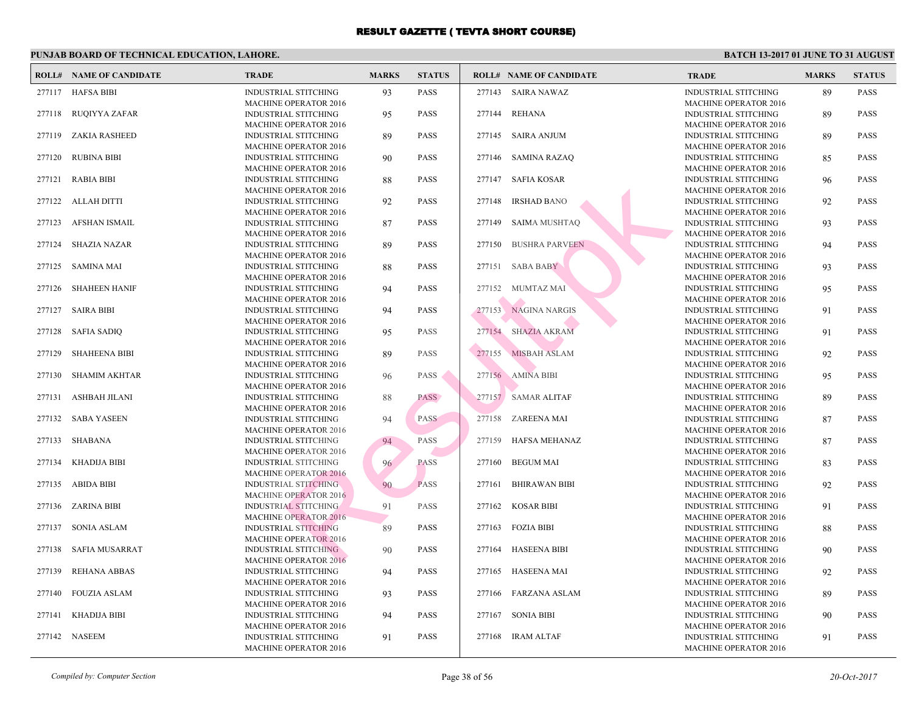|        | <b>ROLL# NAME OF CANDIDATE</b> | <b>TRADE</b>                                                | <b>MARKS</b> | <b>STATUS</b> |        | <b>ROLL# NAME OF CANDIDATE</b> | <b>TRA</b>                 |
|--------|--------------------------------|-------------------------------------------------------------|--------------|---------------|--------|--------------------------------|----------------------------|
|        | 277117 HAFSA BIBI              | <b>INDUSTRIAL STITCHING</b><br><b>MACHINE OPERATOR 2016</b> | 93           | <b>PASS</b>   |        | 277143 SAIRA NAWAZ             | <b>INDU</b><br><b>MAC</b>  |
| 277118 | <b>RUQIYYA ZAFAR</b>           | <b>INDUSTRIAL STITCHING</b>                                 | 95           | <b>PASS</b>   | 277144 | <b>REHANA</b>                  | <b>INDU</b>                |
| 277119 | <b>ZAKIA RASHEED</b>           | <b>MACHINE OPERATOR 2016</b><br>INDUSTRIAL STITCHING        | 89           | <b>PASS</b>   |        | 277145 SAIRA ANJUM             | <b>MACI</b><br><b>INDU</b> |
| 277120 | <b>RUBINA BIBI</b>             | <b>MACHINE OPERATOR 2016</b><br>INDUSTRIAL STITCHING        | 90           | <b>PASS</b>   |        | 277146 SAMINA RAZAQ            | <b>MAC</b><br><b>INDU</b>  |
|        | 277121 RABIA BIBI              | <b>MACHINE OPERATOR 2016</b><br><b>INDUSTRIAL STITCHING</b> | 88           | <b>PASS</b>   |        | 277147 SAFIA KOSAR             | <b>MAC</b><br><b>INDU</b>  |
|        | 277122 ALLAH DITTI             | <b>MACHINE OPERATOR 2016</b><br>INDUSTRIAL STITCHING        | 92           | <b>PASS</b>   | 277148 | <b>IRSHAD BANO</b>             | <b>MAC</b><br><b>INDU</b>  |
| 277123 | AFSHAN ISMAIL                  | <b>MACHINE OPERATOR 2016</b><br>INDUSTRIAL STITCHING        | 87           | <b>PASS</b>   | 277149 | <b>SAIMA MUSHTAQ</b>           | <b>MAC</b><br><b>INDU</b>  |
| 277124 | <b>SHAZIA NAZAR</b>            | <b>MACHINE OPERATOR 2016</b><br><b>INDUSTRIAL STITCHING</b> | 89           | <b>PASS</b>   | 277150 | <b>BUSHRA PARVEEN</b>          | <b>MAC</b><br><b>INDU</b>  |
|        |                                | MACHINE OPERATOR 2016                                       |              |               |        |                                | <b>MAC</b>                 |
| 277125 | <b>SAMINA MAI</b>              | <b>INDUSTRIAL STITCHING</b><br><b>MACHINE OPERATOR 2016</b> | 88           | <b>PASS</b>   |        | 277151 SABA BABY               | <b>INDU</b><br><b>MAC</b>  |
| 277126 | <b>SHAHEEN HANIF</b>           | <b>INDUSTRIAL STITCHING</b><br><b>MACHINE OPERATOR 2016</b> | 94           | <b>PASS</b>   |        | 277152 MUMTAZ MAI              | <b>INDU</b><br><b>MAC</b>  |
| 277127 | <b>SAIRA BIBI</b>              | <b>INDUSTRIAL STITCHING</b><br><b>MACHINE OPERATOR 2016</b> | 94           | <b>PASS</b>   |        | 277153 NAGINA NARGIS           | <b>INDU</b><br><b>MAC</b>  |
| 277128 | <b>SAFIA SADIQ</b>             | INDUSTRIAL STITCHING<br><b>MACHINE OPERATOR 2016</b>        | 95           | <b>PASS</b>   |        | 277154 SHAZIA AKRAM            | <b>INDU</b><br><b>MAC</b>  |
| 277129 | <b>SHAHEENA BIBI</b>           | INDUSTRIAL STITCHING                                        | 89           | PASS          |        | 277155 MISBAH ASLAM            | <b>INDU</b>                |
| 277130 | <b>SHAMIM AKHTAR</b>           | <b>MACHINE OPERATOR 2016</b><br>INDUSTRIAL STITCHING        | 96           | PASS          |        | 277156 AMINA BIBI              | <b>MAC</b><br><b>INDU</b>  |
| 277131 | ASHBAH JILANI                  | <b>MACHINE OPERATOR 2016</b><br><b>INDUSTRIAL STITCHING</b> | 88           | <b>PASS</b>   |        | 277157 SAMAR ALITAF            | <b>MAC</b><br><b>INDU</b>  |
|        | 277132 SABA YASEEN             | <b>MACHINE OPERATOR 2016</b><br><b>INDUSTRIAL STITCHING</b> | 94           | <b>PASS</b>   |        | 277158 ZAREENA MAI             | <b>MACI</b><br><b>INDU</b> |
| 277133 | <b>SHABANA</b>                 | <b>MACHINE OPERATOR 2016</b><br><b>INDUSTRIAL STITCHING</b> | 94           | <b>PASS</b>   | 277159 | HAFSA MEHANAZ                  | <b>MAC</b><br><b>INDU</b>  |
|        |                                | <b>MACHINE OPERATOR 2016</b>                                |              |               |        | <b>BEGUM MAI</b>               | <b>MACI</b><br><b>INDU</b> |
| 277134 | KHADIJA BIBI                   | <b>INDUSTRIAL STITCHING</b><br><b>MACHINE OPERATOR 2016</b> | 96           | <b>PASS</b>   | 277160 |                                | <b>MAC</b>                 |
| 277135 | ABIDA BIBI                     | <b>INDUSTRIAL STITCHING</b><br><b>MACHINE OPERATOR 2016</b> | 90           | <b>PASS</b>   | 277161 | <b>BHIRAWAN BIBI</b>           | <b>INDU</b><br><b>MAC</b>  |
| 277136 | ZARINA BIBI                    | <b>INDUSTRIAL STITCHING</b><br><b>MACHINE OPERATOR 2016</b> | 91           | <b>PASS</b>   | 277162 | <b>KOSAR BIBI</b>              | <b>INDU</b><br><b>MAC</b>  |
| 277137 | <b>SONIA ASLAM</b>             | <b>INDUSTRIAL STITCHING</b><br><b>MACHINE OPERATOR 2016</b> | 89           | <b>PASS</b>   | 277163 | <b>FOZIA BIBI</b>              | <b>INDU</b><br><b>MAC</b>  |
| 277138 | <b>SAFIA MUSARRAT</b>          | INDUSTRIAL STITCHING                                        | 90           | <b>PASS</b>   | 277164 | <b>HASEENA BIBI</b>            | <b>INDU</b>                |
| 277139 | <b>REHANA ABBAS</b>            | <b>MACHINE OPERATOR 2016</b><br><b>INDUSTRIAL STITCHING</b> | 94           | <b>PASS</b>   |        | 277165 HASEENA MAI             | <b>MAC</b><br><b>INDU</b>  |
| 277140 | FOUZIA ASLAM                   | <b>MACHINE OPERATOR 2016</b><br><b>INDUSTRIAL STITCHING</b> | 93           | <b>PASS</b>   |        | 277166 FARZANA ASLAM           | <b>MAC</b><br><b>INDU</b>  |
| 277141 | <b>KHADIJA BIBI</b>            | <b>MACHINE OPERATOR 2016</b><br>INDUSTRIAL STITCHING        | 94           | <b>PASS</b>   | 277167 | <b>SONIA BIBI</b>              | <b>MAC</b><br><b>INDU</b>  |
|        | 277142 NASEEM                  | <b>MACHINE OPERATOR 2016</b><br>INDUSTRIAL STITCHING        | 91           | <b>PASS</b>   |        | 277168 IRAM ALTAF              | <b>MAC</b><br><b>INDU</b>  |
|        |                                | <b>MACHINE OPERATOR 2016</b>                                |              |               |        |                                | <b>MACI</b>                |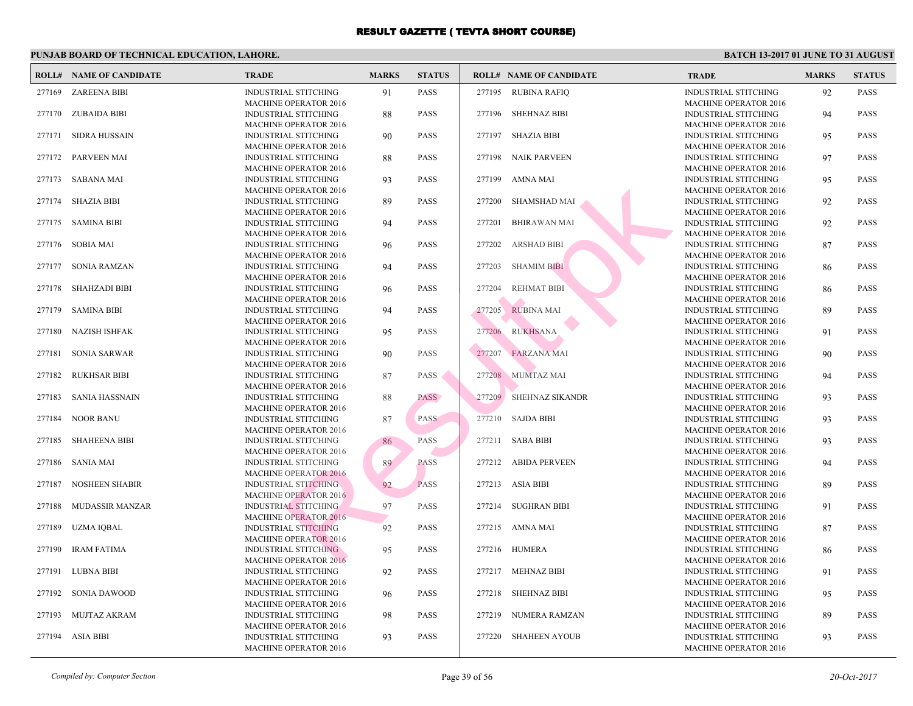|        | <b>ROLL# NAME OF CANDIDATE</b> | <b>TRADE</b>                                                | <b>MARKS</b> | <b>STATUS</b> |        | <b>ROLL# NAME OF CANDIDATE</b> | <b>TRA</b>                 |
|--------|--------------------------------|-------------------------------------------------------------|--------------|---------------|--------|--------------------------------|----------------------------|
| 277169 | <b>ZAREENA BIBI</b>            | <b>INDUSTRIAL STITCHING</b><br><b>MACHINE OPERATOR 2016</b> | 91           | <b>PASS</b>   |        | 277195 RUBINA RAFIQ            | <b>INDU</b><br><b>MAC</b>  |
| 277170 | ZUBAIDA BIBI                   | <b>INDUSTRIAL STITCHING</b>                                 | 88           | <b>PASS</b>   | 277196 | SHEHNAZ BIBI                   | <b>INDU</b>                |
| 277171 | <b>SIDRA HUSSAIN</b>           | <b>MACHINE OPERATOR 2016</b><br>INDUSTRIAL STITCHING        | 90           | <b>PASS</b>   |        | 277197 SHAZIA BIBI             | <b>MAC</b><br><b>INDU</b>  |
| 277172 | PARVEEN MAI                    | <b>MACHINE OPERATOR 2016</b><br>INDUSTRIAL STITCHING        | 88           | <b>PASS</b>   | 277198 | <b>NAIK PARVEEN</b>            | <b>MAC</b><br><b>INDU</b>  |
| 277173 | SABANA MAI                     | <b>MACHINE OPERATOR 2016</b><br><b>INDUSTRIAL STITCHING</b> | 93           | <b>PASS</b>   | 277199 | AMNA MAI                       | <b>MAC</b><br><b>INDU</b>  |
| 277174 | <b>SHAZIA BIBI</b>             | <b>MACHINE OPERATOR 2016</b><br>INDUSTRIAL STITCHING        | 89           | <b>PASS</b>   | 277200 | <b>SHAMSHAD MAI</b>            | <b>MAC</b><br><b>INDU</b>  |
| 277175 | <b>SAMINA BIBI</b>             | <b>MACHINE OPERATOR 2016</b><br>INDUSTRIAL STITCHING        | 94           | <b>PASS</b>   | 277201 | <b>BHIRAWAN MAI</b>            | <b>MAC</b><br><b>INDU</b>  |
| 277176 | <b>SOBIA MAI</b>               | <b>MACHINE OPERATOR 2016</b><br><b>INDUSTRIAL STITCHING</b> | 96           | <b>PASS</b>   | 277202 | <b>ARSHAD BIBI</b>             | <b>MAC</b><br><b>INDU</b>  |
| 277177 | <b>SONIA RAMZAN</b>            | MACHINE OPERATOR 2016<br><b>INDUSTRIAL STITCHING</b>        | 94           | <b>PASS</b>   | 277203 | <b>SHAMIM BIBI</b>             | <b>MAC</b><br><b>INDU</b>  |
| 277178 | <b>SHAHZADI BIBI</b>           | <b>MACHINE OPERATOR 2016</b><br><b>INDUSTRIAL STITCHING</b> |              | <b>PASS</b>   | 277204 | <b>REHMAT BIBI</b>             | <b>MAC</b><br><b>INDU</b>  |
|        |                                | <b>MACHINE OPERATOR 2016</b>                                | 96           |               |        |                                | <b>MAC</b>                 |
| 277179 | <b>SAMINA BIBI</b>             | <b>INDUSTRIAL STITCHING</b><br><b>MACHINE OPERATOR 2016</b> | 94           | <b>PASS</b>   | 277205 | <b>RUBINA MAI</b>              | <b>INDU</b><br><b>MAC</b>  |
| 277180 | <b>NAZISH ISHFAK</b>           | INDUSTRIAL STITCHING<br><b>MACHINE OPERATOR 2016</b>        | 95           | <b>PASS</b>   | 277206 | <b>RUKHSANA</b>                | <b>INDU</b><br><b>MAC</b>  |
| 277181 | <b>SONIA SARWAR</b>            | INDUSTRIAL STITCHING<br><b>MACHINE OPERATOR 2016</b>        | 90           | <b>PASS</b>   |        | 277207 FARZANA MAI             | <b>INDU</b><br><b>MAC</b>  |
| 277182 | <b>RUKHSAR BIBI</b>            | INDUSTRIAL STITCHING<br><b>MACHINE OPERATOR 2016</b>        | 87           | <b>PASS</b>   |        | 277208 MUMTAZ MAI              | <b>INDU</b><br><b>MAC</b>  |
| 277183 | <b>SANIA HASSNAIN</b>          | INDUSTRIAL STITCHING                                        | 88           | <b>PASS</b>   |        | 277209 SHEHNAZ SIKANDR         | <b>INDU</b>                |
| 277184 | <b>NOOR BANU</b>               | <b>MACHINE OPERATOR 2016</b><br>INDUSTRIAL STITCHING        | 87           | <b>PASS</b>   |        | 277210 SAJDA BIBI              | <b>MAC</b><br><b>INDU</b>  |
| 277185 | <b>SHAHEENA BIBI</b>           | <b>MACHINE OPERATOR 2016</b><br>INDUSTRIAL STITCHING        | 86           | <b>PASS</b>   |        | 277211 SABA BIBI               | <b>MAC</b><br><b>INDU</b>  |
| 277186 | <b>SANIA MAI</b>               | <b>MACHINE OPERATOR 2016</b><br><b>INDUSTRIAL STITCHING</b> | 89           | <b>PASS</b>   |        | 277212 ABIDA PERVEEN           | <b>MACI</b><br><b>INDU</b> |
| 277187 | <b>NOSHEEN SHABIR</b>          | <b>MACHINE OPERATOR 2016</b><br><b>INDUSTRIAL STITCHING</b> | 92           | <b>PASS</b>   |        | 277213 ASIA BIBI               | <b>MAC</b><br><b>INDU</b>  |
| 277188 | <b>MUDASSIR MANZAR</b>         | <b>MACHINE OPERATOR 2016</b><br><b>INDUSTRIAL STITCHING</b> | 97           | PASS          | 277214 | <b>SUGHRAN BIBI</b>            | <b>MAC</b><br><b>INDU</b>  |
|        |                                | <b>MACHINE OPERATOR 2016</b>                                |              |               |        |                                | <b>MAC</b>                 |
| 277189 | <b>UZMA IOBAL</b>              | <b>INDUSTRIAL STITCHING</b><br><b>MACHINE OPERATOR 2016</b> | 92           | <b>PASS</b>   |        | 277215 AMNA MAI                | <b>INDU</b><br><b>MAC</b>  |
| 277190 | <b>IRAM FATIMA</b>             | INDUSTRIAL STITCHING<br><b>MACHINE OPERATOR 2016</b>        | 95           | <b>PASS</b>   |        | 277216 HUMERA                  | <b>INDU</b><br><b>MAC</b>  |
|        | 277191 LUBNA BIBI              | <b>INDUSTRIAL STITCHING</b><br><b>MACHINE OPERATOR 2016</b> | 92           | <b>PASS</b>   |        | 277217 MEHNAZ BIBI             | <b>INDU</b><br><b>MAC</b>  |
| 277192 | <b>SONIA DAWOOD</b>            | INDUSTRIAL STITCHING<br><b>MACHINE OPERATOR 2016</b>        | 96           | <b>PASS</b>   |        | 277218 SHEHNAZ BIBI            | <b>INDU</b><br><b>MAC</b>  |
| 277193 | MUJTAZ AKRAM                   | INDUSTRIAL STITCHING                                        | 98           | <b>PASS</b>   | 277219 | NUMERA RAMZAN                  | <b>INDU</b>                |
|        | 277194 ASIA BIBI               | <b>MACHINE OPERATOR 2016</b><br>INDUSTRIAL STITCHING        | 93           | <b>PASS</b>   |        | 277220 SHAHEEN AYOUB           | <b>MAC</b><br><b>INDU</b>  |
|        |                                | <b>MACHINE OPERATOR 2016</b>                                |              |               |        |                                | <b>MACI</b>                |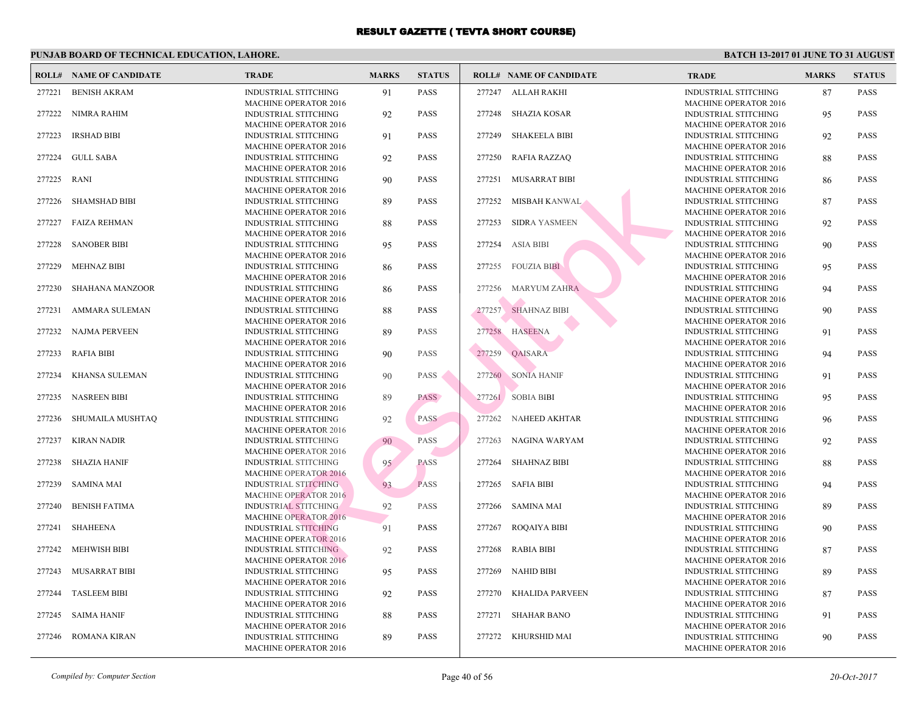|        | <b>ROLL# NAME OF CANDIDATE</b> | <b>TRADE</b>                                                | <b>MARKS</b> | <b>STATUS</b> |        | <b>ROLL# NAME OF CANDIDATE</b> | <b>TRA</b>                 |
|--------|--------------------------------|-------------------------------------------------------------|--------------|---------------|--------|--------------------------------|----------------------------|
| 277221 | <b>BENISH AKRAM</b>            | <b>INDUSTRIAL STITCHING</b>                                 | 91           | <b>PASS</b>   |        | 277247 ALLAH RAKHI             | <b>INDU</b>                |
| 277222 | NIMRA RAHIM                    | <b>MACHINE OPERATOR 2016</b><br><b>INDUSTRIAL STITCHING</b> | 92           | <b>PASS</b>   | 277248 | <b>SHAZIA KOSAR</b>            | MACI<br><b>INDU</b>        |
| 277223 | <b>IRSHAD BIBI</b>             | <b>MACHINE OPERATOR 2016</b><br>INDUSTRIAL STITCHING        | 91           | <b>PASS</b>   | 277249 | <b>SHAKEELA BIBI</b>           | <b>MACI</b><br><b>INDU</b> |
| 277224 | <b>GULL SABA</b>               | <b>MACHINE OPERATOR 2016</b><br><b>INDUSTRIAL STITCHING</b> | 92           | <b>PASS</b>   | 277250 | <b>RAFIA RAZZAQ</b>            | <b>MAC</b><br><b>INDU</b>  |
| 277225 | <b>RANI</b>                    | <b>MACHINE OPERATOR 2016</b><br><b>INDUSTRIAL STITCHING</b> | 90           | <b>PASS</b>   | 277251 | <b>MUSARRAT BIBI</b>           | <b>MACI</b><br><b>INDU</b> |
| 277226 | <b>SHAMSHAD BIBI</b>           | <b>MACHINE OPERATOR 2016</b><br>INDUSTRIAL STITCHING        | 89           | <b>PASS</b>   |        | 277252 MISBAH KANWAL           | <b>MAC</b><br><b>INDU</b>  |
| 277227 | <b>FAIZA REHMAN</b>            | <b>MACHINE OPERATOR 2016</b><br><b>INDUSTRIAL STITCHING</b> | 88           | <b>PASS</b>   | 277253 | <b>SIDRA YASMEEN</b>           | <b>MAC</b><br><b>INDU</b>  |
| 277228 | <b>SANOBER BIBI</b>            | <b>MACHINE OPERATOR 2016</b><br>INDUSTRIAL STITCHING        | 95           | <b>PASS</b>   | 277254 | <b>ASIA BIBI</b>               | <b>MAC</b><br><b>INDU</b>  |
| 277229 | <b>MEHNAZ BIBI</b>             | <b>MACHINE OPERATOR 2016</b><br><b>INDUSTRIAL STITCHING</b> | 86           | <b>PASS</b>   |        | 277255 FOUZIA BIBI             | MAC<br><b>INDU</b>         |
| 277230 | <b>SHAHANA MANZOOR</b>         | <b>MACHINE OPERATOR 2016</b><br>INDUSTRIAL STITCHING        | 86           | <b>PASS</b>   |        | 277256 MARYUM ZAHRA            | <b>MAC</b><br><b>INDU</b>  |
| 277231 | AMMARA SULEMAN                 | <b>MACHINE OPERATOR 2016</b><br><b>INDUSTRIAL STITCHING</b> | 88           | <b>PASS</b>   | 277257 | SHAHNAZ BIBI                   | <b>MAC</b><br><b>INDU</b>  |
| 277232 | NAJMA PERVEEN                  | <b>MACHINE OPERATOR 2016</b><br><b>INDUSTRIAL STITCHING</b> | 89           | <b>PASS</b>   | 277258 | <b>HASEENA</b>                 | <b>MACI</b><br><b>INDU</b> |
| 277233 | <b>RAFIA BIBI</b>              | <b>MACHINE OPERATOR 2016</b><br><b>INDUSTRIAL STITCHING</b> | 90           | PASS          | 277259 | QAISARA                        | <b>MAC</b><br><b>INDU</b>  |
| 277234 | KHANSA SULEMAN                 | <b>MACHINE OPERATOR 2016</b><br><b>INDUSTRIAL STITCHING</b> | 90           | PASS          |        | 277260 SONIA HANIF             | <b>MAC</b><br><b>INDU</b>  |
| 277235 | <b>NASREEN BIBI</b>            | <b>MACHINE OPERATOR 2016</b><br>INDUSTRIAL STITCHING        | 89           | <b>PASS</b>   |        | 277261 SOBIA BIBI              | <b>MAC</b><br><b>INDU</b>  |
| 277236 | SHUMAILA MUSHTAQ               | <b>MACHINE OPERATOR 2016</b><br>INDUSTRIAL STITCHING        | 92           | <b>PASS</b>   | 277262 | NAHEED AKHTAR                  | <b>MAC</b><br><b>INDU</b>  |
| 277237 | <b>KIRAN NADIR</b>             | <b>MACHINE OPERATOR 2016</b><br>INDUSTRIAL STITCHING        | 90           | <b>PASS</b>   | 277263 | NAGINA WARYAM                  | <b>MAC</b><br><b>INDU</b>  |
|        |                                | <b>MACHINE OPERATOR 2016</b>                                |              |               |        |                                | <b>MAC</b>                 |
| 277238 | <b>SHAZIA HANIF</b>            | <b>INDUSTRIAL STITCHING</b><br><b>MACHINE OPERATOR 2016</b> | 95           | <b>PASS</b>   | 277264 | <b>SHAHNAZ BIBI</b>            | <b>INDU</b><br><b>MAC</b>  |
| 277239 | <b>SAMINA MAI</b>              | <b>INDUSTRIAL STITCHING</b><br><b>MACHINE OPERATOR 2016</b> | 93           | <b>PASS</b>   |        | 277265 SAFIA BIBI              | <b>INDU</b><br><b>MAC</b>  |
| 277240 | <b>BENISH FATIMA</b>           | <b>INDUSTRIAL STITCHING</b><br><b>MACHINE OPERATOR 2016</b> | 92           | <b>PASS</b>   | 277266 | SAMINA MAI                     | <b>INDU</b><br><b>MAC</b>  |
| 277241 | <b>SHAHEENA</b>                | <b>INDUSTRIAL STITCHING</b><br><b>MACHINE OPERATOR 2016</b> | 91           | <b>PASS</b>   | 277267 | ROQAIYA BIBI                   | <b>INDU</b><br><b>MAC</b>  |
| 277242 | <b>MEHWISH BIBI</b>            | INDUSTRIAL STITCHING<br><b>MACHINE OPERATOR 2016</b>        | 92           | <b>PASS</b>   | 277268 | <b>RABIA BIBI</b>              | <b>INDU</b><br><b>MACI</b> |
| 277243 | MUSARRAT BIBI                  | <b>INDUSTRIAL STITCHING</b><br><b>MACHINE OPERATOR 2016</b> | 95           | <b>PASS</b>   | 277269 | NAHID BIBI                     | <b>INDU</b><br><b>MAC</b>  |
| 277244 | <b>TASLEEM BIBI</b>            | <b>INDUSTRIAL STITCHING</b><br><b>MACHINE OPERATOR 2016</b> | 92           | <b>PASS</b>   | 277270 | KHALIDA PARVEEN                | <b>INDU</b><br><b>MACI</b> |
| 277245 | <b>SAIMA HANIF</b>             | <b>INDUSTRIAL STITCHING</b><br><b>MACHINE OPERATOR 2016</b> | 88           | <b>PASS</b>   | 277271 | <b>SHAHAR BANO</b>             | <b>INDU</b><br><b>MAC</b>  |
| 277246 | <b>ROMANA KIRAN</b>            | <b>INDUSTRIAL STITCHING</b><br><b>MACHINE OPERATOR 2016</b> | 89           | <b>PASS</b>   | 277272 | KHURSHID MAI                   | <b>INDU</b><br><b>MACI</b> |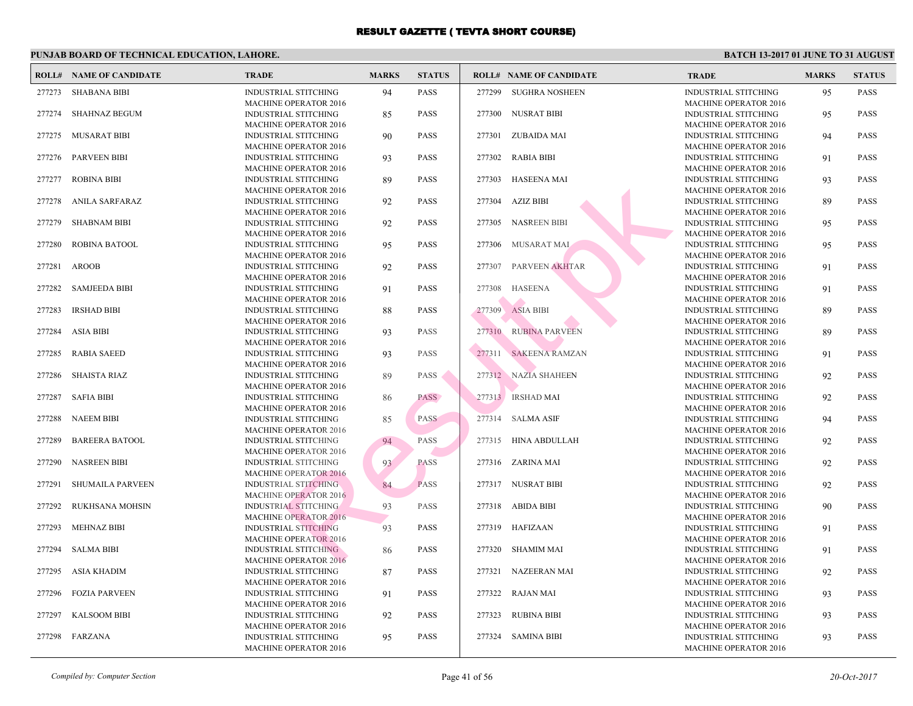|        | <b>ROLL# NAME OF CANDIDATE</b> | <b>TRADE</b>                                                | <b>MARKS</b> | <b>STATUS</b> |        | <b>ROLL# NAME OF CANDIDATE</b> | <b>TRA</b>                 |
|--------|--------------------------------|-------------------------------------------------------------|--------------|---------------|--------|--------------------------------|----------------------------|
| 277273 | <b>SHABANA BIBI</b>            | <b>INDUSTRIAL STITCHING</b><br><b>MACHINE OPERATOR 2016</b> | 94           | <b>PASS</b>   | 277299 | <b>SUGHRA NOSHEEN</b>          | <b>INDU</b><br>MACI        |
| 277274 | <b>SHAHNAZ BEGUM</b>           | <b>INDUSTRIAL STITCHING</b><br><b>MACHINE OPERATOR 2016</b> | 85           | <b>PASS</b>   |        | 277300 NUSRAT BIBI             | <b>INDU</b><br><b>MACI</b> |
| 277275 | MUSARAT BIBI                   | <b>INDUSTRIAL STITCHING</b>                                 | 90           | <b>PASS</b>   |        | 277301 ZUBAIDA MAI             | <b>INDU</b>                |
| 277276 | <b>PARVEEN BIBI</b>            | <b>MACHINE OPERATOR 2016</b><br><b>INDUSTRIAL STITCHING</b> | 93           | <b>PASS</b>   | 277302 | <b>RABIA BIBI</b>              | <b>MAC</b><br><b>INDU</b>  |
| 277277 | <b>ROBINA BIBI</b>             | <b>MACHINE OPERATOR 2016</b><br><b>INDUSTRIAL STITCHING</b> | 89           | <b>PASS</b>   | 277303 | <b>HASEENA MAI</b>             | <b>MACI</b><br><b>INDU</b> |
| 277278 | ANILA SARFARAZ                 | <b>MACHINE OPERATOR 2016</b><br><b>INDUSTRIAL STITCHING</b> | 92           | <b>PASS</b>   | 277304 | AZIZ BIBI                      | <b>MAC</b><br><b>INDU</b>  |
| 277279 | <b>SHABNAM BIBI</b>            | <b>MACHINE OPERATOR 2016</b><br>INDUSTRIAL STITCHING        | 92           | <b>PASS</b>   | 277305 | <b>NASREEN BIBI</b>            | <b>MAC</b><br><b>INDU</b>  |
| 277280 | ROBINA BATOOL                  | <b>MACHINE OPERATOR 2016</b><br><b>INDUSTRIAL STITCHING</b> | 95           | <b>PASS</b>   | 277306 | MUSARAT MAI                    | <b>MAC</b><br><b>INDU</b>  |
| 277281 | <b>AROOB</b>                   | <b>MACHINE OPERATOR 2016</b><br><b>INDUSTRIAL STITCHING</b> | 92           | <b>PASS</b>   | 277307 | PARVEEN AKHTAR                 | MAC<br><b>INDU</b>         |
| 277282 | <b>SAMJEEDA BIBI</b>           | <b>MACHINE OPERATOR 2016</b><br><b>INDUSTRIAL STITCHING</b> | 91           | <b>PASS</b>   |        | 277308 HASEENA                 | <b>MAC</b><br><b>INDU</b>  |
| 277283 | <b>IRSHAD BIBI</b>             | <b>MACHINE OPERATOR 2016</b><br><b>INDUSTRIAL STITCHING</b> | 88           | <b>PASS</b>   | 277309 | <b>ASIA BIBI</b>               | <b>MAC</b><br><b>INDU</b>  |
| 277284 | <b>ASIA BIBI</b>               | <b>MACHINE OPERATOR 2016</b><br><b>INDUSTRIAL STITCHING</b> | 93           | <b>PASS</b>   |        | 277310 RUBINA PARVEEN          | <b>MAC</b><br><b>INDU</b>  |
| 277285 | <b>RABIA SAEED</b>             | <b>MACHINE OPERATOR 2016</b><br><b>INDUSTRIAL STITCHING</b> | 93           | <b>PASS</b>   | 277311 | <b>SAKEENA RAMZAN</b>          | <b>MAC</b><br><b>INDU</b>  |
| 277286 | <b>SHAISTA RIAZ</b>            | <b>MACHINE OPERATOR 2016</b><br><b>INDUSTRIAL STITCHING</b> | 89           | <b>PASS</b>   |        | 277312 NAZIA SHAHEEN           | <b>MACI</b><br><b>INDU</b> |
| 277287 | <b>SAFIA BIBI</b>              | <b>MACHINE OPERATOR 2016</b><br><b>INDUSTRIAL STITCHING</b> | 86           | <b>PASS</b>   |        | 277313 RSHAD MAI               | <b>MAC</b><br><b>INDU</b>  |
| 277288 | <b>NAEEM BIBI</b>              | <b>MACHINE OPERATOR 2016</b><br>INDUSTRIAL STITCHING        | 85           | <b>PASS</b>   |        | 277314 SALMA ASIF              | <b>MAC</b><br><b>INDU</b>  |
| 277289 | <b>BAREERA BATOOL</b>          | <b>MACHINE OPERATOR 2016</b><br><b>INDUSTRIAL STITCHING</b> | 94           | PASS          |        | 277315 HINA ABDULLAH           | <b>MAC</b><br><b>INDU</b>  |
| 277290 | <b>NASREEN BIBI</b>            | <b>MACHINE OPERATOR 2016</b><br><b>INDUSTRIAL STITCHING</b> |              | <b>PASS</b>   |        | 277316 ZARINA MAI              | <b>MAC</b><br><b>INDU</b>  |
|        |                                | <b>MACHINE OPERATOR 2016</b>                                | 93           |               |        |                                | <b>MAC</b>                 |
| 277291 | SHUMAILA PARVEEN               | INDUSTRIAL STITCHING<br><b>MACHINE OPERATOR 2016</b>        | 84           | <b>PASS</b>   |        | 277317 NUSRAT BIBI             | <b>INDU</b><br><b>MAC</b>  |
| 277292 | RUKHSANA MOHSIN                | <b>INDUSTRIAL STITCHING</b><br><b>MACHINE OPERATOR 2016</b> | 93           | <b>PASS</b>   |        | 277318 ABIDA BIBI              | <b>INDU</b><br><b>MAC</b>  |
| 277293 | <b>MEHNAZ BIBI</b>             | <b>INDUSTRIAL STITCHING</b><br><b>MACHINE OPERATOR 2016</b> | 93           | <b>PASS</b>   |        | 277319 HAFIZAAN                | <b>INDU</b><br><b>MAC</b>  |
| 277294 | <b>SALMA BIBI</b>              | INDUSTRIAL STITCHING<br><b>MACHINE OPERATOR 2016</b>        | 86           | <b>PASS</b>   | 277320 | <b>SHAMIM MAI</b>              | <b>INDU</b><br><b>MAC</b>  |
| 277295 | ASIA KHADIM                    | <b>INDUSTRIAL STITCHING</b><br><b>MACHINE OPERATOR 2016</b> | 87           | <b>PASS</b>   |        | 277321 NAZEERAN MAI            | <b>INDU</b><br><b>MAC</b>  |
| 277296 | <b>FOZIA PARVEEN</b>           | <b>INDUSTRIAL STITCHING</b><br><b>MACHINE OPERATOR 2016</b> | 91           | <b>PASS</b>   |        | 277322 RAJAN MAI               | <b>INDU</b><br><b>MACI</b> |
| 277297 | <b>KALSOOM BIBI</b>            | <b>INDUSTRIAL STITCHING</b><br><b>MACHINE OPERATOR 2016</b> | 92           | <b>PASS</b>   | 277323 | <b>RUBINA BIBI</b>             | <b>INDU</b><br>MAC         |
| 277298 | FARZANA                        | <b>INDUSTRIAL STITCHING</b><br><b>MACHINE OPERATOR 2016</b> | 95           | <b>PASS</b>   |        | 277324 SAMINA BIBI             | <b>INDU</b><br><b>MACI</b> |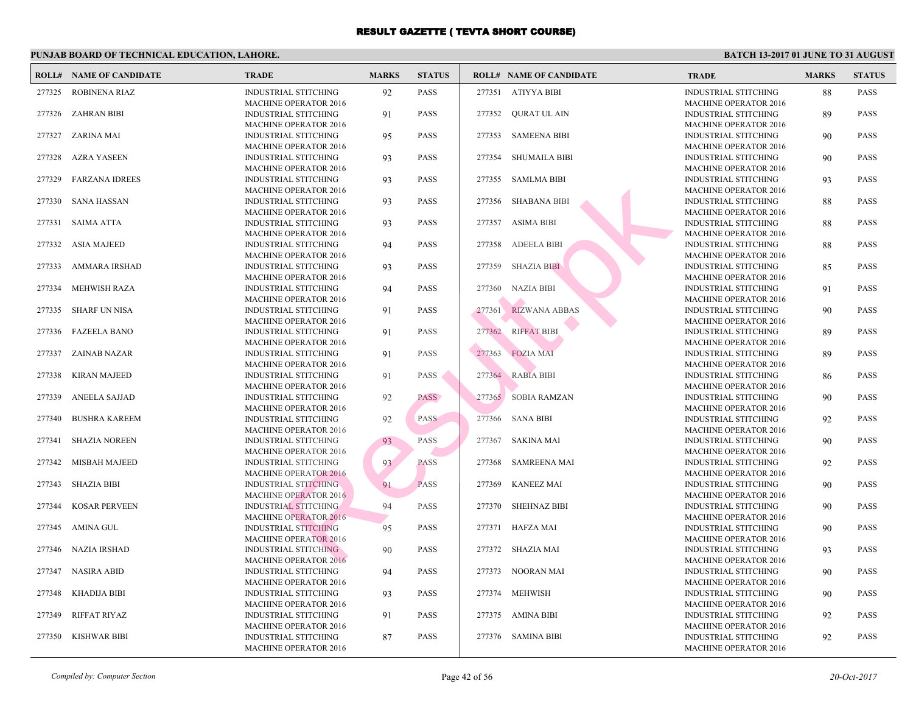|        | <b>ROLL# NAME OF CANDIDATE</b> | <b>TRADE</b>                                                                         | <b>MARKS</b> | <b>STATUS</b> |        | <b>ROLL# NAME OF CANDIDATE</b> | <b>TRA</b>                        |
|--------|--------------------------------|--------------------------------------------------------------------------------------|--------------|---------------|--------|--------------------------------|-----------------------------------|
| 277325 | <b>ROBINENA RIAZ</b>           | <b>INDUSTRIAL STITCHING</b><br><b>MACHINE OPERATOR 2016</b>                          | 92           | <b>PASS</b>   |        | 277351 ATIYYA BIBI             | <b>INDU</b><br><b>MAC</b>         |
| 277326 | <b>ZAHRAN BIBI</b>             | <b>INDUSTRIAL STITCHING</b>                                                          | 91           | <b>PASS</b>   |        | 277352 QURAT UL AIN            | <b>INDU</b><br><b>MACI</b>        |
| 277327 | <b>ZARINA MAI</b>              | <b>MACHINE OPERATOR 2016</b><br><b>INDUSTRIAL STITCHING</b>                          | 95           | <b>PASS</b>   | 277353 | <b>SAMEENA BIBI</b>            | <b>INDU</b>                       |
| 277328 | <b>AZRA YASEEN</b>             | <b>MACHINE OPERATOR 2016</b><br><b>INDUSTRIAL STITCHING</b>                          | 93           | <b>PASS</b>   | 277354 | <b>SHUMAILA BIBI</b>           | <b>MAC</b><br><b>INDU</b>         |
| 277329 | <b>FARZANA IDREES</b>          | <b>MACHINE OPERATOR 2016</b><br><b>INDUSTRIAL STITCHING</b>                          | 93           | <b>PASS</b>   |        | 277355 SAMLMA BIBI             | <b>MACI</b><br><b>INDU</b>        |
| 277330 | <b>SANA HASSAN</b>             | <b>MACHINE OPERATOR 2016</b><br><b>INDUSTRIAL STITCHING</b>                          | 93           | <b>PASS</b>   | 277356 | <b>SHABANA BIBI</b>            | <b>MAC</b><br><b>INDU</b>         |
| 277331 | <b>SAIMA ATTA</b>              | MACHINE OPERATOR 2016<br><b>INDUSTRIAL STITCHING</b>                                 | 93           | <b>PASS</b>   | 277357 | <b>ASIMA BIBI</b>              | <b>MAC</b><br><b>INDU</b>         |
| 277332 | <b>ASIA MAJEED</b>             | <b>MACHINE OPERATOR 2016</b><br><b>INDUSTRIAL STITCHING</b>                          | 94           | <b>PASS</b>   | 277358 | <b>ADEELA BIBI</b>             | <b>MAC</b><br><b>INDU</b>         |
|        |                                | <b>MACHINE OPERATOR 2016</b>                                                         |              |               |        |                                | <b>MAC</b>                        |
| 277333 | AMMARA IRSHAD                  | <b>INDUSTRIAL STITCHING</b><br><b>MACHINE OPERATOR 2016</b>                          | 93           | <b>PASS</b>   | 277359 | <b>SHAZIA BIBI</b>             | <b>INDU</b><br><b>MAC</b>         |
| 277334 | <b>MEHWISH RAZA</b>            | INDUSTRIAL STITCHING<br><b>MACHINE OPERATOR 2016</b>                                 | 94           | <b>PASS</b>   | 277360 | NAZIA BIBI                     | <b>INDU</b><br>MAC                |
| 277335 | <b>SHARF UN NISA</b>           | INDUSTRIAL STITCHING<br><b>MACHINE OPERATOR 2016</b>                                 | 91           | <b>PASS</b>   | 277361 | <b>RIZWANA ABBAS</b>           | <b>INDU</b><br><b>MAC</b>         |
| 277336 | <b>FAZEELA BANO</b>            | <b>INDUSTRIAL STITCHING</b><br><b>MACHINE OPERATOR 2016</b>                          | 91           | <b>PASS</b>   | 277362 | <b>RIFFAT BIBI</b>             | <b>INDU</b><br><b>MAC</b>         |
| 277337 | ZAINAB NAZAR                   | <b>INDUSTRIAL STITCHING</b>                                                          | 91           | <b>PASS</b>   | 277363 | <b>FOZIA MAI</b>               | <b>INDU</b><br><b>MAC</b>         |
| 277338 | <b>KIRAN MAJEED</b>            | <b>MACHINE OPERATOR 2016</b><br>INDUSTRIAL STITCHING                                 | 91           | <b>PASS</b>   |        | 277364 RABIA BIBI              | <b>INDU</b>                       |
| 277339 | <b>ANEELA SAJJAD</b>           | <b>MACHINE OPERATOR 2016</b><br>INDUSTRIAL STITCHING                                 | 92           | <b>PASS</b>   |        | 277365 SOBIA RAMZAN            | <b>MAC</b><br><b>INDU</b>         |
| 277340 | <b>BUSHRA KAREEM</b>           | <b>MACHINE OPERATOR 2016</b><br>INDUSTRIAL STITCHING                                 | 92           | <b>PASS</b>   |        | 277366 SANA BIBI               | <b>MAC</b><br><b>INDU</b>         |
| 277341 | <b>SHAZIA NOREEN</b>           | <b>MACHINE OPERATOR 2016</b><br><b>INDUSTRIAL STITCHING</b>                          | 93           | PASS          | 277367 | <b>SAKINA MAI</b>              | <b>MAC</b><br><b>INDU</b>         |
|        |                                | <b>MACHINE OPERATOR 2016</b>                                                         |              |               |        |                                | <b>MAC</b>                        |
| 277342 | <b>MISBAH MAJEED</b>           | <b>INDUSTRIAL STITCHING</b><br><b>MACHINE OPERATOR 2016</b>                          | 93           | <b>PASS</b>   | 277368 | <b>SAMREENA MAI</b>            | <b>INDU</b><br><b>MAC</b>         |
| 277343 | <b>SHAZIA BIBI</b>             | <b>INDUSTRIAL STITCHING</b><br><b>MACHINE OPERATOR 2016</b>                          | 91           | <b>PASS</b>   | 277369 | <b>KANEEZ MAI</b>              | <b>INDU</b><br><b>MAC</b>         |
| 277344 | <b>KOSAR PERVEEN</b>           | <b>INDUSTRIAL STITCHING</b><br><b>MACHINE OPERATOR 2016</b>                          | 94           | PASS          | 277370 | <b>SHEHNAZ BIBI</b>            | <b>INDU</b><br><b>MAC</b>         |
| 277345 | AMINA GUL                      | <b>INDUSTRIAL STITCHING</b><br><b>MACHINE OPERATOR 2016</b>                          | 95           | <b>PASS</b>   |        | 277371 HAFZA MAI               | <b>INDU</b><br><b>MAC</b>         |
| 277346 | <b>NAZIA IRSHAD</b>            | INDUSTRIAL STITCHING<br><b>MACHINE OPERATOR 2016</b>                                 | 90           | <b>PASS</b>   |        | 277372 SHAZIA MAI              | <b>INDU</b><br><b>MAC</b>         |
| 277347 | <b>NASIRA ABID</b>             | <b>INDUSTRIAL STITCHING</b><br><b>MACHINE OPERATOR 2016</b>                          | 94           | <b>PASS</b>   |        | 277373 NOORAN MAI              | <b>INDU</b><br><b>MAC</b>         |
| 277348 | <b>KHADIJA BIBI</b>            | INDUSTRIAL STITCHING<br><b>MACHINE OPERATOR 2016</b>                                 | 93           | <b>PASS</b>   |        | 277374 MEHWISH                 | <b>INDU</b><br><b>MAC</b>         |
| 277349 | RIFFAT RIYAZ                   | INDUSTRIAL STITCHING                                                                 | 91           | <b>PASS</b>   |        | 277375 AMINA BIBI              | <b>INDU</b>                       |
| 277350 | <b>KISHWAR BIBI</b>            | <b>MACHINE OPERATOR 2016</b><br>INDUSTRIAL STITCHING<br><b>MACHINE OPERATOR 2016</b> | 87           | <b>PASS</b>   |        | 277376 SAMINA BIBI             | MAC<br><b>INDU</b><br><b>MACI</b> |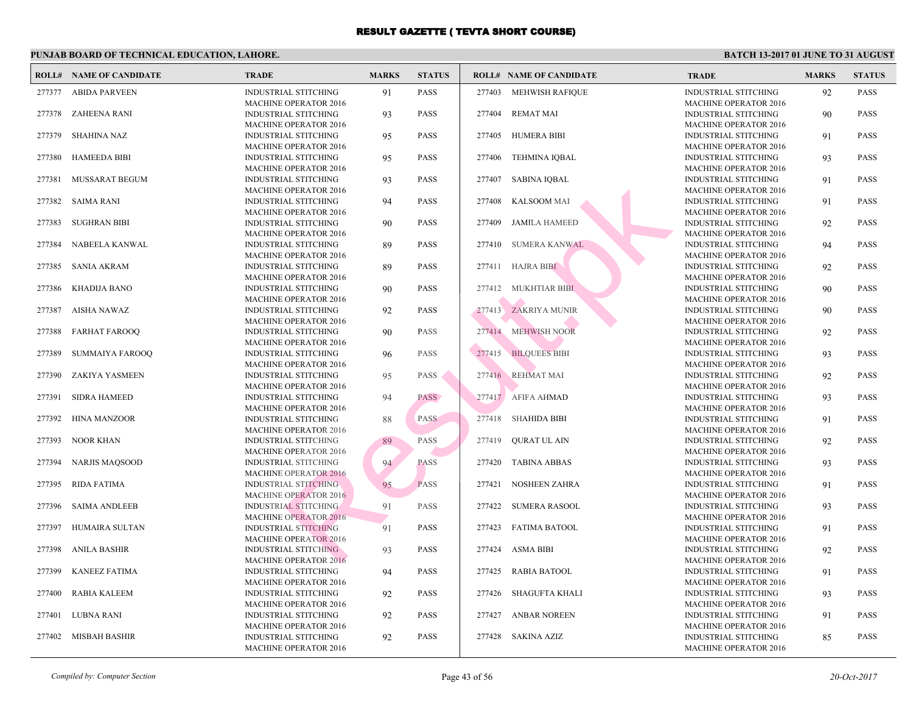|        | <b>ROLL# NAME OF CANDIDATE</b> | <b>TRADE</b>                                                | <b>MARKS</b> | <b>STATUS</b> |        | <b>ROLL# NAME OF CANDIDATE</b> | <b>TRA</b>                 |
|--------|--------------------------------|-------------------------------------------------------------|--------------|---------------|--------|--------------------------------|----------------------------|
|        | 277377 ABIDA PARVEEN           | <b>INDUSTRIAL STITCHING</b><br><b>MACHINE OPERATOR 2016</b> | 91           | <b>PASS</b>   |        | 277403 MEHWISH RAFIQUE         | <b>INDU</b><br><b>MAC</b>  |
| 277378 | <b>ZAHEENA RANI</b>            | INDUSTRIAL STITCHING                                        | 93           | <b>PASS</b>   |        | 277404 REMAT MAI               | <b>INDU</b>                |
| 277379 | <b>SHAHINA NAZ</b>             | <b>MACHINE OPERATOR 2016</b><br><b>INDUSTRIAL STITCHING</b> | 95           | <b>PASS</b>   |        | 277405 HUMERA BIBI             | <b>MACI</b><br><b>INDU</b> |
| 277380 | <b>HAMEEDA BIBI</b>            | <b>MACHINE OPERATOR 2016</b><br><b>INDUSTRIAL STITCHING</b> | 95           | <b>PASS</b>   | 277406 | <b>TEHMINA IQBAL</b>           | <b>MAC</b><br><b>INDU</b>  |
| 277381 | MUSSARAT BEGUM                 | <b>MACHINE OPERATOR 2016</b><br><b>INDUSTRIAL STITCHING</b> | 93           | <b>PASS</b>   | 277407 | <b>SABINA IQBAL</b>            | <b>MACI</b><br><b>INDU</b> |
| 277382 | <b>SAIMA RANI</b>              | <b>MACHINE OPERATOR 2016</b><br><b>INDUSTRIAL STITCHING</b> | 94           | <b>PASS</b>   |        | 277408 KALSOOM MAI             | <b>MAC</b><br><b>INDU</b>  |
| 277383 | <b>SUGHRAN BIBI</b>            | MACHINE OPERATOR 2016<br><b>INDUSTRIAL STITCHING</b>        | 90           | <b>PASS</b>   | 277409 | <b>JAMILA HAMEED</b>           | <b>MAC</b><br><b>INDU</b>  |
| 277384 | NABEELA KANWAL                 | <b>MACHINE OPERATOR 2016</b><br><b>INDUSTRIAL STITCHING</b> | 89           | <b>PASS</b>   | 277410 | <b>SUMERA KANWAL</b>           | <b>MAC</b><br><b>INDU</b>  |
| 277385 | <b>SANIA AKRAM</b>             | MACHINE OPERATOR 2016<br><b>INDUSTRIAL STITCHING</b>        | 89           | <b>PASS</b>   |        | 277411 HAJRA BIBI              | <b>MAC</b><br><b>INDU</b>  |
| 277386 | KHADIJA BANO                   | <b>MACHINE OPERATOR 2016</b><br>INDUSTRIAL STITCHING        | 90           | <b>PASS</b>   |        | 277412 MUKHTIAR BIBI           | <b>MAC</b><br><b>INDU</b>  |
| 277387 | AISHA NAWAZ                    | <b>MACHINE OPERATOR 2016</b><br>INDUSTRIAL STITCHING        | 92           | <b>PASS</b>   |        | 277413 ZAKRIYA MUNIR           | <b>MAC</b><br><b>INDU</b>  |
| 277388 | <b>FARHAT FAROOQ</b>           | <b>MACHINE OPERATOR 2016</b><br><b>INDUSTRIAL STITCHING</b> | 90           | <b>PASS</b>   |        | 277414 MEHWISH NOOR            | <b>MAC</b><br><b>INDU</b>  |
| 277389 | <b>SUMMAIYA FAROOQ</b>         | <b>MACHINE OPERATOR 2016</b><br>INDUSTRIAL STITCHING        | 96           | <b>PASS</b>   |        | 277415 BILQUEES BIBI           | <b>MAC</b><br><b>INDU</b>  |
| 277390 | ZAKIYA YASMEEN                 | <b>MACHINE OPERATOR 2016</b><br>INDUSTRIAL STITCHING        | 95           | <b>PASS</b>   |        | 277416 REHMAT MAI              | <b>MAC</b><br><b>INDU</b>  |
| 277391 | <b>SIDRA HAMEED</b>            | <b>MACHINE OPERATOR 2016</b><br>INDUSTRIAL STITCHING        | 94           | <b>PASS</b>   |        | 277417 AFIFA AHMAD             | <b>MACI</b><br><b>INDU</b> |
| 277392 | <b>HINA MANZOOR</b>            | <b>MACHINE OPERATOR 2016</b><br>INDUSTRIAL STITCHING        | 88           | <b>PASS</b>   |        | 277418 SHAHIDA BIBI            | <b>MAC</b><br><b>INDU</b>  |
|        |                                | <b>MACHINE OPERATOR 2016</b>                                |              |               | 277419 | <b>QURAT UL AIN</b>            | <b>MAC</b><br><b>INDU</b>  |
| 277393 | <b>NOOR KHAN</b>               | INDUSTRIAL STITCHING<br><b>MACHINE OPERATOR 2016</b>        | 89           | PASS          |        |                                | <b>MAC</b>                 |
| 277394 | <b>NARJIS MAQSOOD</b>          | <b>INDUSTRIAL STITCHING</b><br><b>MACHINE OPERATOR 2016</b> | 94           | <b>PASS</b>   | 277420 | <b>TABINA ABBAS</b>            | <b>INDU</b><br><b>MAC</b>  |
| 277395 | <b>RIDA FATIMA</b>             | <b>INDUSTRIAL STITCHING</b><br><b>MACHINE OPERATOR 2016</b> | 95           | <b>PASS</b>   |        | 277421 NOSHEEN ZAHRA           | <b>INDU</b><br><b>MAC</b>  |
| 277396 | <b>SAIMA ANDLEEB</b>           | <b>INDUSTRIAL STITCHING</b><br><b>MACHINE OPERATOR 2016</b> | 91           | <b>PASS</b>   | 277422 | <b>SUMERA RASOOL</b>           | <b>INDU</b><br><b>MAC</b>  |
| 277397 | HUMAIRA SULTAN                 | INDUSTRIAL STITCHING<br><b>MACHINE OPERATOR 2016</b>        | 91           | <b>PASS</b>   | 277423 | FATIMA BATOOL                  | <b>INDU</b><br><b>MAC</b>  |
| 277398 | ANILA BASHIR                   | INDUSTRIAL STITCHING<br><b>MACHINE OPERATOR 2016</b>        | 93           | <b>PASS</b>   | 277424 | <b>ASMA BIBI</b>               | <b>INDU</b><br><b>MAC</b>  |
| 277399 | <b>KANEEZ FATIMA</b>           | INDUSTRIAL STITCHING<br><b>MACHINE OPERATOR 2016</b>        | 94           | <b>PASS</b>   | 277425 | <b>RABIA BATOOL</b>            | <b>INDU</b><br><b>MAC</b>  |
| 277400 | <b>RABIA KALEEM</b>            | INDUSTRIAL STITCHING<br><b>MACHINE OPERATOR 2016</b>        | 92           | <b>PASS</b>   |        | 277426 SHAGUFTA KHALI          | <b>INDU</b><br><b>MAC</b>  |
| 277401 | LUBNA RANI                     | INDUSTRIAL STITCHING<br><b>MACHINE OPERATOR 2016</b>        | 92           | <b>PASS</b>   | 277427 | <b>ANBAR NOREEN</b>            | <b>INDU</b><br>MAC         |
| 277402 | MISBAH BASHIR                  | INDUSTRIAL STITCHING<br><b>MACHINE OPERATOR 2016</b>        | 92           | <b>PASS</b>   |        | 277428 SAKINA AZIZ             | <b>INDU</b><br><b>MACI</b> |
|        |                                |                                                             |              |               |        |                                |                            |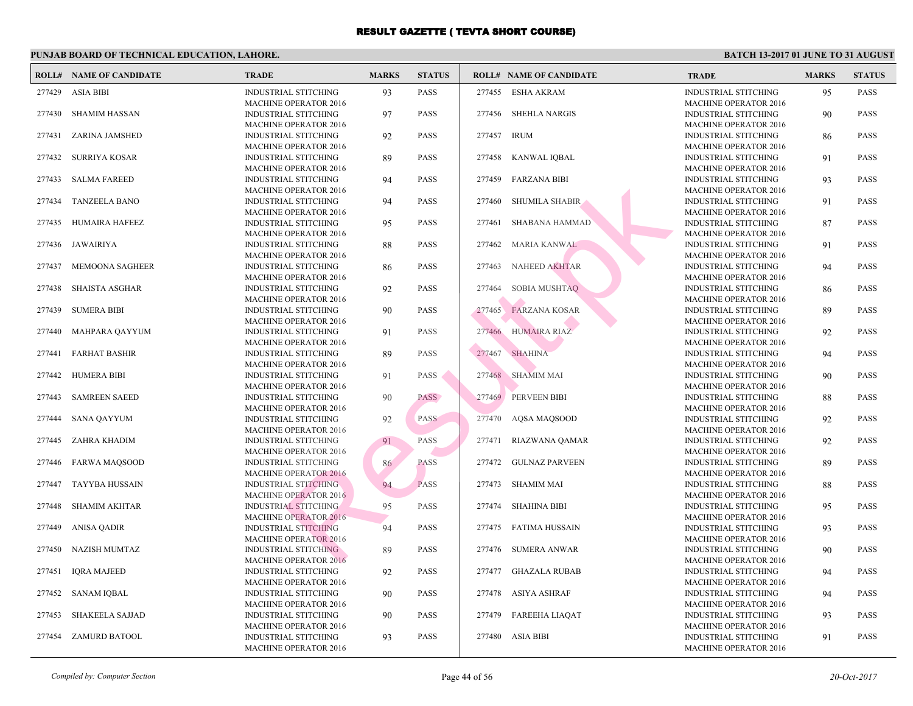|        | <b>ROLL# NAME OF CANDIDATE</b> | <b>TRADE</b>                                                                                | <b>MARKS</b> | <b>STATUS</b> |        | <b>ROLL# NAME OF CANDIDATE</b> | <b>TRA</b>                               |
|--------|--------------------------------|---------------------------------------------------------------------------------------------|--------------|---------------|--------|--------------------------------|------------------------------------------|
| 277429 | <b>ASIA BIBI</b>               | <b>INDUSTRIAL STITCHING</b><br><b>MACHINE OPERATOR 2016</b>                                 | 93           | <b>PASS</b>   |        | 277455 ESHA AKRAM              | <b>INDU</b><br><b>MAC</b>                |
| 277430 | <b>SHAMIM HASSAN</b>           | <b>INDUSTRIAL STITCHING</b>                                                                 | 97           | <b>PASS</b>   | 277456 | <b>SHEHLA NARGIS</b>           | <b>INDU</b>                              |
| 277431 | ZARINA JAMSHED                 | <b>MACHINE OPERATOR 2016</b><br><b>INDUSTRIAL STITCHING</b>                                 | 92           | <b>PASS</b>   | 277457 | <b>IRUM</b>                    | <b>MAC</b><br><b>INDU</b>                |
| 277432 | <b>SURRIYA KOSAR</b>           | <b>MACHINE OPERATOR 2016</b><br><b>INDUSTRIAL STITCHING</b>                                 | 89           | <b>PASS</b>   | 277458 | KANWAL IQBAL                   | <b>MAC</b><br><b>INDU</b>                |
| 277433 | <b>SALMA FAREED</b>            | <b>MACHINE OPERATOR 2016</b><br><b>INDUSTRIAL STITCHING</b>                                 | 94           | <b>PASS</b>   | 277459 | <b>FARZANA BIBI</b>            | <b>MACI</b><br><b>INDU</b>               |
| 277434 | <b>TANZEELA BANO</b>           | <b>MACHINE OPERATOR 2016</b><br>INDUSTRIAL STITCHING                                        | 94           | <b>PASS</b>   | 277460 | <b>SHUMILA SHABIR</b>          | <b>MAC</b><br><b>INDU</b>                |
| 277435 | <b>HUMAIRA HAFEEZ</b>          | <b>MACHINE OPERATOR 2016</b><br>INDUSTRIAL STITCHING                                        | 95           | <b>PASS</b>   | 277461 | <b>SHABANA HAMMAD</b>          | <b>MAC</b><br><b>INDU</b>                |
| 277436 | JAWAIRIYA                      | <b>MACHINE OPERATOR 2016</b><br>INDUSTRIAL STITCHING                                        | 88           | <b>PASS</b>   | 277462 | MARIA KANWAL                   | MAC<br><b>INDU</b>                       |
|        |                                | <b>MACHINE OPERATOR 2016</b>                                                                |              |               |        |                                | MAC                                      |
| 277437 | MEMOONA SAGHEER                | INDUSTRIAL STITCHING<br><b>MACHINE OPERATOR 2016</b>                                        | 86           | <b>PASS</b>   | 277463 | NAHEED AKHTAR                  | <b>INDU</b><br><b>MAC</b>                |
| 277438 | <b>SHAISTA ASGHAR</b>          | INDUSTRIAL STITCHING<br><b>MACHINE OPERATOR 2016</b>                                        | 92           | <b>PASS</b>   | 277464 | SOBIA MUSHTAQ                  | <b>INDU</b><br><b>MAC</b>                |
| 277439 | <b>SUMERA BIBI</b>             | INDUSTRIAL STITCHING<br><b>MACHINE OPERATOR 2016</b>                                        | 90           | <b>PASS</b>   | 277465 | <b>FARZANA KOSAR</b>           | <b>INDU</b><br><b>MAC</b>                |
| 277440 | MAHPARA QAYYUM                 | INDUSTRIAL STITCHING<br><b>MACHINE OPERATOR 2016</b>                                        | 91           | <b>PASS</b>   | 277466 | <b>HUMAIRA RIAZ</b>            | <b>INDU</b><br><b>MAC</b>                |
| 277441 | <b>FARHAT BASHIR</b>           | INDUSTRIAL STITCHING<br><b>MACHINE OPERATOR 2016</b>                                        | 89           | <b>PASS</b>   | 277467 | <b>SHAHINA</b>                 | <b>INDU</b><br><b>MAC</b>                |
| 277442 | HUMERA BIBI                    | <b>INDUSTRIAL STITCHING</b>                                                                 | 91           | <b>PASS</b>   |        | 277468 SHAMIM MAI              | <b>INDU</b>                              |
| 277443 | <b>SAMREEN SAEED</b>           | <b>MACHINE OPERATOR 2016</b><br><b>INDUSTRIAL STITCHING</b>                                 | 90           | <b>PASS</b>   |        | 277469 PERVEEN BIBI            | <b>MAC</b><br><b>INDU</b>                |
| 277444 | <b>SANA QAYYUM</b>             | <b>MACHINE OPERATOR 2016</b><br>INDUSTRIAL STITCHING                                        | 92           | <b>PASS</b>   | 277470 | AQSA MAQSOOD                   | <b>MAC</b><br><b>INDU</b>                |
| 277445 | ZAHRA KHADIM                   | <b>MACHINE OPERATOR 2016</b><br><b>INDUSTRIAL STITCHING</b>                                 | 91           | PASS          | 277471 | RIAZWANA QAMAR                 | <b>MAC</b><br><b>INDU</b>                |
|        |                                | <b>MACHINE OPERATOR 2016</b>                                                                |              |               |        |                                | <b>MAC</b>                               |
| 277446 | <b>FARWA MAQSOOD</b>           | <b>INDUSTRIAL STITCHING</b><br><b>MACHINE OPERATOR 2016</b>                                 | 86           | <b>PASS</b>   | 277472 | <b>GULNAZ PARVEEN</b>          | <b>INDU</b><br><b>MAC</b>                |
| 277447 | <b>TAYYBA HUSSAIN</b>          | <b>INDUSTRIAL STITCHING</b><br><b>MACHINE OPERATOR 2016</b>                                 | 94           | <b>PASS</b>   |        | 277473 SHAMIM MAI              | <b>INDU</b><br>MAC                       |
| 277448 | <b>SHAMIM AKHTAR</b>           | <b>INDUSTRIAL STITCHING</b><br><b>MACHINE OPERATOR 2016</b>                                 | 95           | <b>PASS</b>   | 277474 | <b>SHAHINA BIBI</b>            | <b>INDU</b><br><b>MAC</b>                |
| 277449 | <b>ANISA QADIR</b>             | <b>INDUSTRIAL STITCHING</b><br><b>MACHINE OPERATOR 2016</b>                                 | 94           | <b>PASS</b>   |        | 277475 FATIMA HUSSAIN          | <b>INDU</b><br><b>MAC</b>                |
| 277450 | NAZISH MUMTAZ                  | <b>INDUSTRIAL STITCHING</b><br><b>MACHINE OPERATOR 2016</b>                                 | 89           | <b>PASS</b>   | 277476 | <b>SUMERA ANWAR</b>            | <b>INDU</b><br><b>MAC</b>                |
| 277451 | <b>IQRA MAJEED</b>             | <b>INDUSTRIAL STITCHING</b><br><b>MACHINE OPERATOR 2016</b>                                 | 92           | <b>PASS</b>   | 277477 | <b>GHAZALA RUBAB</b>           | <b>INDU</b><br><b>MAC</b>                |
| 277452 | <b>SANAM IQBAL</b>             | <b>INDUSTRIAL STITCHING</b>                                                                 | 90           | <b>PASS</b>   |        | 277478 ASIYA ASHRAF            | <b>INDU</b>                              |
| 277453 | <b>SHAKEELA SAJJAD</b>         | <b>MACHINE OPERATOR 2016</b><br><b>INDUSTRIAL STITCHING</b>                                 | 90           | <b>PASS</b>   | 277479 | <b>FAREEHA LIAQAT</b>          | <b>MAC</b><br><b>INDU</b>                |
| 277454 | <b>ZAMURD BATOOL</b>           | <b>MACHINE OPERATOR 2016</b><br><b>INDUSTRIAL STITCHING</b><br><b>MACHINE OPERATOR 2016</b> | 93           | <b>PASS</b>   |        | 277480 ASIA BIBI               | <b>MAC</b><br><b>INDU</b><br><b>MACI</b> |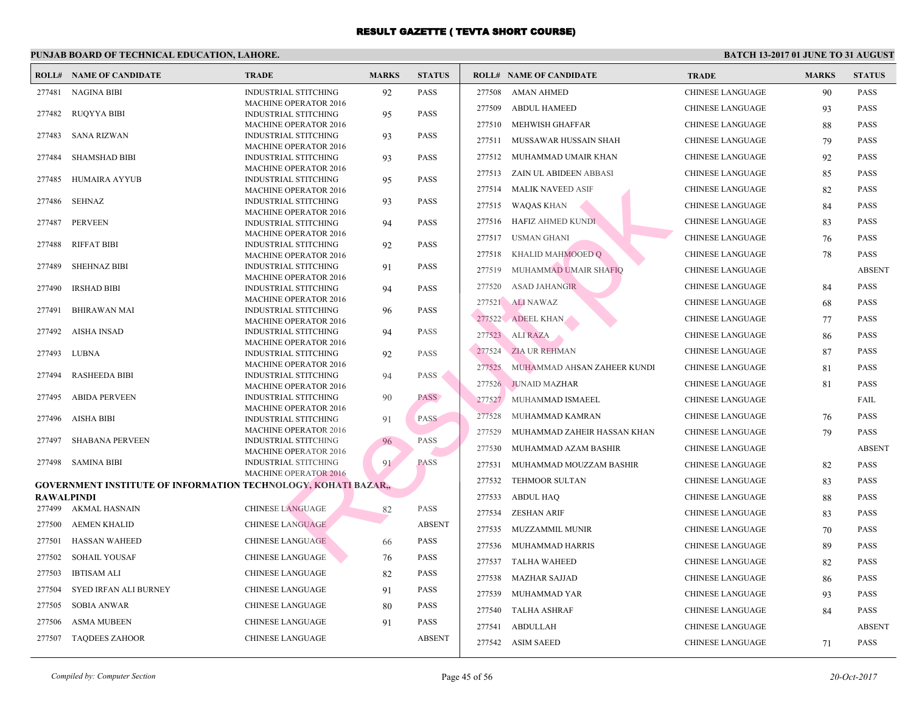|            | <b>ROLL# NAME OF CANDIDATE</b>                                        | <b>TRADE</b>                                                | <b>MARKS</b> | <b>STATUS</b> |        | <b>ROLL# NAME OF CANDIDATE</b> | <b>TRA</b>  |
|------------|-----------------------------------------------------------------------|-------------------------------------------------------------|--------------|---------------|--------|--------------------------------|-------------|
| 277481     | <b>NAGINA BIBI</b>                                                    | INDUSTRIAL STITCHING                                        | 92           | <b>PASS</b>   | 277508 | <b>AMAN AHMED</b>              | <b>CHIN</b> |
|            |                                                                       | <b>MACHINE OPERATOR 2016</b>                                |              |               | 277509 | <b>ABDUL HAMEED</b>            | CHIN.       |
| 277482     | <b>RUQYYA BIBI</b>                                                    | <b>INDUSTRIAL STITCHING</b>                                 | 95           | <b>PASS</b>   |        |                                |             |
|            |                                                                       | <b>MACHINE OPERATOR 2016</b>                                |              |               | 277510 | MEHWISH GHAFFAR                | CHIN.       |
| 277483     | <b>SANA RIZWAN</b>                                                    | INDUSTRIAL STITCHING<br><b>MACHINE OPERATOR 2016</b>        | 93           | <b>PASS</b>   | 277511 | MUSSAWAR HUSSAIN SHAH          | CHIN.       |
| 277484     | <b>SHAMSHAD BIBI</b>                                                  | INDUSTRIAL STITCHING                                        | 93           | <b>PASS</b>   | 277512 | MUHAMMAD UMAIR KHAN            | <b>CHIN</b> |
|            |                                                                       | <b>MACHINE OPERATOR 2016</b>                                |              |               | 277513 | ZAIN UL ABIDEEN ABBASI         | <b>CHIN</b> |
| 277485     | <b>HUMAIRA AYYUB</b>                                                  | <b>INDUSTRIAL STITCHING</b>                                 | 95           | <b>PASS</b>   |        |                                |             |
|            |                                                                       | <b>MACHINE OPERATOR 2016</b>                                |              |               | 277514 | <b>MALIK NAVEED ASIF</b>       | <b>CHIN</b> |
| 277486     | <b>SEHNAZ</b>                                                         | <b>INDUSTRIAL STITCHING</b><br><b>MACHINE OPERATOR 2016</b> | 93           | <b>PASS</b>   | 277515 | <b>WAQAS KHAN</b>              | <b>CHIN</b> |
| 277487     | <b>PERVEEN</b>                                                        | INDUSTRIAL STITCHING                                        | 94           | <b>PASS</b>   | 277516 | HAFIZ AHMED KUNDI              | <b>CHIN</b> |
|            |                                                                       | <b>MACHINE OPERATOR 2016</b>                                |              |               | 277517 | <b>USMAN GHANI</b>             | <b>CHIN</b> |
| 277488     | RIFFAT BIBI                                                           | <b>INDUSTRIAL STITCHING</b>                                 | 92           | <b>PASS</b>   |        |                                |             |
|            |                                                                       | <b>MACHINE OPERATOR 2016</b>                                |              |               | 277518 | KHALID MAHMOOED Q              | <b>CHIN</b> |
| 277489     | <b>SHEHNAZ BIBI</b>                                                   | INDUSTRIAL STITCHING                                        | 91           | <b>PASS</b>   | 277519 | MUHAMMAD UMAIR SHAFIQ          | <b>CHIN</b> |
| 277490     | <b>IRSHAD BIBI</b>                                                    | <b>MACHINE OPERATOR 2016</b><br>INDUSTRIAL STITCHING        | 94           | <b>PASS</b>   | 277520 | <b>ASAD JAHANGIR</b>           | <b>CHIN</b> |
|            |                                                                       | <b>MACHINE OPERATOR 2016</b>                                |              |               |        |                                | <b>CHIN</b> |
| 277491     | <b>BHIRAWAN MAI</b>                                                   | INDUSTRIAL STITCHING                                        | 96           | <b>PASS</b>   |        | 277521 ALI NAWAZ               |             |
|            |                                                                       | <b>MACHINE OPERATOR 2016</b>                                |              |               |        | 277522 ADEEL KHAN              | <b>CHIN</b> |
| 277492     | <b>AISHA INSAD</b>                                                    | <b>INDUSTRIAL STITCHING</b>                                 | 94           | <b>PASS</b>   |        | 277523 ALI RAZA                | CHIN.       |
| 277493     | <b>LUBNA</b>                                                          | <b>MACHINE OPERATOR 2016</b><br>INDUSTRIAL STITCHING        | 92           | <b>PASS</b>   | 277524 | ZIA UR REHMAN                  | <b>CHIN</b> |
|            |                                                                       | <b>MACHINE OPERATOR 2016</b>                                |              |               |        |                                |             |
| 277494     | <b>RASHEEDA BIBI</b>                                                  | INDUSTRIAL STITCHING                                        | 94           | PASS          | 277525 | MUHAMMAD AHSAN ZAHEER KUNDI    | <b>CHIN</b> |
|            |                                                                       | <b>MACHINE OPERATOR 2016</b>                                |              |               | 277526 | <b>JUNAID MAZHAR</b>           | <b>CHIN</b> |
| 277495     | <b>ABIDA PERVEEN</b>                                                  | <b>INDUSTRIAL STITCHING</b>                                 | 90           | PASS          | 277527 | MUHAMMAD ISMAEEL               | CHIN.       |
|            |                                                                       | <b>MACHINE OPERATOR 2016</b>                                |              | <b>PASS</b>   | 277528 | MUHAMMAD KAMRAN                | <b>CHIN</b> |
| 277496     | AISHA BIBI                                                            | INDUSTRIAL STITCHING<br><b>MACHINE OPERATOR 2016</b>        | 91           |               |        |                                |             |
| 277497     | <b>SHABANA PERVEEN</b>                                                | INDUSTRIAL STITCHING                                        | 96           | PASS          | 277529 | MUHAMMAD ZAHEIR HASSAN KHAN    | <b>CHIN</b> |
|            |                                                                       | <b>MACHINE OPERATOR 2016</b>                                |              |               | 277530 | MUHAMMAD AZAM BASHIR           | CHIN.       |
| 277498     | SAMINA BIBI                                                           | INDUSTRIAL STITCHING                                        | 91           | <b>PASS</b>   | 277531 | MUHAMMAD MOUZZAM BASHIR        | <b>CHIN</b> |
|            |                                                                       | <b>MACHINE OPERATOR 2016</b>                                |              |               | 277532 | TEHMOOR SULTAN                 | CHIN.       |
| RAWALPINDI | <b>GOVERNMENT INSTITUTE OF INFORMATION TECHNOLOGY, KOHATI BAZAR.,</b> |                                                             |              |               | 277533 | <b>ABDUL HAQ</b>               | <b>CHIN</b> |
| 277499     | AKMAL HASNAIN                                                         | <b>CHINESE LANGUAGE</b>                                     | 82           | <b>PASS</b>   |        |                                |             |
| 277500     | <b>AEMEN KHALID</b>                                                   | <b>CHINESE LANGUAGE</b>                                     |              | <b>ABSENT</b> | 277534 | ZESHAN ARIF                    | <b>CHIN</b> |
|            |                                                                       |                                                             |              |               | 277535 | MUZZAMMIL MUNIR                | CHIN.       |
| 277501     | <b>HASSAN WAHEED</b>                                                  | <b>CHINESE LANGUAGE</b>                                     | 66           | <b>PASS</b>   | 277536 | MUHAMMAD HARRIS                | CHIN.       |
| 277502     | <b>SOHAIL YOUSAF</b>                                                  | <b>CHINESE LANGUAGE</b>                                     | 76           | <b>PASS</b>   | 277537 | <b>TALHA WAHEED</b>            | CHIN.       |
| 277503     | <b>IBTISAM ALI</b>                                                    | <b>CHINESE LANGUAGE</b>                                     | 82           | <b>PASS</b>   | 277538 | <b>MAZHAR SAJJAD</b>           | CHIN.       |
| 277504     | SYED IRFAN ALI BURNEY                                                 | CHINESE LANGUAGE                                            | 91           | <b>PASS</b>   | 277539 | MUHAMMAD YAR                   | CHIN.       |
| 277505     | <b>SOBIA ANWAR</b>                                                    | CHINESE LANGUAGE                                            | 80           | <b>PASS</b>   | 277540 | <b>TALHA ASHRAF</b>            | CHIN.       |
| 277506     | <b>ASMA MUBEEN</b>                                                    | <b>CHINESE LANGUAGE</b>                                     | 91           | <b>PASS</b>   |        |                                | <b>CHIN</b> |
| 277507     | <b>TAQDEES ZAHOOR</b>                                                 | <b>CHINESE LANGUAGE</b>                                     |              | <b>ABSENT</b> | 277541 | ABDULLAH                       |             |
|            |                                                                       |                                                             |              |               |        | 277542 ASIM SAEED              | <b>CHIN</b> |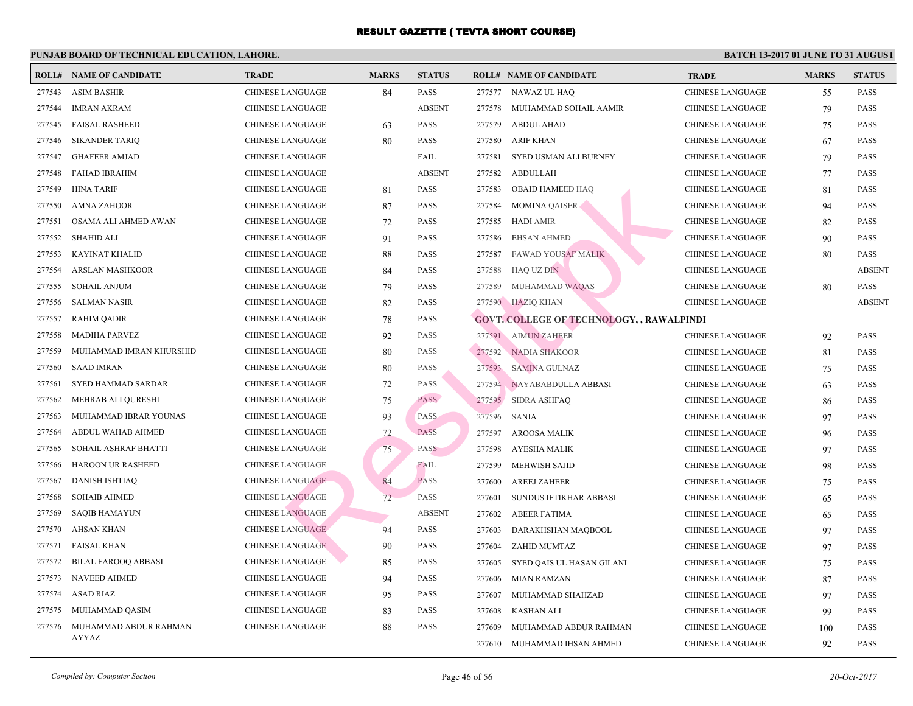| ROLL#  | <b>NAME OF CANDIDATE</b>   | <b>TRADE</b>            | <b>MARKS</b> | <b>STATUS</b> |        | <b>ROLL# NAME OF CANDIDATE</b>                   | <b>TRA</b>  |
|--------|----------------------------|-------------------------|--------------|---------------|--------|--------------------------------------------------|-------------|
| 277543 | <b>ASIM BASHIR</b>         | <b>CHINESE LANGUAGE</b> | 84           | <b>PASS</b>   |        | 277577 NAWAZ UL HAQ                              | CHIN.       |
| 277544 | <b>IMRAN AKRAM</b>         | <b>CHINESE LANGUAGE</b> |              | <b>ABSENT</b> | 277578 | MUHAMMAD SOHAIL AAMIR                            | CHIN.       |
| 277545 | <b>FAISAL RASHEED</b>      | <b>CHINESE LANGUAGE</b> | 63           | <b>PASS</b>   | 277579 | <b>ABDUL AHAD</b>                                | <b>CHIN</b> |
| 277546 | <b>SIKANDER TARIQ</b>      | CHINESE LANGUAGE        | 80           | <b>PASS</b>   | 277580 | <b>ARIF KHAN</b>                                 | <b>CHIN</b> |
| 277547 | <b>GHAFEER AMJAD</b>       | <b>CHINESE LANGUAGE</b> |              | FAIL          | 277581 | SYED USMAN ALI BURNEY                            | <b>CHIN</b> |
| 277548 | <b>FAHAD IBRAHIM</b>       | <b>CHINESE LANGUAGE</b> |              | <b>ABSENT</b> | 277582 | <b>ABDULLAH</b>                                  | <b>CHIN</b> |
| 277549 | HINA TARIF                 | <b>CHINESE LANGUAGE</b> | 81           | <b>PASS</b>   | 277583 | <b>OBAID HAMEED HAQ</b>                          | CHIN.       |
| 277550 | AMNA ZAHOOR                | <b>CHINESE LANGUAGE</b> | 87           | <b>PASS</b>   | 277584 | <b>MOMINA QAISER</b>                             | <b>CHIN</b> |
| 277551 | OSAMA ALI AHMED AWAN       | CHINESE LANGUAGE        | 72           | <b>PASS</b>   | 277585 | <b>HADI AMIR</b>                                 | <b>CHIN</b> |
| 277552 | <b>SHAHID ALI</b>          | <b>CHINESE LANGUAGE</b> | 91           | <b>PASS</b>   | 277586 | <b>EHSAN AHMED</b>                               | <b>CHIN</b> |
| 277553 | <b>KAYINAT KHALID</b>      | <b>CHINESE LANGUAGE</b> | 88           | <b>PASS</b>   | 277587 | <b>FAWAD YOUSAF MALIK</b>                        | <b>CHIN</b> |
| 277554 | <b>ARSLAN MASHKOOR</b>     | <b>CHINESE LANGUAGE</b> | 84           | <b>PASS</b>   | 277588 | HAQ UZ DIN                                       | <b>CHIN</b> |
| 277555 | <b>SOHAIL ANJUM</b>        | CHINESE LANGUAGE        | 79           | <b>PASS</b>   | 277589 | MUHAMMAD WAQAS                                   | <b>CHIN</b> |
| 277556 | <b>SALMAN NASIR</b>        | CHINESE LANGUAGE        | 82           | <b>PASS</b>   |        | 277590 HAZIQ KHAN                                | <b>CHIN</b> |
| 277557 | <b>RAHIM QADIR</b>         | CHINESE LANGUAGE        | 78           | <b>PASS</b>   |        | <b>GOVT. COLLEGE OF TECHNOLOGY, , RAWALPINDI</b> |             |
| 277558 | <b>MADIHA PARVEZ</b>       | <b>CHINESE LANGUAGE</b> | 92           | <b>PASS</b>   |        | 277591 AIMUN ZAHEER                              | <b>CHIN</b> |
| 277559 | MUHAMMAD IMRAN KHURSHID    | CHINESE LANGUAGE        | 80           | <b>PASS</b>   | 277592 | <b>NADIA SHAKOOR</b>                             | <b>CHIN</b> |
| 277560 | <b>SAAD IMRAN</b>          | CHINESE LANGUAGE        | 80           | <b>PASS</b>   | 277593 | <b>SAMINA GULNAZ</b>                             | CHIN.       |
| 277561 | SYED HAMMAD SARDAR         | CHINESE LANGUAGE        | 72           | <b>PASS</b>   | 277594 | NAYABABDULLA ABBASI                              | CHIN.       |
| 277562 | MEHRAB ALI QURESHI         | <b>CHINESE LANGUAGE</b> | 75           | <b>PASS</b>   | 277595 | SIDRA ASHFAQ                                     | <b>CHIN</b> |
| 277563 | MUHAMMAD IBRAR YOUNAS      | CHINESE LANGUAGE        | 93           | <b>PASS</b>   | 277596 | SANIA                                            | <b>CHIN</b> |
| 277564 | ABDUL WAHAB AHMED          | <b>CHINESE LANGUAGE</b> | 72           | <b>PASS</b>   | 277597 | AROOSA MALIK                                     | <b>CHIN</b> |
| 277565 | SOHAIL ASHRAF BHATTI       | <b>CHINESE LANGUAGE</b> | 75           | <b>PASS</b>   | 277598 | <b>AYESHA MALIK</b>                              | <b>CHIN</b> |
| 277566 | <b>HAROON UR RASHEED</b>   | <b>CHINESE LANGUAGE</b> |              | FAIL          | 277599 | <b>MEHWISH SAJID</b>                             | <b>CHIN</b> |
| 277567 | <b>DANISH ISHTIAQ</b>      | <b>CHINESE LANGUAGE</b> | 84           | <b>PASS</b>   | 277600 | <b>AREEJ ZAHEER</b>                              | <b>CHIN</b> |
| 277568 | <b>SOHAIB AHMED</b>        | <b>CHINESE LANGUAGE</b> | 72           | <b>PASS</b>   | 277601 | SUNDUS IFTIKHAR ABBASI                           | CHIN.       |
| 277569 | <b>SAQIB HAMAYUN</b>       | <b>CHINESE LANGUAGE</b> |              | <b>ABSENT</b> | 277602 | <b>ABEER FATIMA</b>                              | CHIN.       |
| 277570 | <b>AHSAN KHAN</b>          | <b>CHINESE LANGUAGE</b> | 94           | <b>PASS</b>   | 277603 | DARAKHSHAN MAQBOOL                               | CHIN.       |
| 277571 | <b>FAISAL KHAN</b>         | <b>CHINESE LANGUAGE</b> | 90           | <b>PASS</b>   | 277604 | ZAHID MUMTAZ                                     | <b>CHIN</b> |
| 277572 | <b>BILAL FAROOQ ABBASI</b> | CHINESE LANGUAGE        | 85           | <b>PASS</b>   | 277605 | SYED QAIS UL HASAN GILANI                        | <b>CHIN</b> |
| 277573 | <b>NAVEED AHMED</b>        | CHINESE LANGUAGE        | 94           | <b>PASS</b>   | 277606 | <b>MIAN RAMZAN</b>                               | CHIN.       |
| 277574 | <b>ASAD RIAZ</b>           | CHINESE LANGUAGE        | 95           | <b>PASS</b>   | 277607 | MUHAMMAD SHAHZAD                                 | CHIN.       |
| 277575 | MUHAMMAD QASIM             | CHINESE LANGUAGE        | 83           | <b>PASS</b>   | 277608 | <b>KASHAN ALI</b>                                | <b>CHIN</b> |
| 277576 | MUHAMMAD ABDUR RAHMAN      | CHINESE LANGUAGE        | 88           | <b>PASS</b>   | 277609 | MUHAMMAD ABDUR RAHMAN                            | <b>CHIN</b> |
|        | AYYAZ                      |                         |              |               | 277610 | MUHAMMAD IHSAN AHMED                             | <b>CHIN</b> |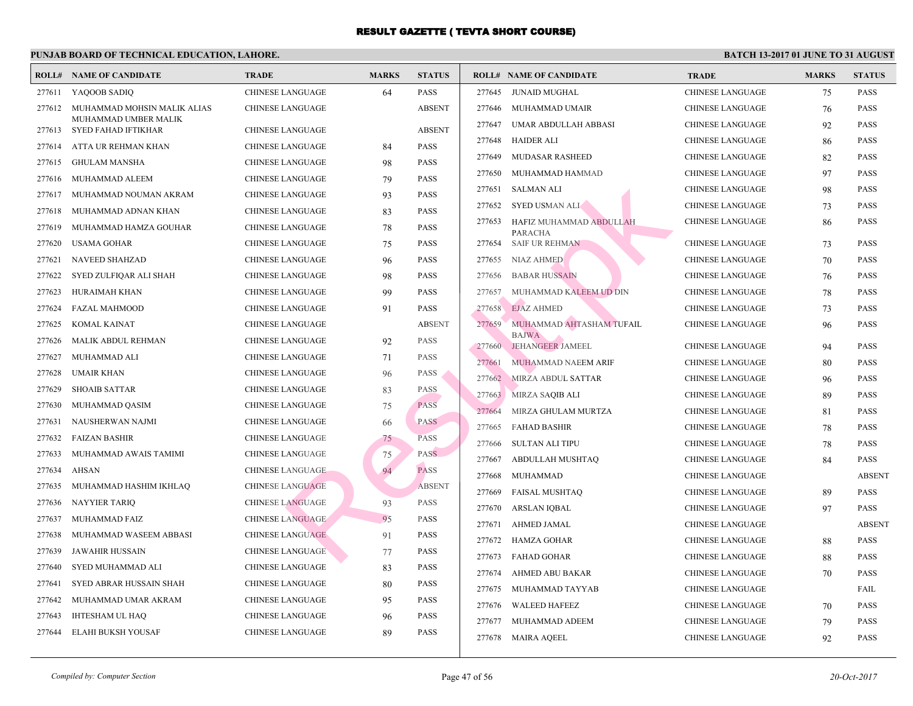|        | <b>ROLL# NAME OF CANDIDATE</b> | <b>TRADE</b>            | <b>MARKS</b> | <b>STATUS</b> |        | <b>ROLL# NAME OF CANDIDATE</b>            | <b>TRA</b>  |
|--------|--------------------------------|-------------------------|--------------|---------------|--------|-------------------------------------------|-------------|
| 277611 | YAQOOB SADIQ                   | <b>CHINESE LANGUAGE</b> | 64           | <b>PASS</b>   | 277645 | JUNAID MUGHAL                             | CHIN.       |
| 277612 | MUHAMMAD MOHSIN MALIK ALIAS    | CHINESE LANGUAGE        |              | <b>ABSENT</b> | 277646 | MUHAMMAD UMAIR                            | <b>CHIN</b> |
|        | MUHAMMAD UMBER MALIK           |                         |              |               | 277647 | UMAR ABDULLAH ABBASI                      | <b>CHIN</b> |
|        | 277613 SYED FAHAD IFTIKHAR     | CHINESE LANGUAGE        |              | <b>ABSENT</b> | 277648 | HAIDER ALI                                | CHIN.       |
| 277614 | ATTA UR REHMAN KHAN            | <b>CHINESE LANGUAGE</b> | 84           | <b>PASS</b>   | 277649 | <b>MUDASAR RASHEED</b>                    | CHIN.       |
| 277615 | <b>GHULAM MANSHA</b>           | CHINESE LANGUAGE        | 98           | <b>PASS</b>   | 277650 |                                           | CHIN.       |
| 277616 | MUHAMMAD ALEEM                 | CHINESE LANGUAGE        | 79           | <b>PASS</b>   |        | MUHAMMAD HAMMAD                           |             |
| 277617 | MUHAMMAD NOUMAN AKRAM          | CHINESE LANGUAGE        | 93           | <b>PASS</b>   | 277651 | SALMAN ALI                                | <b>CHIN</b> |
| 277618 | MUHAMMAD ADNAN KHAN            | CHINESE LANGUAGE        | 83           | <b>PASS</b>   | 277652 | <b>SYED USMAN ALI</b>                     | <b>CHIN</b> |
| 277619 | MUHAMMAD HAMZA GOUHAR          | CHINESE LANGUAGE        | 78           | <b>PASS</b>   | 277653 | HAFIZ MUHAMMAD ABDULLAH<br><b>PARACHA</b> | <b>CHIN</b> |
| 277620 | <b>USAMA GOHAR</b>             | CHINESE LANGUAGE        | 75           | <b>PASS</b>   | 277654 | <b>SAIF UR REHMAN</b>                     | <b>CHIN</b> |
| 277621 | <b>NAVEED SHAHZAD</b>          | CHINESE LANGUAGE        | 96           | <b>PASS</b>   | 277655 | <b>NIAZ AHMED</b>                         | CHIN.       |
| 277622 | SYED ZULFIQAR ALI SHAH         | CHINESE LANGUAGE        | 98           | <b>PASS</b>   | 277656 | <b>BABAR HUSSAIN</b>                      | <b>CHIN</b> |
| 277623 | HURAIMAH KHAN                  | CHINESE LANGUAGE        | 99           | <b>PASS</b>   | 277657 | MUHAMMAD KALEEM UD DIN                    | <b>CHIN</b> |
| 277624 | <b>FAZAL MAHMOOD</b>           | CHINESE LANGUAGE        | 91           | <b>PASS</b>   | 277658 | <b>EJAZ AHMED</b>                         | <b>CHIN</b> |
| 277625 | <b>KOMAL KAINAT</b>            | CHINESE LANGUAGE        |              | <b>ABSENT</b> | 277659 | MUHAMMAD AHTASHAM TUFAIL                  | <b>CHIN</b> |
| 277626 | MALIK ABDUL REHMAN             | CHINESE LANGUAGE        | 92           | PASS          | 277660 | <b>BAJWA</b><br>JEHANGEER JAMEEL          | <b>CHIN</b> |
| 277627 | MUHAMMAD ALI                   | CHINESE LANGUAGE        | 71           | <b>PASS</b>   | 277661 | MUHAMMAD NAEEM ARIF                       | <b>CHIN</b> |
| 277628 | <b>UMAIR KHAN</b>              | CHINESE LANGUAGE        | 96           | PASS          | 277662 | MIRZA ABDUL SATTAR                        | <b>CHIN</b> |
| 277629 | <b>SHOAIB SATTAR</b>           | CHINESE LANGUAGE        | 83           | PASS          | 277663 | <b>MIRZA SAQIB ALI</b>                    | <b>CHIN</b> |
| 277630 | MUHAMMAD QASIM                 | <b>CHINESE LANGUAGE</b> | 75           | <b>PASS</b>   | 277664 | MIRZA GHULAM MURTZA                       | <b>CHIN</b> |
| 277631 | NAUSHERWAN NAJMI               | <b>CHINESE LANGUAGE</b> | 66           | <b>PASS</b>   | 277665 | <b>FAHAD BASHIR</b>                       | <b>CHIN</b> |
| 277632 | <b>FAIZAN BASHIR</b>           | <b>CHINESE LANGUAGE</b> | 75           | <b>PASS</b>   | 277666 | <b>SULTAN ALI TIPU</b>                    | <b>CHIN</b> |
| 277633 | MUHAMMAD AWAIS TAMIMI          | <b>CHINESE LANGUAGE</b> | 75           | PASS.         |        |                                           | CHIN.       |
| 277634 | <b>AHSAN</b>                   | <b>CHINESE LANGUAGE</b> | 94           | <b>PASS</b>   | 277667 | ABDULLAH MUSHTAQ                          | CHIN.       |
| 277635 | MUHAMMAD HASHIM IKHLAQ         | <b>CHINESE LANGUAGE</b> |              | <b>ABSENT</b> | 277668 | <b>MUHAMMAD</b>                           |             |
| 277636 | <b>NAYYIER TARIQ</b>           | <b>CHINESE LANGUAGE</b> | 93           | <b>PASS</b>   | 277669 | <b>FAISAL MUSHTAQ</b>                     | CHIN.       |
| 277637 | MUHAMMAD FAIZ                  | <b>CHINESE LANGUAGE</b> | 95           | PASS          | 277670 | ARSLAN IQBAL                              | CHIN.       |
| 277638 | MUHAMMAD WASEEM ABBASI         | <b>CHINESE LANGUAGE</b> | 91           | <b>PASS</b>   | 277671 | <b>AHMED JAMAL</b>                        | <b>CHIN</b> |
| 277639 | <b>JAWAHIR HUSSAIN</b>         | <b>CHINESE LANGUAGE</b> | 77           | PASS          | 277672 | HAMZA GOHAR                               | <b>CHIN</b> |
| 277640 | <b>SYED MUHAMMAD ALI</b>       | CHINESE LANGUAGE        | 83           | <b>PASS</b>   | 277673 | FAHAD GOHAR                               | <b>CHIN</b> |
| 277641 | SYED ABRAR HUSSAIN SHAH        | <b>CHINESE LANGUAGE</b> | 80           | <b>PASS</b>   | 277674 | AHMED ABU BAKAR                           | CHIN.       |
| 277642 | MUHAMMAD UMAR AKRAM            | <b>CHINESE LANGUAGE</b> | 95           | <b>PASS</b>   | 277675 | MUHAMMAD TAYYAB                           | CHIN.       |
| 277643 | <b>IHTESHAM UL HAQ</b>         | CHINESE LANGUAGE        | 96           | <b>PASS</b>   | 277676 | <b>WALEED HAFEEZ</b>                      | CHIN.       |
| 277644 | ELAHI BUKSH YOUSAF             | CHINESE LANGUAGE        | 89           | <b>PASS</b>   | 277677 | MUHAMMAD ADEEM                            | <b>CHIN</b> |
|        |                                |                         |              |               |        | 277678 MAIRA AQEEL                        | <b>CHIN</b> |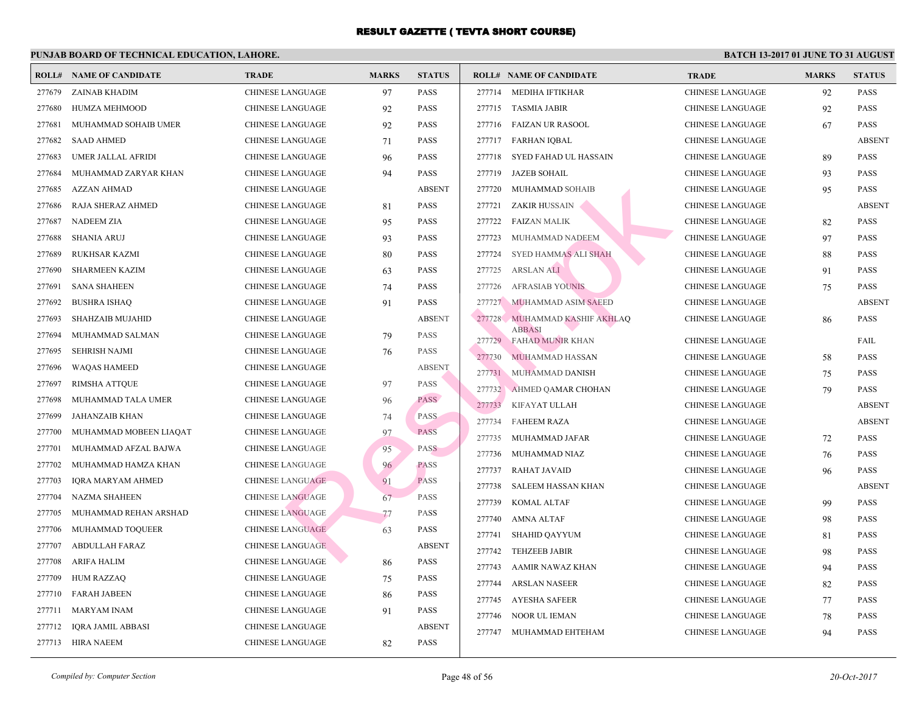|        | <b>ROLL# NAME OF CANDIDATE</b> | <b>TRADE</b>            | <b>MARKS</b> | <b>STATUS</b> |        | <b>ROLL# NAME OF CANDIDATE</b>           | <b>TRA</b>  |
|--------|--------------------------------|-------------------------|--------------|---------------|--------|------------------------------------------|-------------|
| 277679 | ZAINAB KHADIM                  | <b>CHINESE LANGUAGE</b> | 97           | <b>PASS</b>   |        | 277714 MEDIHA IFTIKHAR                   | <b>CHIN</b> |
| 277680 | HUMZA MEHMOOD                  | CHINESE LANGUAGE        | 92           | <b>PASS</b>   | 277715 | TASMIA JABIR                             | <b>CHIN</b> |
| 277681 | MUHAMMAD SOHAIB UMER           | CHINESE LANGUAGE        | 92           | <b>PASS</b>   | 277716 | FAIZAN UR RASOOL                         | CHIN.       |
| 277682 | <b>SAAD AHMED</b>              | <b>CHINESE LANGUAGE</b> | 71           | <b>PASS</b>   | 277717 | <b>FARHAN IQBAL</b>                      | CHIN.       |
| 277683 | UMER JALLAL AFRIDI             | CHINESE LANGUAGE        | 96           | <b>PASS</b>   | 277718 | SYED FAHAD UL HASSAIN                    | <b>CHIN</b> |
| 277684 | MUHAMMAD ZARYAR KHAN           | <b>CHINESE LANGUAGE</b> | 94           | <b>PASS</b>   | 277719 | <b>JAZEB SOHAIL</b>                      | CHIN.       |
| 277685 | AZZAN AHMAD                    | CHINESE LANGUAGE        |              | <b>ABSENT</b> | 277720 | MUHAMMAD SOHAIB                          | <b>CHIN</b> |
| 277686 | RAJA SHERAZ AHMED              | <b>CHINESE LANGUAGE</b> | 81           | <b>PASS</b>   | 277721 | ZAKIR HUSSAIN                            | <b>CHIN</b> |
| 277687 | NADEEM ZIA                     | <b>CHINESE LANGUAGE</b> | 95           | <b>PASS</b>   | 277722 | <b>FAIZAN MALIK</b>                      | <b>CHIN</b> |
| 277688 | <b>SHANIA ARUJ</b>             | CHINESE LANGUAGE        | 93           | <b>PASS</b>   | 277723 | MUHAMMAD NADEEM                          | <b>CHIN</b> |
| 277689 | <b>RUKHSAR KAZMI</b>           | CHINESE LANGUAGE        | 80           | <b>PASS</b>   | 277724 | SYED HAMMAS ALI SHAH                     | <b>CHIN</b> |
| 277690 | <b>SHARMEEN KAZIM</b>          | <b>CHINESE LANGUAGE</b> | 63           | <b>PASS</b>   | 277725 | <b>ARSLAN ALI</b>                        | <b>CHIN</b> |
| 277691 | <b>SANA SHAHEEN</b>            | CHINESE LANGUAGE        | 74           | <b>PASS</b>   | 277726 | <b>AFRASIAB YOUNIS</b>                   | <b>CHIN</b> |
| 277692 | <b>BUSHRA ISHAQ</b>            | CHINESE LANGUAGE        | 91           | <b>PASS</b>   | 277727 | MUHAMMAD ASIM SAEED                      | <b>CHIN</b> |
| 277693 | SHAHZAIB MUJAHID               | CHINESE LANGUAGE        |              | <b>ABSENT</b> | 277728 | MUHAMMAD KASHIF AKHLAQ                   | <b>CHIN</b> |
| 277694 | MUHAMMAD SALMAN                | <b>CHINESE LANGUAGE</b> | 79           | <b>PASS</b>   | 277729 | <b>ABBASI</b><br><b>FAHAD MUNIR KHAN</b> | <b>CHIN</b> |
| 277695 | <b>SEHRISH NAJMI</b>           | <b>CHINESE LANGUAGE</b> | 76           | <b>PASS</b>   | 277730 | <b>MUHAMMAD HASSAN</b>                   | <b>CHIN</b> |
| 277696 | <b>WAQAS HAMEED</b>            | <b>CHINESE LANGUAGE</b> |              | <b>ABSENT</b> | 277731 | MUHAMMAD DANISH                          | <b>CHIN</b> |
| 277697 | <b>RIMSHA ATTQUE</b>           | CHINESE LANGUAGE        | 97           | <b>PASS</b>   | 277732 | AHMED QAMAR CHOHAN                       | <b>CHIN</b> |
| 277698 | MUHAMMAD TALA UMER             | <b>CHINESE LANGUAGE</b> | 96           | <b>PASS</b>   | 277733 | KIFAYAT ULLAH                            | <b>CHIN</b> |
| 277699 | JAHANZAIB KHAN                 | <b>CHINESE LANGUAGE</b> | 74           | <b>PASS</b>   | 277734 | <b>FAHEEM RAZA</b>                       | CHIN.       |
| 277700 | MUHAMMAD MOBEEN LIAQAT         | CHINESE LANGUAGE        | 97           | <b>PASS</b>   | 277735 | MUHAMMAD JAFAR                           | <b>CHIN</b> |
| 277701 | MUHAMMAD AFZAL BAJWA           | <b>CHINESE LANGUAGE</b> | 95           | <b>PASS</b>   | 277736 | MUHAMMAD NIAZ                            | CHIN.       |
| 277702 | MUHAMMAD HAMZA KHAN            | <b>CHINESE LANGUAGE</b> | 96           | <b>PASS</b>   | 277737 | RAHAT JAVAID                             | CHIN.       |
| 277703 | IQRA MARYAM AHMED              | <b>CHINESE LANGUAGE</b> | 91           | <b>PASS</b>   | 277738 | SALEEM HASSAN KHAN                       | <b>CHIN</b> |
| 277704 | NAZMA SHAHEEN                  | <b>CHINESE LANGUAGE</b> | 67           | <b>PASS</b>   | 277739 | KOMAL ALTAF                              | CHIN.       |
| 277705 | MUHAMMAD REHAN ARSHAD          | <b>CHINESE LANGUAGE</b> | 77           | PASS          | 277740 | <b>AMNA ALTAF</b>                        | CHIN.       |
| 277706 | MUHAMMAD TOQUEER               | <b>CHINESE LANGUAGE</b> | 63           | <b>PASS</b>   | 277741 | <b>SHAHID QAYYUM</b>                     | CHIN.       |
| 277707 | <b>ABDULLAH FARAZ</b>          | <b>CHINESE LANGUAGE</b> |              | <b>ABSENT</b> | 277742 | <b>TEHZEEB JABIR</b>                     | <b>CHIN</b> |
| 277708 | <b>ARIFA HALIM</b>             | CHINESE LANGUAGE        | 86           | <b>PASS</b>   | 277743 | AAMIR NAWAZ KHAN                         | <b>CHIN</b> |
| 277709 | <b>HUM RAZZAQ</b>              | <b>CHINESE LANGUAGE</b> | 75           | <b>PASS</b>   | 277744 | <b>ARSLAN NASEER</b>                     | <b>CHIN</b> |
| 277710 | <b>FARAH JABEEN</b>            | CHINESE LANGUAGE        | 86           | <b>PASS</b>   | 277745 | <b>AYESHA SAFEER</b>                     | <b>CHIN</b> |
| 277711 | <b>MARYAM INAM</b>             | <b>CHINESE LANGUAGE</b> | 91           | <b>PASS</b>   | 277746 | NOOR UL IEMAN                            | <b>CHIN</b> |
| 277712 | <b>IQRA JAMIL ABBASI</b>       | <b>CHINESE LANGUAGE</b> |              | <b>ABSENT</b> | 277747 | MUHAMMAD EHTEHAM                         | <b>CHIN</b> |
| 277713 | HIRA NAEEM                     | <b>CHINESE LANGUAGE</b> | 82           | <b>PASS</b>   |        |                                          |             |
|        |                                |                         |              |               |        |                                          |             |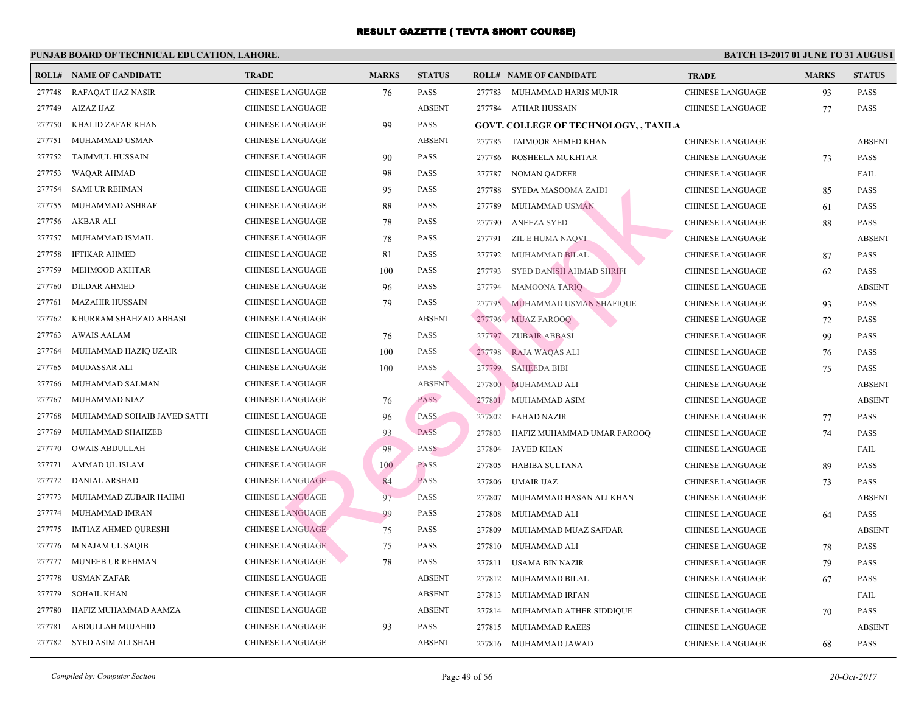| <b>ROLL#</b> | <b>NAME OF CANDIDATE</b>    | <b>TRADE</b>            | <b>MARKS</b> | <b>STATUS</b> |        | <b>ROLL# NAME OF CANDIDATE</b>               | <b>TRA</b>  |
|--------------|-----------------------------|-------------------------|--------------|---------------|--------|----------------------------------------------|-------------|
| 277748       | RAFAQAT IJAZ NASIR          | <b>CHINESE LANGUAGE</b> | 76           | <b>PASS</b>   | 277783 | MUHAMMAD HARIS MUNIR                         | <b>CHIN</b> |
| 277749       | AIZAZ IJAZ                  | CHINESE LANGUAGE        |              | <b>ABSENT</b> |        | 277784 ATHAR HUSSAIN                         | <b>CHIN</b> |
| 277750       | KHALID ZAFAR KHAN           | CHINESE LANGUAGE        | 99           | <b>PASS</b>   |        | <b>GOVT. COLLEGE OF TECHNOLOGY, , TAXILA</b> |             |
| 277751       | MUHAMMAD USMAN              | CHINESE LANGUAGE        |              | <b>ABSENT</b> | 277785 | TAIMOOR AHMED KHAN                           | <b>CHIN</b> |
| 277752       | <b>TAJMMUL HUSSAIN</b>      | <b>CHINESE LANGUAGE</b> | 90           | <b>PASS</b>   | 277786 | ROSHEELA MUKHTAR                             | <b>CHIN</b> |
| 277753       | <b>WAQAR AHMAD</b>          | CHINESE LANGUAGE        | 98           | <b>PASS</b>   | 277787 | <b>NOMAN QADEER</b>                          | <b>CHIN</b> |
| 277754       | <b>SAMI UR REHMAN</b>       | CHINESE LANGUAGE        | 95           | <b>PASS</b>   | 277788 | SYEDA MASOOMA ZAIDI                          | <b>CHIN</b> |
| 277755       | MUHAMMAD ASHRAF             | CHINESE LANGUAGE        | 88           | <b>PASS</b>   | 277789 | <b>MUHAMMAD USMAN</b>                        | <b>CHIN</b> |
| 277756       | <b>AKBAR ALI</b>            | <b>CHINESE LANGUAGE</b> | 78           | <b>PASS</b>   | 277790 | <b>ANEEZA SYED</b>                           | <b>CHIN</b> |
| 277757       | MUHAMMAD ISMAIL             | CHINESE LANGUAGE        | 78           | <b>PASS</b>   | 277791 | ZIL E HUMA NAQVI                             | <b>CHIN</b> |
| 277758       | <b>IFTIKAR AHMED</b>        | CHINESE LANGUAGE        | 81           | <b>PASS</b>   | 277792 | MUHAMMAD BILAL                               | <b>CHIN</b> |
| 277759       | MEHMOOD AKHTAR              | CHINESE LANGUAGE        | 100          | <b>PASS</b>   | 277793 | SYED DANISH AHMAD SHRIFI                     | <b>CHIN</b> |
| 277760       | <b>DILDAR AHMED</b>         | <b>CHINESE LANGUAGE</b> | 96           | <b>PASS</b>   | 277794 | <b>MAMOONA TARIQ</b>                         | <b>CHIN</b> |
| 277761       | <b>MAZAHIR HUSSAIN</b>      | CHINESE LANGUAGE        | 79           | <b>PASS</b>   |        | 277795 MUHAMMAD USMAN SHAFIQUE               | <b>CHIN</b> |
| 277762       | KHURRAM SHAHZAD ABBASI      | CHINESE LANGUAGE        |              | <b>ABSENT</b> |        | 277796 MUAZ FAROOQ                           | <b>CHIN</b> |
| 277763       | <b>AWAIS AALAM</b>          | CHINESE LANGUAGE        | 76           | <b>PASS</b>   |        | 277797 ZUBAIR ABBASI                         | <b>CHIN</b> |
| 277764       | MUHAMMAD HAZIQ UZAIR        | CHINESE LANGUAGE        | 100          | <b>PASS</b>   | 277798 | RAJA WAQAS ALI                               | <b>CHIN</b> |
| 277765       | MUDASSAR ALI                | CHINESE LANGUAGE        | 100          | <b>PASS</b>   | 277799 | <b>SAHEEDA BIBI</b>                          | <b>CHIN</b> |
| 277766       | MUHAMMAD SALMAN             | CHINESE LANGUAGE        |              | <b>ABSENT</b> | 277800 | MUHAMMAD ALI                                 | <b>CHIN</b> |
| 277767       | MUHAMMAD NIAZ               | CHINESE LANGUAGE        | 76           | <b>PASS</b>   | 277801 | MUHAMMAD ASIM                                | <b>CHIN</b> |
| 277768       | MUHAMMAD SOHAIB JAVED SATTI | <b>CHINESE LANGUAGE</b> | 96           | <b>PASS</b>   | 277802 | FAHAD NAZIR                                  | <b>CHIN</b> |
| 277769       | MUHAMMAD SHAHZEB            | <b>CHINESE LANGUAGE</b> | 93           | <b>PASS</b>   | 277803 | HAFIZ MUHAMMAD UMAR FAROOQ                   | <b>CHIN</b> |
| 277770       | <b>OWAIS ABDULLAH</b>       | <b>CHINESE LANGUAGE</b> | 98           | <b>PASS</b>   | 277804 | JAVED KHAN                                   | <b>CHIN</b> |
| 277771       | AMMAD UL ISLAM              | <b>CHINESE LANGUAGE</b> | 100          | <b>PASS</b>   | 277805 | <b>HABIBA SULTANA</b>                        | <b>CHIN</b> |
| 277772       | <b>DANIAL ARSHAD</b>        | <b>CHINESE LANGUAGE</b> | 84           | <b>PASS</b>   | 277806 | UMAIR IJAZ                                   | <b>CHIN</b> |
| 277773       | MUHAMMAD ZUBAIR HAHMI       | <b>CHINESE LANGUAGE</b> | 97           | <b>PASS</b>   | 277807 | MUHAMMAD HASAN ALI KHAN                      | <b>CHIN</b> |
| 277774       | MUHAMMAD IMRAN              | <b>CHINESE LANGUAGE</b> | 99           | PASS          | 277808 | MUHAMMAD ALI                                 | <b>CHIN</b> |
| 277775       | <b>IMTIAZ AHMED QURESHI</b> | <b>CHINESE LANGUAGE</b> | 75           | <b>PASS</b>   | 277809 | MUHAMMAD MUAZ SAFDAR                         | <b>CHIN</b> |
| 277776       | M NAJAM UL SAQIB            | <b>CHINESE LANGUAGE</b> | 75           | <b>PASS</b>   | 277810 | MUHAMMAD ALI                                 | <b>CHIN</b> |
| 277777       | MUNEEB UR REHMAN            | <b>CHINESE LANGUAGE</b> | 78           | <b>PASS</b>   | 277811 | USAMA BIN NAZIR                              | <b>CHIN</b> |
| 277778       | <b>USMAN ZAFAR</b>          | <b>CHINESE LANGUAGE</b> |              | <b>ABSENT</b> | 277812 | MUHAMMAD BILAL                               | <b>CHIN</b> |
| 277779       | <b>SOHAIL KHAN</b>          | <b>CHINESE LANGUAGE</b> |              | <b>ABSENT</b> | 277813 | MUHAMMAD IRFAN                               | <b>CHIN</b> |
| 277780       | HAFIZ MUHAMMAD AAMZA        | CHINESE LANGUAGE        |              | <b>ABSENT</b> | 277814 | MUHAMMAD ATHER SIDDIQUE                      | <b>CHIN</b> |
| 277781       | ABDULLAH MUJAHID            | CHINESE LANGUAGE        | 93           | <b>PASS</b>   | 277815 | MUHAMMAD RAEES                               | <b>CHIN</b> |
| 277782       | SYED ASIM ALI SHAH          | <b>CHINESE LANGUAGE</b> |              | <b>ABSENT</b> |        | 277816 MUHAMMAD JAWAD                        | <b>CHIN</b> |
|              |                             |                         |              |               |        |                                              |             |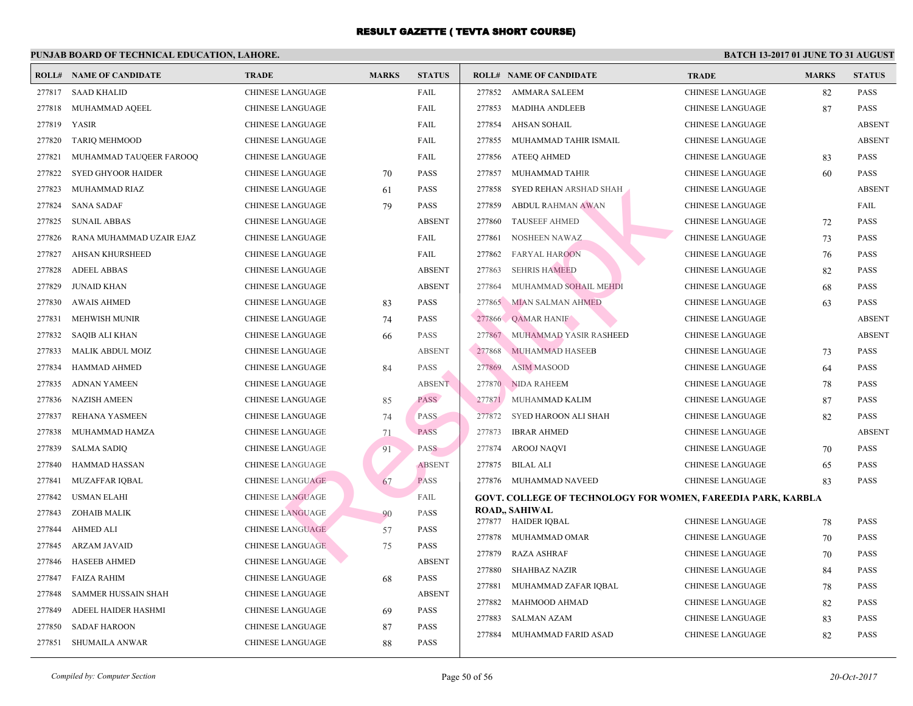|        | <b>ROLL# NAME OF CANDIDATE</b> | <b>TRADE</b>            | <b>MARKS</b> | <b>STATUS</b> |        | <b>ROLL# NAME OF CANDIDATE</b>                  | <b>TRA</b>  |
|--------|--------------------------------|-------------------------|--------------|---------------|--------|-------------------------------------------------|-------------|
| 277817 | <b>SAAD KHALID</b>             | <b>CHINESE LANGUAGE</b> |              | FAIL          | 277852 | AMMARA SALEEM                                   | <b>CHIN</b> |
| 277818 | MUHAMMAD AQEEL                 | <b>CHINESE LANGUAGE</b> |              | FAIL          | 277853 | <b>MADIHA ANDLEEB</b>                           | <b>CHIN</b> |
| 277819 | YASIR                          | <b>CHINESE LANGUAGE</b> |              | FAIL          | 277854 | AHSAN SOHAIL                                    | <b>CHIN</b> |
| 277820 | <b>TARIQ MEHMOOD</b>           | <b>CHINESE LANGUAGE</b> |              | FAIL          | 277855 | MUHAMMAD TAHIR ISMAIL                           | <b>CHIN</b> |
| 277821 | MUHAMMAD TAUQEER FAROOQ        | <b>CHINESE LANGUAGE</b> |              | FAIL          | 277856 | ATEEQ AHMED                                     | <b>CHIN</b> |
| 277822 | <b>SYED GHYOOR HAIDER</b>      | CHINESE LANGUAGE        | 70           | <b>PASS</b>   | 277857 | MUHAMMAD TAHIR                                  | <b>CHIN</b> |
| 277823 | MUHAMMAD RIAZ                  | <b>CHINESE LANGUAGE</b> | 61           | <b>PASS</b>   | 277858 | SYED REHAN ARSHAD SHAH                          | <b>CHIN</b> |
| 277824 | <b>SANA SADAF</b>              | <b>CHINESE LANGUAGE</b> | 79           | <b>PASS</b>   | 277859 | <b>ABDUL RAHMAN AWAN</b>                        | <b>CHIN</b> |
| 277825 | <b>SUNAIL ABBAS</b>            | <b>CHINESE LANGUAGE</b> |              | <b>ABSENT</b> | 277860 | <b>TAUSEEF AHMED</b>                            | <b>CHIN</b> |
| 277826 | RANA MUHAMMAD UZAIR EJAZ       | <b>CHINESE LANGUAGE</b> |              | FAIL          | 277861 | <b>NOSHEEN NAWAZ</b>                            | <b>CHIN</b> |
| 277827 | AHSAN KHURSHEED                | <b>CHINESE LANGUAGE</b> |              | FAIL          | 277862 | <b>FARYAL HAROON</b>                            | <b>CHIN</b> |
| 277828 | <b>ADEEL ABBAS</b>             | CHINESE LANGUAGE        |              | <b>ABSENT</b> | 277863 | <b>SEHRIS HAMEED</b>                            | <b>CHIN</b> |
| 277829 | <b>JUNAID KHAN</b>             | <b>CHINESE LANGUAGE</b> |              | <b>ABSENT</b> | 277864 | MUHAMMAD SOHAIL MEHDI                           | <b>CHIN</b> |
| 277830 | <b>AWAIS AHMED</b>             | CHINESE LANGUAGE        | 83           | <b>PASS</b>   |        | 277865 MIAN SALMAN AHMED                        | <b>CHIN</b> |
| 277831 | MEHWISH MUNIR                  | <b>CHINESE LANGUAGE</b> | 74           | <b>PASS</b>   |        | 277866 QAMAR HANIF                              | <b>CHIN</b> |
| 277832 | <b>SAQIB ALI KHAN</b>          | <b>CHINESE LANGUAGE</b> | 66           | <b>PASS</b>   | 277867 | MUHAMMAD YASIR RASHEED                          | <b>CHIN</b> |
| 277833 | <b>MALIK ABDUL MOIZ</b>        | <b>CHINESE LANGUAGE</b> |              | <b>ABSENT</b> | 277868 | <b>MUHAMMAD HASEEB</b>                          | <b>CHIN</b> |
| 277834 | <b>HAMMAD AHMED</b>            | <b>CHINESE LANGUAGE</b> | 84           | <b>PASS</b>   | 277869 | <b>ASIM MASOOD</b>                              | <b>CHIN</b> |
| 277835 | <b>ADNAN YAMEEN</b>            | <b>CHINESE LANGUAGE</b> |              | <b>ABSENT</b> |        | 277870 NIDA RAHEEM                              | <b>CHIN</b> |
| 277836 | <b>NAZISH AMEEN</b>            | <b>CHINESE LANGUAGE</b> | 85           | <b>PASS</b>   |        | 277871 MUHAMMAD KALIM                           | <b>CHIN</b> |
| 277837 | REHANA YASMEEN                 | <b>CHINESE LANGUAGE</b> | 74           | <b>PASS</b>   | 277872 | SYED HAROON ALI SHAH                            | <b>CHIN</b> |
| 277838 | MUHAMMAD HAMZA                 | <b>CHINESE LANGUAGE</b> | 71           | <b>PASS</b>   | 277873 | <b>IBRAR AHMED</b>                              | <b>CHIN</b> |
| 277839 | <b>SALMA SADIQ</b>             | CHINESE LANGUAGE        | 91           | <b>PASS</b>   | 277874 | <b>AROOJ NAQVI</b>                              | <b>CHIN</b> |
| 277840 | <b>HAMMAD HASSAN</b>           | <b>CHINESE LANGUAGE</b> |              | <b>ABSENT</b> | 277875 | BILAL ALI                                       | <b>CHIN</b> |
| 277841 | <b>MUZAFFAR IQBAL</b>          | <b>CHINESE LANGUAGE</b> | 67           | <b>PASS</b>   |        | 277876 MUHAMMAD NAVEED                          | <b>CHIN</b> |
| 277842 | <b>USMAN ELAHI</b>             | <b>CHINESE LANGUAGE</b> |              | FAIL          |        | <b>GOVT. COLLEGE OF TECHNOLOGY FOR WOMEN, I</b> |             |
| 277843 | ZOHAIB MALIK                   | <b>CHINESE LANGUAGE</b> | 90           | <b>PASS</b>   |        | <b>ROAD,, SAHIWAL</b>                           |             |
| 277844 | <b>AHMED ALI</b>               | <b>CHINESE LANGUAGE</b> | 57           | <b>PASS</b>   |        | 277877 HAIDER IQBAL                             | <b>CHIN</b> |
| 277845 | <b>ARZAM JAVAID</b>            | <b>CHINESE LANGUAGE</b> | 75           | <b>PASS</b>   | 277878 | MUHAMMAD OMAR                                   | <b>CHIN</b> |
| 277846 | <b>HASEEB AHMED</b>            | <b>CHINESE LANGUAGE</b> |              | <b>ABSENT</b> | 277879 | <b>RAZA ASHRAF</b>                              | <b>CHIN</b> |
| 277847 | <b>FAIZA RAHIM</b>             | <b>CHINESE LANGUAGE</b> | 68           | <b>PASS</b>   | 277880 | <b>SHAHBAZ NAZIR</b>                            | <b>CHIN</b> |
| 277848 | <b>SAMMER HUSSAIN SHAH</b>     | <b>CHINESE LANGUAGE</b> |              | <b>ABSENT</b> | 277881 | MUHAMMAD ZAFAR IQBAL                            | <b>CHIN</b> |
| 277849 | ADEEL HAIDER HASHMI            | <b>CHINESE LANGUAGE</b> | 69           | <b>PASS</b>   | 277882 | MAHMOOD AHMAD                                   | <b>CHIN</b> |
| 277850 | <b>SADAF HAROON</b>            | <b>CHINESE LANGUAGE</b> | 87           | <b>PASS</b>   | 277883 | <b>SALMAN AZAM</b>                              | <b>CHIN</b> |
| 277851 | <b>SHUMAILA ANWAR</b>          | <b>CHINESE LANGUAGE</b> | 88           | <b>PASS</b>   | 277884 | MUHAMMAD FARID ASAD                             | <b>CHIN</b> |
|        |                                |                         |              |               |        |                                                 |             |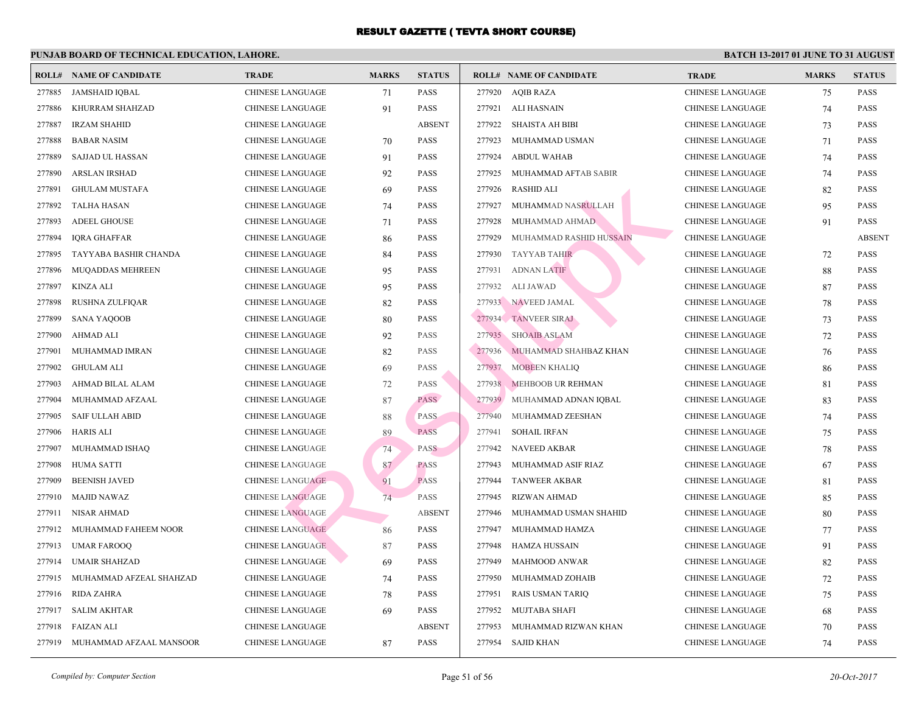|        | <b>ROLL# NAME OF CANDIDATE</b> | <b>TRADE</b>            | <b>MARKS</b> | <b>STATUS</b> |        | <b>ROLL# NAME OF CANDIDATE</b> | <b>TRA</b>  |
|--------|--------------------------------|-------------------------|--------------|---------------|--------|--------------------------------|-------------|
| 277885 | <b>JAMSHAID IQBAL</b>          | <b>CHINESE LANGUAGE</b> | 71           | PASS          |        | 277920 AQIB RAZA               | <b>CHIN</b> |
| 277886 | KHURRAM SHAHZAD                | <b>CHINESE LANGUAGE</b> | 91           | <b>PASS</b>   | 277921 | ALI HASNAIN                    | <b>CHIN</b> |
| 277887 | <b>IRZAM SHAHID</b>            | CHINESE LANGUAGE        |              | <b>ABSENT</b> | 277922 | <b>SHAISTA AH BIBI</b>         | <b>CHIN</b> |
| 277888 | <b>BABAR NASIM</b>             | CHINESE LANGUAGE        | 70           | PASS          | 277923 | MUHAMMAD USMAN                 | CHIN.       |
| 277889 | SAJJAD UL HASSAN               | <b>CHINESE LANGUAGE</b> | 91           | <b>PASS</b>   | 277924 | <b>ABDUL WAHAB</b>             | <b>CHIN</b> |
| 277890 | <b>ARSLAN IRSHAD</b>           | CHINESE LANGUAGE        | 92           | <b>PASS</b>   | 277925 | MUHAMMAD AFTAB SABIR           | CHIN.       |
| 277891 | <b>GHULAM MUSTAFA</b>          | CHINESE LANGUAGE        | 69           | <b>PASS</b>   | 277926 | <b>RASHID ALI</b>              | <b>CHIN</b> |
| 277892 | <b>TALHA HASAN</b>             | <b>CHINESE LANGUAGE</b> | 74           | <b>PASS</b>   | 277927 | MUHAMMAD NASRULLAH             | <b>CHIN</b> |
| 277893 | <b>ADEEL GHOUSE</b>            | <b>CHINESE LANGUAGE</b> | 71           | <b>PASS</b>   | 277928 | MUHAMMAD AHMAD                 | <b>CHIN</b> |
| 277894 | <b>IQRA GHAFFAR</b>            | CHINESE LANGUAGE        | 86           | <b>PASS</b>   | 277929 | MUHAMMAD RASHID HUSSAIN        | CHIN.       |
| 277895 | TAYYABA BASHIR CHANDA          | CHINESE LANGUAGE        | 84           | <b>PASS</b>   | 277930 | TAYYAB TAHIR                   | <b>CHIN</b> |
| 277896 | MUQADDAS MEHREEN               | CHINESE LANGUAGE        | 95           | <b>PASS</b>   | 277931 | <b>ADNAN LATIF</b>             | CHIN.       |
| 277897 | <b>KINZA ALI</b>               | <b>CHINESE LANGUAGE</b> | 95           | <b>PASS</b>   | 277932 | ALI JAWAD                      | CHIN.       |
| 277898 | RUSHNA ZULFIQAR                | CHINESE LANGUAGE        | 82           | <b>PASS</b>   |        | 277933 NAVEED JAMAL            | <b>CHIN</b> |
| 277899 | <b>SANA YAQOOB</b>             | CHINESE LANGUAGE        | 80           | <b>PASS</b>   |        | 277934 TANVEER SIRAJ           | <b>CHIN</b> |
| 277900 | <b>AHMAD ALI</b>               | CHINESE LANGUAGE        | 92           | <b>PASS</b>   |        | 277935 SHOAIB ASLAM            | <b>CHIN</b> |
| 277901 | MUHAMMAD IMRAN                 | CHINESE LANGUAGE        | 82           | <b>PASS</b>   | 277936 | MUHAMMAD SHAHBAZ KHAN          | CHIN.       |
| 277902 | <b>GHULAM ALI</b>              | <b>CHINESE LANGUAGE</b> | 69           | PASS          | 277937 | <b>MOBEEN KHALIQ</b>           | CHIN.       |
| 277903 | AHMAD BILAL ALAM               | CHINESE LANGUAGE        | 72           | <b>PASS</b>   | 277938 | MEHBOOB UR REHMAN              | <b>CHIN</b> |
| 277904 | MUHAMMAD AFZAAL                | CHINESE LANGUAGE        | 87           | <b>PASS</b>   |        | 277939 MUHAMMAD ADNAN IQBAL    | CHIN.       |
| 277905 | <b>SAIF ULLAH ABID</b>         | CHINESE LANGUAGE        | 88           | <b>PASS</b>   | 277940 | MUHAMMAD ZEESHAN               | <b>CHIN</b> |
| 277906 | <b>HARIS ALI</b>               | CHINESE LANGUAGE        | 89           | <b>PASS</b>   | 277941 | <b>SOHAIL IRFAN</b>            | CHIN.       |
| 277907 | MUHAMMAD ISHAQ                 | <b>CHINESE LANGUAGE</b> | 74           | <b>PASS</b>   | 277942 | <b>NAVEED AKBAR</b>            | <b>CHIN</b> |
| 277908 | <b>HUMA SATTI</b>              | <b>CHINESE LANGUAGE</b> | 87           | <b>PASS</b>   | 277943 | MUHAMMAD ASIF RIAZ             | <b>CHIN</b> |
| 277909 | <b>BEENISH JAVED</b>           | <b>CHINESE LANGUAGE</b> | 91           | <b>PASS</b>   | 277944 | <b>TANWEER AKBAR</b>           | <b>CHIN</b> |
| 277910 | MAJID NAWAZ                    | <b>CHINESE LANGUAGE</b> | 74           | PASS          | 277945 | <b>RIZWAN AHMAD</b>            | CHIN.       |
| 277911 | NISAR AHMAD                    | <b>CHINESE LANGUAGE</b> |              | <b>ABSENT</b> | 277946 | MUHAMMAD USMAN SHAHID          | <b>CHIN</b> |
| 277912 | MUHAMMAD FAHEEM NOOR           | <b>CHINESE LANGUAGE</b> | 86           | <b>PASS</b>   | 277947 | MUHAMMAD HAMZA                 | <b>CHIN</b> |
| 277913 | <b>UMAR FAROOQ</b>             | <b>CHINESE LANGUAGE</b> | 87           | <b>PASS</b>   | 277948 | HAMZA HUSSAIN                  | <b>CHIN</b> |
| 277914 | <b>UMAIR SHAHZAD</b>           | <b>CHINESE LANGUAGE</b> | 69           | <b>PASS</b>   | 277949 | MAHMOOD ANWAR                  | <b>CHIN</b> |
| 277915 | MUHAMMAD AFZEAL SHAHZAD        | <b>CHINESE LANGUAGE</b> | 74           | <b>PASS</b>   | 277950 | MUHAMMAD ZOHAIB                | <b>CHIN</b> |
| 277916 | <b>RIDA ZAHRA</b>              | CHINESE LANGUAGE        | 78           | PASS          | 277951 | <b>RAIS USMAN TARIQ</b>        | <b>CHIN</b> |
| 277917 | <b>SALIM AKHTAR</b>            | CHINESE LANGUAGE        | 69           | <b>PASS</b>   | 277952 | MUJTABA SHAFI                  | CHIN.       |
| 277918 | FAIZAN ALI                     | <b>CHINESE LANGUAGE</b> |              | <b>ABSENT</b> | 277953 | MUHAMMAD RIZWAN KHAN           | <b>CHIN</b> |
|        | 277919 MUHAMMAD AFZAAL MANSOOR | CHINESE LANGUAGE        | 87           | <b>PASS</b>   | 277954 | SAJID KHAN                     | <b>CHIN</b> |
|        |                                |                         |              |               |        |                                |             |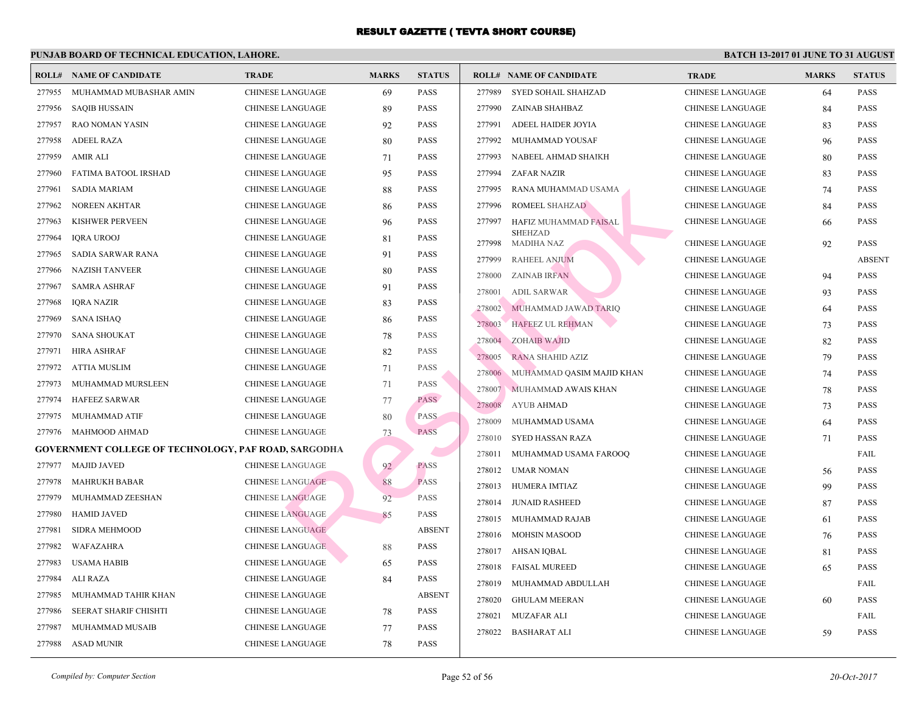|        | <b>ROLL# NAME OF CANDIDATE</b>                              | <b>TRADE</b>            | <b>MARKS</b> | <b>STATUS</b> |        | <b>ROLL# NAME OF CANDIDATE</b> | <b>TRA</b>  |
|--------|-------------------------------------------------------------|-------------------------|--------------|---------------|--------|--------------------------------|-------------|
| 277955 | MUHAMMAD MUBASHAR AMIN                                      | <b>CHINESE LANGUAGE</b> | 69           | <b>PASS</b>   |        | 277989 SYED SOHAIL SHAHZAD     | <b>CHIN</b> |
| 277956 | <b>SAQIB HUSSAIN</b>                                        | <b>CHINESE LANGUAGE</b> | 89           | PASS          | 277990 | ZAINAB SHAHBAZ                 | <b>CHIN</b> |
| 277957 | <b>RAO NOMAN YASIN</b>                                      | <b>CHINESE LANGUAGE</b> | 92           | <b>PASS</b>   | 277991 | ADEEL HAIDER JOYIA             | <b>CHIN</b> |
| 277958 | <b>ADEEL RAZA</b>                                           | <b>CHINESE LANGUAGE</b> | 80           | <b>PASS</b>   | 277992 | MUHAMMAD YOUSAF                | <b>CHIN</b> |
| 277959 | <b>AMIR ALI</b>                                             | CHINESE LANGUAGE        | 71           | <b>PASS</b>   | 277993 | NABEEL AHMAD SHAIKH            | <b>CHIN</b> |
| 277960 | FATIMA BATOOL IRSHAD                                        | <b>CHINESE LANGUAGE</b> | 95           | PASS          | 277994 | ZAFAR NAZIR                    | <b>CHIN</b> |
| 277961 | <b>SADIA MARIAM</b>                                         | <b>CHINESE LANGUAGE</b> | 88           | PASS          | 277995 | RANA MUHAMMAD USAMA            | <b>CHIN</b> |
| 277962 | <b>NOREEN AKHTAR</b>                                        | <b>CHINESE LANGUAGE</b> | 86           | PASS          | 277996 | ROMEEL SHAHZAD                 | <b>CHIN</b> |
| 277963 | KISHWER PERVEEN                                             | <b>CHINESE LANGUAGE</b> | 96           | PASS          | 277997 | <b>HAFIZ MUHAMMAD FAISAL</b>   | <b>CHIN</b> |
| 277964 | <b>IQRA UROOJ</b>                                           | <b>CHINESE LANGUAGE</b> | 81           | PASS          | 277998 | <b>SHEHZAD</b><br>MADIHA NAZ   | <b>CHIN</b> |
| 277965 | SADIA SARWAR RANA                                           | <b>CHINESE LANGUAGE</b> | 91           | PASS          | 277999 | <b>RAHEEL ANJUM</b>            | <b>CHIN</b> |
| 277966 | <b>NAZISH TANVEER</b>                                       | <b>CHINESE LANGUAGE</b> | 80           | PASS          | 278000 | <b>ZAINAB IRFAN</b>            | <b>CHIN</b> |
| 277967 | <b>SAMRA ASHRAF</b>                                         | CHINESE LANGUAGE        | 91           | <b>PASS</b>   | 278001 | <b>ADIL SARWAR</b>             | <b>CHIN</b> |
| 277968 | <b>IQRA NAZIR</b>                                           | <b>CHINESE LANGUAGE</b> | 83           | PASS          | 278002 | MUHAMMAD JAWAD TARIQ           | <b>CHIN</b> |
| 277969 | <b>SANA ISHAQ</b>                                           | <b>CHINESE LANGUAGE</b> | 86           | <b>PASS</b>   | 278003 | <b>HAFEEZ UL REHMAN</b>        | <b>CHIN</b> |
| 277970 | <b>SANA SHOUKAT</b>                                         | <b>CHINESE LANGUAGE</b> | 78           | <b>PASS</b>   | 278004 | <b>ZOHAIB WAJID</b>            | <b>CHIN</b> |
| 277971 | <b>HIRA ASHRAF</b>                                          | CHINESE LANGUAGE        | 82           | <b>PASS</b>   | 278005 | <b>RANA SHAHID AZIZ</b>        | <b>CHIN</b> |
| 277972 | <b>ATTIA MUSLIM</b>                                         | <b>CHINESE LANGUAGE</b> | 71           | PASS          | 278006 | MUHAMMAD QASIM MAJID KHAN      | <b>CHIN</b> |
| 277973 | MUHAMMAD MURSLEEN                                           | <b>CHINESE LANGUAGE</b> | 71           | <b>PASS</b>   | 278007 | MUHAMMAD AWAIS KHAN            | <b>CHIN</b> |
| 277974 | <b>HAFEEZ SARWAR</b>                                        | <b>CHINESE LANGUAGE</b> | 77           | <b>PASS</b>   | 278008 | <b>AYUB AHMAD</b>              | <b>CHIN</b> |
| 277975 | MUHAMMAD ATIF                                               | CHINESE LANGUAGE        | 80           | PASS          | 278009 | MUHAMMAD USAMA                 | <b>CHIN</b> |
| 277976 | MAHMOOD AHMAD                                               | <b>CHINESE LANGUAGE</b> | 73           | <b>PASS</b>   | 278010 | SYED HASSAN RAZA               | <b>CHIN</b> |
|        | <b>GOVERNMENT COLLEGE OF TECHNOLOGY, PAF ROAD, SARGODHA</b> |                         |              |               | 278011 | MUHAMMAD USAMA FAROOQ          | <b>CHIN</b> |
| 277977 | <b>MAJID JAVED</b>                                          | <b>CHINESE LANGUAGE</b> | 92           | <b>PASS</b>   | 278012 | UMAR NOMAN                     | <b>CHIN</b> |
| 277978 | <b>MAHRUKH BABAR</b>                                        | <b>CHINESE LANGUAGE</b> | 88           | <b>PASS</b>   | 278013 | HUMERA IMTIAZ                  | <b>CHIN</b> |
| 277979 | MUHAMMAD ZEESHAN                                            | <b>CHINESE LANGUAGE</b> | 92           | <b>PASS</b>   | 278014 | <b>JUNAID RASHEED</b>          | <b>CHIN</b> |
| 277980 | <b>HAMID JAVED</b>                                          | <b>CHINESE LANGUAGE</b> | 85           | PASS          | 278015 | MUHAMMAD RAJAB                 | <b>CHIN</b> |
| 277981 | SIDRA MEHMOOD                                               | <b>CHINESE LANGUAGE</b> |              | <b>ABSENT</b> | 278016 | <b>MOHSIN MASOOD</b>           | <b>CHIN</b> |
| 277982 | WAFAZAHRA                                                   | <b>CHINESE LANGUAGE</b> | 88           | <b>PASS</b>   | 278017 | AHSAN IQBAL                    | <b>CHIN</b> |
| 277983 | <b>USAMA HABIB</b>                                          | <b>CHINESE LANGUAGE</b> | 65           | PASS          | 278018 | <b>FAISAL MUREED</b>           | <b>CHIN</b> |
| 277984 | <b>ALI RAZA</b>                                             | <b>CHINESE LANGUAGE</b> | 84           | <b>PASS</b>   | 278019 | MUHAMMAD ABDULLAH              | <b>CHIN</b> |
| 277985 | MUHAMMAD TAHIR KHAN                                         | <b>CHINESE LANGUAGE</b> |              | <b>ABSENT</b> | 278020 | <b>GHULAM MEERAN</b>           | <b>CHIN</b> |
| 277986 | SEERAT SHARIF CHISHTI                                       | <b>CHINESE LANGUAGE</b> | 78           | PASS          | 278021 | <b>MUZAFAR ALI</b>             | <b>CHIN</b> |
| 277987 | MUHAMMAD MUSAIB                                             | <b>CHINESE LANGUAGE</b> | 77           | <b>PASS</b>   |        |                                |             |
| 277988 | <b>ASAD MUNIR</b>                                           | <b>CHINESE LANGUAGE</b> | 78           | PASS          |        | 278022 BASHARAT ALI            | <b>CHIN</b> |
|        |                                                             |                         |              |               |        |                                |             |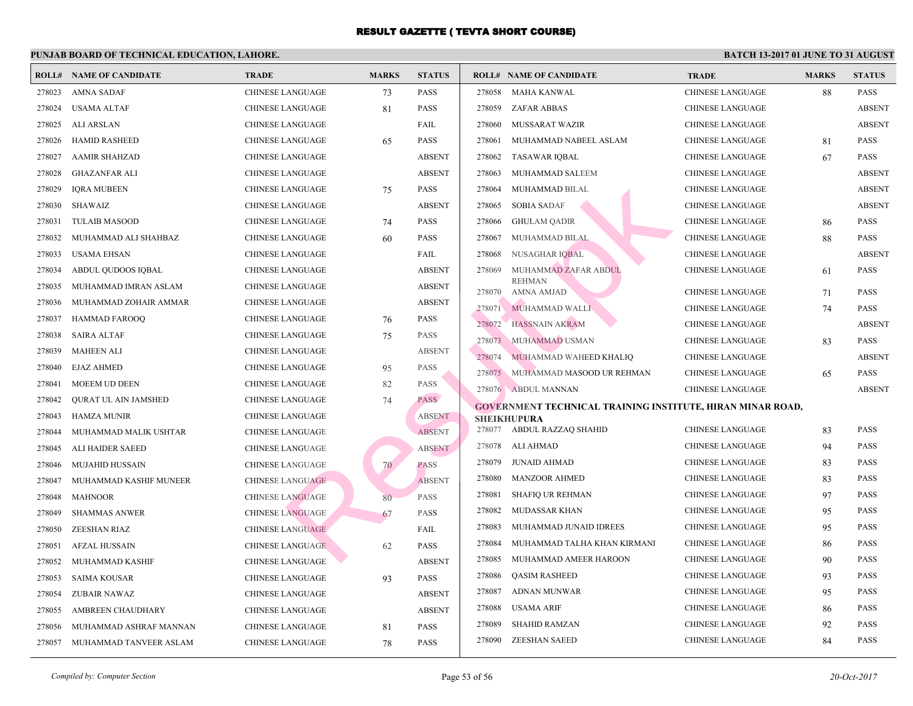| ROLL#  | NAME OF CANDIDATE           | <b>TRADE</b>            | <b>MARKS</b> | <b>STATUS</b> |        | <b>ROLL# NAME OF CANDIDATE</b>                  | <b>TRA</b>  |
|--------|-----------------------------|-------------------------|--------------|---------------|--------|-------------------------------------------------|-------------|
| 278023 | <b>AMNA SADAF</b>           | <b>CHINESE LANGUAGE</b> | 73           | <b>PASS</b>   | 278058 | MAHA KANWAL                                     | <b>CHIN</b> |
| 278024 | USAMA ALTAF                 | <b>CHINESE LANGUAGE</b> | 81           | <b>PASS</b>   | 278059 | ZAFAR ABBAS                                     | <b>CHIN</b> |
| 278025 | ALI ARSLAN                  | <b>CHINESE LANGUAGE</b> |              | FAIL          | 278060 | MUSSARAT WAZIR                                  | <b>CHIN</b> |
| 278026 | <b>HAMID RASHEED</b>        | <b>CHINESE LANGUAGE</b> | 65           | <b>PASS</b>   | 278061 | MUHAMMAD NABEEL ASLAM                           | <b>CHIN</b> |
| 278027 | <b>AAMIR SHAHZAD</b>        | <b>CHINESE LANGUAGE</b> |              | <b>ABSENT</b> | 278062 | <b>TASAWAR IQBAL</b>                            | <b>CHIN</b> |
| 278028 | <b>GHAZANFAR ALI</b>        | <b>CHINESE LANGUAGE</b> |              | <b>ABSENT</b> | 278063 | MUHAMMAD SALEEM                                 | <b>CHIN</b> |
| 278029 | <b>IQRA MUBEEN</b>          | <b>CHINESE LANGUAGE</b> | 75           | <b>PASS</b>   | 278064 | MUHAMMAD BILAL                                  | <b>CHIN</b> |
| 278030 | SHAWAIZ                     | <b>CHINESE LANGUAGE</b> |              | <b>ABSENT</b> | 278065 | <b>SOBIA SADAF</b>                              | <b>CHIN</b> |
| 278031 | <b>TULAIB MASOOD</b>        | <b>CHINESE LANGUAGE</b> | 74           | <b>PASS</b>   | 278066 | <b>GHULAM QADIR</b>                             | <b>CHIN</b> |
| 278032 | MUHAMMAD ALI SHAHBAZ        | <b>CHINESE LANGUAGE</b> | 60           | <b>PASS</b>   | 278067 | MUHAMMAD BILAL                                  | <b>CHIN</b> |
| 278033 | USAMA EHSAN                 | <b>CHINESE LANGUAGE</b> |              | FAIL          | 278068 | <b>NUSAGHAR IQBAL</b>                           | <b>CHIN</b> |
| 278034 | ABDUL QUDOOS IQBAL          | <b>CHINESE LANGUAGE</b> |              | <b>ABSENT</b> | 278069 | MUHAMMAD ZAFAR ABDUI                            | <b>CHIN</b> |
| 278035 | MUHAMMAD IMRAN ASLAM        | <b>CHINESE LANGUAGE</b> |              | <b>ABSENT</b> | 278070 | <b>REHMAN</b><br><b>AMNA AMJAD</b>              | <b>CHIN</b> |
| 278036 | MUHAMMAD ZOHAIR AMMAR       | <b>CHINESE LANGUAGE</b> |              | <b>ABSENT</b> | 278071 | MUHAMMAD WALLI                                  | <b>CHIN</b> |
| 278037 | HAMMAD FAROOQ               | <b>CHINESE LANGUAGE</b> | 76           | <b>PASS</b>   | 278072 | HASSNAIN AKRAM                                  | <b>CHIN</b> |
| 278038 | <b>SAIRA ALTAF</b>          | <b>CHINESE LANGUAGE</b> | 75           | <b>PASS</b>   | 278073 | MUHAMMAD USMAN                                  | <b>CHIN</b> |
| 278039 | <b>MAHEEN ALI</b>           | <b>CHINESE LANGUAGE</b> |              | <b>ABSENT</b> | 278074 | MUHAMMAD WAHEED KHALIQ                          | <b>CHIN</b> |
| 278040 | <b>EJAZ AHMED</b>           | <b>CHINESE LANGUAGE</b> | 95           | <b>PASS</b>   | 278075 | MUHAMMAD MASOOD UR REHMAN                       | <b>CHIN</b> |
| 278041 | <b>MOEEM UD DEEN</b>        | <b>CHINESE LANGUAGE</b> | 82           | <b>PASS</b>   |        | 278076 ABDUL MANNAN                             | <b>CHIN</b> |
| 278042 | <b>QURAT UL AIN JAMSHED</b> | <b>CHINESE LANGUAGE</b> | 74           | <b>PASS</b>   |        | <b>GOVERNMENT TECHNICAL TRAINING INSTITUTE,</b> |             |
| 278043 | <b>HAMZA MUNIR</b>          | <b>CHINESE LANGUAGE</b> |              | <b>ABSENT</b> |        | <b>SHEIKHUPURA</b>                              |             |
| 278044 | MUHAMMAD MALIK USHTAR       | <b>CHINESE LANGUAGE</b> |              | <b>ABSENT</b> |        | 278077 ABDUL RAZZAQ SHAHID                      | <b>CHIN</b> |
| 278045 | ALI HAIDER SAEED            | <b>CHINESE LANGUAGE</b> |              | <b>ABSENT</b> | 278078 | ALI AHMAD                                       | <b>CHIN</b> |
| 278046 | <b>MUJAHID HUSSAIN</b>      | <b>CHINESE LANGUAGE</b> | 70           | <b>PASS</b>   | 278079 | <b>JUNAID AHMAD</b>                             | <b>CHIN</b> |
| 278047 | MUHAMMAD KASHIF MUNEER      | <b>CHINESE LANGUAGE</b> |              | <b>ABSENT</b> | 278080 | <b>MANZOOR AHMED</b>                            | <b>CHIN</b> |
| 278048 | <b>MAHNOOR</b>              | <b>CHINESE LANGUAGE</b> | 80           | <b>PASS</b>   | 278081 | <b>SHAFIQ UR REHMAN</b>                         | <b>CHIN</b> |
| 278049 | <b>SHAMMAS ANWER</b>        | <b>CHINESE LANGUAGE</b> | 67           | <b>PASS</b>   | 278082 | <b>MUDASSAR KHAN</b>                            | <b>CHIN</b> |
| 278050 | <b>ZEESHAN RIAZ</b>         | <b>CHINESE LANGUAGE</b> |              | FAIL          | 278083 | MUHAMMAD JUNAID IDREES                          | <b>CHIN</b> |
| 278051 | <b>AFZAL HUSSAIN</b>        | <b>CHINESE LANGUAGE</b> | 62           | <b>PASS</b>   | 278084 | MUHAMMAD TALHA KHAN KIRMANI                     | <b>CHIN</b> |
| 278052 | MUHAMMAD KASHIF             | <b>CHINESE LANGUAGE</b> |              | <b>ABSENT</b> | 278085 | MUHAMMAD AMEER HAROON                           | <b>CHIN</b> |
| 278053 | SAIMA KOUSAR                | CHINESE LANGUAGE        | 93           | <b>PASS</b>   | 278086 | <b>QASIM RASHEED</b>                            | <b>CHIN</b> |
| 278054 | <b>ZUBAIR NAWAZ</b>         | <b>CHINESE LANGUAGE</b> |              | <b>ABSENT</b> | 278087 | <b>ADNAN MUNWAR</b>                             | <b>CHIN</b> |
| 278055 | AMBREEN CHAUDHARY           | <b>CHINESE LANGUAGE</b> |              | <b>ABSENT</b> | 278088 | USAMA ARIF                                      | <b>CHIN</b> |
| 278056 | MUHAMMAD ASHRAF MANNAN      | <b>CHINESE LANGUAGE</b> | 81           | <b>PASS</b>   | 278089 | <b>SHAHID RAMZAN</b>                            | <b>CHIN</b> |
| 278057 | MUHAMMAD TANVEER ASLAM      | <b>CHINESE LANGUAGE</b> | 78           | <b>PASS</b>   | 278090 | <b>ZEESHAN SAEED</b>                            | <b>CHIN</b> |
|        |                             |                         |              |               |        |                                                 |             |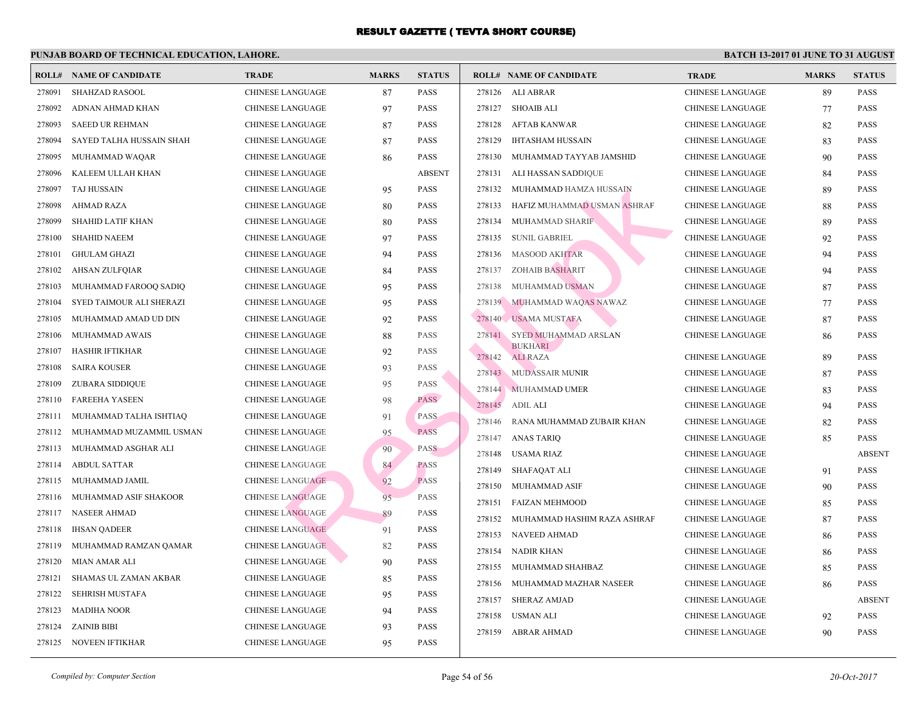|        | <b>ROLL# NAME OF CANDIDATE</b> | <b>TRADE</b>            | <b>MARKS</b> | <b>STATUS</b> |                  | <b>ROLL# NAME OF CANDIDATE</b>    | <b>TRA</b>                 |
|--------|--------------------------------|-------------------------|--------------|---------------|------------------|-----------------------------------|----------------------------|
| 278091 | <b>SHAHZAD RASOOL</b>          | <b>CHINESE LANGUAGE</b> | 87           | <b>PASS</b>   |                  | 278126 ALI ABRAR                  | <b>CHIN</b>                |
| 278092 | ADNAN AHMAD KHAN               | <b>CHINESE LANGUAGE</b> | 97           | PASS          |                  | 278127 SHOAIB ALI                 | <b>CHIN</b>                |
| 278093 | <b>SAEED UR REHMAN</b>         | <b>CHINESE LANGUAGE</b> | 87           | <b>PASS</b>   | 278128           | AFTAB KANWAR                      | <b>CHIN</b>                |
| 278094 | SAYED TALHA HUSSAIN SHAH       | <b>CHINESE LANGUAGE</b> | 87           | <b>PASS</b>   | 278129           | <b>IHTASHAM HUSSAIN</b>           | <b>CHIN</b>                |
| 278095 | MUHAMMAD WAQAR                 | <b>CHINESE LANGUAGE</b> | 86           | <b>PASS</b>   | 278130           | MUHAMMAD TAYYAB JAMSHID           | <b>CHIN</b>                |
| 278096 | KALEEM ULLAH KHAN              | <b>CHINESE LANGUAGE</b> |              | <b>ABSENT</b> | 278131           | ALI HASSAN SADDIQUE               | <b>CHIN</b>                |
| 278097 | TAJ HUSSAIN                    | <b>CHINESE LANGUAGE</b> | 95           | <b>PASS</b>   | 278132           | MUHAMMAD HAMZA HUSSAIN            | <b>CHIN</b>                |
| 278098 | AHMAD RAZA                     | CHINESE LANGUAGE        | 80           | <b>PASS</b>   | 278133           | HAFIZ MUHAMMAD USMAN ASHRAF       | <b>CHIN</b>                |
| 278099 | <b>SHAHID LATIF KHAN</b>       | <b>CHINESE LANGUAGE</b> | 80           | <b>PASS</b>   | 278134           | MUHAMMAD SHARIF                   | <b>CHIN</b>                |
| 278100 | <b>SHAHID NAEEM</b>            | <b>CHINESE LANGUAGE</b> | 97           | <b>PASS</b>   | 278135           | <b>SUNIL GABRIEL</b>              | <b>CHIN</b>                |
| 278101 | <b>GHULAM GHAZI</b>            | <b>CHINESE LANGUAGE</b> | 94           | <b>PASS</b>   | 278136           | <b>MASOOD AKHTAR</b>              | <b>CHIN</b>                |
| 278102 | AHSAN ZULFQIAR                 | <b>CHINESE LANGUAGE</b> | 84           | <b>PASS</b>   | 278137           | <b>ZOHAIB BASHARIT</b>            | <b>CHIN</b>                |
| 278103 | MUHAMMAD FAROOQ SADIQ          | <b>CHINESE LANGUAGE</b> | 95           | <b>PASS</b>   | 278138           | MUHAMMAD USMAN                    | <b>CHIN</b>                |
| 278104 | SYED TAIMOUR ALI SHERAZI       | <b>CHINESE LANGUAGE</b> | 95           | <b>PASS</b>   |                  | 278139 MUHAMMAD WAQAS NAWAZ       | <b>CHIN</b>                |
| 278105 | MUHAMMAD AMAD UD DIN           | <b>CHINESE LANGUAGE</b> | 92           | <b>PASS</b>   |                  | 278140 USAMA MUSTAFA              | <b>CHIN</b>                |
| 278106 | MUHAMMAD AWAIS                 | <b>CHINESE LANGUAGE</b> | 88           | <b>PASS</b>   | 278141           | SYED MUHAMMAD ARSLAN              | <b>CHIN</b>                |
| 278107 | HASHIR IFTIKHAR                | <b>CHINESE LANGUAGE</b> | 92           | <b>PASS</b>   | 278142           | <b>BUKHARI</b><br><b>ALI RAZA</b> | <b>CHIN</b>                |
| 278108 | <b>SAIRA KOUSER</b>            | <b>CHINESE LANGUAGE</b> | 93           | <b>PASS</b>   |                  | 278143 MUDASSAIR MUNIR            | <b>CHIN</b>                |
| 278109 | <b>ZUBARA SIDDIQUE</b>         | <b>CHINESE LANGUAGE</b> | 95           | <b>PASS</b>   |                  | 278144 MUHAMMAD UMER              | <b>CHIN</b>                |
| 278110 | <b>FAREEHA YASEEN</b>          | <b>CHINESE LANGUAGE</b> | 98           | <b>PASS</b>   | 278145           | <b>ADIL ALI</b>                   | <b>CHIN</b>                |
| 278111 | MUHAMMAD TALHA ISHTIAQ         | <b>CHINESE LANGUAGE</b> | 91           | PASS          | 278146           | RANA MUHAMMAD ZUBAIR KHAN         | <b>CHIN</b>                |
| 278112 | MUHAMMAD MUZAMMIL USMAN        | <b>CHINESE LANGUAGE</b> | 95           | <b>PASS</b>   |                  | 278147 ANAS TARIQ                 | <b>CHIN</b>                |
| 278113 | MUHAMMAD ASGHAR ALI            | CHINESE LANGUAGE        | 90           | <b>PASS</b>   | 278148           | USAMA RIAZ                        | <b>CHIN</b>                |
| 278114 | <b>ABDUL SATTAR</b>            | <b>CHINESE LANGUAGE</b> | 84           | <b>PASS</b>   | 278149           | SHAFAQAT ALI                      | <b>CHIN</b>                |
| 278115 | MUHAMMAD JAMIL                 | <b>CHINESE LANGUAGE</b> | 92           | <b>PASS</b>   | 278150           | <b>MUHAMMAD ASIF</b>              | <b>CHIN</b>                |
| 278116 | MUHAMMAD ASIF SHAKOOR          | <b>CHINESE LANGUAGE</b> | 95           | <b>PASS</b>   | 278151           | <b>FAIZAN MEHMOOD</b>             | <b>CHIN</b>                |
| 278117 | <b>NASEER AHMAD</b>            | <b>CHINESE LANGUAGE</b> | 89           | <b>PASS</b>   | 278152           | MUHAMMAD HASHIM RAZA ASHRAF       | <b>CHIN</b>                |
| 278118 | <b>IHSAN QADEER</b>            | <b>CHINESE LANGUAGE</b> | 91           | <b>PASS</b>   | 278153           | NAVEED AHMAD                      | <b>CHIN</b>                |
| 278119 | MUHAMMAD RAMZAN QAMAR          | <b>CHINESE LANGUAGE</b> | 82           | PASS          | 278154           | <b>NADIR KHAN</b>                 | <b>CHIN</b>                |
| 278120 | MIAN AMAR ALI                  | <b>CHINESE LANGUAGE</b> | 90           | PASS          | 278155           | MUHAMMAD SHAHBAZ                  | <b>CHIN</b>                |
| 278121 | SHAMAS UL ZAMAN AKBAR          | <b>CHINESE LANGUAGE</b> | 85           | <b>PASS</b>   | 278156           | MUHAMMAD MAZHAR NASEER            | <b>CHIN</b>                |
| 278122 | SEHRISH MUSTAFA                | <b>CHINESE LANGUAGE</b> | 95           | PASS          | 278157           | <b>SHERAZ AMJAD</b>               | <b>CHIN</b>                |
| 278123 | <b>MADIHA NOOR</b>             | <b>CHINESE LANGUAGE</b> | 94           | <b>PASS</b>   |                  |                                   |                            |
| 278124 | <b>ZAINIB BIBI</b>             | <b>CHINESE LANGUAGE</b> | 93           | PASS          | 278158<br>278159 | USMAN ALI                         | <b>CHIN</b><br><b>CHIN</b> |
|        | 278125 NOVEEN IFTIKHAR         | <b>CHINESE LANGUAGE</b> | 95           | <b>PASS</b>   |                  | ABRAR AHMAD                       |                            |
|        |                                |                         |              |               |                  |                                   |                            |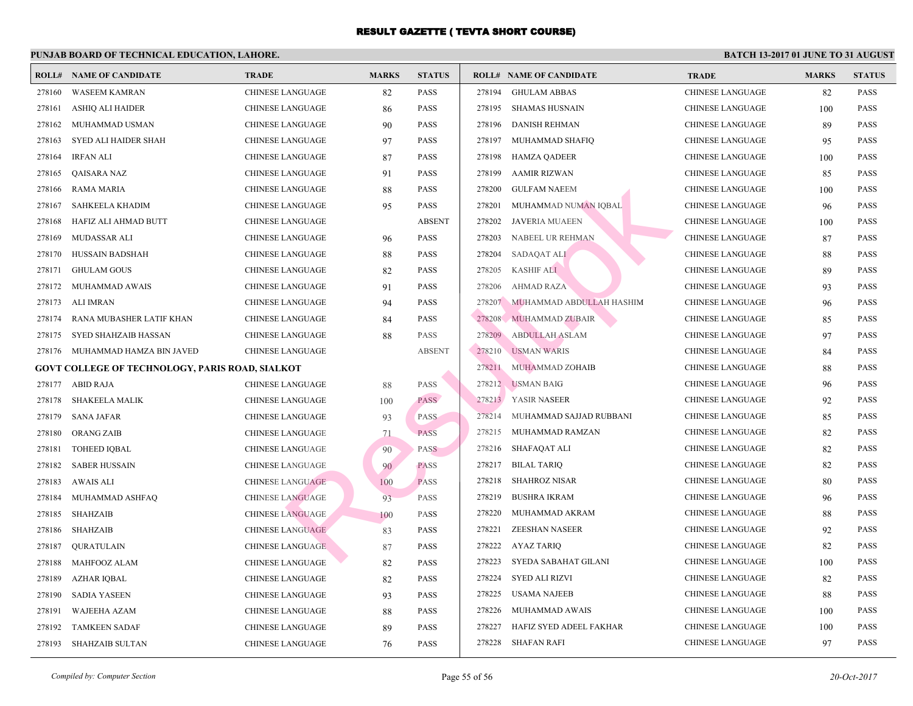|        | <b>ROLL# NAME OF CANDIDATE</b>                         | <b>TRADE</b>            | <b>MARKS</b> | <b>STATUS</b> |        | <b>ROLL# NAME OF CANDIDATE</b> | <b>TRA</b>  |
|--------|--------------------------------------------------------|-------------------------|--------------|---------------|--------|--------------------------------|-------------|
| 278160 | <b>WASEEM KAMRAN</b>                                   | <b>CHINESE LANGUAGE</b> | 82           | <b>PASS</b>   | 278194 | <b>GHULAM ABBAS</b>            | CHIN.       |
| 278161 | ASHIQ ALI HAIDER                                       | <b>CHINESE LANGUAGE</b> | 86           | <b>PASS</b>   | 278195 | SHAMAS HUSNAIN                 | <b>CHIN</b> |
| 278162 | MUHAMMAD USMAN                                         | CHINESE LANGUAGE        | 90           | <b>PASS</b>   | 278196 | <b>DANISH REHMAN</b>           | <b>CHIN</b> |
| 278163 | <b>SYED ALI HAIDER SHAH</b>                            | <b>CHINESE LANGUAGE</b> | 97           | <b>PASS</b>   | 278197 | MUHAMMAD SHAFIQ                | <b>CHIN</b> |
| 278164 | <b>IRFAN ALI</b>                                       | CHINESE LANGUAGE        | 87           | <b>PASS</b>   | 278198 | <b>HAMZA QADEER</b>            | <b>CHIN</b> |
| 278165 | QAISARA NAZ                                            | CHINESE LANGUAGE        | 91           | <b>PASS</b>   | 278199 | <b>AAMIR RIZWAN</b>            | <b>CHIN</b> |
| 278166 | RAMA MARIA                                             | CHINESE LANGUAGE        | 88           | <b>PASS</b>   | 278200 | <b>GULFAM NAEEM</b>            | <b>CHIN</b> |
| 278167 | SAHKEELA KHADIM                                        | <b>CHINESE LANGUAGE</b> | 95           | <b>PASS</b>   | 278201 | MUHAMMAD NUMAN IQBAL           | <b>CHIN</b> |
| 278168 | HAFIZ ALI AHMAD BUTT                                   | <b>CHINESE LANGUAGE</b> |              | <b>ABSENT</b> | 278202 | <b>JAVERIA MUAEEN</b>          | <b>CHIN</b> |
| 278169 | MUDASSAR ALI                                           | CHINESE LANGUAGE        | 96           | <b>PASS</b>   | 278203 | NABEEL UR REHMAN               | <b>CHIN</b> |
| 278170 | HUSSAIN BADSHAH                                        | CHINESE LANGUAGE        | 88           | <b>PASS</b>   | 278204 | SADAQAT ALI                    | <b>CHIN</b> |
| 278171 | <b>GHULAM GOUS</b>                                     | CHINESE LANGUAGE        | 82           | <b>PASS</b>   | 278205 | <b>KASHIF ALI</b>              | <b>CHIN</b> |
| 278172 | MUHAMMAD AWAIS                                         | CHINESE LANGUAGE        | 91           | <b>PASS</b>   | 278206 | <b>AHMAD RAZA</b>              | <b>CHIN</b> |
| 278173 | <b>ALI IMRAN</b>                                       | CHINESE LANGUAGE        | 94           | <b>PASS</b>   | 278207 | MUHAMMAD ABDULLAH HASHIM       | <b>CHIN</b> |
| 278174 | RANA MUBASHER LATIF KHAN                               | CHINESE LANGUAGE        | 84           | <b>PASS</b>   | 278208 | MUHAMMAD ZUBAIR                | <b>CHIN</b> |
| 278175 | SYED SHAHZAIB HASSAN                                   | CHINESE LANGUAGE        | 88           | <b>PASS</b>   | 278209 | <b>ABDULLAH ASLAM</b>          | <b>CHIN</b> |
| 278176 | MUHAMMAD HAMZA BIN JAVED                               | <b>CHINESE LANGUAGE</b> |              | <b>ABSENT</b> | 278210 | <b>USMAN WARIS</b>             | <b>CHIN</b> |
|        | <b>GOVT COLLEGE OF TECHNOLOGY, PARIS ROAD, SIALKOT</b> |                         |              |               | 278211 | MUHAMMAD ZOHAIB                | <b>CHIN</b> |
| 278177 | <b>ABID RAJA</b>                                       | <b>CHINESE LANGUAGE</b> | 88           | <b>PASS</b>   |        | 278212 USMAN BAIG              | <b>CHIN</b> |
| 278178 | <b>SHAKEELA MALIK</b>                                  | CHINESE LANGUAGE        | 100          | <b>PASS</b>   |        | 278213 YASIR NASEER            | <b>CHIN</b> |
| 278179 | <b>SANA JAFAR</b>                                      | CHINESE LANGUAGE        | 93           | <b>PASS</b>   | 278214 | MUHAMMAD SAJJAD RUBBANI        | <b>CHIN</b> |
| 278180 | ORANG ZAIB                                             | CHINESE LANGUAGE        | 71           | <b>PASS</b>   |        | 278215 MUHAMMAD RAMZAN         | <b>CHIN</b> |
| 278181 | <b>TOHEED IOBAL</b>                                    | <b>CHINESE LANGUAGE</b> | 90           | <b>PASS</b>   |        | 278216 SHAFAQAT ALI            | <b>CHIN</b> |
| 278182 | <b>SABER HUSSAIN</b>                                   | <b>CHINESE LANGUAGE</b> | 90           | <b>PASS</b>   | 278217 | <b>BILAL TARIQ</b>             | <b>CHIN</b> |
| 278183 | <b>AWAIS ALI</b>                                       | <b>CHINESE LANGUAGE</b> | 100          | <b>PASS</b>   | 278218 | <b>SHAHROZ NISAR</b>           | <b>CHIN</b> |
| 278184 | MUHAMMAD ASHFAQ                                        | <b>CHINESE LANGUAGE</b> | 93           | PASS          | 278219 | <b>BUSHRA IKRAM</b>            | <b>CHIN</b> |
| 278185 | <b>SHAHZAIB</b>                                        | <b>CHINESE LANGUAGE</b> | 100          | PASS          | 278220 | MUHAMMAD AKRAM                 | <b>CHIN</b> |
| 278186 | <b>SHAHZAIB</b>                                        | <b>CHINESE LANGUAGE</b> | 83           | <b>PASS</b>   | 278221 | ZEESHAN NASEER                 | <b>CHIN</b> |
| 278187 | <b>QURATULAIN</b>                                      | <b>CHINESE LANGUAGE</b> | 87           | <b>PASS</b>   | 278222 | AYAZ TARIQ                     | <b>CHIN</b> |
| 278188 | MAHFOOZ ALAM                                           | CHINESE LANGUAGE        | 82           | <b>PASS</b>   | 278223 | SYEDA SABAHAT GILANI           | <b>CHIN</b> |
| 278189 | <b>AZHAR IQBAL</b>                                     | CHINESE LANGUAGE        | 82           | <b>PASS</b>   | 278224 | <b>SYED ALI RIZVI</b>          | <b>CHIN</b> |
| 278190 | <b>SADIA YASEEN</b>                                    | CHINESE LANGUAGE        | 93           | <b>PASS</b>   | 278225 | <b>USAMA NAJEEB</b>            | <b>CHIN</b> |
| 278191 | <b>WAJEEHA AZAM</b>                                    | CHINESE LANGUAGE        | 88           | <b>PASS</b>   | 278226 | MUHAMMAD AWAIS                 | <b>CHIN</b> |
| 278192 | <b>TAMKEEN SADAF</b>                                   | <b>CHINESE LANGUAGE</b> | 89           | <b>PASS</b>   | 278227 | HAFIZ SYED ADEEL FAKHAR        | <b>CHIN</b> |
| 278193 | <b>SHAHZAIB SULTAN</b>                                 | CHINESE LANGUAGE        | 76           | <b>PASS</b>   | 278228 | SHAFAN RAFI                    | <b>CHIN</b> |
|        |                                                        |                         |              |               |        |                                |             |